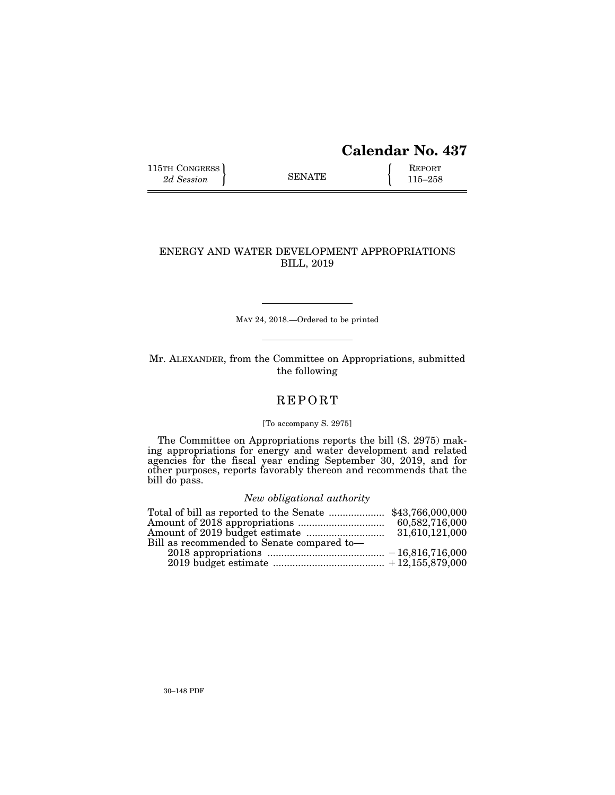# **Calendar No. 437**

115TH CONGRESS REPORT 315-258

## ENERGY AND WATER DEVELOPMENT APPROPRIATIONS BILL, 2019

MAY 24, 2018.—Ordered to be printed

Mr. ALEXANDER, from the Committee on Appropriations, submitted the following

# **REPORT**

## [To accompany S. 2975]

The Committee on Appropriations reports the bill (S. 2975) making appropriations for energy and water development and related agencies for the fiscal year ending September 30, 2019, and for other purposes, reports favorably thereon and recommends that the bill do pass.

## *New obligational authority*

|                                            | 60,582,716,000 |
|--------------------------------------------|----------------|
|                                            | 31,610,121,000 |
| Bill as recommended to Senate compared to- |                |
|                                            |                |
|                                            |                |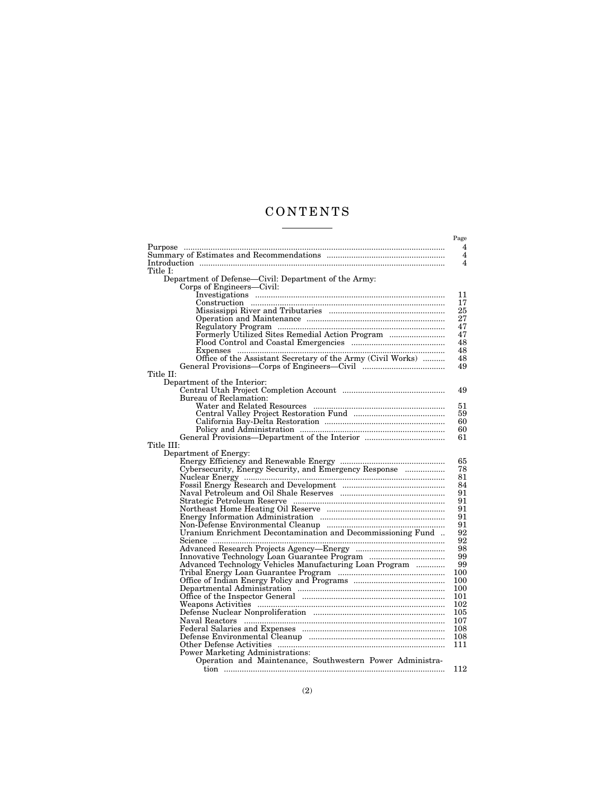# C O N T E N T S  $\begin{tabular}{l} \multicolumn{2}{c} {\textbf{1}} & \multicolumn{2}{c} {\textbf{1}} & \multicolumn{2}{c} {\textbf{1}} \\ \multicolumn{2}{c} {\textbf{1}} & \multicolumn{2}{c} {\textbf{1}} & \multicolumn{2}{c} {\textbf{1}} \\ \multicolumn{2}{c} {\textbf{1}} & \multicolumn{2}{c} {\textbf{1}} & \multicolumn{2}{c} {\textbf{1}} \\ \multicolumn{2}{c} {\textbf{1}} & \multicolumn{2}{c} {\textbf{1}} & \multicolumn{2}{c} {\textbf{1}} \\ \multicolumn{2}{c} {\textbf{1}} & \multicolumn$

| Title I:                                                    |
|-------------------------------------------------------------|
|                                                             |
| Department of Defense-Civil: Department of the Army:        |
| Corps of Engineers—Civil:                                   |
|                                                             |
|                                                             |
|                                                             |
|                                                             |
|                                                             |
| Formerly Utilized Sites Remedial Action Program             |
|                                                             |
|                                                             |
| Office of the Assistant Secretary of the Army (Civil Works) |
|                                                             |
| Title II:                                                   |
| Department of the Interior:                                 |
|                                                             |
| Bureau of Reclamation:                                      |
|                                                             |
|                                                             |
|                                                             |
|                                                             |
|                                                             |
| Title III:                                                  |
| Department of Energy:                                       |
|                                                             |
| Cybersecurity, Energy Security, and Emergency Response      |
|                                                             |
|                                                             |
|                                                             |
|                                                             |
|                                                             |
|                                                             |
|                                                             |
| Uranium Enrichment Decontamination and Decommissioning Fund |
|                                                             |
|                                                             |
|                                                             |
| Advanced Technology Vehicles Manufacturing Loan Program     |
|                                                             |
|                                                             |
|                                                             |
|                                                             |
|                                                             |
|                                                             |
|                                                             |
|                                                             |
|                                                             |
|                                                             |
| <b>Power Marketing Administrations:</b>                     |
| Operation and Maintenance, Southwestern Power Administra-   |
|                                                             |
|                                                             |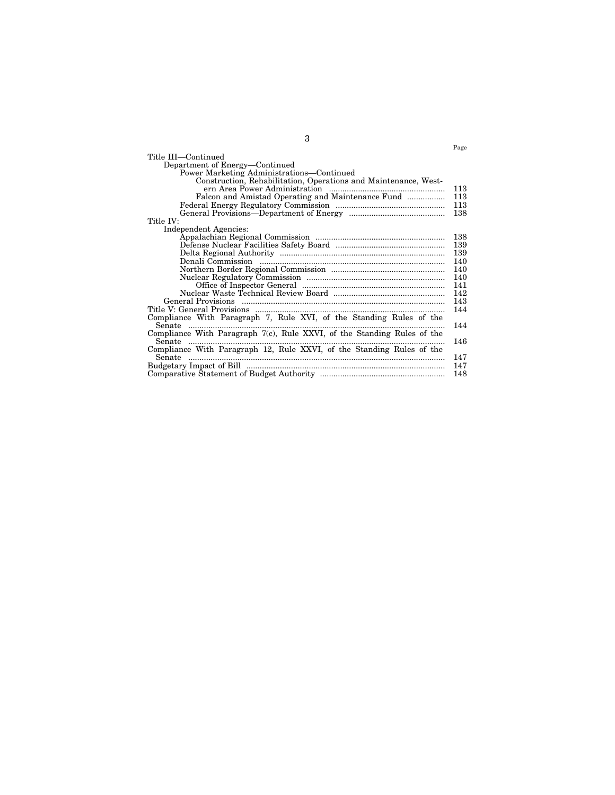|                                                                         | Page |
|-------------------------------------------------------------------------|------|
| Title III—Continued                                                     |      |
| Department of Energy-Continued                                          |      |
| Power Marketing Administrations—Continued                               |      |
| Construction, Rehabilitation, Operations and Maintenance, West-         |      |
|                                                                         | 113  |
| Falcon and Amistad Operating and Maintenance Fund                       | 113  |
|                                                                         | 113  |
|                                                                         | 138  |
| Title IV:                                                               |      |
| Independent Agencies:                                                   |      |
|                                                                         | 138  |
|                                                                         | 139  |
|                                                                         | 139  |
|                                                                         | 140  |
|                                                                         | 140  |
|                                                                         | 140  |
|                                                                         | 141  |
|                                                                         | 142  |
|                                                                         | 143  |
|                                                                         | 144  |
| Compliance With Paragraph 7, Rule XVI, of the Standing Rules of the     |      |
|                                                                         | 144  |
| Compliance With Paragraph 7(c), Rule XXVI, of the Standing Rules of the |      |
| Senate                                                                  | 146  |
| Compliance With Paragraph 12, Rule XXVI, of the Standing Rules of the   |      |
| Senate                                                                  | 147  |
|                                                                         | 147  |
|                                                                         | 148  |

3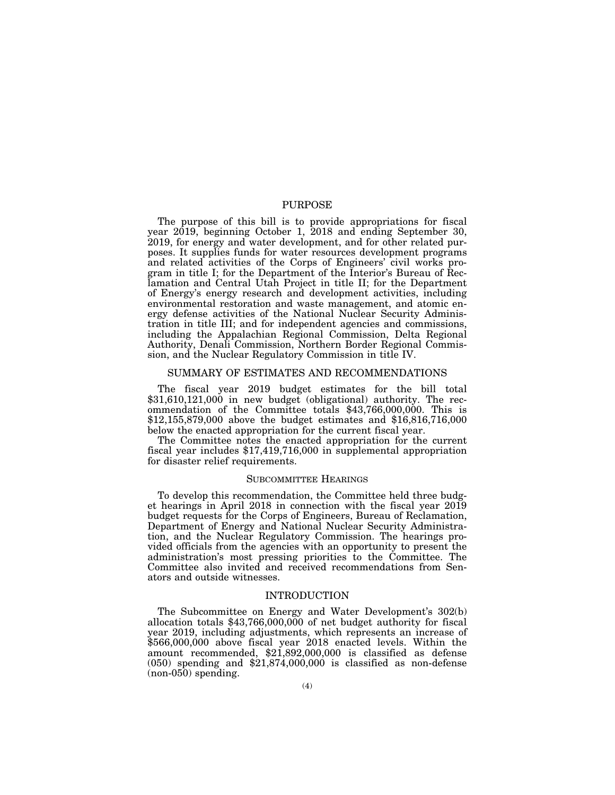## PURPOSE

The purpose of this bill is to provide appropriations for fiscal year 2019, beginning October 1, 2018 and ending September 30, 2019, for energy and water development, and for other related purposes. It supplies funds for water resources development programs and related activities of the Corps of Engineers' civil works program in title I; for the Department of the Interior's Bureau of Reclamation and Central Utah Project in title II; for the Department of Energy's energy research and development activities, including environmental restoration and waste management, and atomic energy defense activities of the National Nuclear Security Administration in title III; and for independent agencies and commissions, including the Appalachian Regional Commission, Delta Regional Authority, Denali Commission, Northern Border Regional Commission, and the Nuclear Regulatory Commission in title IV.

## SUMMARY OF ESTIMATES AND RECOMMENDATIONS

The fiscal year 2019 budget estimates for the bill total  $$31,610,121,000$  in new budget (obligational) authority. The recommendation of the Committee totals \$43,766,000,000. This is \$12,155,879,000 above the budget estimates and \$16,816,716,000 below the enacted appropriation for the current fiscal year.

The Committee notes the enacted appropriation for the current fiscal year includes \$17,419,716,000 in supplemental appropriation for disaster relief requirements.

#### SUBCOMMITTEE HEARINGS

To develop this recommendation, the Committee held three budget hearings in April 2018 in connection with the fiscal year 2019 budget requests for the Corps of Engineers, Bureau of Reclamation, Department of Energy and National Nuclear Security Administration, and the Nuclear Regulatory Commission. The hearings provided officials from the agencies with an opportunity to present the administration's most pressing priorities to the Committee. The Committee also invited and received recommendations from Senators and outside witnesses.

## INTRODUCTION

The Subcommittee on Energy and Water Development's 302(b) allocation totals \$43,766,000,000 of net budget authority for fiscal year 2019, including adjustments, which represents an increase of \$566,000,000 above fiscal year 2018 enacted levels. Within the amount recommended, \$21,892,000,000 is classified as defense  $(050)$  spending and  $$21,874,000,000$  is classified as non-defense (non-050) spending.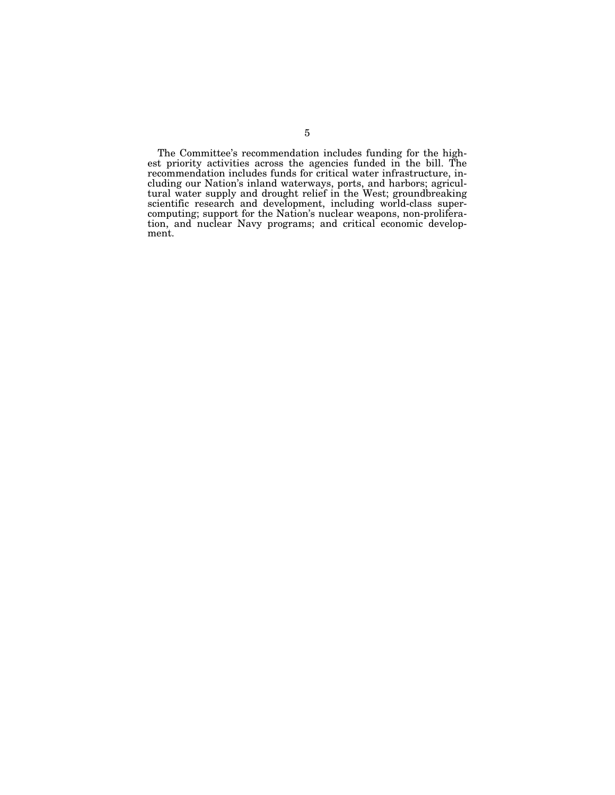The Committee's recommendation includes funding for the highest priority activities across the agencies funded in the bill. The recommendation includes funds for critical water infrastructure, including our Nation's inland waterways, ports, and harbors; agricultural water supply and drought relief in the West; groundbreaking scientific research and development, including world-class supercomputing; support for the Nation's nuclear weapons, non-proliferation, and nuclear Navy programs; and critical economic development.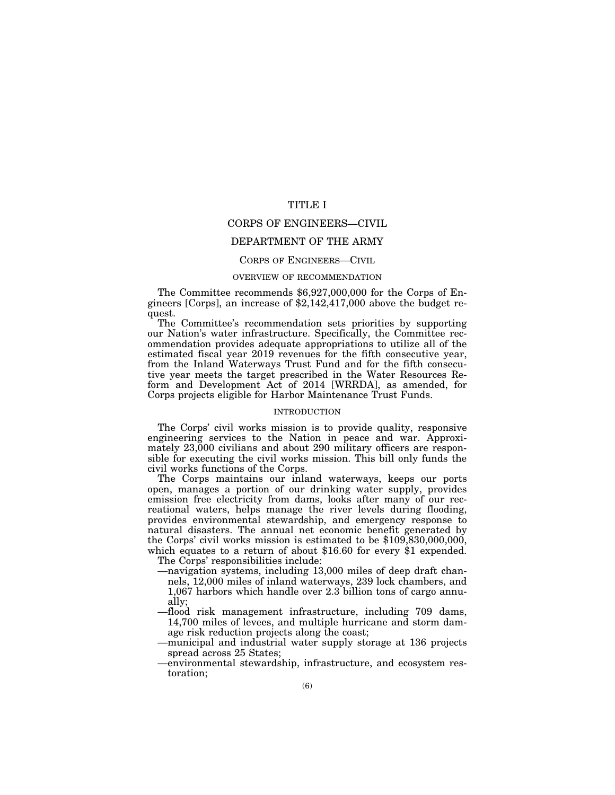## TITLE I

## CORPS OF ENGINEERS—CIVIL

## DEPARTMENT OF THE ARMY

## CORPS OF ENGINEERS—CIVIL

## OVERVIEW OF RECOMMENDATION

The Committee recommends \$6,927,000,000 for the Corps of Engineers [Corps], an increase of \$2,142,417,000 above the budget request.

The Committee's recommendation sets priorities by supporting our Nation's water infrastructure. Specifically, the Committee recommendation provides adequate appropriations to utilize all of the estimated fiscal year 2019 revenues for the fifth consecutive year, from the Inland Waterways Trust Fund and for the fifth consecutive year meets the target prescribed in the Water Resources Reform and Development Act of 2014 [WRRDA], as amended, for Corps projects eligible for Harbor Maintenance Trust Funds.

#### INTRODUCTION

The Corps' civil works mission is to provide quality, responsive engineering services to the Nation in peace and war. Approximately 23,000 civilians and about 290 military officers are responsible for executing the civil works mission. This bill only funds the civil works functions of the Corps.

The Corps maintains our inland waterways, keeps our ports open, manages a portion of our drinking water supply, provides emission free electricity from dams, looks after many of our recreational waters, helps manage the river levels during flooding, provides environmental stewardship, and emergency response to natural disasters. The annual net economic benefit generated by the Corps' civil works mission is estimated to be \$109,830,000,000, which equates to a return of about \$16.60 for every \$1 expended.

The Corps' responsibilities include:

- —navigation systems, including 13,000 miles of deep draft channels, 12,000 miles of inland waterways, 239 lock chambers, and 1,067 harbors which handle over 2.3 billion tons of cargo annually;
- —flood risk management infrastructure, including 709 dams, 14,700 miles of levees, and multiple hurricane and storm damage risk reduction projects along the coast;
- —municipal and industrial water supply storage at 136 projects spread across 25 States;
- —environmental stewardship, infrastructure, and ecosystem restoration;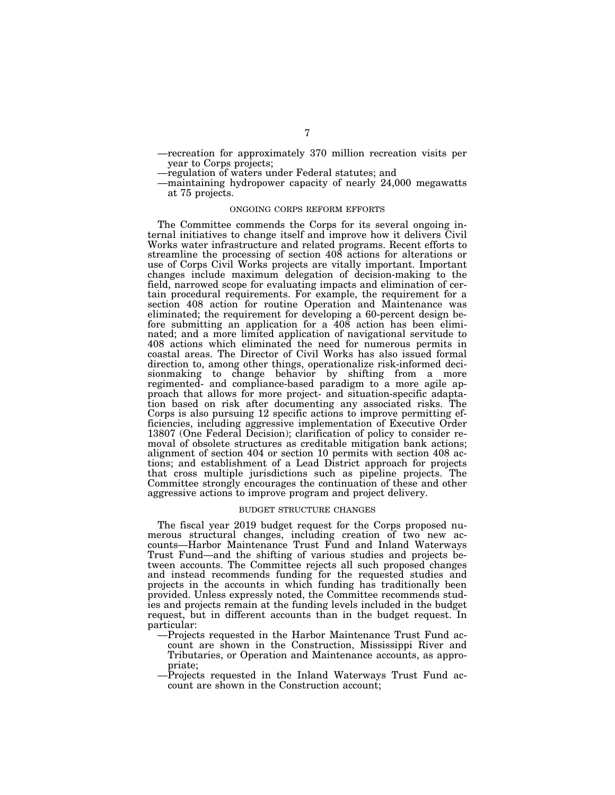- —recreation for approximately 370 million recreation visits per year to Corps projects;
- —regulation of waters under Federal statutes; and
- —maintaining hydropower capacity of nearly 24,000 megawatts at 75 projects.

## ONGOING CORPS REFORM EFFORTS

The Committee commends the Corps for its several ongoing internal initiatives to change itself and improve how it delivers Civil Works water infrastructure and related programs. Recent efforts to streamline the processing of section 408 actions for alterations or use of Corps Civil Works projects are vitally important. Important changes include maximum delegation of decision-making to the field, narrowed scope for evaluating impacts and elimination of certain procedural requirements. For example, the requirement for a section 408 action for routine Operation and Maintenance was eliminated; the requirement for developing a 60-percent design before submitting an application for a 408 action has been eliminated; and a more limited application of navigational servitude to 408 actions which eliminated the need for numerous permits in coastal areas. The Director of Civil Works has also issued formal direction to, among other things, operationalize risk-informed decisionmaking to change behavior by shifting from a more regimented- and compliance-based paradigm to a more agile approach that allows for more project- and situation-specific adaptation based on risk after documenting any associated risks. The Corps is also pursuing 12 specific actions to improve permitting efficiencies, including aggressive implementation of Executive Order 13807 (One Federal Decision); clarification of policy to consider removal of obsolete structures as creditable mitigation bank actions; alignment of section 404 or section 10 permits with section 408 actions; and establishment of a Lead District approach for projects that cross multiple jurisdictions such as pipeline projects. The Committee strongly encourages the continuation of these and other aggressive actions to improve program and project delivery.

#### BUDGET STRUCTURE CHANGES

The fiscal year 2019 budget request for the Corps proposed numerous structural changes, including creation of two new accounts—Harbor Maintenance Trust Fund and Inland Waterways Trust Fund—and the shifting of various studies and projects between accounts. The Committee rejects all such proposed changes and instead recommends funding for the requested studies and projects in the accounts in which funding has traditionally been provided. Unless expressly noted, the Committee recommends studies and projects remain at the funding levels included in the budget request, but in different accounts than in the budget request. In particular:

- —Projects requested in the Harbor Maintenance Trust Fund account are shown in the Construction, Mississippi River and Tributaries, or Operation and Maintenance accounts, as appropriate;
- —Projects requested in the Inland Waterways Trust Fund account are shown in the Construction account;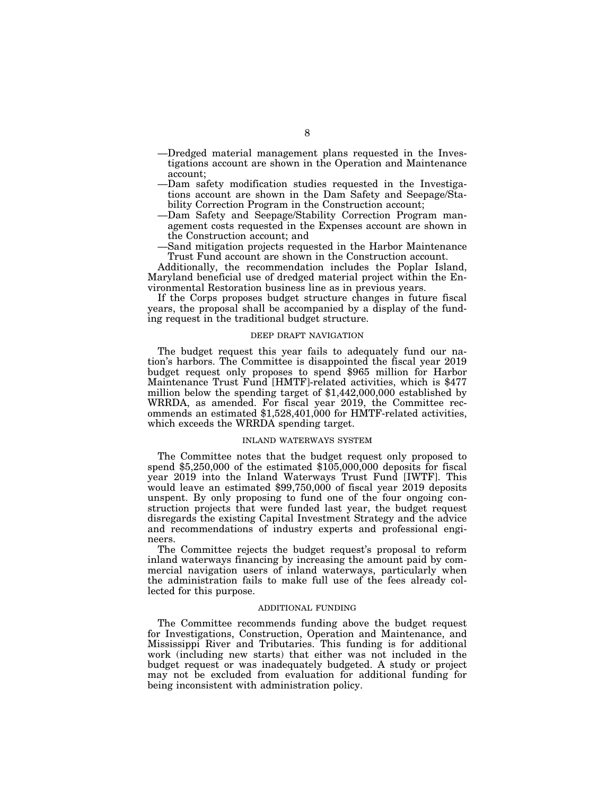- —Dredged material management plans requested in the Investigations account are shown in the Operation and Maintenance account;
- —Dam safety modification studies requested in the Investigations account are shown in the Dam Safety and Seepage/Stability Correction Program in the Construction account;
- —Dam Safety and Seepage/Stability Correction Program management costs requested in the Expenses account are shown in the Construction account; and
- —Sand mitigation projects requested in the Harbor Maintenance Trust Fund account are shown in the Construction account.

Additionally, the recommendation includes the Poplar Island, Maryland beneficial use of dredged material project within the Environmental Restoration business line as in previous years.

If the Corps proposes budget structure changes in future fiscal years, the proposal shall be accompanied by a display of the funding request in the traditional budget structure.

## DEEP DRAFT NAVIGATION

The budget request this year fails to adequately fund our nation's harbors. The Committee is disappointed the fiscal year 2019 budget request only proposes to spend \$965 million for Harbor Maintenance Trust Fund [HMTF]-related activities, which is \$477 million below the spending target of \$1,442,000,000 established by WRRDA, as amended. For fiscal year 2019, the Committee recommends an estimated \$1,528,401,000 for HMTF-related activities, which exceeds the WRRDA spending target.

## INLAND WATERWAYS SYSTEM

The Committee notes that the budget request only proposed to spend  $$5,250,000$  of the estimated  $$105,000,000$  deposits for fiscal year 2019 into the Inland Waterways Trust Fund [IWTF]. This would leave an estimated \$99,750,000 of fiscal year 2019 deposits unspent. By only proposing to fund one of the four ongoing construction projects that were funded last year, the budget request disregards the existing Capital Investment Strategy and the advice and recommendations of industry experts and professional engineers.

The Committee rejects the budget request's proposal to reform inland waterways financing by increasing the amount paid by commercial navigation users of inland waterways, particularly when the administration fails to make full use of the fees already collected for this purpose.

## ADDITIONAL FUNDING

The Committee recommends funding above the budget request for Investigations, Construction, Operation and Maintenance, and Mississippi River and Tributaries. This funding is for additional work (including new starts) that either was not included in the budget request or was inadequately budgeted. A study or project may not be excluded from evaluation for additional funding for being inconsistent with administration policy.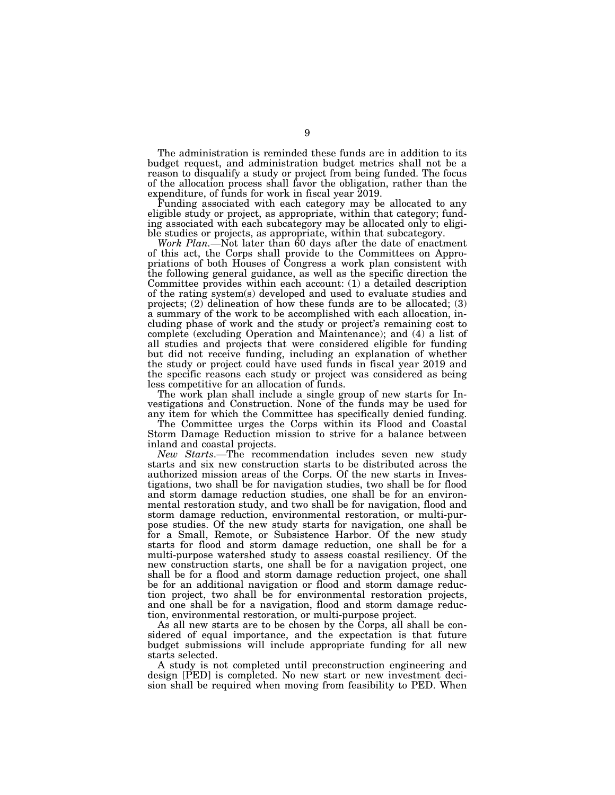The administration is reminded these funds are in addition to its budget request, and administration budget metrics shall not be a reason to disqualify a study or project from being funded. The focus of the allocation process shall favor the obligation, rather than the expenditure, of funds for work in fiscal year 2019.

Funding associated with each category may be allocated to any eligible study or project, as appropriate, within that category; funding associated with each subcategory may be allocated only to eligible studies or projects, as appropriate, within that subcategory.

*Work Plan.—*Not later than 60 days after the date of enactment of this act, the Corps shall provide to the Committees on Appropriations of both Houses of Congress a work plan consistent with the following general guidance, as well as the specific direction the Committee provides within each account: (1) a detailed description of the rating system(s) developed and used to evaluate studies and projects; (2) delineation of how these funds are to be allocated; (3) a summary of the work to be accomplished with each allocation, including phase of work and the study or project's remaining cost to complete (excluding Operation and Maintenance); and (4) a list of all studies and projects that were considered eligible for funding but did not receive funding, including an explanation of whether the study or project could have used funds in fiscal year 2019 and the specific reasons each study or project was considered as being less competitive for an allocation of funds.

The work plan shall include a single group of new starts for Investigations and Construction. None of the funds may be used for any item for which the Committee has specifically denied funding.

The Committee urges the Corps within its Flood and Coastal Storm Damage Reduction mission to strive for a balance between inland and coastal projects.

*New Starts*.—The recommendation includes seven new study starts and six new construction starts to be distributed across the authorized mission areas of the Corps. Of the new starts in Investigations, two shall be for navigation studies, two shall be for flood and storm damage reduction studies, one shall be for an environmental restoration study, and two shall be for navigation, flood and storm damage reduction, environmental restoration, or multi-purpose studies. Of the new study starts for navigation, one shall be for a Small, Remote, or Subsistence Harbor. Of the new study starts for flood and storm damage reduction, one shall be for a multi-purpose watershed study to assess coastal resiliency. Of the new construction starts, one shall be for a navigation project, one shall be for a flood and storm damage reduction project, one shall be for an additional navigation or flood and storm damage reduction project, two shall be for environmental restoration projects, and one shall be for a navigation, flood and storm damage reduction, environmental restoration, or multi-purpose project.

As all new starts are to be chosen by the Corps, all shall be considered of equal importance, and the expectation is that future budget submissions will include appropriate funding for all new starts selected.

A study is not completed until preconstruction engineering and design [PED] is completed. No new start or new investment decision shall be required when moving from feasibility to PED. When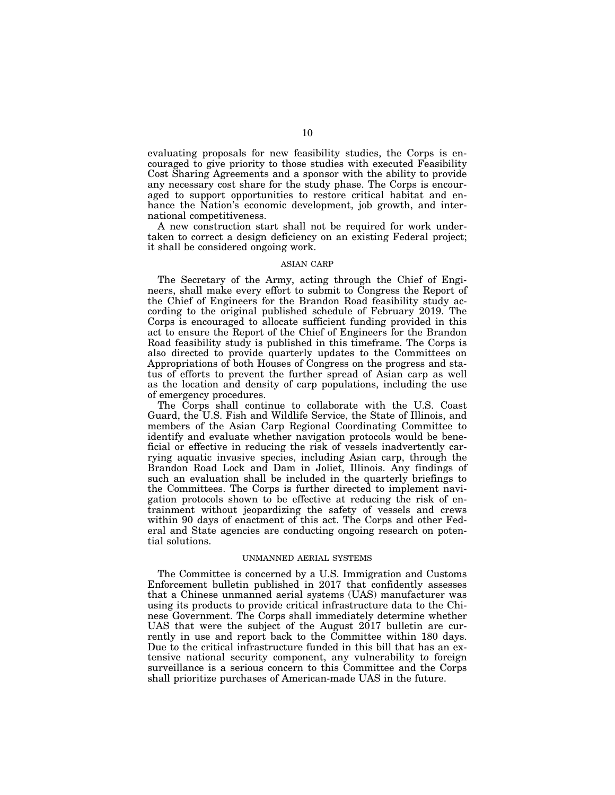evaluating proposals for new feasibility studies, the Corps is encouraged to give priority to those studies with executed Feasibility Cost Sharing Agreements and a sponsor with the ability to provide any necessary cost share for the study phase. The Corps is encouraged to support opportunities to restore critical habitat and enhance the Nation's economic development, job growth, and international competitiveness.

A new construction start shall not be required for work undertaken to correct a design deficiency on an existing Federal project; it shall be considered ongoing work.

#### ASIAN CARP

The Secretary of the Army, acting through the Chief of Engineers, shall make every effort to submit to Congress the Report of the Chief of Engineers for the Brandon Road feasibility study according to the original published schedule of February 2019. The Corps is encouraged to allocate sufficient funding provided in this act to ensure the Report of the Chief of Engineers for the Brandon Road feasibility study is published in this timeframe. The Corps is also directed to provide quarterly updates to the Committees on Appropriations of both Houses of Congress on the progress and status of efforts to prevent the further spread of Asian carp as well as the location and density of carp populations, including the use of emergency procedures.

The Corps shall continue to collaborate with the U.S. Coast Guard, the U.S. Fish and Wildlife Service, the State of Illinois, and members of the Asian Carp Regional Coordinating Committee to identify and evaluate whether navigation protocols would be beneficial or effective in reducing the risk of vessels inadvertently carrying aquatic invasive species, including Asian carp, through the Brandon Road Lock and Dam in Joliet, Illinois. Any findings of such an evaluation shall be included in the quarterly briefings to the Committees. The Corps is further directed to implement navigation protocols shown to be effective at reducing the risk of entrainment without jeopardizing the safety of vessels and crews within 90 days of enactment of this act. The Corps and other Federal and State agencies are conducting ongoing research on potential solutions.

## UNMANNED AERIAL SYSTEMS

The Committee is concerned by a U.S. Immigration and Customs Enforcement bulletin published in 2017 that confidently assesses that a Chinese unmanned aerial systems (UAS) manufacturer was using its products to provide critical infrastructure data to the Chinese Government. The Corps shall immediately determine whether UAS that were the subject of the August 2017 bulletin are currently in use and report back to the Committee within 180 days. Due to the critical infrastructure funded in this bill that has an extensive national security component, any vulnerability to foreign surveillance is a serious concern to this Committee and the Corps shall prioritize purchases of American-made UAS in the future.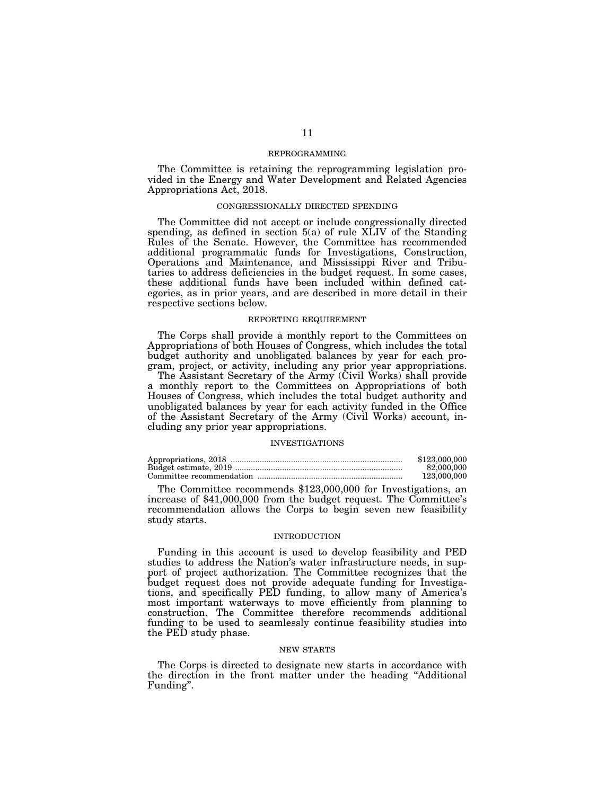## REPROGRAMMING

The Committee is retaining the reprogramming legislation provided in the Energy and Water Development and Related Agencies Appropriations Act, 2018.

#### CONGRESSIONALLY DIRECTED SPENDING

The Committee did not accept or include congressionally directed spending, as defined in section  $5(a)$  of rule XLIV of the Standing Rules of the Senate. However, the Committee has recommended additional programmatic funds for Investigations, Construction, Operations and Maintenance, and Mississippi River and Tributaries to address deficiencies in the budget request. In some cases, these additional funds have been included within defined categories, as in prior years, and are described in more detail in their respective sections below.

#### REPORTING REQUIREMENT

The Corps shall provide a monthly report to the Committees on Appropriations of both Houses of Congress, which includes the total budget authority and unobligated balances by year for each program, project, or activity, including any prior year appropriations.

The Assistant Secretary of the Army (Civil Works) shall provide a monthly report to the Committees on Appropriations of both Houses of Congress, which includes the total budget authority and unobligated balances by year for each activity funded in the Office of the Assistant Secretary of the Army (Civil Works) account, including any prior year appropriations.

#### INVESTIGATIONS

| \$123,000,000 |
|---------------|
| 82,000,000    |
| 123,000,000   |

The Committee recommends \$123,000,000 for Investigations, an increase of \$41,000,000 from the budget request. The Committee's recommendation allows the Corps to begin seven new feasibility study starts.

## INTRODUCTION

Funding in this account is used to develop feasibility and PED studies to address the Nation's water infrastructure needs, in support of project authorization. The Committee recognizes that the budget request does not provide adequate funding for Investigations, and specifically PED funding, to allow many of America's most important waterways to move efficiently from planning to construction. The Committee therefore recommends additional funding to be used to seamlessly continue feasibility studies into the PED study phase.

#### NEW STARTS

The Corps is directed to designate new starts in accordance with the direction in the front matter under the heading ''Additional Funding''.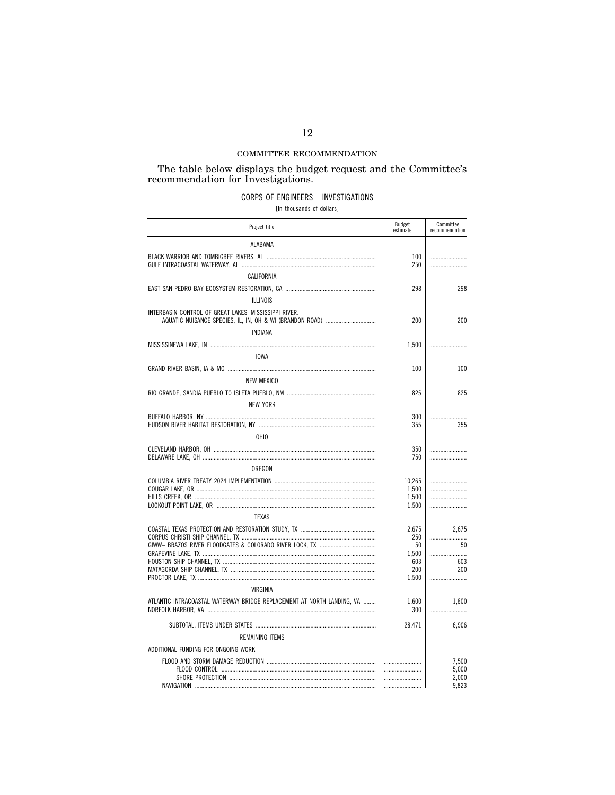## COMMITTEE RECOMMENDATION

# The table below displays the budget request and the Committee's recommendation for Investigations.  $\,$

## CORPS OF ENGINEERS-INVESTIGATIONS

[In thousands of dollars]

| Project title                                                                                                    | Budget<br>estimate | Committee<br>recommendation |
|------------------------------------------------------------------------------------------------------------------|--------------------|-----------------------------|
| ALABAMA                                                                                                          |                    |                             |
|                                                                                                                  | 100<br>250         |                             |
| CALIFORNIA                                                                                                       |                    |                             |
|                                                                                                                  | 298                | 298                         |
| <b>ILLINOIS</b>                                                                                                  |                    |                             |
| INTERBASIN CONTROL OF GREAT LAKES-MISSISSIPPI RIVER.<br>AQUATIC NUISANCE SPECIES, IL, IN, OH & WI (BRANDON ROAD) | 200                | 200                         |
| INDIANA                                                                                                          |                    |                             |
|                                                                                                                  | 1,500              |                             |
| <b>IOWA</b>                                                                                                      |                    |                             |
|                                                                                                                  | 100                | 100                         |
| <b>NEW MEXICO</b>                                                                                                |                    |                             |
|                                                                                                                  | 825                | 825                         |
| <b>NEW YORK</b>                                                                                                  |                    |                             |
|                                                                                                                  | 300                |                             |
|                                                                                                                  | 355                | 355                         |
| <b>OHIO</b>                                                                                                      |                    |                             |
|                                                                                                                  | 350<br>750         |                             |
| OREGON                                                                                                           |                    |                             |
|                                                                                                                  | 10,265             |                             |
|                                                                                                                  | 1,500<br>1,500     |                             |
|                                                                                                                  | 1,500              |                             |
| <b>TEXAS</b>                                                                                                     |                    |                             |
|                                                                                                                  | 2,675              | 2.675                       |
|                                                                                                                  | 250                |                             |
|                                                                                                                  | 50<br>1.500        | 50                          |
|                                                                                                                  | 603                | 603                         |
|                                                                                                                  | 200<br>1,500       | 200                         |
| <b>VIRGINIA</b>                                                                                                  |                    |                             |
|                                                                                                                  |                    |                             |
| ATLANTIC INTRACOASTAL WATERWAY BRIDGE REPLACEMENT AT NORTH LANDING. VA                                           | 1,600<br>300       | 1.600                       |
|                                                                                                                  | 28,471             | 6,906                       |
| REMAINING ITEMS                                                                                                  |                    |                             |
| ADDITIONAL FUNDING FOR ONGOING WORK                                                                              |                    |                             |
|                                                                                                                  |                    | 7,500<br>5,000<br>2,000     |
|                                                                                                                  |                    | 9,823                       |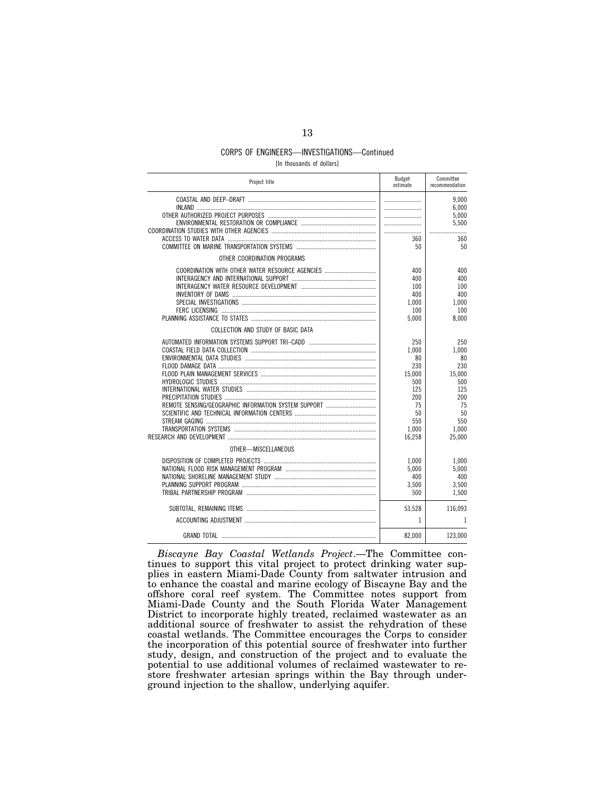## CORPS OF ENGINEERS—INVESTIGATIONS—Continued

[In thousands of dollars]

| Project title                                   | Budget<br>estimate                                                   | Committee<br>recommendation                                          |
|-------------------------------------------------|----------------------------------------------------------------------|----------------------------------------------------------------------|
|                                                 |                                                                      | 9,000<br>6.000<br>5,000                                              |
|                                                 |                                                                      | 5,500                                                                |
|                                                 | 360<br>50                                                            | 360<br>50                                                            |
| OTHER COORDINATION PROGRAMS                     |                                                                      |                                                                      |
| COORDINATION WITH OTHER WATER RESOURCE AGENCIES | 400<br>400<br>100<br>400<br>1,000<br>100<br>5,000                    | 400<br>400<br>100<br>400<br>1,000<br>100<br>8,000                    |
| COLLECTION AND STUDY OF BASIC DATA              |                                                                      |                                                                      |
|                                                 | 250<br>1,000<br>80<br>230<br>15,000<br>500<br>125<br>200<br>75<br>50 | 250<br>1,000<br>80<br>230<br>15,000<br>500<br>125<br>200<br>75<br>50 |
|                                                 | 550<br>1,000                                                         | 550<br>1,000                                                         |
|                                                 | 16.258                                                               | 25.000                                                               |
| OTHER-MISCELLANEOUS                             |                                                                      |                                                                      |
|                                                 | 1,000<br>5,000<br>400<br>3,500<br>500                                | 1,000<br>5.000<br>400<br>3,500<br>1,500                              |
|                                                 | 53,528                                                               | 116,093                                                              |
|                                                 | 1                                                                    | 1                                                                    |
|                                                 | 82,000                                                               | 123,000                                                              |

*Biscayne Bay Coastal Wetlands Project*.—The Committee continues to support this vital project to protect drinking water supplies in eastern Miami-Dade County from saltwater intrusion and to enhance the coastal and marine ecology of Biscayne Bay and the offshore coral reef system. The Committee notes support from Miami-Dade County and the South Florida Water Management District to incorporate highly treated, reclaimed wastewater as an additional source of freshwater to assist the rehydration of these coastal wetlands. The Committee encourages the Corps to consider the incorporation of this potential source of freshwater into further study, design, and construction of the project and to evaluate the potential to use additional volumes of reclaimed wastewater to restore freshwater artesian springs within the Bay through underground injection to the shallow, underlying aquifer.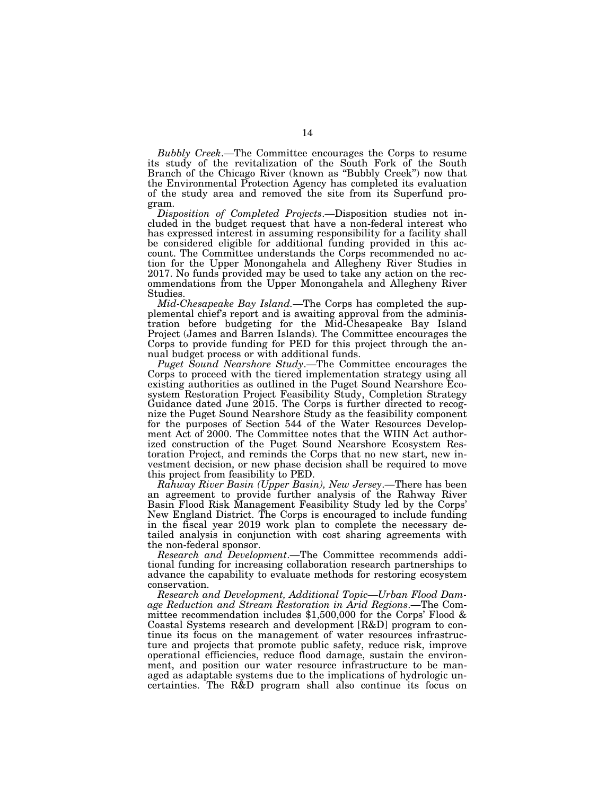*Bubbly Creek*.—The Committee encourages the Corps to resume its study of the revitalization of the South Fork of the South Branch of the Chicago River (known as ''Bubbly Creek'') now that the Environmental Protection Agency has completed its evaluation of the study area and removed the site from its Superfund program.

*Disposition of Completed Projects*.—Disposition studies not included in the budget request that have a non-federal interest who has expressed interest in assuming responsibility for a facility shall be considered eligible for additional funding provided in this account. The Committee understands the Corps recommended no action for the Upper Monongahela and Allegheny River Studies in 2017. No funds provided may be used to take any action on the recommendations from the Upper Monongahela and Allegheny River Studies.

*Mid-Chesapeake Bay Island.—*The Corps has completed the supplemental chief's report and is awaiting approval from the administration before budgeting for the Mid-Chesapeake Bay Island Project (James and Barren Islands). The Committee encourages the Corps to provide funding for PED for this project through the annual budget process or with additional funds.

*Puget Sound Nearshore Study*.—The Committee encourages the Corps to proceed with the tiered implementation strategy using all existing authorities as outlined in the Puget Sound Nearshore Ecosystem Restoration Project Feasibility Study, Completion Strategy Guidance dated June 2015. The Corps is further directed to recognize the Puget Sound Nearshore Study as the feasibility component for the purposes of Section 544 of the Water Resources Development Act of 2000. The Committee notes that the WIIN Act authorized construction of the Puget Sound Nearshore Ecosystem Restoration Project, and reminds the Corps that no new start, new investment decision, or new phase decision shall be required to move this project from feasibility to PED.

*Rahway River Basin (Upper Basin), New Jersey*.—There has been an agreement to provide further analysis of the Rahway River Basin Flood Risk Management Feasibility Study led by the Corps' New England District. The Corps is encouraged to include funding in the fiscal year 2019 work plan to complete the necessary detailed analysis in conjunction with cost sharing agreements with the non-federal sponsor.

*Research and Development*.—The Committee recommends additional funding for increasing collaboration research partnerships to advance the capability to evaluate methods for restoring ecosystem conservation.

*Research and Development, Additional Topic—Urban Flood Damage Reduction and Stream Restoration in Arid Regions*.—The Committee recommendation includes \$1,500,000 for the Corps' Flood & Coastal Systems research and development [R&D] program to continue its focus on the management of water resources infrastructure and projects that promote public safety, reduce risk, improve operational efficiencies, reduce flood damage, sustain the environment, and position our water resource infrastructure to be managed as adaptable systems due to the implications of hydrologic uncertainties. The R&D program shall also continue its focus on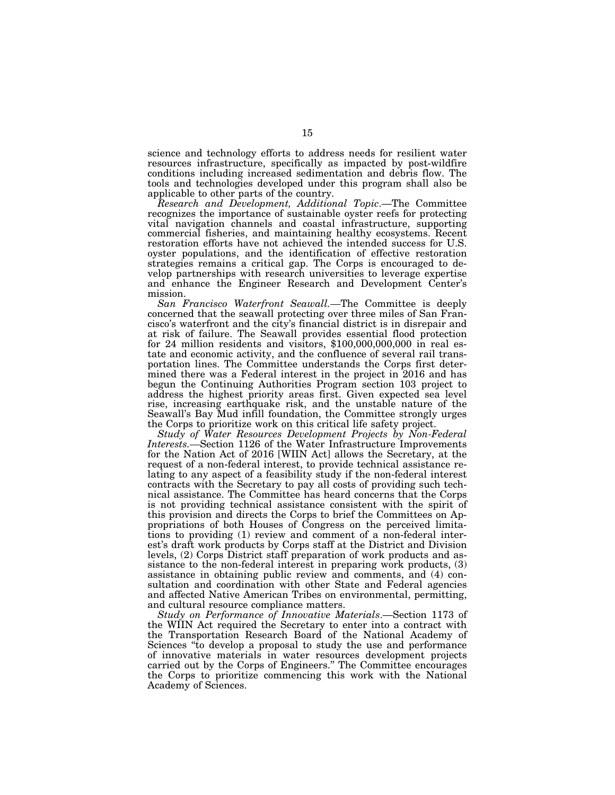science and technology efforts to address needs for resilient water resources infrastructure, specifically as impacted by post-wildfire conditions including increased sedimentation and debris flow. The tools and technologies developed under this program shall also be applicable to other parts of the country.

*Research and Development, Additional Topic*.—The Committee recognizes the importance of sustainable oyster reefs for protecting vital navigation channels and coastal infrastructure, supporting commercial fisheries, and maintaining healthy ecosystems. Recent restoration efforts have not achieved the intended success for U.S. oyster populations, and the identification of effective restoration strategies remains a critical gap. The Corps is encouraged to develop partnerships with research universities to leverage expertise and enhance the Engineer Research and Development Center's mission.

*San Francisco Waterfront Seawall.—*The Committee is deeply concerned that the seawall protecting over three miles of San Francisco's waterfront and the city's financial district is in disrepair and at risk of failure. The Seawall provides essential flood protection for 24 million residents and visitors, \$100,000,000,000 in real estate and economic activity, and the confluence of several rail transportation lines. The Committee understands the Corps first determined there was a Federal interest in the project in 2016 and has begun the Continuing Authorities Program section 103 project to address the highest priority areas first. Given expected sea level rise, increasing earthquake risk, and the unstable nature of the Seawall's Bay Mud infill foundation, the Committee strongly urges the Corps to prioritize work on this critical life safety project.

*Study of Water Resources Development Projects by Non-Federal Interests.—*Section 1126 of the Water Infrastructure Improvements for the Nation Act of 2016 [WIIN Act] allows the Secretary, at the request of a non-federal interest, to provide technical assistance relating to any aspect of a feasibility study if the non-federal interest contracts with the Secretary to pay all costs of providing such technical assistance. The Committee has heard concerns that the Corps is not providing technical assistance consistent with the spirit of this provision and directs the Corps to brief the Committees on Appropriations of both Houses of Congress on the perceived limitations to providing (1) review and comment of a non-federal interest's draft work products by Corps staff at the District and Division levels, (2) Corps District staff preparation of work products and assistance to the non-federal interest in preparing work products, (3) assistance in obtaining public review and comments, and (4) consultation and coordination with other State and Federal agencies and affected Native American Tribes on environmental, permitting, and cultural resource compliance matters.

*Study on Performance of Innovative Materials*.—Section 1173 of the WIIN Act required the Secretary to enter into a contract with the Transportation Research Board of the National Academy of Sciences "to develop a proposal to study the use and performance of innovative materials in water resources development projects carried out by the Corps of Engineers.'' The Committee encourages the Corps to prioritize commencing this work with the National Academy of Sciences.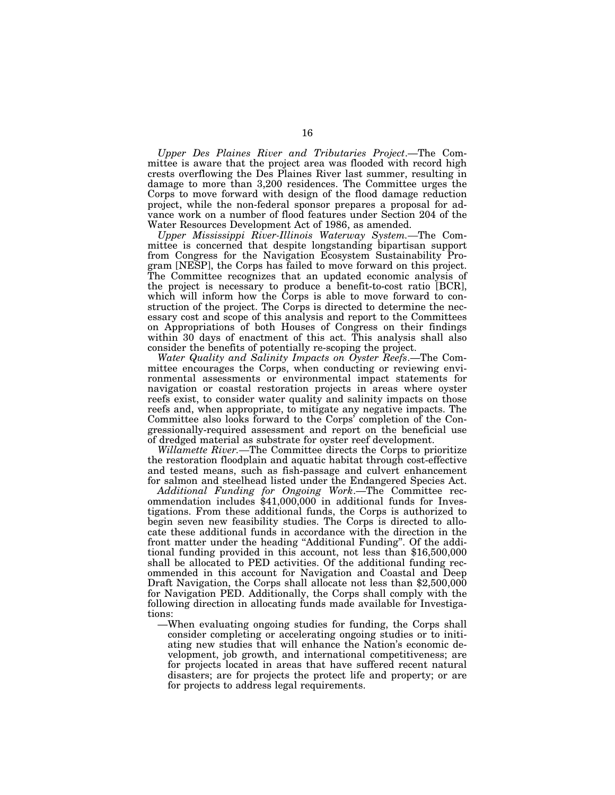*Upper Des Plaines River and Tributaries Project*.—The Committee is aware that the project area was flooded with record high crests overflowing the Des Plaines River last summer, resulting in damage to more than 3,200 residences. The Committee urges the Corps to move forward with design of the flood damage reduction project, while the non-federal sponsor prepares a proposal for advance work on a number of flood features under Section 204 of the Water Resources Development Act of 1986, as amended.

*Upper Mississippi River-Illinois Waterway System.—*The Committee is concerned that despite longstanding bipartisan support from Congress for the Navigation Ecosystem Sustainability Program [NESP], the Corps has failed to move forward on this project. The Committee recognizes that an updated economic analysis of the project is necessary to produce a benefit-to-cost ratio [BCR], which will inform how the Corps is able to move forward to construction of the project. The Corps is directed to determine the necessary cost and scope of this analysis and report to the Committees on Appropriations of both Houses of Congress on their findings within 30 days of enactment of this act. This analysis shall also consider the benefits of potentially re-scoping the project.

*Water Quality and Salinity Impacts on Oyster Reefs*.—The Committee encourages the Corps, when conducting or reviewing environmental assessments or environmental impact statements for navigation or coastal restoration projects in areas where oyster reefs exist, to consider water quality and salinity impacts on those reefs and, when appropriate, to mitigate any negative impacts. The Committee also looks forward to the Corps' completion of the Congressionally-required assessment and report on the beneficial use of dredged material as substrate for oyster reef development.

*Willamette River.—*The Committee directs the Corps to prioritize the restoration floodplain and aquatic habitat through cost-effective and tested means, such as fish-passage and culvert enhancement for salmon and steelhead listed under the Endangered Species Act.

*Additional Funding for Ongoing Work*.—The Committee recommendation includes \$41,000,000 in additional funds for Investigations. From these additional funds, the Corps is authorized to begin seven new feasibility studies. The Corps is directed to allocate these additional funds in accordance with the direction in the front matter under the heading ''Additional Funding''. Of the additional funding provided in this account, not less than \$16,500,000 shall be allocated to PED activities. Of the additional funding recommended in this account for Navigation and Coastal and Deep Draft Navigation, the Corps shall allocate not less than \$2,500,000 for Navigation PED. Additionally, the Corps shall comply with the following direction in allocating funds made available for Investigations:

—When evaluating ongoing studies for funding, the Corps shall consider completing or accelerating ongoing studies or to initiating new studies that will enhance the Nation's economic development, job growth, and international competitiveness; are for projects located in areas that have suffered recent natural disasters; are for projects the protect life and property; or are for projects to address legal requirements.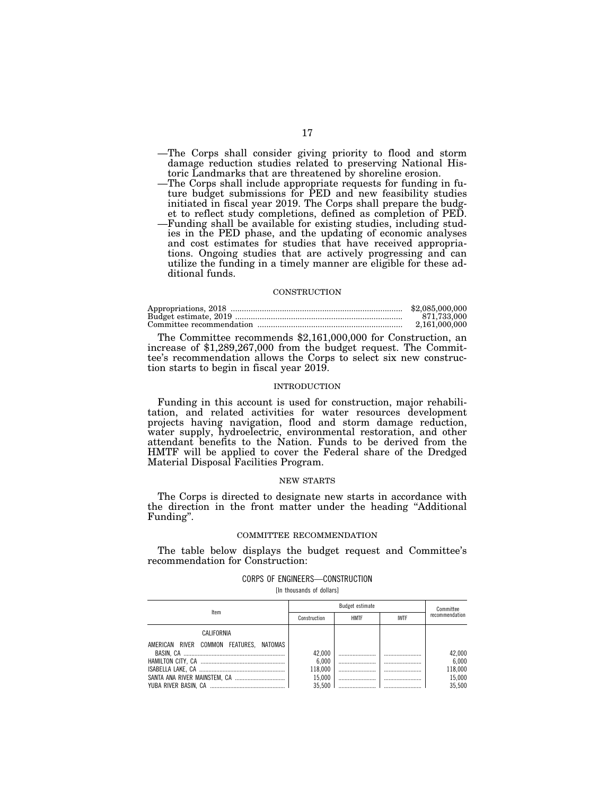- —The Corps shall consider giving priority to flood and storm damage reduction studies related to preserving National Historic Landmarks that are threatened by shoreline erosion.
- —The Corps shall include appropriate requests for funding in future budget submissions for PED and new feasibility studies initiated in fiscal year 2019. The Corps shall prepare the budget to reflect study completions, defined as completion of PED.
- —Funding shall be available for existing studies, including studies in the PED phase, and the updating of economic analyses and cost estimates for studies that have received appropriations. Ongoing studies that are actively progressing and can utilize the funding in a timely manner are eligible for these additional funds.

## **CONSTRUCTION**

| \$2,085,000,000 |
|-----------------|
| 871.733.000     |
| 2.161.000.000   |

The Committee recommends \$2,161,000,000 for Construction, an increase of \$1,289,267,000 from the budget request. The Committee's recommendation allows the Corps to select six new construction starts to begin in fiscal year 2019.

#### INTRODUCTION

Funding in this account is used for construction, major rehabilitation, and related activities for water resources development projects having navigation, flood and storm damage reduction, water supply, hydroelectric, environmental restoration, and other attendant benefits to the Nation. Funds to be derived from the HMTF will be applied to cover the Federal share of the Dredged Material Disposal Facilities Program.

#### NEW STARTS

The Corps is directed to designate new starts in accordance with the direction in the front matter under the heading ''Additional Funding''.

## COMMITTEE RECOMMENDATION

The table below displays the budget request and Committee's recommendation for Construction:

#### CORPS OF ENGINEERS—CONSTRUCTION

[In thousands of dollars]

| ltem                                    | Budget estimate |             |             | Committee      |  |
|-----------------------------------------|-----------------|-------------|-------------|----------------|--|
|                                         | Construction    | <b>HMTF</b> | <b>IWTF</b> | recommendation |  |
| CALIFORNIA                              |                 |             |             |                |  |
| AMERICAN RIVER COMMON FEATURES. NATOMAS |                 |             |             |                |  |
|                                         | 42.000          |             |             | 42,000         |  |
|                                         | 6.000           |             |             | 6.000          |  |
|                                         | 118.000         |             |             | 118,000        |  |
|                                         | 15.000          |             |             | 15,000         |  |
|                                         | 35.500          |             |             | 35.500         |  |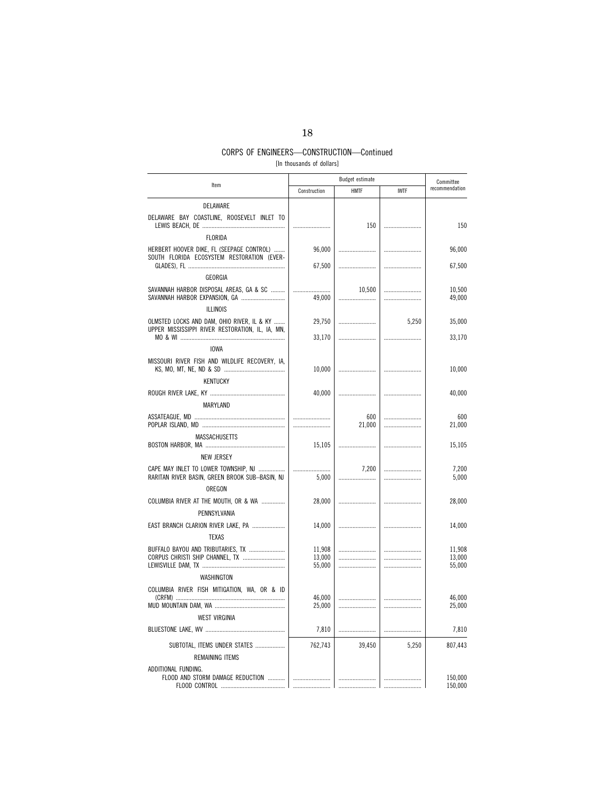# CORPS OF ENGINEERS—CONSTRUCTION—Continued

[In thousands of dollars]

|                                                                                                  | <b>Budget estimate</b> |               |             |                    |  | Committee |
|--------------------------------------------------------------------------------------------------|------------------------|---------------|-------------|--------------------|--|-----------|
| Item                                                                                             | Construction           | <b>HMTF</b>   | <b>IWTF</b> | recommendation     |  |           |
| DELAWARE                                                                                         |                        |               |             |                    |  |           |
| DELAWARE BAY COASTLINE, ROOSEVELT INLET TO                                                       |                        | 150           |             | 150                |  |           |
| <b>FLORIDA</b>                                                                                   |                        |               |             |                    |  |           |
| HERBERT HOOVER DIKE, FL (SEEPAGE CONTROL)<br>SOUTH FLORIDA ECOSYSTEM RESTORATION (EVER-          | 96,000                 |               |             | 96,000             |  |           |
| GEORGIA                                                                                          | 67,500                 |               |             | 67,500             |  |           |
| SAVANNAH HARBOR DISPOSAL AREAS, GA & SC<br>SAVANNAH HARBOR EXPANSION, GA                         | <br>49,000             | 10,500<br>    |             | 10,500<br>49,000   |  |           |
| <b>ILLINOIS</b>                                                                                  |                        |               |             |                    |  |           |
| OLMSTED LOCKS AND DAM, OHIO RIVER, IL & KY<br>UPPER MISSISSIPPI RIVER RESTORATION, IL, IA, MN,   | 29,750                 |               | 5,250       | 35,000             |  |           |
|                                                                                                  | 33,170                 |               |             | 33,170             |  |           |
| <b>IOWA</b>                                                                                      |                        |               |             |                    |  |           |
| MISSOURI RIVER FISH AND WILDLIFE RECOVERY, IA,                                                   | 10,000                 |               |             | 10,000             |  |           |
| <b>KENTUCKY</b>                                                                                  |                        |               |             |                    |  |           |
| MARYLAND                                                                                         | 40,000                 |               |             | 40,000             |  |           |
|                                                                                                  | <br>                   | 600<br>21,000 |             | 600<br>21,000      |  |           |
| MASSACHUSETTS                                                                                    | 15,105                 |               |             | 15,105             |  |           |
| <b>NEW JERSEY</b>                                                                                |                        |               |             |                    |  |           |
| CAPE MAY INLET TO LOWER TOWNSHIP, NJ<br>RARITAN RIVER BASIN, GREEN BROOK SUB—BASIN, NJ<br>OREGON | <br>5,000              | 7,200         |             | 7,200<br>5,000     |  |           |
| COLUMBIA RIVER AT THE MOUTH, OR & WA<br>PENNSYLVANIA                                             | 28,000                 |               |             | 28,000             |  |           |
| EAST BRANCH CLARION RIVER LAKE, PA<br><b>TEXAS</b>                                               | 14,000                 |               |             | 14,000             |  |           |
| BUFFALO BAYOU AND TRIBUTARIES, TX                                                                | 11,908                 |               |             | 11,908             |  |           |
| CORPUS CHRISTI SHIP CHANNEL, TX                                                                  | 13,000                 |               |             | 13,000             |  |           |
|                                                                                                  | 55,000                 |               |             | 55,000             |  |           |
| WASHINGTON                                                                                       |                        |               |             |                    |  |           |
| COLUMBIA RIVER FISH MITIGATION, WA, OR & ID                                                      | 46,000                 |               |             | 46,000             |  |           |
|                                                                                                  | 25,000                 |               |             | 25,000             |  |           |
| <b>WEST VIRGINIA</b>                                                                             |                        |               |             |                    |  |           |
|                                                                                                  | 7,810                  |               |             | 7,810              |  |           |
| SUBTOTAL, ITEMS UNDER STATES                                                                     | 762,743                | 39,450        | 5,250       | 807,443            |  |           |
| REMAINING ITEMS                                                                                  |                        |               |             |                    |  |           |
| ADDITIONAL FUNDING.<br>FLOOD AND STORM DAMAGE REDUCTION                                          |                        |               |             | 150,000<br>150,000 |  |           |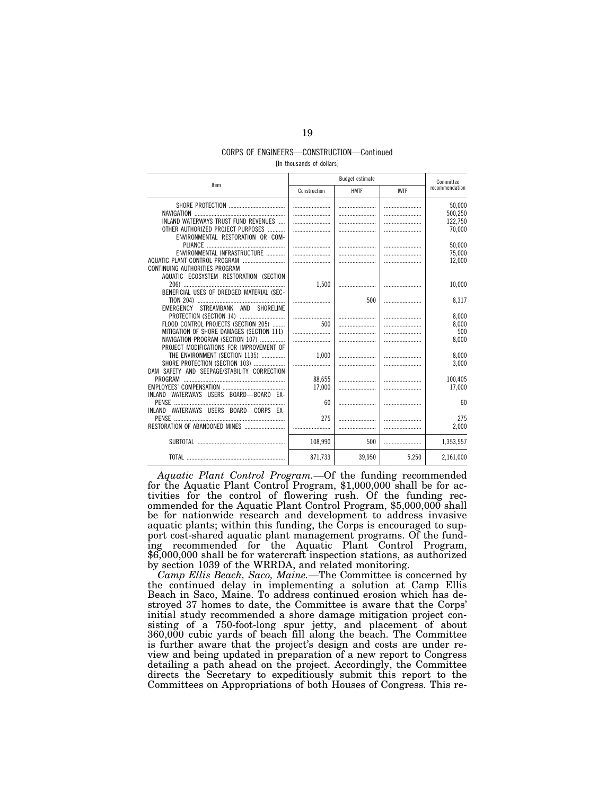# CORPS OF ENGINEERS—CONSTRUCTION—Continued

[In thousands of dollars]

|                                             | Budget estimate |             |             |                |  | Committee |
|---------------------------------------------|-----------------|-------------|-------------|----------------|--|-----------|
| Item                                        | Construction    | <b>HMTF</b> | <b>IWTF</b> | recommendation |  |           |
|                                             |                 |             |             | 50,000         |  |           |
|                                             |                 |             |             | 500,250        |  |           |
| INLAND WATERWAYS TRUST FUND REVENUES        |                 |             |             | 122,750        |  |           |
| OTHER AUTHORIZED PROJECT PURPOSES           |                 |             |             | 70,000         |  |           |
| ENVIRONMENTAL RESTORATION OR COM-           |                 |             |             |                |  |           |
|                                             |                 |             |             | 50,000         |  |           |
| ENVIRONMENTAL INFRASTRUCTURE                |                 |             |             | 75,000         |  |           |
| AQUATIC PLANT CONTROL PROGRAM               |                 |             |             | 12,000         |  |           |
| CONTINUING AUTHORITIES PROGRAM              |                 |             |             |                |  |           |
| AQUATIC ECOSYSTEM RESTORATION (SECTION      |                 |             |             |                |  |           |
|                                             | 1,500           |             |             | 10,000         |  |           |
| BENEFICIAL USES OF DREDGED MATERIAL (SEC-   |                 |             |             |                |  |           |
| EMERGENCY STREAMBANK AND SHORELINE          |                 | 500         |             | 8,317          |  |           |
|                                             |                 |             |             | 8.000          |  |           |
| FLOOD CONTROL PROJECTS (SECTION 205)        | 500             |             |             | 8,000          |  |           |
| MITIGATION OF SHORE DAMAGES (SECTION 111)   |                 |             |             | 500            |  |           |
| NAVIGATION PROGRAM (SECTION 107)            |                 |             |             | 8,000          |  |           |
| PROJECT MODIFICATIONS FOR IMPROVEMENT OF    |                 |             |             |                |  |           |
| THE ENVIRONMENT (SECTION 1135)              | 1.000           |             |             | 8,000          |  |           |
| SHORE PROTECTION (SECTION 103)              |                 |             |             | 3,000          |  |           |
| DAM SAFETY AND SEEPAGE/STABILITY CORRECTION |                 |             |             |                |  |           |
|                                             | 88.655          |             |             | 100.405        |  |           |
|                                             | 17.000          |             |             | 17,000         |  |           |
| INLAND WATERWAYS USERS BOARD-BOARD EX-      |                 |             |             |                |  |           |
|                                             | 60              |             |             | 60             |  |           |
| INLAND WATERWAYS USERS BOARD-CORPS EX-      |                 |             |             |                |  |           |
|                                             | 275             |             |             | 275            |  |           |
|                                             |                 |             |             | 2,000          |  |           |
|                                             |                 |             |             |                |  |           |
|                                             | 108,990         | 500         |             | 1,353,557      |  |           |
|                                             | 871.733         | 39.950      | 5.250       | 2,161,000      |  |           |

*Aquatic Plant Control Program.—*Of the funding recommended for the Aquatic Plant Control Program, \$1,000,000 shall be for activities for the control of flowering rush. Of the funding recommended for the Aquatic Plant Control Program, \$5,000,000 shall be for nationwide research and development to address invasive aquatic plants; within this funding, the Corps is encouraged to support cost-shared aquatic plant management programs. Of the funding recommended for the Aquatic Plant Control Program, \$6,000,000 shall be for watercraft inspection stations, as authorized by section 1039 of the WRRDA, and related monitoring.

*Camp Ellis Beach, Saco, Maine.—*The Committee is concerned by the continued delay in implementing a solution at Camp Ellis Beach in Saco, Maine. To address continued erosion which has destroyed 37 homes to date, the Committee is aware that the Corps' initial study recommended a shore damage mitigation project consisting of a 750-foot-long spur jetty, and placement of about 360,000 cubic yards of beach fill along the beach. The Committee is further aware that the project's design and costs are under review and being updated in preparation of a new report to Congress detailing a path ahead on the project. Accordingly, the Committee directs the Secretary to expeditiously submit this report to the Committees on Appropriations of both Houses of Congress. This re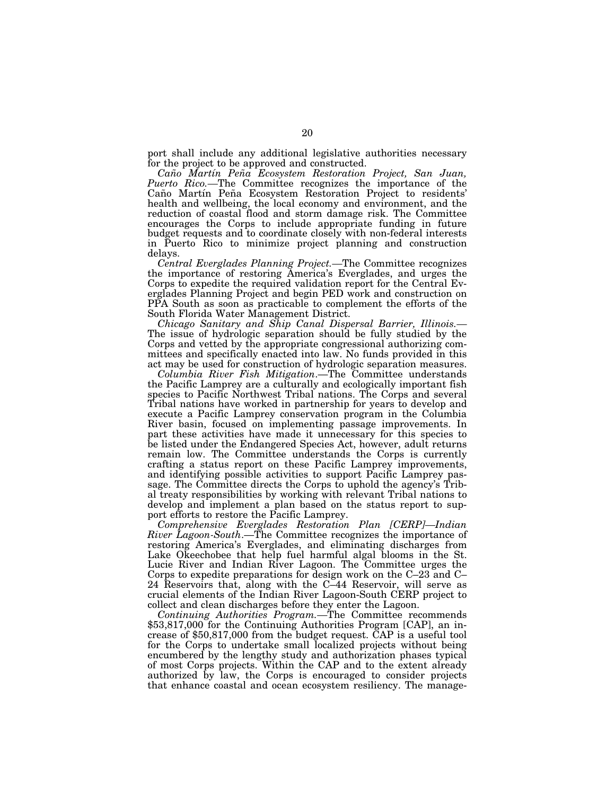port shall include any additional legislative authorities necessary for the project to be approved and constructed.

*Can˜ o Martı´n Pen˜a Ecosystem Restoration Project, San Juan, Puerto Rico.—*The Committee recognizes the importance of the Caño Martín Peña Ecosystem Restoration Project to residents' health and wellbeing, the local economy and environment, and the reduction of coastal flood and storm damage risk. The Committee encourages the Corps to include appropriate funding in future budget requests and to coordinate closely with non-federal interests in Puerto Rico to minimize project planning and construction delays.

*Central Everglades Planning Project.—*The Committee recognizes the importance of restoring America's Everglades, and urges the Corps to expedite the required validation report for the Central Everglades Planning Project and begin PED work and construction on PPA South as soon as practicable to complement the efforts of the South Florida Water Management District.

*Chicago Sanitary and Ship Canal Dispersal Barrier, Illinois.—*  The issue of hydrologic separation should be fully studied by the Corps and vetted by the appropriate congressional authorizing committees and specifically enacted into law. No funds provided in this act may be used for construction of hydrologic separation measures.

*Columbia River Fish Mitigation*.—The Committee understands the Pacific Lamprey are a culturally and ecologically important fish species to Pacific Northwest Tribal nations. The Corps and several Tribal nations have worked in partnership for years to develop and execute a Pacific Lamprey conservation program in the Columbia River basin, focused on implementing passage improvements. In part these activities have made it unnecessary for this species to be listed under the Endangered Species Act, however, adult returns remain low. The Committee understands the Corps is currently crafting a status report on these Pacific Lamprey improvements, and identifying possible activities to support Pacific Lamprey passage. The Committee directs the Corps to uphold the agency's Tribal treaty responsibilities by working with relevant Tribal nations to develop and implement a plan based on the status report to support efforts to restore the Pacific Lamprey.

*Comprehensive Everglades Restoration Plan [CERP]—Indian River Lagoon-South*.—The Committee recognizes the importance of restoring America's Everglades, and eliminating discharges from Lake Okeechobee that help fuel harmful algal blooms in the St. Lucie River and Indian River Lagoon. The Committee urges the Corps to expedite preparations for design work on the C–23 and C– 24 Reservoirs that, along with the C–44 Reservoir, will serve as crucial elements of the Indian River Lagoon-South CERP project to collect and clean discharges before they enter the Lagoon.

*Continuing Authorities Program.—*The Committee recommends \$53,817,000 for the Continuing Authorities Program [CAP], an increase of \$50,817,000 from the budget request. CAP is a useful tool for the Corps to undertake small localized projects without being encumbered by the lengthy study and authorization phases typical of most Corps projects. Within the CAP and to the extent already authorized by law, the Corps is encouraged to consider projects that enhance coastal and ocean ecosystem resiliency. The manage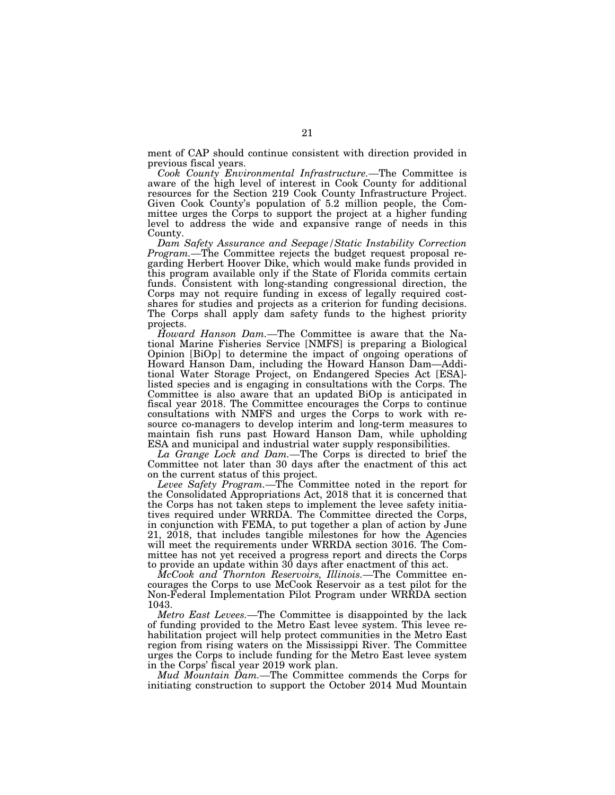ment of CAP should continue consistent with direction provided in previous fiscal years.

*Cook County Environmental Infrastructure.—*The Committee is aware of the high level of interest in Cook County for additional resources for the Section 219 Cook County Infrastructure Project. Given Cook County's population of 5.2 million people, the Committee urges the Corps to support the project at a higher funding level to address the wide and expansive range of needs in this County.

*Dam Safety Assurance and Seepage/Static Instability Correction Program.—*The Committee rejects the budget request proposal regarding Herbert Hoover Dike, which would make funds provided in this program available only if the State of Florida commits certain funds. Consistent with long-standing congressional direction, the Corps may not require funding in excess of legally required costshares for studies and projects as a criterion for funding decisions. The Corps shall apply dam safety funds to the highest priority projects.

*Howard Hanson Dam.—*The Committee is aware that the National Marine Fisheries Service [NMFS] is preparing a Biological Opinion [BiOp] to determine the impact of ongoing operations of Howard Hanson Dam, including the Howard Hanson Dam—Additional Water Storage Project, on Endangered Species Act [ESA] listed species and is engaging in consultations with the Corps. The Committee is also aware that an updated BiOp is anticipated in fiscal year 2018. The Committee encourages the Corps to continue consultations with NMFS and urges the Corps to work with resource co-managers to develop interim and long-term measures to maintain fish runs past Howard Hanson Dam, while upholding ESA and municipal and industrial water supply responsibilities.

*La Grange Lock and Dam.—*The Corps is directed to brief the Committee not later than 30 days after the enactment of this act on the current status of this project.

*Levee Safety Program.—*The Committee noted in the report for the Consolidated Appropriations Act, 2018 that it is concerned that the Corps has not taken steps to implement the levee safety initiatives required under WRRDA. The Committee directed the Corps, in conjunction with FEMA, to put together a plan of action by June 21, 2018, that includes tangible milestones for how the Agencies will meet the requirements under WRRDA section 3016. The Committee has not yet received a progress report and directs the Corps to provide an update within 30 days after enactment of this act.

*McCook and Thornton Reservoirs, Illinois.—*The Committee encourages the Corps to use McCook Reservoir as a test pilot for the Non-Federal Implementation Pilot Program under WRRDA section 1043.

*Metro East Levees.—*The Committee is disappointed by the lack of funding provided to the Metro East levee system. This levee rehabilitation project will help protect communities in the Metro East region from rising waters on the Mississippi River. The Committee urges the Corps to include funding for the Metro East levee system in the Corps' fiscal year 2019 work plan.

*Mud Mountain Dam.—*The Committee commends the Corps for initiating construction to support the October 2014 Mud Mountain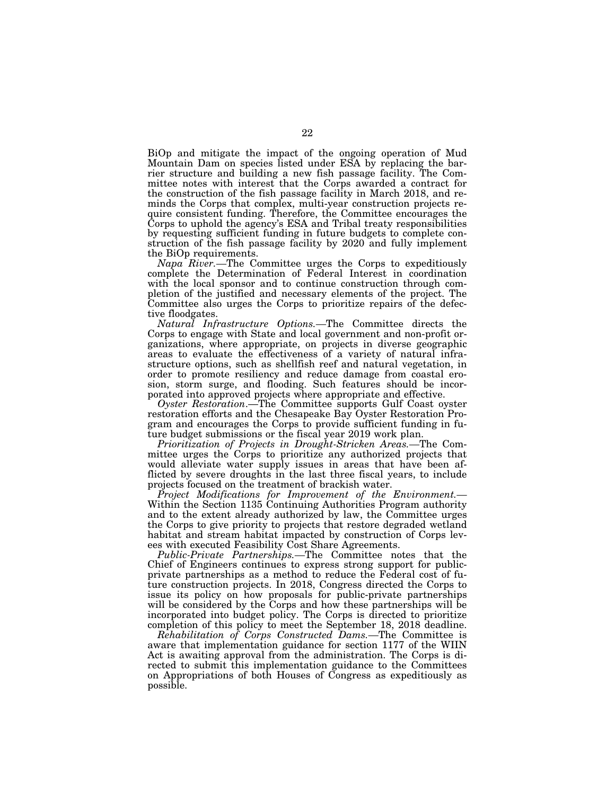BiOp and mitigate the impact of the ongoing operation of Mud Mountain Dam on species listed under ESA by replacing the barrier structure and building a new fish passage facility. The Committee notes with interest that the Corps awarded a contract for the construction of the fish passage facility in March 2018, and reminds the Corps that complex, multi-year construction projects require consistent funding. Therefore, the Committee encourages the Corps to uphold the agency's ESA and Tribal treaty responsibilities by requesting sufficient funding in future budgets to complete construction of the fish passage facility by 2020 and fully implement the BiOp requirements.

*Napa River.—*The Committee urges the Corps to expeditiously complete the Determination of Federal Interest in coordination with the local sponsor and to continue construction through completion of the justified and necessary elements of the project. The Committee also urges the Corps to prioritize repairs of the defective floodgates.

*Natural Infrastructure Options.—*The Committee directs the Corps to engage with State and local government and non-profit organizations, where appropriate, on projects in diverse geographic areas to evaluate the effectiveness of a variety of natural infrastructure options, such as shellfish reef and natural vegetation, in order to promote resiliency and reduce damage from coastal erosion, storm surge, and flooding. Such features should be incorporated into approved projects where appropriate and effective.

*Oyster Restoration*.—The Committee supports Gulf Coast oyster restoration efforts and the Chesapeake Bay Oyster Restoration Program and encourages the Corps to provide sufficient funding in future budget submissions or the fiscal year 2019 work plan.

*Prioritization of Projects in Drought-Stricken Areas.—*The Committee urges the Corps to prioritize any authorized projects that would alleviate water supply issues in areas that have been afflicted by severe droughts in the last three fiscal years, to include projects focused on the treatment of brackish water.

*Project Modifications for Improvement of the Environment.—*  Within the Section 1135 Continuing Authorities Program authority and to the extent already authorized by law, the Committee urges the Corps to give priority to projects that restore degraded wetland habitat and stream habitat impacted by construction of Corps levees with executed Feasibility Cost Share Agreements.

*Public-Private Partnerships.—*The Committee notes that the Chief of Engineers continues to express strong support for publicprivate partnerships as a method to reduce the Federal cost of future construction projects. In 2018, Congress directed the Corps to issue its policy on how proposals for public-private partnerships will be considered by the Corps and how these partnerships will be incorporated into budget policy. The Corps is directed to prioritize completion of this policy to meet the September 18, 2018 deadline.

*Rehabilitation of Corps Constructed Dams.—*The Committee is aware that implementation guidance for section 1177 of the WIIN Act is awaiting approval from the administration. The Corps is directed to submit this implementation guidance to the Committees on Appropriations of both Houses of Congress as expeditiously as possible.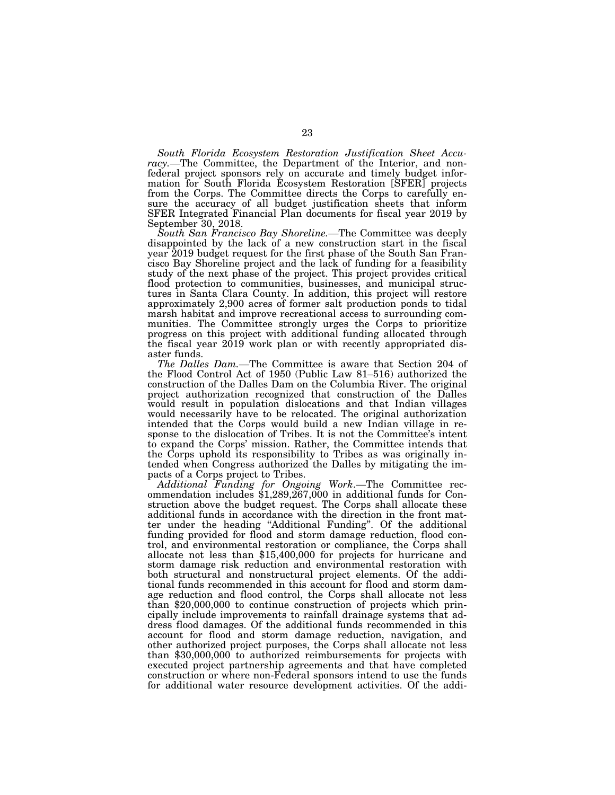*South Florida Ecosystem Restoration Justification Sheet Accuracy.—*The Committee, the Department of the Interior, and nonfederal project sponsors rely on accurate and timely budget information for South Florida Ecosystem Restoration [SFER] projects from the Corps. The Committee directs the Corps to carefully ensure the accuracy of all budget justification sheets that inform SFER Integrated Financial Plan documents for fiscal year 2019 by September 30, 2018.

*South San Francisco Bay Shoreline.—*The Committee was deeply disappointed by the lack of a new construction start in the fiscal year 2019 budget request for the first phase of the South San Francisco Bay Shoreline project and the lack of funding for a feasibility study of the next phase of the project. This project provides critical flood protection to communities, businesses, and municipal structures in Santa Clara County. In addition, this project will restore approximately 2,900 acres of former salt production ponds to tidal marsh habitat and improve recreational access to surrounding communities. The Committee strongly urges the Corps to prioritize progress on this project with additional funding allocated through the fiscal year 2019 work plan or with recently appropriated disaster funds.

*The Dalles Dam.—*The Committee is aware that Section 204 of the Flood Control Act of 1950 (Public Law 81–516) authorized the construction of the Dalles Dam on the Columbia River. The original project authorization recognized that construction of the Dalles would result in population dislocations and that Indian villages would necessarily have to be relocated. The original authorization intended that the Corps would build a new Indian village in response to the dislocation of Tribes. It is not the Committee's intent to expand the Corps' mission. Rather, the Committee intends that the Corps uphold its responsibility to Tribes as was originally intended when Congress authorized the Dalles by mitigating the impacts of a Corps project to Tribes.

*Additional Funding for Ongoing Work*.—The Committee recommendation includes \$1,289,267,000 in additional funds for Construction above the budget request. The Corps shall allocate these additional funds in accordance with the direction in the front matter under the heading ''Additional Funding''. Of the additional funding provided for flood and storm damage reduction, flood control, and environmental restoration or compliance, the Corps shall allocate not less than \$15,400,000 for projects for hurricane and storm damage risk reduction and environmental restoration with both structural and nonstructural project elements. Of the additional funds recommended in this account for flood and storm damage reduction and flood control, the Corps shall allocate not less than \$20,000,000 to continue construction of projects which principally include improvements to rainfall drainage systems that address flood damages. Of the additional funds recommended in this account for flood and storm damage reduction, navigation, and other authorized project purposes, the Corps shall allocate not less than \$30,000,000 to authorized reimbursements for projects with executed project partnership agreements and that have completed construction or where non-Federal sponsors intend to use the funds for additional water resource development activities. Of the addi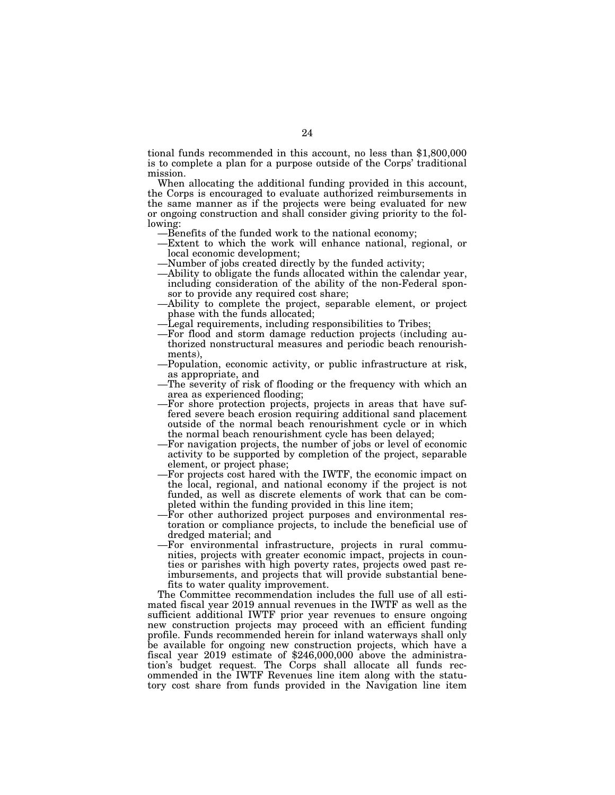tional funds recommended in this account, no less than \$1,800,000 is to complete a plan for a purpose outside of the Corps' traditional mission.

When allocating the additional funding provided in this account, the Corps is encouraged to evaluate authorized reimbursements in the same manner as if the projects were being evaluated for new or ongoing construction and shall consider giving priority to the following:

- —Benefits of the funded work to the national economy;
- —Extent to which the work will enhance national, regional, or local economic development;
- —Number of jobs created directly by the funded activity;
- —Ability to obligate the funds allocated within the calendar year, including consideration of the ability of the non-Federal sponsor to provide any required cost share;
- —Ability to complete the project, separable element, or project phase with the funds allocated;
- —Legal requirements, including responsibilities to Tribes;
- —For flood and storm damage reduction projects (including authorized nonstructural measures and periodic beach renourishments),
- —Population, economic activity, or public infrastructure at risk, as appropriate, and
- —The severity of risk of flooding or the frequency with which an area as experienced flooding;
- —For shore protection projects, projects in areas that have suffered severe beach erosion requiring additional sand placement outside of the normal beach renourishment cycle or in which the normal beach renourishment cycle has been delayed;
- —For navigation projects, the number of jobs or level of economic activity to be supported by completion of the project, separable element, or project phase;
- —For projects cost hared with the IWTF, the economic impact on the local, regional, and national economy if the project is not funded, as well as discrete elements of work that can be completed within the funding provided in this line item;
- —For other authorized project purposes and environmental restoration or compliance projects, to include the beneficial use of dredged material; and
- —For environmental infrastructure, projects in rural communities, projects with greater economic impact, projects in counties or parishes with high poverty rates, projects owed past reimbursements, and projects that will provide substantial benefits to water quality improvement.

The Committee recommendation includes the full use of all estimated fiscal year 2019 annual revenues in the IWTF as well as the sufficient additional IWTF prior year revenues to ensure ongoing new construction projects may proceed with an efficient funding profile. Funds recommended herein for inland waterways shall only be available for ongoing new construction projects, which have a fiscal year 2019 estimate of \$246,000,000 above the administration's budget request. The Corps shall allocate all funds recommended in the IWTF Revenues line item along with the statutory cost share from funds provided in the Navigation line item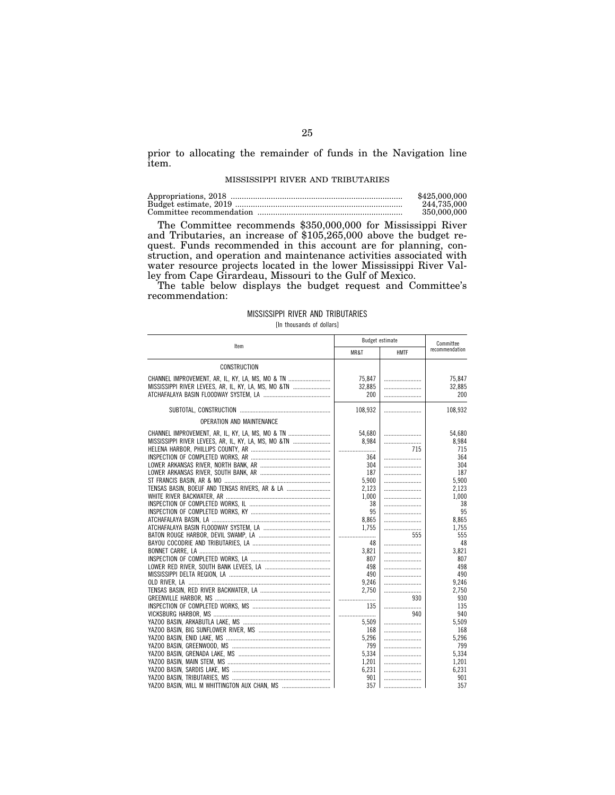prior to allocating the remainder of funds in the Navigation line item.

#### MISSISSIPPI RIVER AND TRIBUTARIES

| \$425,000,000 |
|---------------|
| 244.735.000   |
| 350,000,000   |

The Committee recommends \$350,000,000 for Mississippi River and Tributaries, an increase of \$105,265,000 above the budget request. Funds recommended in this account are for planning, construction, and operation and maintenance activities associated with water resource projects located in the lower Mississippi River Valley from Cape Girardeau, Missouri to the Gulf of Mexico.

The table below displays the budget request and Committee's recommendation:

## MISSISSIPPI RIVER AND TRIBUTARIES

## [In thousands of dollars]

|                                                       |                | <b>Budget estimate</b> | Committee      |
|-------------------------------------------------------|----------------|------------------------|----------------|
| Item                                                  | MR&T           | <b>HMTF</b>            | recommendation |
| <b>CONSTRUCTION</b>                                   |                |                        |                |
| CHANNEL IMPROVEMENT, AR, IL, KY, LA, MS, MO & TN      | 75.847         |                        | 75.847         |
| MISSISSIPPI RIVER LEVEES, AR, IL, KY, LA, MS, MO & TN | 32,885         |                        | 32,885         |
|                                                       | 200            |                        | 200            |
|                                                       | 108,932        |                        | 108,932        |
| OPERATION AND MAINTENANCE                             |                |                        |                |
| CHANNEL IMPROVEMENT, AR, IL, KY, LA, MS, MO & TN      | 54.680         |                        | 54,680         |
| MISSISSIPPI RIVER LEVEES, AR, IL, KY, LA, MS, MO &TN  | 8,984          |                        | 8,984          |
|                                                       |                | 715                    | 715            |
|                                                       | 364            |                        | 364            |
|                                                       | 304            |                        | 304            |
|                                                       | 187            |                        | 187            |
|                                                       | 5,900          |                        | 5,900          |
|                                                       | 2,123          |                        | 2,123          |
|                                                       | 1.000          |                        | 1.000          |
|                                                       | 38             |                        | 38             |
|                                                       | 95             |                        | 95             |
|                                                       | 8,865<br>1.755 |                        | 8,865<br>1,755 |
|                                                       |                | 555                    | 555            |
|                                                       | 48             |                        | 48             |
|                                                       | 3,821          |                        | 3,821          |
|                                                       | 807            |                        | 807            |
|                                                       | 498            |                        | 498            |
|                                                       | 490            |                        | 490            |
|                                                       | 9,246          |                        | 9,246          |
|                                                       | 2.750          |                        | 2.750          |
|                                                       |                | 930                    | 930            |
|                                                       | 135            |                        | 135            |
|                                                       |                | 940                    | 940            |
|                                                       | 5,509          |                        | 5,509          |
|                                                       | 168            |                        | 168            |
|                                                       | 5.296          |                        | 5,296          |
|                                                       | 799            |                        | 799            |
|                                                       | 5,334          |                        | 5,334          |
|                                                       | 1,201          |                        | 1,201          |
|                                                       | 6,231          |                        | 6,231          |
|                                                       | 901            |                        | 901            |
|                                                       | 357            |                        | 357            |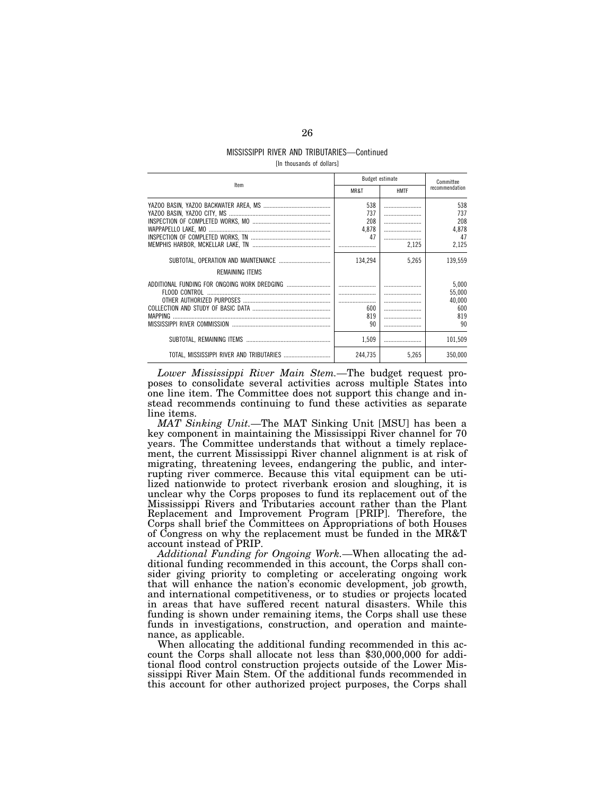# MISSISSIPPI RIVER AND TRIBUTARIES—Continued

| [In thousands of dollars] |  |  |
|---------------------------|--|--|
|---------------------------|--|--|

| Item                                     | <b>Budget estimate</b> |             | Committee                 |  |
|------------------------------------------|------------------------|-------------|---------------------------|--|
|                                          | MR&T                   | <b>HMTF</b> | recommendation            |  |
|                                          | 538                    |             | 538                       |  |
|                                          | 737                    |             | 737                       |  |
|                                          | 208                    |             | 208                       |  |
|                                          | 4.878                  |             | 4.878                     |  |
|                                          | 47                     |             | 47                        |  |
|                                          |                        | 2.125       | 2,125                     |  |
| REMAINING ITEMS                          | 134.294                | 5,265       | 139.559                   |  |
|                                          |                        |             | 5,000<br>55,000<br>40,000 |  |
|                                          | 600                    |             | 600                       |  |
| <b>MAPPING</b>                           | 819                    |             | 819                       |  |
|                                          | 90                     |             | 90                        |  |
|                                          | 1.509                  |             | 101,509                   |  |
| TOTAL. MISSISSIPPI RIVER AND TRIBUTARIES | 244.735                | 5.265       | 350.000                   |  |

*Lower Mississippi River Main Stem.—*The budget request proposes to consolidate several activities across multiple States into one line item. The Committee does not support this change and instead recommends continuing to fund these activities as separate line items.

*MAT Sinking Unit.—*The MAT Sinking Unit [MSU] has been a key component in maintaining the Mississippi River channel for 70 years. The Committee understands that without a timely replacement, the current Mississippi River channel alignment is at risk of migrating, threatening levees, endangering the public, and interrupting river commerce. Because this vital equipment can be utilized nationwide to protect riverbank erosion and sloughing, it is unclear why the Corps proposes to fund its replacement out of the Mississippi Rivers and Tributaries account rather than the Plant Replacement and Improvement Program [PRIP]. Therefore, the Corps shall brief the Committees on Appropriations of both Houses of Congress on why the replacement must be funded in the MR&T account instead of PRIP.

*Additional Funding for Ongoing Work.—*When allocating the additional funding recommended in this account, the Corps shall consider giving priority to completing or accelerating ongoing work that will enhance the nation's economic development, job growth, and international competitiveness, or to studies or projects located in areas that have suffered recent natural disasters. While this funding is shown under remaining items, the Corps shall use these funds in investigations, construction, and operation and maintenance, as applicable.

When allocating the additional funding recommended in this account the Corps shall allocate not less than \$30,000,000 for additional flood control construction projects outside of the Lower Mississippi River Main Stem. Of the additional funds recommended in this account for other authorized project purposes, the Corps shall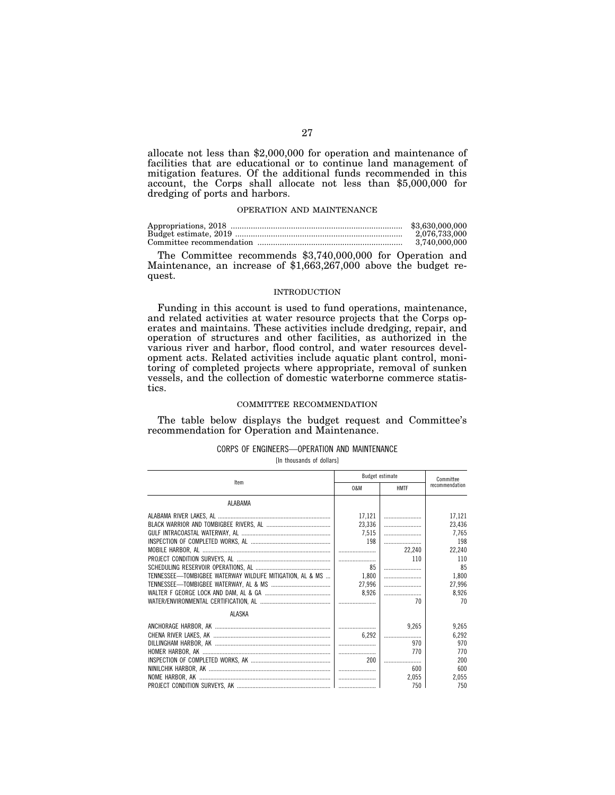allocate not less than \$2,000,000 for operation and maintenance of facilities that are educational or to continue land management of mitigation features. Of the additional funds recommended in this account, the Corps shall allocate not less than \$5,000,000 for dredging of ports and harbors.

## OPERATION AND MAINTENANCE

| \$3,630,000,000 |
|-----------------|
| 2.076.733.000   |
| 3.740.000.000   |

The Committee recommends \$3,740,000,000 for Operation and Maintenance, an increase of \$1,663,267,000 above the budget request.

## INTRODUCTION

Funding in this account is used to fund operations, maintenance, and related activities at water resource projects that the Corps operates and maintains. These activities include dredging, repair, and operation of structures and other facilities, as authorized in the various river and harbor, flood control, and water resources development acts. Related activities include aquatic plant control, monitoring of completed projects where appropriate, removal of sunken vessels, and the collection of domestic waterborne commerce statistics.

## COMMITTEE RECOMMENDATION

The table below displays the budget request and Committee's recommendation for Operation and Maintenance.

## CORPS OF ENGINEERS—OPERATION AND MAINTENANCE

[In thousands of dollars]

| <b>Budget estimate</b>                                    |        |             | Committee      |
|-----------------------------------------------------------|--------|-------------|----------------|
| Item                                                      | 0&M    | <b>HMTF</b> | recommendation |
| ALABAMA                                                   |        |             |                |
|                                                           | 17,121 |             | 17,121         |
|                                                           | 23,336 |             | 23,436         |
|                                                           | 7,515  |             | 7,765          |
|                                                           | 198    |             | 198            |
|                                                           |        | 22,240      | 22,240         |
|                                                           |        | 110         | 110            |
|                                                           | 85     |             | 85             |
| TENNESSEE-TOMBIGBEE WATERWAY WILDLIFE MITIGATION, AL & MS | 1,800  |             | 1,800          |
|                                                           | 27,996 |             | 27,996         |
|                                                           | 8,926  |             | 8,926          |
|                                                           |        | 70          | 70             |
| ALASKA                                                    |        |             |                |
|                                                           |        | 9,265       | 9,265          |
|                                                           | 6.292  |             | 6.292          |
|                                                           |        | 970         | 970            |
|                                                           |        | 770         | 770            |
|                                                           | 200    |             | 200            |
|                                                           |        | 600         | 600            |
|                                                           |        | 2,055       | 2,055          |
|                                                           |        | 750         | 750            |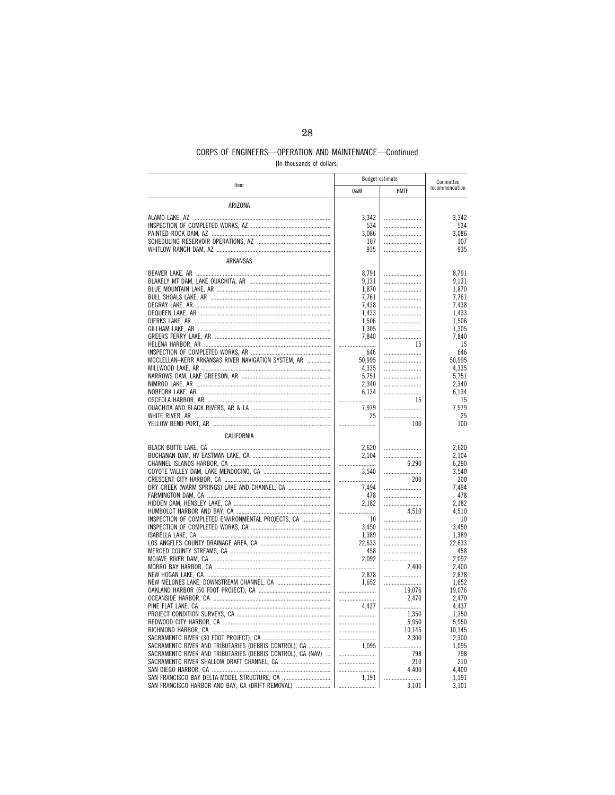[In thousands of dollars]

| Item                                                                                            | <b>Budget estimate</b> |             |                |  | Committee |
|-------------------------------------------------------------------------------------------------|------------------------|-------------|----------------|--|-----------|
|                                                                                                 | 0&M                    | <b>HMTF</b> | recommendation |  |           |
| ARIZONA                                                                                         |                        |             |                |  |           |
|                                                                                                 | 3.342                  |             | 3.342          |  |           |
|                                                                                                 | 534                    |             | 534            |  |           |
|                                                                                                 | 3,086                  |             | 3,086          |  |           |
|                                                                                                 | 107                    |             | 107            |  |           |
|                                                                                                 | 935                    |             | 935            |  |           |
| ARKANSAS                                                                                        |                        |             |                |  |           |
|                                                                                                 | 8,791                  |             | 8,791          |  |           |
|                                                                                                 | 9,131                  |             | 9.131          |  |           |
|                                                                                                 | 1,870                  |             | 1,870          |  |           |
|                                                                                                 | 7,761                  |             | 7,761          |  |           |
|                                                                                                 | 7.438                  |             | 7.438          |  |           |
|                                                                                                 | 1,433                  |             | 1,433          |  |           |
|                                                                                                 | 1,506                  |             | 1,506          |  |           |
|                                                                                                 | 1,305                  |             | 1,305          |  |           |
|                                                                                                 | 7,840                  |             | 7,840          |  |           |
|                                                                                                 |                        | 15          | 15             |  |           |
|                                                                                                 | 646                    |             | 646            |  |           |
| MCCLELLAN-KERR ARKANSAS RIVER NAVIGATION SYSTEM, AR                                             | 50,995                 |             | 50,995         |  |           |
|                                                                                                 | 4,335<br>5,751         |             | 4.335<br>5,751 |  |           |
|                                                                                                 | 2.340                  |             | 2.340          |  |           |
|                                                                                                 | 6.134                  |             | 6,134          |  |           |
|                                                                                                 |                        | 15          | 15             |  |           |
|                                                                                                 | 7,979                  |             | 7.979          |  |           |
|                                                                                                 | 25                     |             | 25             |  |           |
|                                                                                                 |                        | 100         | 100            |  |           |
| CALIFORNIA                                                                                      |                        |             |                |  |           |
|                                                                                                 | 2,620                  |             | 2,620          |  |           |
|                                                                                                 | 2,104                  |             | 2,104          |  |           |
|                                                                                                 |                        | 6,290       | 6,290          |  |           |
|                                                                                                 | 3.540                  |             | 3,540          |  |           |
|                                                                                                 |                        | 200         | 200            |  |           |
| DRY CREEK (WARM SPRINGS) LAKE AND CHANNEL, CA                                                   | 7,494                  |             | 7,494          |  |           |
|                                                                                                 | 478                    |             | 478            |  |           |
|                                                                                                 | 2,182                  |             | 2,182          |  |           |
| INSPECTION OF COMPLETED ENVIRONMENTAL PROJECTS, CA                                              |                        | 4,510       | 4,510          |  |           |
|                                                                                                 | 10<br>3.450            |             | 10<br>3.450    |  |           |
|                                                                                                 | 1,389                  |             | 1,389          |  |           |
|                                                                                                 | 22,633                 |             | 22,633         |  |           |
|                                                                                                 | 458                    |             | 458            |  |           |
|                                                                                                 | 2,092                  |             | 2,092          |  |           |
|                                                                                                 |                        | 2.400       | 2,400          |  |           |
|                                                                                                 | 2,878                  |             | 2,878          |  |           |
| NEW MELONES LAKE, DOWNSTREAM CHANNEL, CA                                                        | 1.652                  |             | 1,652          |  |           |
|                                                                                                 |                        | 19,076      | 19,076         |  |           |
|                                                                                                 |                        | 2,470       | 2,470          |  |           |
|                                                                                                 | 4.437                  | 1,350       | 4,437<br>1,350 |  |           |
|                                                                                                 |                        | 5,950       | 5,950          |  |           |
|                                                                                                 |                        | 10,145      | 10.145         |  |           |
|                                                                                                 |                        | 2,300       | 2,300          |  |           |
| SACRAMENTO RIVER AND TRIBUTARIES (DEBRIS CONTROL), CA                                           | 1.095                  |             | 1,095          |  |           |
| SACRAMENTO RIVER AND TRIBUTARIES (DEBRIS CONTROL), CA (NAV)                                     |                        | 798         | 798            |  |           |
|                                                                                                 |                        | 210         | 210            |  |           |
|                                                                                                 |                        | 4.400       | 4.400          |  |           |
| SAN FRANCISCO BAY DELTA MODEL STRUCTURE, CA<br>SAN FRANCISCO HARBOR AND BAY. CA (DRIFT REMOVAL) | 1,191                  | 3.101       | 1,191<br>3.101 |  |           |
|                                                                                                 |                        |             |                |  |           |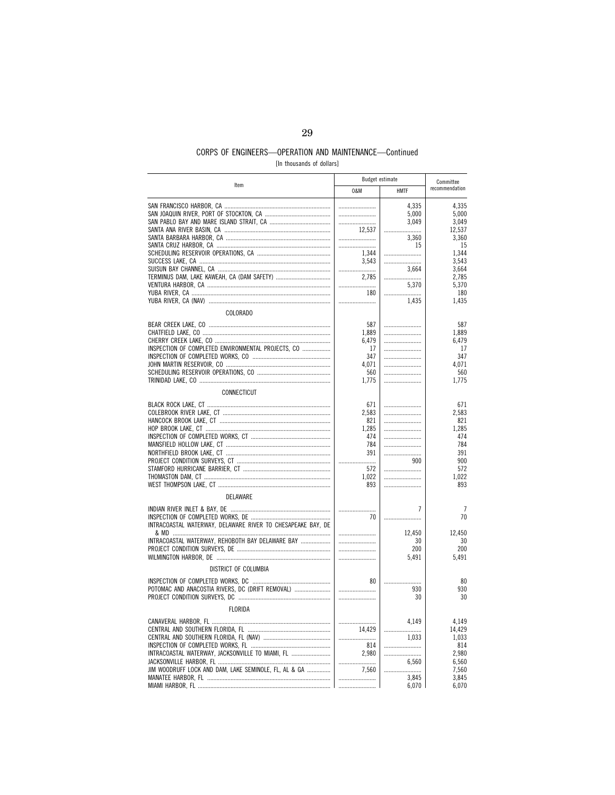[In thousands of dollars]

|                                                             | Budget estimate |             |                |  | Committee |
|-------------------------------------------------------------|-----------------|-------------|----------------|--|-----------|
| Item                                                        | 0&M             | <b>HMTF</b> | recommendation |  |           |
|                                                             |                 | 4.335       | 4.335          |  |           |
|                                                             |                 | 5,000       | 5,000          |  |           |
|                                                             |                 | 3,049       | 3,049          |  |           |
|                                                             | 12,537          |             | 12,537         |  |           |
|                                                             |                 | 3,360       | 3,360          |  |           |
|                                                             |                 | 15          | 15             |  |           |
|                                                             | 1,344           |             | 1,344          |  |           |
|                                                             | 3,543           |             | 3,543          |  |           |
|                                                             |                 | 3,664       | 3,664          |  |           |
|                                                             | 2,785           |             | 2,785          |  |           |
|                                                             |                 | 5,370       | 5,370          |  |           |
|                                                             | 180             |             | 180            |  |           |
|                                                             |                 | 1,435       | 1,435          |  |           |
| COLORADO                                                    |                 |             |                |  |           |
|                                                             | 587             |             | 587            |  |           |
|                                                             | 1,889           |             | 1,889          |  |           |
|                                                             | 6,479           |             | 6,479          |  |           |
| INSPECTION OF COMPLETED ENVIRONMENTAL PROJECTS, CO          | 17              |             | 17             |  |           |
|                                                             | 347             |             | 347            |  |           |
|                                                             | 4,071           |             | 4,071          |  |           |
|                                                             | 560             |             | 560            |  |           |
|                                                             | 1,775           |             | 1,775          |  |           |
| CONNECTICUT                                                 |                 |             |                |  |           |
|                                                             |                 |             |                |  |           |
|                                                             | 671<br>2,583    |             | 671<br>2,583   |  |           |
|                                                             | 821             |             | 821            |  |           |
|                                                             | 1.285           |             | 1.285          |  |           |
|                                                             | 474             |             | 474            |  |           |
|                                                             | 784             |             | 784            |  |           |
|                                                             | 391             |             | 391            |  |           |
|                                                             |                 | 900         | 900            |  |           |
|                                                             | 572             |             | 572            |  |           |
|                                                             | 1,022           |             | 1,022          |  |           |
|                                                             | 893             |             | 893            |  |           |
| DELAWARE                                                    |                 |             |                |  |           |
|                                                             |                 | 7           | 7              |  |           |
|                                                             | 70              |             | 70             |  |           |
| INTRACOASTAL WATERWAY, DELAWARE RIVER TO CHESAPEAKE BAY, DE |                 |             |                |  |           |
|                                                             |                 | 12,450      | 12,450         |  |           |
| INTRACOASTAL WATERWAY, REHOBOTH BAY DELAWARE BAY            |                 | 30          | 30             |  |           |
|                                                             |                 | 200         | 200            |  |           |
|                                                             |                 | 5,491       | 5,491          |  |           |
| DISTRICT OF COLUMBIA                                        |                 |             |                |  |           |
|                                                             | 80              |             | 80             |  |           |
| POTOMAC AND ANACOSTIA RIVERS, DC (DRIFT REMOVAL)            |                 | 930         | 930            |  |           |
|                                                             |                 | 30          | 30             |  |           |
|                                                             |                 |             |                |  |           |
| <b>FLORIDA</b>                                              |                 |             |                |  |           |
|                                                             |                 | 4,149       | 4,149          |  |           |
|                                                             | 14,429          |             | 14,429         |  |           |
|                                                             |                 | 1.033       | 1,033          |  |           |
|                                                             | 814             |             | 814            |  |           |
| INTRACOASTAL WATERWAY, JACKSONVILLE TO MIAMI, FL            | 2,980           |             | 2,980          |  |           |
|                                                             |                 | 6,560       | 6,560          |  |           |
| JIM WOODRUFF LOCK AND DAM, LAKE SEMINOLE, FL, AL & GA       | 7.560           |             | 7,560          |  |           |
|                                                             |                 | 3,845       | 3,845          |  |           |
|                                                             |                 | 6,070       | 6,070          |  |           |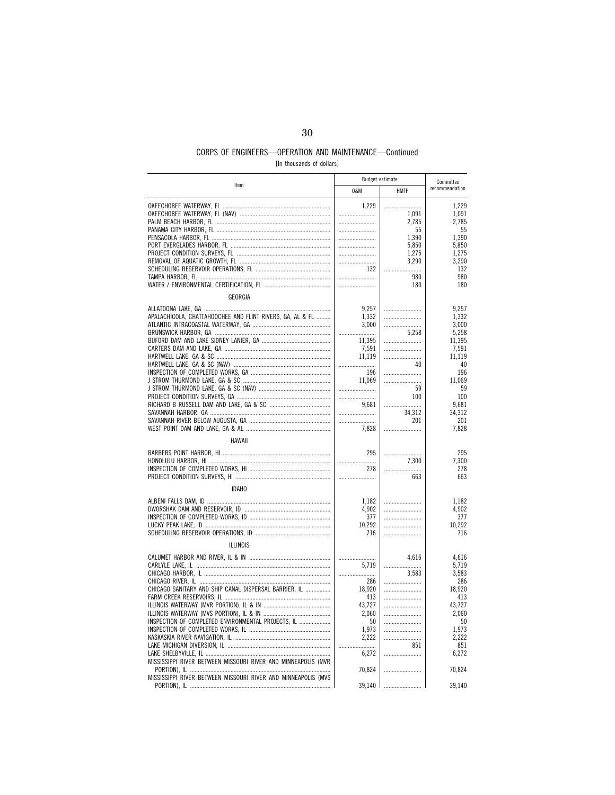[In thousands of dollars]

|                                                               | <b>Budget estimate</b> |             | Committee       |  |
|---------------------------------------------------------------|------------------------|-------------|-----------------|--|
| Item                                                          | 0&M                    | <b>HMTF</b> | recommendation  |  |
|                                                               | 1,229                  | 1,091       | 1,229<br>1,091  |  |
|                                                               |                        | 2,785<br>55 | 2,785<br>55     |  |
|                                                               |                        | 1.390       | 1.390           |  |
|                                                               |                        | 5,850       | 5,850           |  |
|                                                               |                        | 1,275       | 1,275           |  |
|                                                               |                        | 3,290       | 3,290           |  |
|                                                               | 132                    |             | 132             |  |
|                                                               |                        | 980         | 980             |  |
|                                                               |                        | 180         | 180             |  |
| GEORGIA                                                       |                        |             |                 |  |
|                                                               | 9,257                  |             | 9.257           |  |
| APALACHICOLA, CHATTAHOOCHEE AND FLINT RIVERS, GA, AL & FL     | 1,332                  |             | 1.332           |  |
|                                                               | 3,000                  |             | 3,000           |  |
|                                                               |                        | 5.258       | 5.258           |  |
|                                                               | 11,395                 |             | 11,395          |  |
|                                                               | 7,591                  |             | 7,591<br>11.119 |  |
|                                                               | 11,119<br>.            | 40          | 40              |  |
|                                                               | 196                    |             | 196             |  |
|                                                               | 11,069                 |             | 11,069          |  |
|                                                               |                        | 59          | 59              |  |
|                                                               |                        | 100         | 100             |  |
|                                                               | 9,681                  |             | 9,681           |  |
|                                                               |                        | 34,312      | 34,312          |  |
|                                                               |                        | 201         | 201             |  |
|                                                               | 7,828                  |             | 7,828           |  |
| <b>HAWAII</b>                                                 |                        |             |                 |  |
|                                                               | 295                    |             | 295             |  |
|                                                               |                        | 7,300       | 7,300           |  |
|                                                               | 278                    |             | 278             |  |
|                                                               |                        | 663         | 663             |  |
| <b>IDAHO</b>                                                  |                        |             |                 |  |
|                                                               | 1,182                  |             | 1,182           |  |
|                                                               | 4,902                  |             | 4,902           |  |
|                                                               | 377                    |             | 377             |  |
|                                                               | 10,292                 |             | 10,292          |  |
|                                                               | 716                    |             | 716             |  |
| <b>ILLINOIS</b>                                               |                        |             |                 |  |
|                                                               |                        | 4,616       | 4,616           |  |
|                                                               | 5,719                  |             | 5,719           |  |
|                                                               |                        | 3.583       | 3,583           |  |
|                                                               | 286                    |             | 286             |  |
| CHICAGO SANITARY AND SHIP CANAL DISPERSAL BARRIER, IL         | 18,920                 |             | 18,920          |  |
|                                                               | 413                    |             | 413             |  |
|                                                               | 43,727                 |             | 43.727          |  |
|                                                               | 2,060                  |             | 2,060           |  |
| INSPECTION OF COMPLETED ENVIRONMENTAL PROJECTS, IL            | 50                     |             | 50              |  |
|                                                               | 1,973                  |             | 1.973           |  |
|                                                               | 2,222                  | 851         | 2,222<br>851    |  |
|                                                               | 6,272                  |             | 6,272           |  |
| MISSISSIPPI RIVER BETWEEN MISSOURI RIVER AND MINNEAPOLIS (MVR |                        |             |                 |  |
|                                                               | 70,824                 |             | 70,824          |  |
| MISSISSIPPI RIVER BETWEEN MISSOURI RIVER AND MINNEAPOLIS (MVS |                        |             |                 |  |
| PORTION), IL                                                  | 39,140                 |             | 39,140          |  |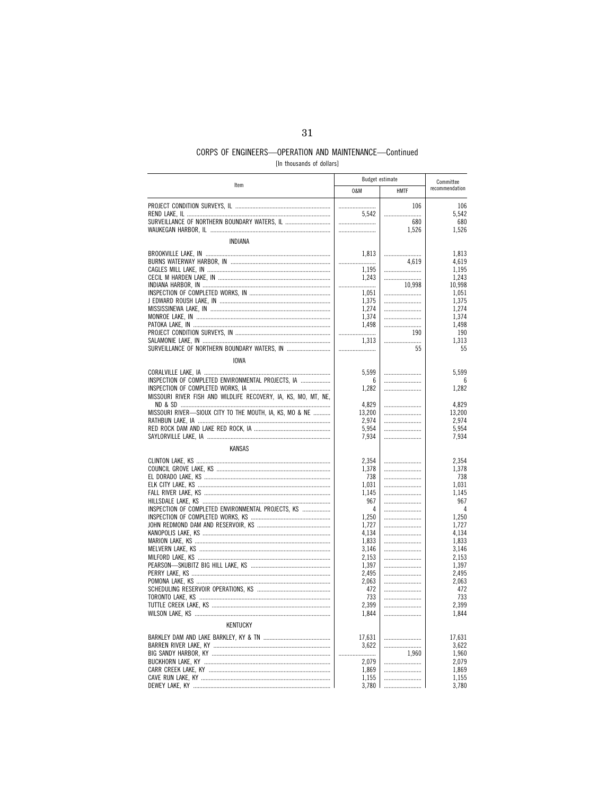[In thousands of dollars]

|                                                                | <b>Budget estimate</b> |             | Committee       |  |
|----------------------------------------------------------------|------------------------|-------------|-----------------|--|
| Item                                                           | 0&M                    | <b>HMTF</b> | recommendation  |  |
|                                                                |                        | 106         | 106             |  |
|                                                                | 5.542                  |             | 5,542           |  |
| SURVEILLANCE OF NORTHERN BOUNDARY WATERS, IL                   |                        | 680         | 680             |  |
|                                                                |                        | 1,526       | 1,526           |  |
| <b>INDIANA</b>                                                 |                        |             |                 |  |
|                                                                |                        |             |                 |  |
|                                                                | 1,813                  | 4,619       | 1,813<br>4,619  |  |
|                                                                | 1,195                  |             | 1,195           |  |
|                                                                | 1.243                  |             | 1,243           |  |
|                                                                |                        | 10,998      | 10,998          |  |
|                                                                | 1,051                  |             | 1,051           |  |
|                                                                | 1,375                  |             | 1,375           |  |
|                                                                | 1,274                  |             | 1,274           |  |
|                                                                | 1,374                  |             | 1,374           |  |
|                                                                | 1,498                  | 190         | 1,498           |  |
|                                                                | 1.313                  |             | 190<br>1,313    |  |
| SURVEILLANCE OF NORTHERN BOUNDARY WATERS, IN                   |                        | 55          | 55              |  |
|                                                                |                        |             |                 |  |
| <b>IOWA</b>                                                    |                        |             |                 |  |
|                                                                | 5,599                  |             | 5,599           |  |
| INSPECTION OF COMPLETED ENVIRONMENTAL PROJECTS, IA             | 6                      |             | 6               |  |
|                                                                | 1,282                  |             | 1,282           |  |
| MISSOURI RIVER FISH AND WILDLIFE RECOVERY, IA, KS, MO, MT, NE, |                        |             |                 |  |
| MISSOURI RIVER-SIOUX CITY TO THE MOUTH, IA, KS, MO & NE        | 4.829<br>13,200        |             | 4.829<br>13,200 |  |
|                                                                | 2,974                  |             | 2,974           |  |
|                                                                | 5,954                  |             | 5.954           |  |
|                                                                | 7,934                  |             | 7,934           |  |
| <b>KANSAS</b>                                                  |                        |             |                 |  |
|                                                                | 2,354                  |             | 2,354           |  |
|                                                                | 1,378                  |             | 1,378           |  |
|                                                                | 738                    |             | 738             |  |
|                                                                | 1,031                  |             | 1,031           |  |
|                                                                | 1,145                  |             | 1,145           |  |
|                                                                | 967                    |             | 967             |  |
| INSPECTION OF COMPLETED ENVIRONMENTAL PROJECTS, KS             | 4                      |             | 4               |  |
|                                                                | 1,250                  |             | 1,250           |  |
|                                                                | 1,727<br>4,134         |             | 1.727<br>4,134  |  |
|                                                                | 1,833                  |             | 1,833           |  |
|                                                                | 3.146                  |             | 3,146           |  |
|                                                                | 2,153                  |             | 2,153           |  |
|                                                                | 1,397                  |             | 1,397           |  |
|                                                                | 2.495                  |             | 2.495           |  |
|                                                                | 2,063                  |             | 2,063           |  |
|                                                                | 472                    |             | 472             |  |
|                                                                | 733                    |             | 733             |  |
|                                                                | 2,399                  |             | 2,399           |  |
|                                                                | 1,844                  |             | 1,844           |  |
| <b>KENTUCKY</b>                                                |                        |             |                 |  |
|                                                                | 17,631                 |             | 17,631          |  |
|                                                                | 3,622                  |             | 3,622           |  |
|                                                                | 2,079                  | 1,960       | 1,960<br>2,079  |  |
|                                                                | 1,869                  |             | 1,869           |  |
|                                                                | 1,155                  |             | 1,155           |  |
|                                                                | 3.780                  |             | 3.780           |  |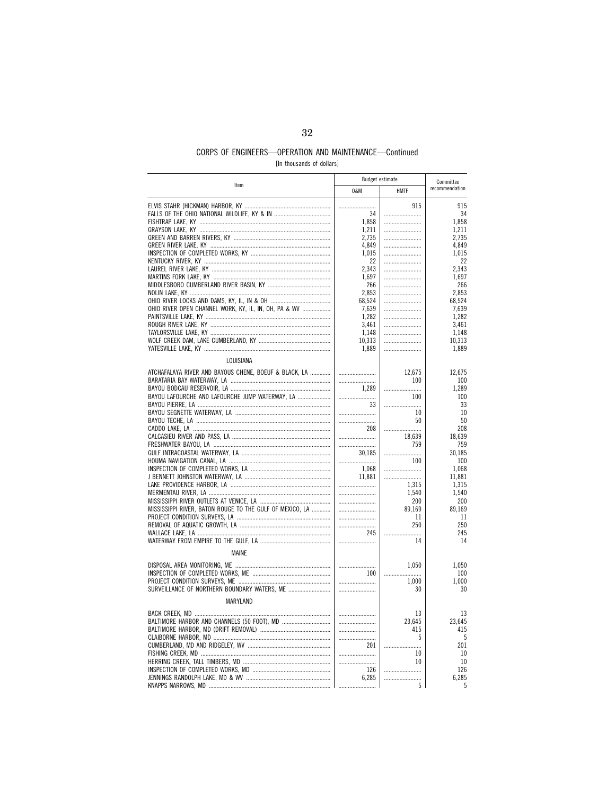[In thousands of dollars]

|                                                          |        | Budget estimate | Committee      |
|----------------------------------------------------------|--------|-----------------|----------------|
| Item                                                     | 0&M    | <b>HMTF</b>     | recommendation |
|                                                          |        | 915             | 915            |
|                                                          | 34     |                 | 34             |
|                                                          | 1.858  |                 | 1,858          |
|                                                          | 1,211  |                 | 1,211          |
|                                                          | 2,735  |                 | 2,735          |
|                                                          | 4.849  |                 | 4,849          |
|                                                          | 1,015  |                 | 1,015          |
|                                                          | 22     |                 | 22             |
|                                                          | 2,343  |                 | 2,343          |
|                                                          | 1,697  |                 | 1,697          |
|                                                          | 266    |                 | 266            |
|                                                          | 2,853  |                 | 2,853          |
|                                                          | 68,524 |                 | 68.524         |
| OHIO RIVER OPEN CHANNEL WORK, KY, IL, IN, OH, PA & WV    | 7,639  |                 | 7,639          |
|                                                          | 1,282  |                 | 1,282          |
|                                                          | 3,461  |                 | 3,461          |
|                                                          | 1,148  |                 | 1,148          |
|                                                          | 10,313 |                 | 10,313         |
|                                                          | 1,889  |                 | 1,889          |
| LOUISIANA                                                |        |                 |                |
| ATCHAFALAYA RIVER AND BAYOUS CHENE, BOEUF & BLACK, LA    |        | 12,675          | 12,675         |
|                                                          |        | 100             | 100            |
|                                                          | 1,289  |                 | 1,289          |
| BAYOU LAFOURCHE AND LAFOURCHE JUMP WATERWAY, LA          |        | 100             | 100            |
|                                                          | 33     |                 | 33             |
|                                                          |        | 10              | 10             |
|                                                          |        | 50              | 50             |
|                                                          | 208    |                 | 208            |
|                                                          |        | 18,639          | 18,639         |
|                                                          |        | 759             | 759            |
|                                                          | 30,185 | .               | 30,185         |
|                                                          |        | 100             | 100            |
|                                                          | 1.068  |                 | 1,068          |
|                                                          | 11,881 |                 | 11,881         |
|                                                          |        | 1,315           | 1,315          |
|                                                          |        | 1,540           | 1,540          |
|                                                          |        | 200             | 200            |
| MISSISSIPPI RIVER, BATON ROUGE TO THE GULF OF MEXICO, LA |        | 89,169          | 89,169         |
|                                                          |        | 11              | 11             |
|                                                          |        | 250             | 250            |
|                                                          | 245    |                 | 245            |
|                                                          |        | 14              | 14             |
| <b>MAINE</b>                                             |        |                 |                |
|                                                          |        | 1,050           | 1,050          |
|                                                          | 100    |                 | 100            |
|                                                          |        | 1,000           | 1,000          |
| SURVEILLANCE OF NORTHERN BOUNDARY WATERS, ME             |        | 30              | 30             |
| MARYLAND                                                 |        |                 |                |
|                                                          |        | 13              | 13             |
|                                                          |        | 23.645          | 23.645         |
|                                                          |        | 415             | 415            |
|                                                          |        | 5               | 5              |
|                                                          | 201    |                 | 201            |
|                                                          |        | 10              | 10             |
|                                                          |        | 10              | 10             |
|                                                          | 126    | .               | 126            |
|                                                          | 6,285  |                 | 6,285          |
|                                                          |        | 5               | 5              |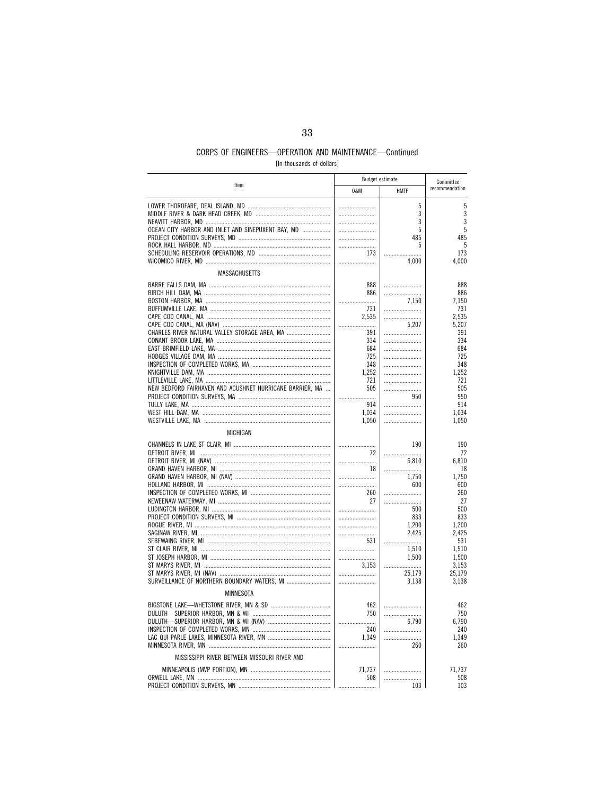[In thousands of dollars]

| Item                                                     | <b>Budget estimate</b> |             | Committee      |  |
|----------------------------------------------------------|------------------------|-------------|----------------|--|
|                                                          | 0&M                    | <b>HMTF</b> | recommendation |  |
|                                                          |                        | 5           | 5              |  |
|                                                          |                        | 3           | 3              |  |
|                                                          |                        | 3           | 3              |  |
| OCEAN CITY HARBOR AND INLET AND SINEPUXENT BAY, MD       |                        | 5           | 5              |  |
|                                                          |                        | 485         | 485            |  |
|                                                          |                        | 5           | 5              |  |
|                                                          | 173                    |             | 173            |  |
|                                                          |                        | 4,000       | 4,000          |  |
| <b>MASSACHUSETTS</b>                                     |                        |             |                |  |
|                                                          | 888                    |             | 888            |  |
|                                                          | 886                    |             | 886            |  |
|                                                          |                        | 7,150       | 7,150          |  |
|                                                          | - 731                  |             | 731            |  |
|                                                          | 2,535                  |             | 2,535          |  |
|                                                          |                        | 5,207       | 5,207          |  |
| CHARLES RIVER NATURAL VALLEY STORAGE AREA, MA            | 391                    |             | 391            |  |
|                                                          | 334                    |             | 334            |  |
|                                                          | 684                    |             | 684            |  |
|                                                          | 725                    |             | 725            |  |
|                                                          | 348                    |             | 348            |  |
|                                                          | 1,252                  |             | 1,252          |  |
|                                                          | 721                    |             | 721            |  |
| NEW BEDFORD FAIRHAVEN AND ACUSHNET HURRICANE BARRIER, MA | 505                    | 950         | 505<br>950     |  |
|                                                          | 914                    |             | 914            |  |
|                                                          | 1,034                  |             | 1.034          |  |
|                                                          | 1,050                  |             | 1,050          |  |
| MICHIGAN                                                 |                        |             |                |  |
|                                                          |                        |             |                |  |
|                                                          | 72                     | 190         | 190<br>72      |  |
|                                                          |                        | 6,810       | 6,810          |  |
|                                                          | 18                     |             | 18             |  |
|                                                          |                        | 1,750       | 1,750          |  |
|                                                          |                        | 600         | 600            |  |
|                                                          | 260                    |             | 260            |  |
|                                                          | 27                     |             | 27             |  |
|                                                          |                        | 500         | 500            |  |
|                                                          |                        | 833         | 833            |  |
|                                                          |                        | 1.200       | 1,200          |  |
|                                                          |                        | 2,425       | 2,425          |  |
|                                                          | 531                    |             | 531            |  |
|                                                          |                        | 1.510       | 1.510          |  |
|                                                          |                        | 1,500       | 1,500          |  |
|                                                          | 3.153                  |             | 3,153          |  |
|                                                          |                        | 25,179      | 25,179         |  |
| SURVEILLANCE OF NORTHERN BOUNDARY WATERS, MI             |                        | 3,138       | 3,138          |  |
| MINNESOTA                                                |                        |             |                |  |
|                                                          | 462                    |             | 462            |  |
|                                                          | 750                    |             | 750            |  |
|                                                          |                        | 6.790       | 6.790          |  |
|                                                          | 240                    |             | 240            |  |
|                                                          | 1,349                  |             | 1,349          |  |
|                                                          |                        | 260         | 260            |  |
| MISSISSIPPI RIVER BETWEEN MISSOURI RIVER AND             |                        |             |                |  |
|                                                          | 71,737                 |             | 71,737         |  |
|                                                          | 508                    |             | 508            |  |
|                                                          |                        | 103         | 103            |  |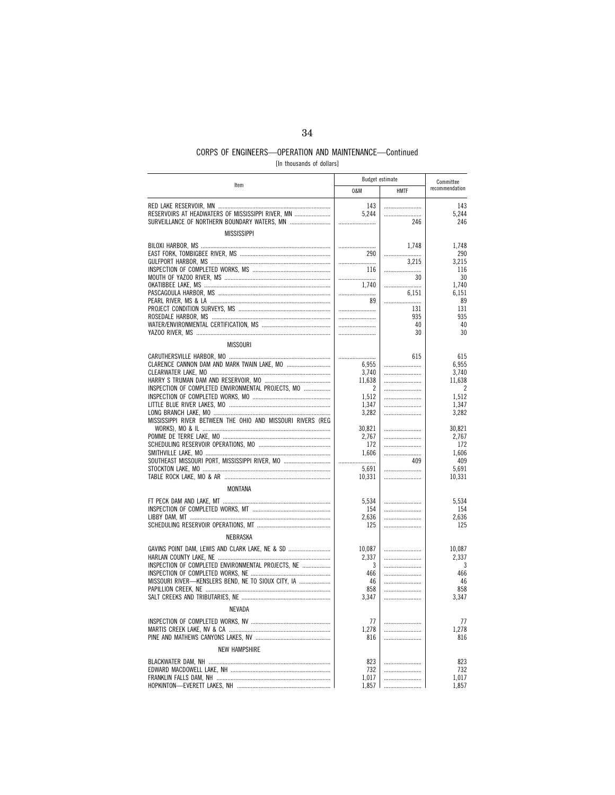[In thousands of dollars]

|                                                             | Budget estimate |             | Committee       |  |
|-------------------------------------------------------------|-----------------|-------------|-----------------|--|
| Item                                                        | 0&M             | <b>HMTF</b> | recommendation  |  |
|                                                             | 143             |             | 143             |  |
| RESERVOIRS AT HEADWATERS OF MISSISSIPPI RIVER, MN           | 5,244           |             | 5,244           |  |
| SURVEILLANCE OF NORTHERN BOUNDARY WATERS, MN                |                 | 246         | 246             |  |
| <b>MISSISSIPPI</b>                                          |                 |             |                 |  |
|                                                             |                 | 1,748       | 1,748           |  |
|                                                             | 290             |             | 290             |  |
|                                                             |                 | 3,215       | 3,215           |  |
|                                                             | 116             |             | 116             |  |
|                                                             |                 | 30          | 30              |  |
|                                                             | 1,740<br>       | 6,151       | 1,740<br>6,151  |  |
|                                                             | 89              |             | 89              |  |
|                                                             |                 | 131         | 131             |  |
|                                                             |                 | 935         | 935             |  |
|                                                             |                 | 40          | 40              |  |
|                                                             |                 | 30          | 30              |  |
| <b>MISSOURI</b>                                             |                 |             |                 |  |
|                                                             |                 | 615         | 615             |  |
| CLARENCE CANNON DAM AND MARK TWAIN LAKE, MO                 | 6,955           |             | 6,955           |  |
|                                                             | 3,740           |             | 3,740           |  |
|                                                             | 11,638          |             | 11,638          |  |
| INSPECTION OF COMPLETED ENVIRONMENTAL PROJECTS, MO          | 2<br>1,512      |             | 2<br>1,512      |  |
|                                                             | 1.347           |             | 1.347           |  |
|                                                             | 3,282           |             | 3,282           |  |
| MISSISSIPPI RIVER BETWEEN THE OHIO AND MISSOURI RIVERS (REG |                 |             |                 |  |
|                                                             | 30,821          |             | 30,821          |  |
|                                                             | 2,767           |             | 2,767           |  |
|                                                             | 172<br>1.606    |             | 172<br>1.606    |  |
| SOUTHEAST MISSOURI PORT, MISSISSIPPI RIVER, MO              |                 | 409         | 409             |  |
|                                                             | 5,691           |             | 5,691           |  |
|                                                             | 10,331          |             | 10,331          |  |
| MONTANA                                                     |                 |             |                 |  |
|                                                             |                 |             |                 |  |
|                                                             | 5,534<br>154    |             | 5,534<br>154    |  |
|                                                             | 2.636           |             | 2,636           |  |
|                                                             | 125             |             | 125             |  |
| NEBRASKA                                                    |                 |             |                 |  |
|                                                             |                 |             |                 |  |
| GAVINS POINT DAM, LEWIS AND CLARK LAKE, NE & SD             | 10,087<br>2,337 |             | 10,087<br>2,337 |  |
| INSPECTION OF COMPLETED ENVIRONMENTAL PROJECTS, NE          | 3               |             | 3               |  |
|                                                             | 466             |             | 466             |  |
| MISSOURI RIVER-KENSLERS BEND, NE TO SIOUX CITY, IA          | 46              |             | 46              |  |
|                                                             | 858             |             | 858             |  |
|                                                             | 3,347           |             | 3,347           |  |
| NEVADA                                                      |                 |             |                 |  |
|                                                             | 77              |             | 77              |  |
|                                                             | 1,278           |             | 1,278           |  |
|                                                             | 816             |             | 816             |  |
| <b>NEW HAMPSHIRE</b>                                        |                 |             |                 |  |
|                                                             | 823             |             | 823             |  |
|                                                             | 732             |             | 732             |  |
|                                                             | 1,017           |             | 1,017           |  |
|                                                             | 1,857           |             | 1,857           |  |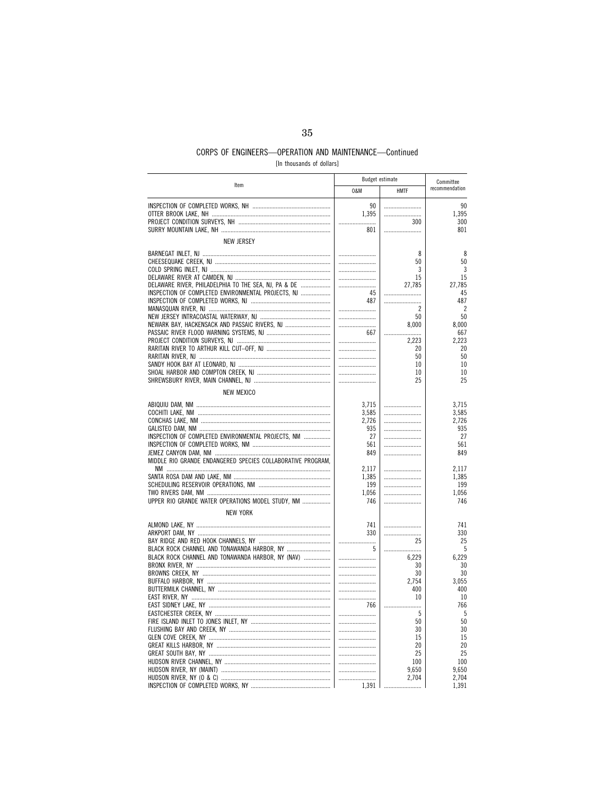[In thousands of dollars]

| Item                                                        | Budget estimate |             |                |  | Committee |  |
|-------------------------------------------------------------|-----------------|-------------|----------------|--|-----------|--|
|                                                             | 0&M             | <b>HMTF</b> | recommendation |  |           |  |
|                                                             | 90              |             | 90             |  |           |  |
|                                                             | 1,395           |             | 1,395          |  |           |  |
|                                                             |                 | 300         | 300            |  |           |  |
|                                                             | 801             |             | 801            |  |           |  |
| <b>NEW JERSEY</b>                                           |                 |             |                |  |           |  |
|                                                             |                 |             |                |  |           |  |
|                                                             |                 | 8           | 8              |  |           |  |
|                                                             |                 | 50          | 50             |  |           |  |
|                                                             |                 | 3           | 3              |  |           |  |
|                                                             |                 | 15          | 15             |  |           |  |
| DELAWARE RIVER, PHILADELPHIA TO THE SEA, NJ, PA & DE        |                 | 27,785      | 27,785         |  |           |  |
| INSPECTION OF COMPLETED ENVIRONMENTAL PROJECTS, NJ          | 45              |             | 45             |  |           |  |
|                                                             | 487             |             | 487            |  |           |  |
|                                                             |                 | 2           | $\overline{2}$ |  |           |  |
|                                                             |                 | 50          | 50             |  |           |  |
| NEWARK BAY, HACKENSACK AND PASSAIC RIVERS, NJ               |                 | 8,000       | 8,000          |  |           |  |
|                                                             | 667             |             | 667<br>2.223   |  |           |  |
|                                                             |                 | 2,223<br>20 | 20             |  |           |  |
|                                                             |                 | 50          | 50             |  |           |  |
|                                                             |                 | 10          | 10             |  |           |  |
|                                                             |                 | 10          | 10             |  |           |  |
|                                                             |                 | 25          | 25             |  |           |  |
|                                                             |                 |             |                |  |           |  |
| <b>NEW MEXICO</b>                                           |                 |             |                |  |           |  |
|                                                             | 3.715           |             | 3.715          |  |           |  |
|                                                             | 3,585           |             | 3,585          |  |           |  |
|                                                             | 2,726           |             | 2,726          |  |           |  |
|                                                             | 935             |             | 935            |  |           |  |
| INSPECTION OF COMPLETED ENVIRONMENTAL PROJECTS, NM          | 27              |             | 27             |  |           |  |
|                                                             | 561             |             | 561            |  |           |  |
|                                                             | 849             |             | 849            |  |           |  |
| MIDDLE RIO GRANDE ENDANGERED SPECIES COLLABORATIVE PROGRAM, | 2,117           |             | 2,117          |  |           |  |
|                                                             | 1.385           |             | 1,385          |  |           |  |
|                                                             | 199             |             | 199            |  |           |  |
|                                                             | 1,056           |             | 1,056          |  |           |  |
| UPPER RIO GRANDE WATER OPERATIONS MODEL STUDY, NM           | 746             |             | 746            |  |           |  |
| <b>NEW YORK</b>                                             |                 |             |                |  |           |  |
|                                                             | 741             |             | 741            |  |           |  |
|                                                             | 330             | .           | 330            |  |           |  |
|                                                             |                 | 25          | 25             |  |           |  |
| BLACK ROCK CHANNEL AND TONAWANDA HARBOR, NY                 | 5               |             | 5              |  |           |  |
| BLACK ROCK CHANNEL AND TONAWANDA HARBOR, NY (NAV)           |                 | 6,229       | 6,229          |  |           |  |
|                                                             |                 | 30          | 30             |  |           |  |
|                                                             |                 | 30          | 30             |  |           |  |
|                                                             |                 | 2,754       | 3.055          |  |           |  |
|                                                             |                 | 400         | 400            |  |           |  |
|                                                             |                 | 10          | 10             |  |           |  |
|                                                             | 766             |             | 766            |  |           |  |
|                                                             |                 | -5          | 5              |  |           |  |
|                                                             |                 | 50          | 50             |  |           |  |
|                                                             |                 | 30          | 30             |  |           |  |
|                                                             |                 | 15          | 15             |  |           |  |
|                                                             |                 | 20          | 20             |  |           |  |
|                                                             |                 | 25          | 25             |  |           |  |
|                                                             |                 | 100         | 100            |  |           |  |
|                                                             |                 | 9,650       | 9,650          |  |           |  |
|                                                             |                 | 2,704       | 2,704          |  |           |  |
|                                                             | 1,391           |             | 1,391          |  |           |  |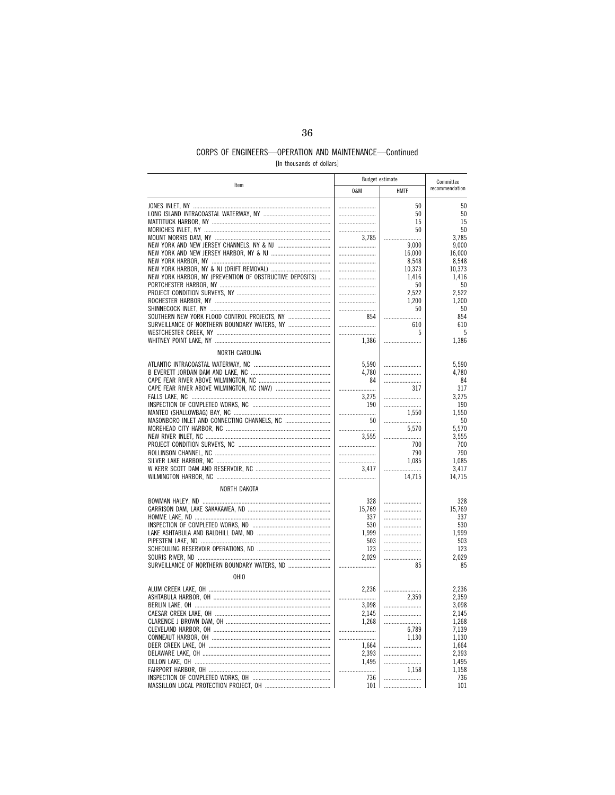[In thousands of dollars]

| Item                                                     | <b>Budget estimate</b> |             | Committee      |
|----------------------------------------------------------|------------------------|-------------|----------------|
|                                                          | 0&M                    | <b>HMTF</b> | recommendation |
|                                                          |                        | 50          | 50             |
|                                                          |                        | 50          | 50             |
|                                                          |                        | 15          | 15             |
|                                                          |                        | 50          | 50             |
|                                                          | 3.785                  |             | 3,785          |
|                                                          |                        | 9,000       | 9,000          |
|                                                          |                        | 16,000      | 16,000         |
|                                                          |                        | 8,548       | 8,548          |
|                                                          |                        | 10,373      | 10,373         |
| NEW YORK HARBOR, NY (PREVENTION OF OBSTRUCTIVE DEPOSITS) |                        | 1,416       | 1,416          |
|                                                          |                        | 50          | 50             |
|                                                          |                        | 2,522       | 2,522          |
|                                                          |                        | 1,200       | 1,200          |
|                                                          |                        | 50          | 50             |
| SOUTHERN NEW YORK FLOOD CONTROL PROJECTS, NY             | 854                    |             | 854            |
| SURVEILLANCE OF NORTHERN BOUNDARY WATERS, NY             |                        | 610         | 610            |
|                                                          |                        |             |                |
|                                                          |                        | 5           | 5              |
|                                                          | 1,386                  |             | 1,386          |
| NORTH CAROLINA                                           |                        |             |                |
|                                                          | 5.590                  |             | 5.590          |
|                                                          | 4,780                  |             | 4,780          |
|                                                          | 84                     |             | 84             |
|                                                          |                        | 317         | 317            |
|                                                          | 3,275                  |             | 3,275          |
|                                                          |                        |             |                |
|                                                          | 190                    |             | 190            |
|                                                          |                        | 1.550       | 1.550          |
| MASONBORO INLET AND CONNECTING CHANNELS, NC              | 50                     |             | 50             |
|                                                          |                        | 5,570       | 5,570          |
|                                                          | 3.555                  |             | 3,555          |
|                                                          |                        | 700         | 700            |
|                                                          |                        | 790         | 790            |
|                                                          |                        | 1.085       | 1.085          |
|                                                          | 3,417                  |             | 3,417          |
|                                                          |                        | 14,715      | 14,715         |
|                                                          |                        |             |                |
| NORTH DAKOTA                                             |                        |             |                |
|                                                          | 328                    |             | 328            |
|                                                          | 15.769                 |             | 15,769         |
|                                                          | 337                    |             | 337            |
|                                                          | 530                    |             | 530            |
|                                                          | 1.999                  |             | 1.999          |
|                                                          | 503                    |             | 503            |
|                                                          | 123                    |             | 123            |
|                                                          | 2.029                  |             | 2.029          |
| SURVEILLANCE OF NORTHERN BOUNDARY WATERS, ND             |                        | 85          | 85             |
| OHIO                                                     |                        |             |                |
|                                                          | 2,236                  |             | 2,236          |
|                                                          |                        | 2,359       | 2,359          |
|                                                          |                        |             |                |
|                                                          | 3,098                  |             | 3,098          |
|                                                          | 2,145                  |             | 2,145          |
|                                                          | 1.268                  |             | 1,268          |
|                                                          |                        | 6.789       | 7,139          |
|                                                          |                        | 1,130       | 1,130          |
|                                                          | 1,664                  |             | 1,664          |
|                                                          | 2,393                  |             | 2,393          |
|                                                          | 1,495                  |             | 1,495          |
|                                                          |                        | 1,158       | 1,158          |
|                                                          | 736                    |             | 736            |
| MASSILLON LOCAL PROTECTION PROJECT OH                    | 101                    |             | 101            |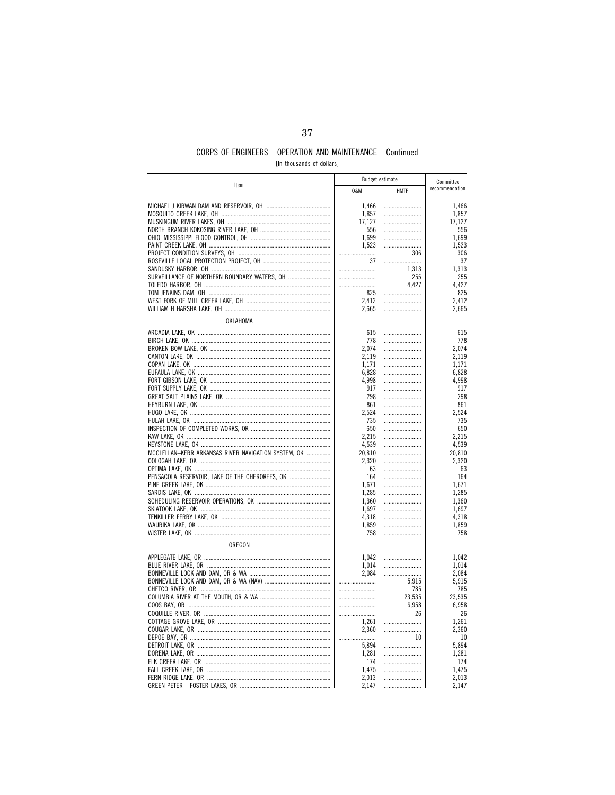[In thousands of dollars]

|                                                     | <b>Budget estimate</b> |             | Committee       |
|-----------------------------------------------------|------------------------|-------------|-----------------|
| Item                                                | 0&M                    | <b>HMTF</b> | recommendation  |
|                                                     | 1,466                  |             | 1,466           |
|                                                     | 1,857                  |             | 1,857           |
|                                                     | 17,127                 |             | 17,127          |
|                                                     | 556                    |             | 556             |
|                                                     | 1,699                  |             | 1,699           |
|                                                     | 1,523                  |             | 1,523           |
|                                                     |                        | 306         | 306             |
|                                                     | 37                     |             | 37              |
|                                                     |                        | 1,313       | 1,313           |
|                                                     |                        | 255         | 255             |
|                                                     |                        | 4,427       | 4,427           |
|                                                     | 825                    |             | 825             |
|                                                     | 2,412                  |             | 2,412           |
|                                                     | 2,665                  |             | 2,665           |
| OKLAHOMA                                            |                        |             |                 |
|                                                     | 615                    |             | 615             |
|                                                     | 778                    |             | 778             |
|                                                     | 2.074                  |             | 2.074           |
|                                                     | 2,119                  |             | 2,119           |
|                                                     | 1,171                  |             | 1,171           |
|                                                     | 6,828                  |             | 6,828           |
|                                                     | 4,998                  |             | 4,998           |
|                                                     | 917                    |             | 917             |
|                                                     | 298                    |             | 298             |
|                                                     | 861                    |             | 861             |
|                                                     | 2,524                  |             | 2,524           |
|                                                     | 735                    |             | 735             |
|                                                     | 650                    |             | 650             |
|                                                     | 2,215<br>4.539         |             | 2,215           |
| MCCLELLAN-KERR ARKANSAS RIVER NAVIGATION SYSTEM, OK | 20,810                 |             | 4,539<br>20,810 |
|                                                     | 2,320                  |             | 2,320           |
|                                                     | 63                     |             | 63              |
| PENSACOLA RESERVOIR, LAKE OF THE CHEROKEES, OK      | 164                    |             | 164             |
|                                                     | 1,671                  |             | 1,671           |
|                                                     | 1,285                  |             | 1,285           |
|                                                     | 1,360                  |             | 1,360           |
|                                                     | 1,697                  |             | 1,697           |
|                                                     | 4,318                  |             | 4,318           |
|                                                     | 1,859                  |             | 1,859           |
|                                                     | 758                    |             | 758             |
| OREGON                                              |                        |             |                 |
|                                                     | 1,042                  |             | 1,042           |
|                                                     | 1,014                  |             | 1,014           |
|                                                     | 2,084                  |             | 2,084           |
|                                                     |                        | 5,915       | 5,915           |
|                                                     |                        | 785         | 785             |
|                                                     |                        | 23,535      | 23,535          |
|                                                     |                        | 6,958       | 6,958           |
|                                                     |                        | 26          | 26              |
|                                                     | 1,261                  |             | 1,261           |
|                                                     | 2,360                  |             | 2,360           |
|                                                     |                        | 10          | 10              |
|                                                     | 5,894                  |             | 5,894           |
|                                                     | 1,281                  |             | 1,281           |
|                                                     | 174                    |             | 174             |
|                                                     | 1,475                  |             | 1,475           |
|                                                     | 2,013                  |             | 2.013           |
|                                                     | 2,147                  |             | 2,147           |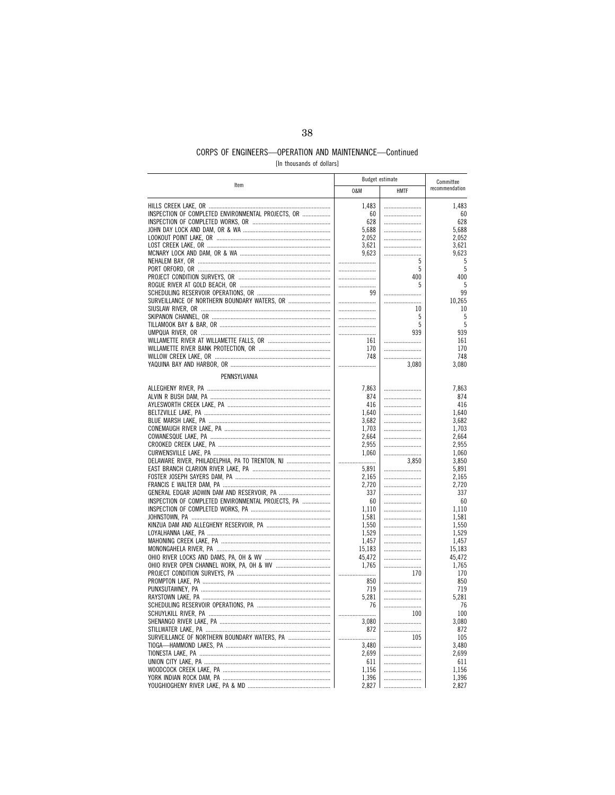[In thousands of dollars]

| Item                                               | <b>Budget estimate</b> |             | Committee      |
|----------------------------------------------------|------------------------|-------------|----------------|
|                                                    | 0&M                    | <b>HMTF</b> | recommendation |
|                                                    | 1,483                  |             | 1,483          |
| INSPECTION OF COMPLETED ENVIRONMENTAL PROJECTS, OR | 60                     |             | 60             |
|                                                    | 628                    |             | 628            |
|                                                    | 5,688                  |             | 5,688          |
|                                                    | 2,052                  |             | 2,052          |
|                                                    | 3,621                  |             | 3,621          |
|                                                    | 9,623                  |             | 9,623          |
|                                                    |                        | 5           | 5              |
|                                                    |                        | 5           | 5              |
|                                                    |                        | 400<br>5    | 400            |
|                                                    | <br>99                 |             | 5<br>99        |
| SURVEILLANCE OF NORTHERN BOUNDARY WATERS, OR       |                        |             | 10,265         |
|                                                    |                        | 10          | 10             |
|                                                    |                        | 5           | 5              |
|                                                    |                        | 5           | 5              |
|                                                    |                        | 939         | 939            |
|                                                    | 161                    |             | 161            |
|                                                    | 170                    |             | 170            |
|                                                    | 748                    |             | 748            |
|                                                    |                        | 3,080       | 3,080          |
| PENNSYLVANIA                                       |                        |             |                |
|                                                    | 7.863                  |             | 7.863          |
|                                                    | 874                    |             | 874            |
|                                                    | 416                    |             | 416            |
|                                                    | 1,640                  |             | 1,640          |
|                                                    | 3,682                  |             | 3,682          |
|                                                    | 1.703                  |             | 1.703          |
|                                                    | 2,664                  |             | 2,664          |
|                                                    | 2,955                  |             | 2,955          |
|                                                    | 1,060                  |             | 1,060          |
| DELAWARE RIVER, PHILADELPHIA, PA TO TRENTON, NJ    |                        | 3,850       | 3,850          |
|                                                    | 5,891                  |             | 5,891          |
|                                                    | 2,165                  |             | 2.165          |
|                                                    | 2,720                  |             | 2,720          |
|                                                    | 337                    |             | 337            |
| INSPECTION OF COMPLETED ENVIRONMENTAL PROJECTS. PA | 60                     |             | 60             |
|                                                    | 1,110                  |             | 1,110          |
|                                                    | 1,581                  |             | 1,581          |
|                                                    | 1,550<br>1,529         |             | 1,550<br>1,529 |
|                                                    | 1,457                  |             | 1,457          |
|                                                    | 15,183                 |             | 15,183         |
|                                                    | 45,472                 |             | 45,472         |
|                                                    | 1,765                  |             | 1,765          |
|                                                    |                        | 170         | 170            |
|                                                    | 850                    |             | 850            |
|                                                    | 719                    |             | 719            |
|                                                    | 5,281                  |             | 5,281          |
|                                                    | 76                     |             | 76             |
|                                                    |                        | 100         | 100            |
|                                                    | 3,080                  |             | 3,080          |
|                                                    | 872                    |             | 872            |
|                                                    |                        | 105         | 105            |
|                                                    | 3,480                  |             | 3,480          |
|                                                    | 2.699                  |             | 2.699          |
|                                                    | 611                    |             | 611            |
|                                                    | 1,156                  |             | 1,156          |
|                                                    | 1,396                  |             | 1,396          |
|                                                    | 2,827                  |             | 2,827          |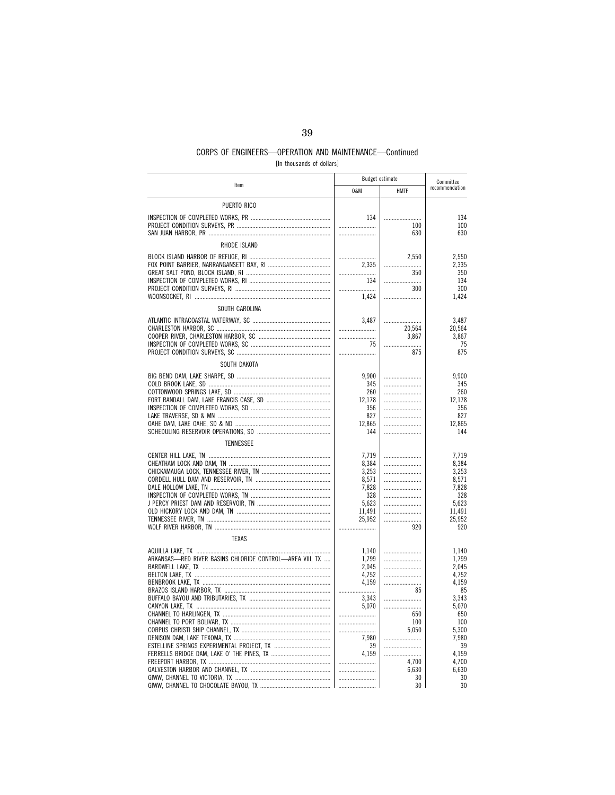[In thousands of dollars]

|                                                          | <b>Budget estimate</b> |             | Committee      |  |
|----------------------------------------------------------|------------------------|-------------|----------------|--|
| Item                                                     | 0&M                    | <b>HMTF</b> | recommendation |  |
| PUERTO RICO                                              |                        |             |                |  |
|                                                          | 134                    |             | 134            |  |
|                                                          |                        | 100         | 100            |  |
|                                                          |                        | 630         | 630            |  |
| RHODE ISLAND                                             |                        |             |                |  |
|                                                          |                        | 2,550       | 2,550          |  |
|                                                          | 2,335                  |             | 2,335          |  |
|                                                          |                        | 350         | 350            |  |
|                                                          | 134                    |             | 134            |  |
|                                                          |                        | 300         | 300            |  |
|                                                          | 1,424                  |             | 1,424          |  |
| SOUTH CAROLINA                                           |                        |             |                |  |
|                                                          | 3.487                  |             | 3.487          |  |
|                                                          |                        | 20,564      | 20,564         |  |
|                                                          |                        | 3,867       | 3,867          |  |
|                                                          | 75                     |             | 75             |  |
|                                                          |                        | 875         | 875            |  |
| SOUTH DAKOTA                                             |                        |             |                |  |
|                                                          | 9,900                  |             | 9,900          |  |
|                                                          | 345                    |             | 345            |  |
|                                                          | 260                    |             | 260            |  |
|                                                          | 12.178                 |             | 12,178         |  |
|                                                          | 356<br>827             |             | 356<br>827     |  |
|                                                          | 12.865                 |             | 12.865         |  |
|                                                          | 144                    |             | 144            |  |
| <b>TENNESSEE</b>                                         |                        |             |                |  |
|                                                          |                        |             |                |  |
|                                                          | 7,719                  |             | 7,719          |  |
|                                                          | 8,384<br>3,253         |             | 8,384<br>3,253 |  |
|                                                          | 8,571                  |             | 8,571          |  |
|                                                          | 7,828                  |             | 7,828          |  |
|                                                          | 328                    |             | 328            |  |
|                                                          | 5,623                  |             | 5,623          |  |
|                                                          | 11,491                 |             | 11,491         |  |
|                                                          | 25,952                 |             | 25,952         |  |
|                                                          |                        | 920         | 920            |  |
| <b>TEXAS</b>                                             |                        |             |                |  |
|                                                          | 1.140                  |             | 1,140          |  |
| ARKANSAS—RED RIVER BASINS CHLORIDE CONTROL—AREA VIII, TX | 1,799                  |             | 1,799          |  |
|                                                          | 2,045                  |             | 2,045          |  |
|                                                          | 4,752                  |             | 4,752          |  |
|                                                          | 4,159                  | 85          | 4,159<br>85    |  |
|                                                          | <br>3,343              |             | 3,343          |  |
|                                                          | 5.070                  |             | 5,070          |  |
|                                                          |                        | 650         | 650            |  |
|                                                          |                        | 100         | 100            |  |
|                                                          |                        | 5.050       | 5.300          |  |
|                                                          | 7,980                  |             | 7,980          |  |
|                                                          | 39                     |             | 39             |  |
|                                                          | 4.159                  |             | 4.159          |  |
|                                                          |                        | 4,700       | 4,700<br>6,630 |  |
|                                                          |                        | 6,630<br>30 | 30             |  |
|                                                          |                        | 30          | 30             |  |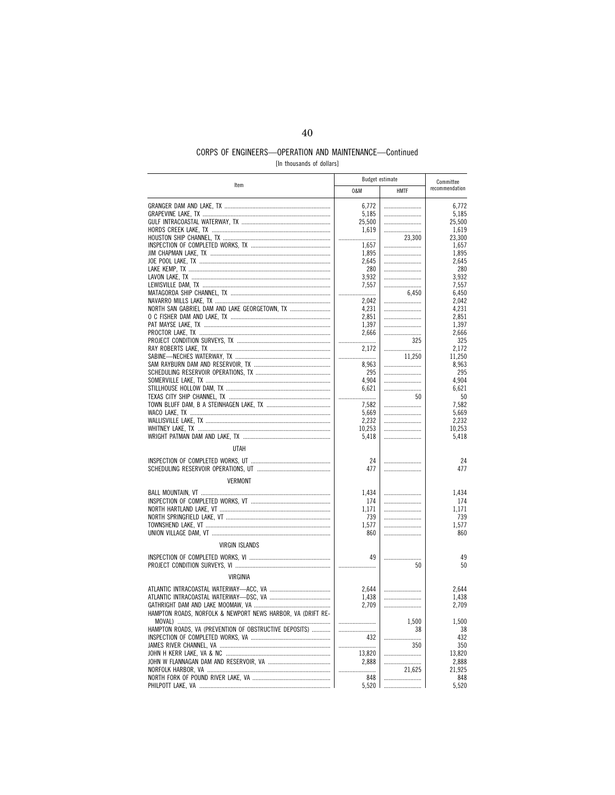[In thousands of dollars]

| Item                                                        | <b>Budget estimate</b> |             |                 |  | Committee |
|-------------------------------------------------------------|------------------------|-------------|-----------------|--|-----------|
|                                                             | 0&M                    | <b>HMTF</b> | recommendation  |  |           |
|                                                             | 6,772                  |             | 6,772           |  |           |
|                                                             | 5,185                  |             | 5,185           |  |           |
|                                                             | 25,500                 |             | 25,500          |  |           |
|                                                             | 1,619                  |             | 1,619           |  |           |
|                                                             |                        | 23.300      | 23.300          |  |           |
|                                                             | 1,657                  |             | 1,657           |  |           |
|                                                             | 1,895                  |             | 1,895           |  |           |
|                                                             | 2,645                  |             | 2,645           |  |           |
|                                                             | 280                    |             | 280             |  |           |
|                                                             | 3,932<br>7,557         | <br>        | 3,932<br>7,557  |  |           |
|                                                             |                        | 6.450       | 6.450           |  |           |
|                                                             | 2,042                  |             | 2,042           |  |           |
|                                                             | 4,231                  |             | 4,231           |  |           |
|                                                             | 2,851                  |             | 2,851           |  |           |
|                                                             | 1,397                  |             | 1,397           |  |           |
|                                                             | 2.666                  |             | 2.666           |  |           |
|                                                             |                        | 325         | 325             |  |           |
|                                                             | 2,172                  |             | 2,172           |  |           |
|                                                             |                        | 11,250      | 11.250          |  |           |
|                                                             | 8,963                  |             | 8,963           |  |           |
|                                                             | 295                    |             | 295             |  |           |
|                                                             | 4,904                  |             | 4,904           |  |           |
|                                                             | 6,621                  |             | 6,621           |  |           |
|                                                             |                        | 50          | 50              |  |           |
|                                                             | 7,582<br>5,669         |             | 7,582<br>5,669  |  |           |
|                                                             | 2,232                  |             | 2,232           |  |           |
|                                                             | 10,253                 |             | 10,253          |  |           |
|                                                             | 5,418                  |             | 5,418           |  |           |
| <b>UTAH</b>                                                 |                        |             |                 |  |           |
|                                                             | 24                     |             | 24              |  |           |
|                                                             | 477                    |             | 477             |  |           |
|                                                             |                        |             |                 |  |           |
| <b>VERMONT</b>                                              |                        |             |                 |  |           |
|                                                             | 1.434                  |             | 1.434           |  |           |
|                                                             | 174                    |             | 174             |  |           |
|                                                             | 1,171<br>739           |             | 1,171<br>739    |  |           |
|                                                             | 1,577                  |             | 1,577           |  |           |
|                                                             | 860                    |             | 860             |  |           |
|                                                             |                        |             |                 |  |           |
| <b>VIRGIN ISLANDS</b>                                       |                        |             |                 |  |           |
|                                                             | 49                     | .           | 49              |  |           |
|                                                             |                        | 50          | 50              |  |           |
| VIRGINIA                                                    |                        |             |                 |  |           |
|                                                             | 2,644                  |             | 2,644           |  |           |
|                                                             | 1,438                  |             | 1,438           |  |           |
|                                                             | 2.709                  |             | 2,709           |  |           |
| HAMPTON ROADS, NORFOLK & NEWPORT NEWS HARBOR, VA (DRIFT RE- |                        |             |                 |  |           |
|                                                             |                        | 1,500       | 1,500           |  |           |
| HAMPTON ROADS, VA (PREVENTION OF OBSTRUCTIVE DEPOSITS)      |                        | 38          | 38              |  |           |
|                                                             | 432                    |             | 432             |  |           |
|                                                             |                        | 350         | 350             |  |           |
|                                                             | 13,820<br>2,888        |             | 13,820<br>2,888 |  |           |
|                                                             |                        | 21,625      | 21,925          |  |           |
|                                                             | 848                    |             | 848             |  |           |
|                                                             | 5,520                  |             | 5,520           |  |           |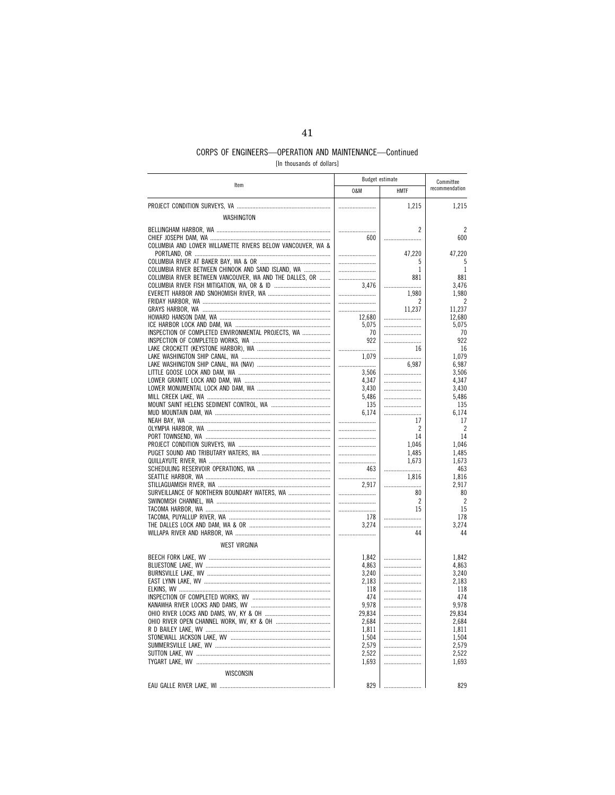[In thousands of dollars]

|                                                            | <b>Budget estimate</b> |                      | Committee            |
|------------------------------------------------------------|------------------------|----------------------|----------------------|
| Item                                                       | 0&M                    | <b>HMTF</b>          | recommendation       |
|                                                            |                        | 1,215                | 1,215                |
| WASHINGTON                                                 |                        |                      |                      |
|                                                            |                        | $\overline{c}$       | 2                    |
|                                                            | 600                    |                      | 600                  |
| COLUMBIA AND LOWER WILLAMETTE RIVERS BELOW VANCOUVER, WA & |                        |                      |                      |
|                                                            |                        | 47,220               | 47,220               |
| COLUMBIA RIVER BETWEEN CHINOOK AND SAND ISLAND, WA         |                        | 5<br>1               | 5<br>1               |
| COLUMBIA RIVER BETWEEN VANCOUVER, WA AND THE DALLES, OR    |                        | 881                  | 881                  |
|                                                            | 3.476                  |                      | 3.476                |
|                                                            |                        | 1,980                | 1,980                |
|                                                            |                        | 2<br>11,237          | 2<br>11,237          |
|                                                            | 12,680                 |                      | 12,680               |
|                                                            | 5,075                  |                      | 5,075                |
| INSPECTION OF COMPLETED ENVIRONMENTAL PROJECTS, WA         | 70                     |                      | 70                   |
|                                                            | 922                    |                      | 922                  |
|                                                            |                        | 16                   | 16                   |
|                                                            | 1.079                  | 6,987                | 1.079<br>6,987       |
|                                                            | <br>3,506              |                      | 3,506                |
|                                                            | 4,347                  |                      | 4,347                |
|                                                            | 3,430                  |                      | 3,430                |
|                                                            | 5,486                  |                      | 5,486                |
|                                                            | 135                    |                      | 135                  |
|                                                            | 6.174                  |                      | 6.174                |
|                                                            |                        | 17<br>$\overline{2}$ | 17<br>$\overline{2}$ |
|                                                            |                        | 14                   | 14                   |
|                                                            |                        | 1,046                | 1.046                |
|                                                            |                        | 1.485                | 1,485                |
|                                                            |                        | 1,673                | 1,673                |
|                                                            | 463                    |                      | 463                  |
|                                                            | 2,917                  | 1.816                | 1.816<br>2,917       |
| SURVEILLANCE OF NORTHERN BOUNDARY WATERS, WA               |                        | 80                   | 80                   |
|                                                            |                        | $\overline{c}$       | $\overline{2}$       |
|                                                            |                        | 15                   | 15                   |
|                                                            | 178                    |                      | 178                  |
|                                                            | 3,274                  |                      | 3,274                |
|                                                            |                        | 44                   | 44                   |
| <b>WEST VIRGINIA</b>                                       |                        |                      |                      |
|                                                            | 1,842                  |                      | 1,842                |
|                                                            | 4.863                  |                      | 4,863                |
|                                                            | 3,240<br>2,183         |                      | 3,240<br>2,183       |
|                                                            | 118                    |                      | 118                  |
|                                                            | 474                    |                      | 474                  |
|                                                            | 9,978                  |                      | 9,978                |
|                                                            | 29,834                 |                      | 29,834               |
|                                                            | 2,684                  |                      | 2,684                |
|                                                            | 1,811                  |                      | 1,811                |
|                                                            | 1,504<br>2,579         |                      | 1,504<br>2,579       |
|                                                            | 2,522                  |                      | 2,522                |
|                                                            | 1,693                  |                      | 1,693                |
| WISCONSIN                                                  |                        |                      |                      |
|                                                            | 829                    |                      | 829                  |
| EAU GALLE RIVER LAKE, WI                                   |                        |                      |                      |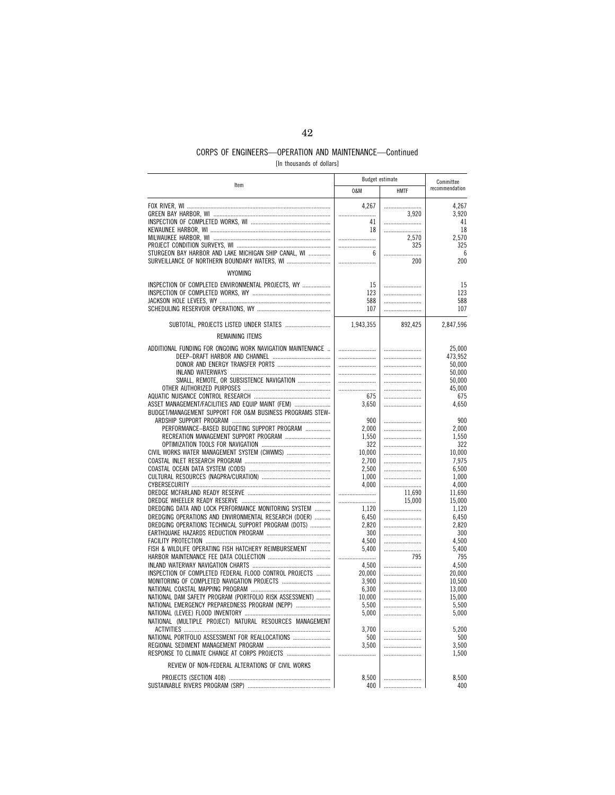[In thousands of dollars]

| Item                                                       | Budget estimate |             |                   |  | Committee |
|------------------------------------------------------------|-----------------|-------------|-------------------|--|-----------|
|                                                            | 0&M             | <b>HMTF</b> | recommendation    |  |           |
|                                                            | 4,267           |             | 4,267             |  |           |
|                                                            |                 | 3,920       | 3,920             |  |           |
|                                                            | 41              |             | 41                |  |           |
|                                                            | 18              |             | 18                |  |           |
|                                                            |                 | 2,570       | 2,570             |  |           |
|                                                            |                 | 325         | 325               |  |           |
| STURGEON BAY HARBOR AND LAKE MICHIGAN SHIP CANAL, WI       | 6               |             | 6                 |  |           |
| SURVEILLANCE OF NORTHERN BOUNDARY WATERS, WI               |                 | 200         | 200               |  |           |
| WYOMING                                                    |                 |             |                   |  |           |
| INSPECTION OF COMPLETED ENVIRONMENTAL PROJECTS, WY         | 15              |             | 15                |  |           |
|                                                            | 123             |             | 123               |  |           |
|                                                            | 588             |             | 588               |  |           |
|                                                            | 107             |             | 107               |  |           |
|                                                            |                 |             |                   |  |           |
| SUBTOTAL, PROJECTS LISTED UNDER STATES                     | 1,943,355       | 892,425     | 2,847,596         |  |           |
| <b>REMAINING ITEMS</b>                                     |                 |             |                   |  |           |
| ADDITIONAL FUNDING FOR ONGOING WORK NAVIGATION MAINTENANCE |                 |             | 25.000<br>473,952 |  |           |
|                                                            |                 |             | 50,000            |  |           |
|                                                            |                 |             | 50.000            |  |           |
| SMALL, REMOTE, OR SUBSISTENCE NAVIGATION                   |                 |             | 50,000            |  |           |
|                                                            |                 |             | 45,000            |  |           |
|                                                            | 675             |             | 675               |  |           |
| ASSET MANAGEMENT/FACILITIES AND EQUIP MAINT (FEM)          | 3,650           |             | 4,650             |  |           |
| BUDGET/MANAGEMENT SUPPORT FOR O&M BUSINESS PROGRAMS STEW-  |                 |             |                   |  |           |
|                                                            | 900             |             | 900               |  |           |
| PERFORMANCE-BASED BUDGETING SUPPORT PROGRAM                | 2,000           |             | 2,000             |  |           |
| RECREATION MANAGEMENT SUPPORT PROGRAM                      | 1,550           |             | 1,550             |  |           |
|                                                            | 322             |             | 322               |  |           |
|                                                            | 10,000          |             | 10,000            |  |           |
|                                                            | 2,700           |             | 7.975             |  |           |
|                                                            | 2,500           |             | 6,500             |  |           |
|                                                            | 1,000           |             | 1,000             |  |           |
|                                                            | 4.000           |             | 4,000             |  |           |
|                                                            |                 | 11,690      | 11,690            |  |           |
|                                                            |                 | 15,000      | 15,000            |  |           |
| DREDGING DATA AND LOCK PERFORMANCE MONITORING SYSTEM       | 1,120           |             | 1,120             |  |           |
| DREDGING OPERATIONS AND ENVIRONMENTAL RESEARCH (DOER)      | 6,450           |             | 6,450             |  |           |
| DREDGING OPERATIONS TECHNICAL SUPPORT PROGRAM (DOTS)       | 2,820           |             | 2,820             |  |           |
|                                                            | 300             |             | 300               |  |           |
|                                                            | 4,500           |             | 4,500             |  |           |
| FISH & WILDLIFE OPERATING FISH HATCHERY REIMBURSEMENT      | 5.400           |             | 5.400             |  |           |
|                                                            |                 | 795         | 795               |  |           |
|                                                            | 4,500           |             | 4,500             |  |           |
| INSPECTION OF COMPLETED FEDERAL FLOOD CONTROL PROJECTS     | 20,000          |             | 20,000            |  |           |
|                                                            | 3,900           |             | 10.500            |  |           |
|                                                            | 6,300           |             | 13,000            |  |           |
| NATIONAL DAM SAFETY PROGRAM (PORTFOLIO RISK ASSESSMENT)    | 10,000          |             | 15,000            |  |           |
| NATIONAL EMERGENCY PREPAREDNESS PROGRAM (NEPP)             | 5,500           |             | 5,500             |  |           |
|                                                            | 5,000           |             | 5,000             |  |           |
| NATIONAL (MULTIPLE PROJECT) NATURAL RESOURCES MANAGEMENT   |                 |             |                   |  |           |
|                                                            | 3,700           |             | 5,200             |  |           |
| NATIONAL PORTFOLIO ASSESSMENT FOR REALLOCATIONS            | 500             |             | 500               |  |           |
|                                                            | 3.500           |             | 3.500             |  |           |
|                                                            |                 |             | 1,500             |  |           |
| REVIEW OF NON-FEDERAL ALTERATIONS OF CIVIL WORKS           |                 |             |                   |  |           |
|                                                            | 8,500           |             | 8,500             |  |           |
|                                                            | 400 l           |             | 400               |  |           |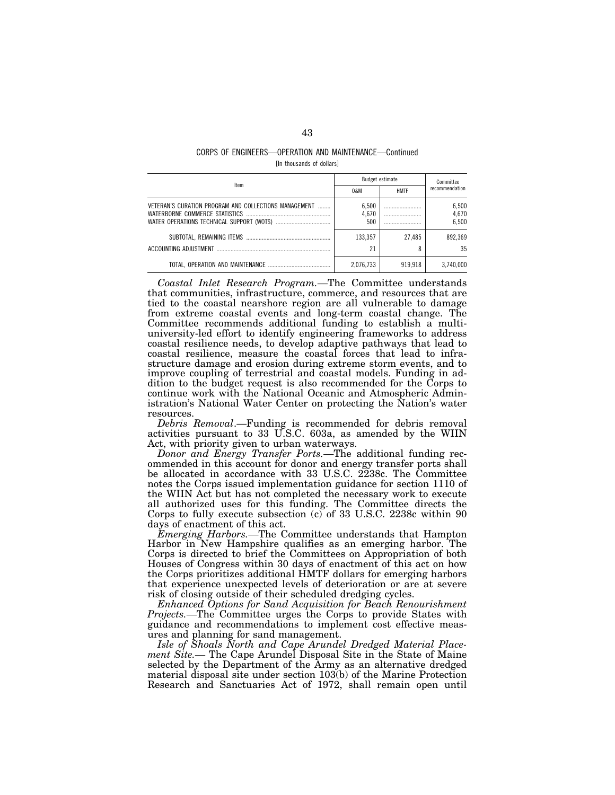## CORPS OF ENGINEERS—OPERATION AND MAINTENANCE—Continued [In thousands of dollars]

| Item                                                  | Budget estimate       |             | Committee               |
|-------------------------------------------------------|-----------------------|-------------|-------------------------|
|                                                       | 0&M                   | <b>HMTF</b> | recommendation          |
| VETERAN'S CURATION PROGRAM AND COLLECTIONS MANAGEMENT | 6.500<br>4.670<br>500 | <br><br>    | 6.500<br>4,670<br>6.500 |
|                                                       | 133.357               | 27.485      | 892.369                 |
| ACCOUNTING ADJUSTMENT                                 | 21                    |             | 35                      |
|                                                       | 2.076.733             | 919.918     | 3.740.000               |

*Coastal Inlet Research Program.—*The Committee understands that communities, infrastructure, commerce, and resources that are tied to the coastal nearshore region are all vulnerable to damage from extreme coastal events and long-term coastal change. The Committee recommends additional funding to establish a multiuniversity-led effort to identify engineering frameworks to address coastal resilience needs, to develop adaptive pathways that lead to coastal resilience, measure the coastal forces that lead to infrastructure damage and erosion during extreme storm events, and to improve coupling of terrestrial and coastal models. Funding in addition to the budget request is also recommended for the Corps to continue work with the National Oceanic and Atmospheric Administration's National Water Center on protecting the Nation's water resources.

*Debris Removal*.—Funding is recommended for debris removal activities pursuant to 33 U.S.C. 603a, as amended by the WIIN Act, with priority given to urban waterways.

*Donor and Energy Transfer Ports.—*The additional funding recommended in this account for donor and energy transfer ports shall be allocated in accordance with 33 U.S.C. 2238c. The Committee notes the Corps issued implementation guidance for section 1110 of the WIIN Act but has not completed the necessary work to execute all authorized uses for this funding. The Committee directs the Corps to fully execute subsection (c) of 33 U.S.C. 2238c within 90 days of enactment of this act.

*Emerging Harbors.—*The Committee understands that Hampton Harbor in New Hampshire qualifies as an emerging harbor. The Corps is directed to brief the Committees on Appropriation of both Houses of Congress within 30 days of enactment of this act on how the Corps prioritizes additional HMTF dollars for emerging harbors that experience unexpected levels of deterioration or are at severe risk of closing outside of their scheduled dredging cycles.

*Enhanced Options for Sand Acquisition for Beach Renourishment Projects.—*The Committee urges the Corps to provide States with guidance and recommendations to implement cost effective measures and planning for sand management.

*Isle of Shoals North and Cape Arundel Dredged Material Placement Site.—* The Cape Arundel Disposal Site in the State of Maine selected by the Department of the Army as an alternative dredged material disposal site under section 103(b) of the Marine Protection Research and Sanctuaries Act of 1972, shall remain open until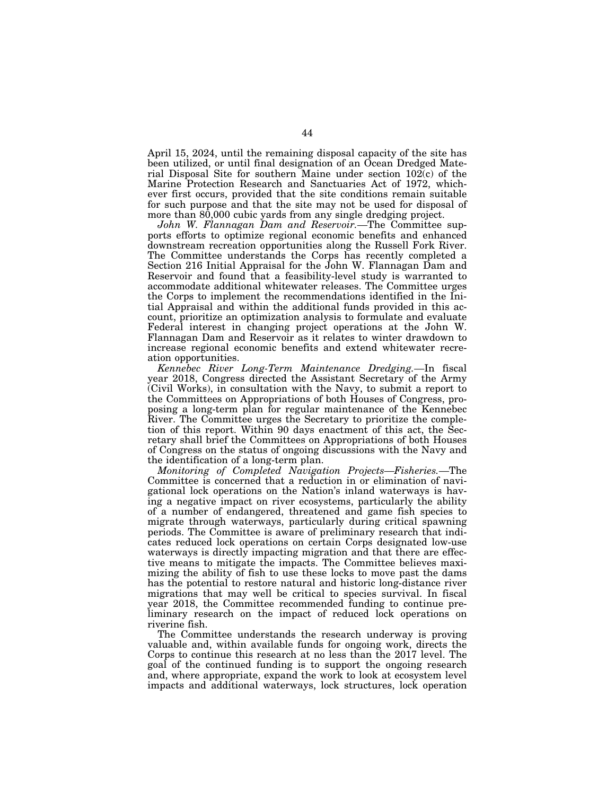April 15, 2024, until the remaining disposal capacity of the site has been utilized, or until final designation of an Ocean Dredged Material Disposal Site for southern Maine under section 102(c) of the Marine Protection Research and Sanctuaries Act of 1972, whichever first occurs, provided that the site conditions remain suitable for such purpose and that the site may not be used for disposal of more than 80,000 cubic yards from any single dredging project.

*John W. Flannagan Dam and Reservoir.—*The Committee supports efforts to optimize regional economic benefits and enhanced downstream recreation opportunities along the Russell Fork River. The Committee understands the Corps has recently completed a Section 216 Initial Appraisal for the John W. Flannagan Dam and Reservoir and found that a feasibility-level study is warranted to accommodate additional whitewater releases. The Committee urges the Corps to implement the recommendations identified in the Initial Appraisal and within the additional funds provided in this account, prioritize an optimization analysis to formulate and evaluate Federal interest in changing project operations at the John W. Flannagan Dam and Reservoir as it relates to winter drawdown to increase regional economic benefits and extend whitewater recreation opportunities.

*Kennebec River Long-Term Maintenance Dredging.—*In fiscal year 2018, Congress directed the Assistant Secretary of the Army (Civil Works), in consultation with the Navy, to submit a report to the Committees on Appropriations of both Houses of Congress, proposing a long-term plan for regular maintenance of the Kennebec River. The Committee urges the Secretary to prioritize the completion of this report. Within 90 days enactment of this act, the Secretary shall brief the Committees on Appropriations of both Houses of Congress on the status of ongoing discussions with the Navy and the identification of a long-term plan.

*Monitoring of Completed Navigation Projects—Fisheries.—*The Committee is concerned that a reduction in or elimination of navigational lock operations on the Nation's inland waterways is having a negative impact on river ecosystems, particularly the ability of a number of endangered, threatened and game fish species to migrate through waterways, particularly during critical spawning periods. The Committee is aware of preliminary research that indicates reduced lock operations on certain Corps designated low-use waterways is directly impacting migration and that there are effective means to mitigate the impacts. The Committee believes maximizing the ability of fish to use these locks to move past the dams has the potential to restore natural and historic long-distance river migrations that may well be critical to species survival. In fiscal year 2018, the Committee recommended funding to continue preliminary research on the impact of reduced lock operations on riverine fish.

The Committee understands the research underway is proving valuable and, within available funds for ongoing work, directs the Corps to continue this research at no less than the 2017 level. The goal of the continued funding is to support the ongoing research and, where appropriate, expand the work to look at ecosystem level impacts and additional waterways, lock structures, lock operation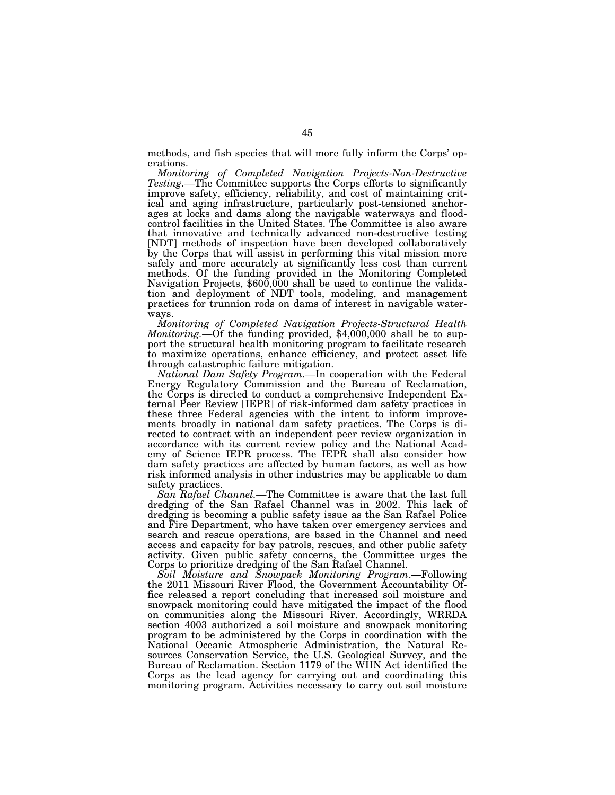methods, and fish species that will more fully inform the Corps' operations.

*Monitoring of Completed Navigation Projects-Non-Destructive*  Testing.—The Committee supports the Corps efforts to significantly improve safety, efficiency, reliability, and cost of maintaining critical and aging infrastructure, particularly post-tensioned anchorages at locks and dams along the navigable waterways and floodcontrol facilities in the United States. The Committee is also aware that innovative and technically advanced non-destructive testing [NDT] methods of inspection have been developed collaboratively by the Corps that will assist in performing this vital mission more safely and more accurately at significantly less cost than current methods. Of the funding provided in the Monitoring Completed Navigation Projects, \$600,000 shall be used to continue the validation and deployment of NDT tools, modeling, and management practices for trunnion rods on dams of interest in navigable waterways.

*Monitoring of Completed Navigation Projects-Structural Health Monitoring.—*Of the funding provided, \$4,000,000 shall be to support the structural health monitoring program to facilitate research to maximize operations, enhance efficiency, and protect asset life through catastrophic failure mitigation.

*National Dam Safety Program.—*In cooperation with the Federal Energy Regulatory Commission and the Bureau of Reclamation, the Corps is directed to conduct a comprehensive Independent External Peer Review [IEPR] of risk-informed dam safety practices in these three Federal agencies with the intent to inform improvements broadly in national dam safety practices. The Corps is directed to contract with an independent peer review organization in accordance with its current review policy and the National Academy of Science IEPR process. The IEPR shall also consider how dam safety practices are affected by human factors, as well as how risk informed analysis in other industries may be applicable to dam safety practices.

*San Rafael Channel.—*The Committee is aware that the last full dredging of the San Rafael Channel was in 2002. This lack of dredging is becoming a public safety issue as the San Rafael Police and Fire Department, who have taken over emergency services and search and rescue operations, are based in the Channel and need access and capacity for bay patrols, rescues, and other public safety activity. Given public safety concerns, the Committee urges the Corps to prioritize dredging of the San Rafael Channel.

*Soil Moisture and Snowpack Monitoring Program*.—Following the 2011 Missouri River Flood, the Government Accountability Office released a report concluding that increased soil moisture and snowpack monitoring could have mitigated the impact of the flood on communities along the Missouri River. Accordingly, WRRDA section 4003 authorized a soil moisture and snowpack monitoring program to be administered by the Corps in coordination with the National Oceanic Atmospheric Administration, the Natural Resources Conservation Service, the U.S. Geological Survey, and the Bureau of Reclamation. Section 1179 of the WIIN Act identified the Corps as the lead agency for carrying out and coordinating this monitoring program. Activities necessary to carry out soil moisture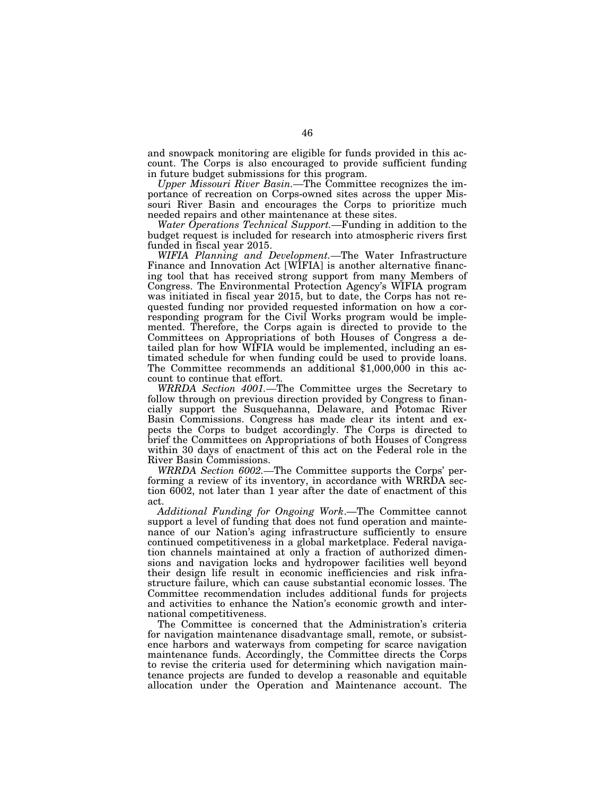and snowpack monitoring are eligible for funds provided in this account. The Corps is also encouraged to provide sufficient funding in future budget submissions for this program.

*Upper Missouri River Basin.—*The Committee recognizes the importance of recreation on Corps-owned sites across the upper Missouri River Basin and encourages the Corps to prioritize much needed repairs and other maintenance at these sites.

*Water Operations Technical Support.—*Funding in addition to the budget request is included for research into atmospheric rivers first funded in fiscal year 2015.

*WIFIA Planning and Development.—*The Water Infrastructure Finance and Innovation Act [WIFIA] is another alternative financing tool that has received strong support from many Members of Congress. The Environmental Protection Agency's WIFIA program was initiated in fiscal year 2015, but to date, the Corps has not requested funding nor provided requested information on how a corresponding program for the Civil Works program would be implemented. Therefore, the Corps again is directed to provide to the Committees on Appropriations of both Houses of Congress a detailed plan for how WIFIA would be implemented, including an estimated schedule for when funding could be used to provide loans. The Committee recommends an additional \$1,000,000 in this account to continue that effort.

*WRRDA Section 4001.—*The Committee urges the Secretary to follow through on previous direction provided by Congress to financially support the Susquehanna, Delaware, and Potomac River Basin Commissions. Congress has made clear its intent and expects the Corps to budget accordingly. The Corps is directed to brief the Committees on Appropriations of both Houses of Congress within 30 days of enactment of this act on the Federal role in the River Basin Commissions.

*WRRDA Section 6002.—*The Committee supports the Corps' performing a review of its inventory, in accordance with WRRDA section 6002, not later than 1 year after the date of enactment of this act.

*Additional Funding for Ongoing Work*.—The Committee cannot support a level of funding that does not fund operation and maintenance of our Nation's aging infrastructure sufficiently to ensure continued competitiveness in a global marketplace. Federal navigation channels maintained at only a fraction of authorized dimensions and navigation locks and hydropower facilities well beyond their design life result in economic inefficiencies and risk infrastructure failure, which can cause substantial economic losses. The Committee recommendation includes additional funds for projects and activities to enhance the Nation's economic growth and international competitiveness.

The Committee is concerned that the Administration's criteria for navigation maintenance disadvantage small, remote, or subsistence harbors and waterways from competing for scarce navigation maintenance funds. Accordingly, the Committee directs the Corps to revise the criteria used for determining which navigation maintenance projects are funded to develop a reasonable and equitable allocation under the Operation and Maintenance account. The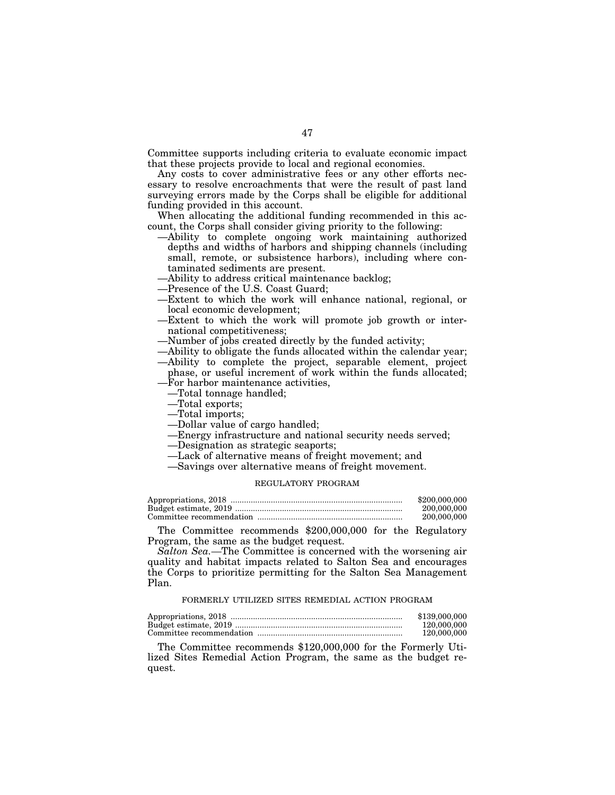Committee supports including criteria to evaluate economic impact that these projects provide to local and regional economies.

Any costs to cover administrative fees or any other efforts necessary to resolve encroachments that were the result of past land surveying errors made by the Corps shall be eligible for additional funding provided in this account.

When allocating the additional funding recommended in this account, the Corps shall consider giving priority to the following:

- —Ability to complete ongoing work maintaining authorized depths and widths of harbors and shipping channels (including small, remote, or subsistence harbors), including where contaminated sediments are present.
- —Ability to address critical maintenance backlog;
- —Presence of the U.S. Coast Guard;
- —Extent to which the work will enhance national, regional, or local economic development;
- —Extent to which the work will promote job growth or international competitiveness;
- —Number of jobs created directly by the funded activity;
- —Ability to obligate the funds allocated within the calendar year;
- —Ability to complete the project, separable element, project phase, or useful increment of work within the funds allocated; —For harbor maintenance activities,
- —Total tonnage handled;
- —Total exports;
- —Total imports;
- —Dollar value of cargo handled;
- —Energy infrastructure and national security needs served;
- —Designation as strategic seaports;
- —Lack of alternative means of freight movement; and
- —Savings over alternative means of freight movement.

# REGULATORY PROGRAM

| \$200,000,000 |
|---------------|
| 200,000,000   |
| 200,000,000   |

The Committee recommends \$200,000,000 for the Regulatory Program, the same as the budget request.

*Salton Sea.—*The Committee is concerned with the worsening air quality and habitat impacts related to Salton Sea and encourages the Corps to prioritize permitting for the Salton Sea Management Plan.

#### FORMERLY UTILIZED SITES REMEDIAL ACTION PROGRAM

| \$139,000,000 |
|---------------|
| 120,000,000   |
| 120.000.000   |

The Committee recommends \$120,000,000 for the Formerly Utilized Sites Remedial Action Program, the same as the budget request.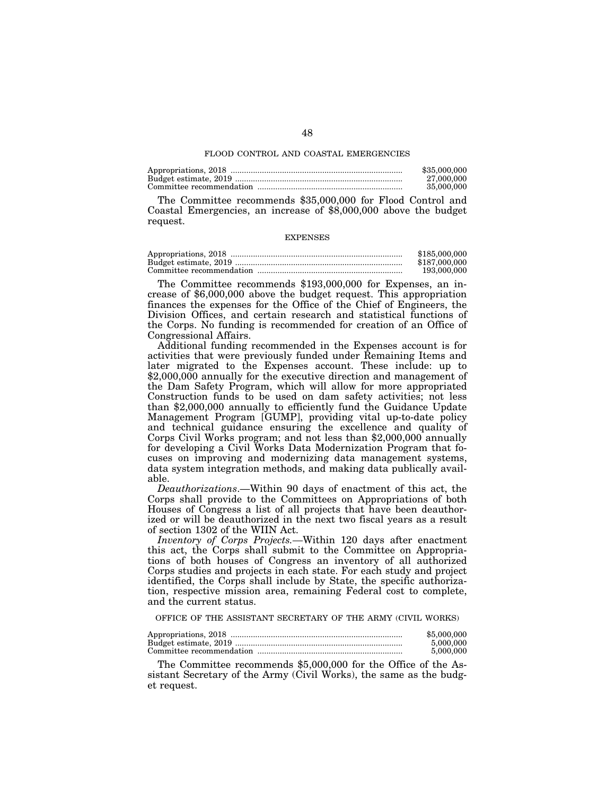#### FLOOD CONTROL AND COASTAL EMERGENCIES

| \$35,000,000 |
|--------------|
| 27,000,000   |
| 35,000,000   |

The Committee recommends \$35,000,000 for Flood Control and Coastal Emergencies, an increase of \$8,000,000 above the budget request.

#### **EXPENSES**

| \$185,000,000 |
|---------------|
| \$187,000,000 |
| 193,000,000   |

The Committee recommends \$193,000,000 for Expenses, an increase of \$6,000,000 above the budget request. This appropriation finances the expenses for the Office of the Chief of Engineers, the Division Offices, and certain research and statistical functions of the Corps. No funding is recommended for creation of an Office of Congressional Affairs.

Additional funding recommended in the Expenses account is for activities that were previously funded under Remaining Items and later migrated to the Expenses account. These include: up to \$2,000,000 annually for the executive direction and management of the Dam Safety Program, which will allow for more appropriated Construction funds to be used on dam safety activities; not less than \$2,000,000 annually to efficiently fund the Guidance Update Management Program [GUMP], providing vital up-to-date policy and technical guidance ensuring the excellence and quality of Corps Civil Works program; and not less than \$2,000,000 annually for developing a Civil Works Data Modernization Program that focuses on improving and modernizing data management systems, data system integration methods, and making data publically available.

*Deauthorizations*.—Within 90 days of enactment of this act, the Corps shall provide to the Committees on Appropriations of both Houses of Congress a list of all projects that have been deauthorized or will be deauthorized in the next two fiscal years as a result of section 1302 of the WIIN Act.

*Inventory of Corps Projects.—*Within 120 days after enactment this act, the Corps shall submit to the Committee on Appropriations of both houses of Congress an inventory of all authorized Corps studies and projects in each state. For each study and project identified, the Corps shall include by State, the specific authorization, respective mission area, remaining Federal cost to complete, and the current status.

OFFICE OF THE ASSISTANT SECRETARY OF THE ARMY (CIVIL WORKS)

| \$5,000,000 |
|-------------|
| 5.000.000   |
| 5,000,000   |

The Committee recommends \$5,000,000 for the Office of the Assistant Secretary of the Army (Civil Works), the same as the budget request.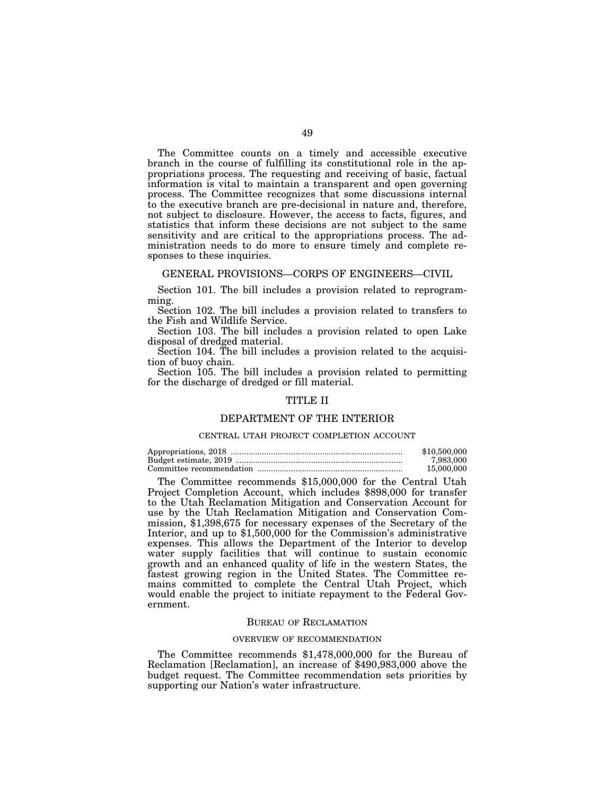The Committee counts on a timely and accessible executive branch in the course of fulfilling its constitutional role in the appropriations process. The requesting and receiving of basic, factual information is vital to maintain a transparent and open governing process. The Committee recognizes that some discussions internal to the executive branch are pre-decisional in nature and, therefore, not subject to disclosure. However, the access to facts, figures, and statistics that inform these decisions are not subject to the same sensitivity and are critical to the appropriations process. The administration needs to do more to ensure timely and complete responses to these inquiries.

# GENERAL PROVISIONS—CORPS OF ENGINEERS—CIVIL

Section 101. The bill includes a provision related to reprogramming.

Section 102. The bill includes a provision related to transfers to the Fish and Wildlife Service.

Section 103. The bill includes a provision related to open Lake disposal of dredged material.

Section 104. The bill includes a provision related to the acquisition of buoy chain.

Section 105. The bill includes a provision related to permitting for the discharge of dredged or fill material.

# TITLE II

# DEPARTMENT OF THE INTERIOR

# CENTRAL UTAH PROJECT COMPLETION ACCOUNT

| \$10,500,000 |
|--------------|
| 7.983.000    |
| 15.000.000   |

The Committee recommends \$15,000,000 for the Central Utah Project Completion Account, which includes \$898,000 for transfer to the Utah Reclamation Mitigation and Conservation Account for use by the Utah Reclamation Mitigation and Conservation Commission, \$1,398,675 for necessary expenses of the Secretary of the Interior, and up to \$1,500,000 for the Commission's administrative expenses. This allows the Department of the Interior to develop water supply facilities that will continue to sustain economic growth and an enhanced quality of life in the western States, the fastest growing region in the United States. The Committee remains committed to complete the Central Utah Project, which would enable the project to initiate repayment to the Federal Government.

# BUREAU OF RECLAMATION

# OVERVIEW OF RECOMMENDATION

The Committee recommends \$1,478,000,000 for the Bureau of Reclamation [Reclamation], an increase of \$490,983,000 above the budget request. The Committee recommendation sets priorities by supporting our Nation's water infrastructure.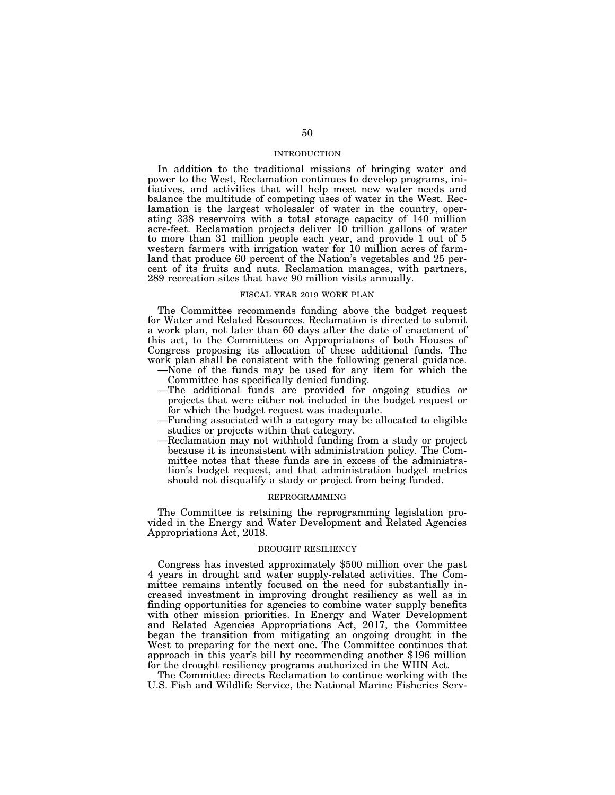## INTRODUCTION

In addition to the traditional missions of bringing water and power to the West, Reclamation continues to develop programs, initiatives, and activities that will help meet new water needs and balance the multitude of competing uses of water in the West. Reclamation is the largest wholesaler of water in the country, operating 338 reservoirs with a total storage capacity of 140 million acre-feet. Reclamation projects deliver 10 trillion gallons of water to more than 31 million people each year, and provide 1 out of 5 western farmers with irrigation water for 10 million acres of farmland that produce 60 percent of the Nation's vegetables and 25 percent of its fruits and nuts. Reclamation manages, with partners, 289 recreation sites that have 90 million visits annually.

#### FISCAL YEAR 2019 WORK PLAN

The Committee recommends funding above the budget request for Water and Related Resources. Reclamation is directed to submit a work plan, not later than 60 days after the date of enactment of this act, to the Committees on Appropriations of both Houses of Congress proposing its allocation of these additional funds. The work plan shall be consistent with the following general guidance.

- —None of the funds may be used for any item for which the Committee has specifically denied funding.
- —The additional funds are provided for ongoing studies or projects that were either not included in the budget request or for which the budget request was inadequate.
- —Funding associated with a category may be allocated to eligible studies or projects within that category.
- —Reclamation may not withhold funding from a study or project because it is inconsistent with administration policy. The Committee notes that these funds are in excess of the administration's budget request, and that administration budget metrics should not disqualify a study or project from being funded.

# REPROGRAMMING

The Committee is retaining the reprogramming legislation provided in the Energy and Water Development and Related Agencies Appropriations Act, 2018.

# DROUGHT RESILIENCY

Congress has invested approximately \$500 million over the past 4 years in drought and water supply-related activities. The Committee remains intently focused on the need for substantially increased investment in improving drought resiliency as well as in finding opportunities for agencies to combine water supply benefits with other mission priorities. In Energy and Water Development and Related Agencies Appropriations Act, 2017, the Committee began the transition from mitigating an ongoing drought in the West to preparing for the next one. The Committee continues that approach in this year's bill by recommending another \$196 million for the drought resiliency programs authorized in the WIIN Act.

The Committee directs Reclamation to continue working with the U.S. Fish and Wildlife Service, the National Marine Fisheries Serv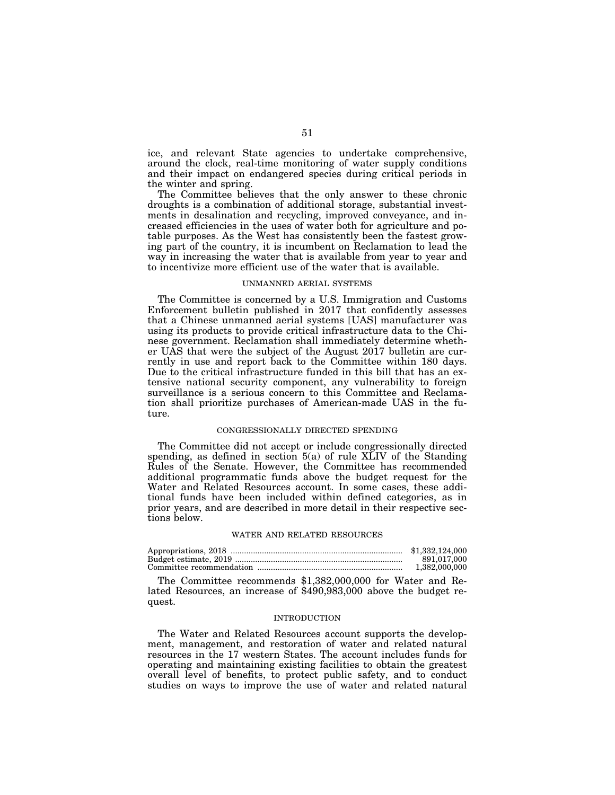ice, and relevant State agencies to undertake comprehensive, around the clock, real-time monitoring of water supply conditions and their impact on endangered species during critical periods in the winter and spring.

The Committee believes that the only answer to these chronic droughts is a combination of additional storage, substantial investments in desalination and recycling, improved conveyance, and increased efficiencies in the uses of water both for agriculture and potable purposes. As the West has consistently been the fastest growing part of the country, it is incumbent on Reclamation to lead the way in increasing the water that is available from year to year and to incentivize more efficient use of the water that is available.

#### UNMANNED AERIAL SYSTEMS

The Committee is concerned by a U.S. Immigration and Customs Enforcement bulletin published in 2017 that confidently assesses that a Chinese unmanned aerial systems [UAS] manufacturer was using its products to provide critical infrastructure data to the Chinese government. Reclamation shall immediately determine whether UAS that were the subject of the August 2017 bulletin are currently in use and report back to the Committee within 180 days. Due to the critical infrastructure funded in this bill that has an extensive national security component, any vulnerability to foreign surveillance is a serious concern to this Committee and Reclamation shall prioritize purchases of American-made UAS in the future.

## CONGRESSIONALLY DIRECTED SPENDING

The Committee did not accept or include congressionally directed spending, as defined in section 5(a) of rule XLIV of the Standing Rules of the Senate. However, the Committee has recommended additional programmatic funds above the budget request for the Water and Related Resources account. In some cases, these additional funds have been included within defined categories, as in prior years, and are described in more detail in their respective sections below.

#### WATER AND RELATED RESOURCES

| \$1,332,124,000 |
|-----------------|
| 891.017.000     |
| 1.382,000,000   |

The Committee recommends \$1,382,000,000 for Water and Related Resources, an increase of \$490,983,000 above the budget request.

# INTRODUCTION

The Water and Related Resources account supports the development, management, and restoration of water and related natural resources in the 17 western States. The account includes funds for operating and maintaining existing facilities to obtain the greatest overall level of benefits, to protect public safety, and to conduct studies on ways to improve the use of water and related natural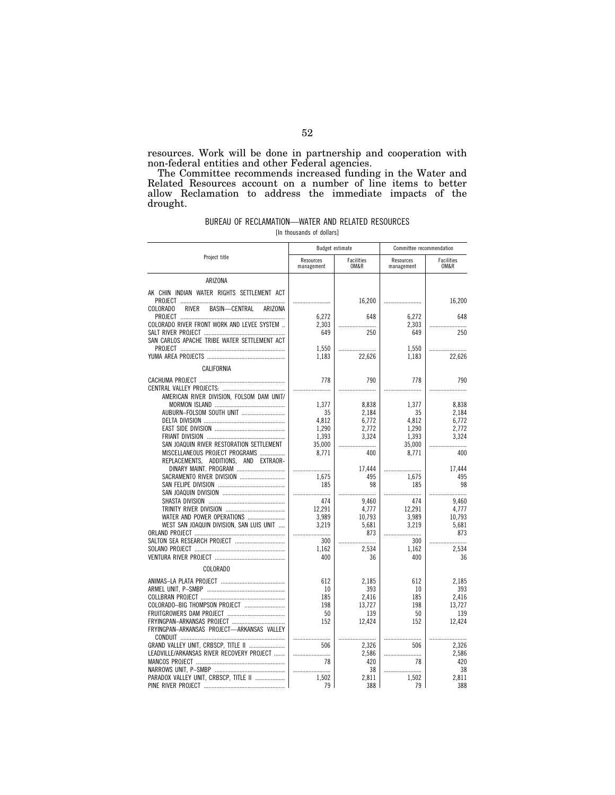resources. Work will be done in partnership and cooperation with non-federal entities and other Federal agencies.

The Committee recommends increased funding in the Water and Related Resources account on a number of line items to better allow Reclamation to address the immediate impacts of the drought.

## BUREAU OF RECLAMATION—WATER AND RELATED RESOURCES [In thousands of dollars]

| THE CHUUSAHUS UL UUHAIST |  |  |
|--------------------------|--|--|
|                          |  |  |

|                                                      | Budget estimate         |                    | Committee recommendation |                    |
|------------------------------------------------------|-------------------------|--------------------|--------------------------|--------------------|
| Project title                                        | Resources<br>management | Facilities<br>OM&R | Resources<br>management  | Facilities<br>OM&R |
| ARIZONA                                              |                         |                    |                          |                    |
| AK CHIN INDIAN WATER RIGHTS SETTLEMENT ACT           |                         |                    |                          |                    |
| PROJECT                                              |                         | 16,200             |                          | 16,200             |
| <b>COLORADO</b><br>BASIN-CENTRAL<br>RIVER<br>ARIZONA |                         |                    |                          |                    |
| COLORADO RIVER FRONT WORK AND LEVEE SYSTEM           | 6,272<br>2,303          | 648                | 6,272<br>2,303           | 648                |
|                                                      | 649                     | <br>250            | 649                      | 250                |
| SAN CARLOS APACHE TRIBE WATER SETTLEMENT ACT         |                         |                    |                          |                    |
|                                                      | 1,550                   |                    | 1.550                    |                    |
|                                                      | 1,183                   | 22,626             | 1,183                    | 22,626             |
| CALIFORNIA                                           |                         |                    |                          |                    |
|                                                      | 778                     | 790                | 778                      | 790                |
|                                                      |                         |                    |                          |                    |
| AMERICAN RIVER DIVISION, FOLSOM DAM UNIT/            |                         |                    |                          |                    |
|                                                      | 1,377                   | 8,838              | 1,377                    | 8,838              |
| AUBURN-FOLSOM SOUTH UNIT                             | 35                      | 2,184              | 35                       | 2,184              |
|                                                      | 4,812                   | 6.772              | 4,812                    | 6,772<br>2.772     |
|                                                      | 1,290                   | 2,772              | 1,290<br>1,393           | 3,324              |
| SAN JOAQUIN RIVER RESTORATION SETTLEMENT             | 1,393<br>35,000         | 3,324              | 35,000                   |                    |
| MISCELLANEOUS PROJECT PROGRAMS                       | 8,771                   | 400                | 8,771                    | 400                |
| REPLACEMENTS, ADDITIONS, AND EXTRAOR-                |                         |                    |                          |                    |
| DINARY MAINT. PROGRAM                                |                         | 17,444             |                          | 17,444             |
| SACRAMENTO RIVER DIVISION                            | 1.675                   | 495                | 1.675                    | 495                |
|                                                      | 185                     | 98                 | 185                      | 98                 |
|                                                      |                         | .                  |                          |                    |
|                                                      | 474                     | 9.460              | 474                      | 9,460              |
|                                                      | 12,291                  | 4,777              | 12,291                   | 4,777              |
| WATER AND POWER OPERATIONS                           | 3,989                   | 10,793             | 3,989                    | 10,793             |
| WEST SAN JOAQUIN DIVISION, SAN LUIS UNIT             | 3,219                   | 5,681              | 3,219                    | 5,681              |
|                                                      |                         | 873                |                          | 873                |
|                                                      | 300                     |                    | 300                      |                    |
|                                                      | 1,162<br>400            | 2,534<br>36        | 1,162<br>400             | 2,534<br>36        |
|                                                      |                         |                    |                          |                    |
| <b>COLORADO</b>                                      |                         |                    |                          |                    |
|                                                      | 612                     | 2,185              | 612                      | 2,185              |
|                                                      | 10                      | 393                | 10                       | 393                |
|                                                      | 185                     | 2,416              | 185                      | 2.416              |
|                                                      | 198                     | 13.727             | 198                      | 13.727             |
|                                                      | 50                      | 139                | 50                       | 139                |
|                                                      | 152                     | 12,424             | 152                      | 12,424             |
| FRYINGPAN-ARKANSAS PROJECT-ARKANSAS VALLEY           |                         |                    |                          |                    |
| GRAND VALLEY UNIT, CRBSCP, TITLE II                  | 506                     | 2.326              | 506                      | 2.326              |
| LEADVILLE/ARKANSAS RIVER RECOVERY PROJECT            |                         | 2,586              |                          | 2,586              |
|                                                      | 78                      | 420                | 78                       | 420                |
|                                                      |                         | 38                 |                          | 38                 |
| PARADOX VALLEY UNIT, CRBSCP, TITLE II                | 1,502                   | 2,811              | 1,502                    | 2,811              |
|                                                      | 79                      | 388                | 79                       | 388                |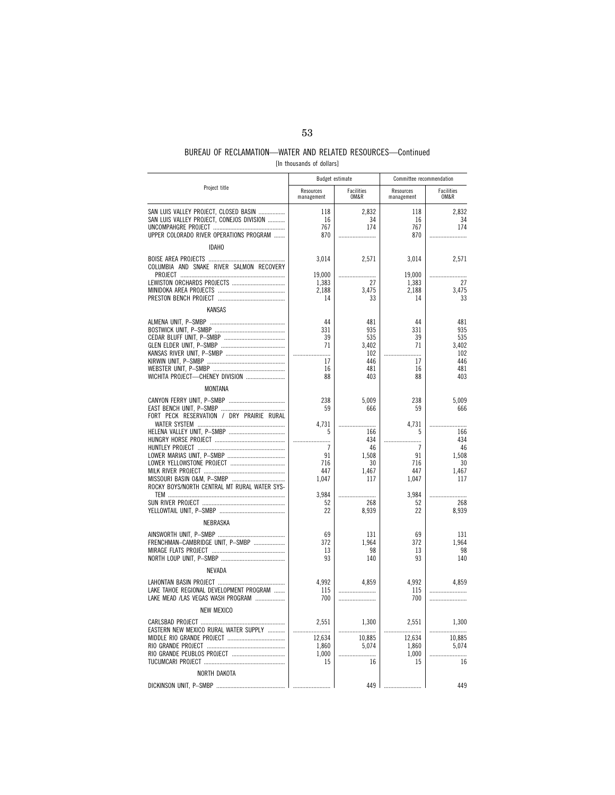# BUREAU OF RECLAMATION—WATER AND RELATED RESOURCES—Continued

| [In thousands of dollars] |  |
|---------------------------|--|
|---------------------------|--|

|                                              |                         | Budget estimate    | Committee recommendation |                    |
|----------------------------------------------|-------------------------|--------------------|--------------------------|--------------------|
| Project title                                | Resources<br>management | Facilities<br>OM&R | Resources<br>management  | Facilities<br>OM&R |
| SAN LUIS VALLEY PROJECT, CLOSED BASIN        | 118                     | 2.832              | 118                      | 2.832              |
| SAN LUIS VALLEY PROJECT, CONEJOS DIVISION    | 16                      | 34                 | 16                       | 34                 |
|                                              | 767                     | 174                | 767                      | 174                |
| UPPER COLORADO RIVER OPERATIONS PROGRAM      | 870                     |                    | 870                      |                    |
| <b>IDAHO</b>                                 |                         |                    |                          |                    |
|                                              | 3,014                   | 2,571              | 3,014                    | 2,571              |
| COLUMBIA AND SNAKE RIVER SALMON RECOVERY     |                         |                    |                          |                    |
|                                              | 19,000                  |                    | 19,000                   |                    |
|                                              | 1,383                   | 27                 | 1,383                    | 27                 |
|                                              | 2,188                   | 3.475              | 2,188                    | 3.475<br>33        |
|                                              | 14                      | 33                 | 14                       |                    |
| <b>KANSAS</b>                                |                         |                    |                          |                    |
|                                              | 44                      | 481                | 44                       | 481                |
|                                              | 331                     | 935                | 331                      | 935                |
|                                              | 39                      | 535                | 39                       | 535                |
|                                              | 71                      | 3.402              | 71                       | 3.402              |
|                                              |                         | 102                |                          | 102                |
|                                              | 17                      | 446                | 17                       | 446                |
|                                              | 16                      | 481                | 16                       | 481                |
| WICHITA PROJECT-CHENEY DIVISION              | 88                      | 403                | 88                       | 403                |
| <b>MONTANA</b>                               |                         |                    |                          |                    |
|                                              | 238                     | 5.009              | 238                      | 5,009              |
|                                              | 59                      | 666                | 59                       | 666                |
| FORT PECK RESERVATION / DRY PRAIRIE RURAL    |                         |                    |                          |                    |
|                                              | 4.731                   |                    | 4,731                    |                    |
|                                              | 5                       | 166                | 5                        | 166                |
|                                              |                         | 434                |                          | 434                |
|                                              | 7                       | 46                 | 7                        | 46                 |
|                                              | 91                      | 1,508              | 91                       | 1,508              |
|                                              | 716<br>447              | 30                 | 716<br>447               | 30<br>1.467        |
|                                              | 1,047                   | 1,467<br>117       | 1,047                    | 117                |
| ROCKY BOYS/NORTH CENTRAL MT RURAL WATER SYS- |                         |                    |                          |                    |
|                                              | 3,984                   |                    | 3,984                    |                    |
|                                              | 52                      | 268                | 52                       | 268                |
|                                              | 22                      | 8,939              | 22                       | 8,939              |
| NEBRASKA                                     |                         |                    |                          |                    |
|                                              |                         |                    |                          |                    |
|                                              | 69                      | 131                | 69                       | 131                |
| FRENCHMAN-CAMBRIDGE UNIT, P-SMBP             | 372                     | 1,964              | 372                      | 1,964              |
|                                              | 13<br>93                | 98                 | 13<br>93                 | 98<br>140          |
|                                              |                         | 140                |                          |                    |
| NEVADA                                       |                         |                    |                          |                    |
|                                              | 4,992                   | 4,859              | 4,992                    | 4,859              |
| LAKE TAHOE REGIONAL DEVELOPMENT PROGRAM      | 115                     |                    | 115                      |                    |
| LAKE MEAD /LAS VEGAS WASH PROGRAM            | 700                     |                    | 700                      |                    |
| <b>NEW MEXICO</b>                            |                         |                    |                          |                    |
|                                              | 2.551                   | 1,300              | 2,551                    | 1,300              |
| EASTERN NEW MEXICO RURAL WATER SUPPLY        | .                       | .                  | .                        | .                  |
|                                              | 12,634                  | 10,885             | 12,634                   | 10,885             |
|                                              | 1,860                   | 5,074              | 1,860                    | 5,074              |
|                                              | 1,000                   |                    | 1,000                    |                    |
|                                              | 15                      | 16                 | 15                       | 16                 |
| NORTH DAKOTA                                 |                         |                    |                          |                    |
| DICKINSON UNIT, P-SMBP                       |                         | 449                |                          | 449                |
|                                              |                         |                    |                          |                    |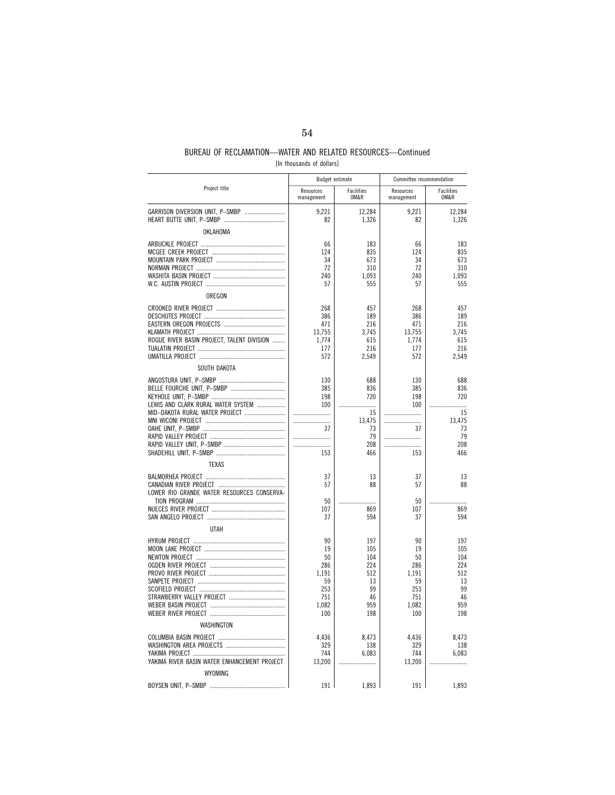# BUREAU OF RECLAMATION—WATER AND RELATED RESOURCES—Continued

| [In thousands of dollars] |  |  |
|---------------------------|--|--|
|---------------------------|--|--|

|                                              |                         | Budget estimate    | Committee recommendation |                    |
|----------------------------------------------|-------------------------|--------------------|--------------------------|--------------------|
| Project title                                | Resources<br>management | Facilities<br>OM&R | Resources<br>management  | Facilities<br>OM&R |
| GARRISON DIVERSION UNIT, P-SMBP              | 9,221                   | 12,284             | 9,221                    | 12,284             |
| OKLAHOMA                                     | 82                      | 1,326              | 82                       | 1,326              |
|                                              | 66                      | 183                | 66                       | 183                |
|                                              | 124                     | 835                | 124                      | 835                |
|                                              | 34                      | 673                | 34                       | 673                |
|                                              | 72                      | 310                | 72                       | 310                |
|                                              | 240                     | 1,093              | 240                      | 1,093              |
|                                              | 57                      | 555                | 57                       | 555                |
| OREGON                                       |                         |                    |                          |                    |
|                                              | 268                     | 457                | 268                      | 457                |
|                                              | 386                     | 189                | 386                      | 189                |
|                                              | 471                     | 216                | 471                      | 216                |
|                                              | 13,755                  | 3,745              | 13,755                   | 3,745              |
| ROGUE RIVER BASIN PROJECT, TALENT DIVISION   | 1,774<br>177            | 615<br>216         | 1.774<br>177             | 615<br>216         |
|                                              | 572                     | 2,549              | 572                      | 2,549              |
| SOUTH DAKOTA                                 |                         |                    |                          |                    |
|                                              | 130                     | 688                | 130                      | 688                |
|                                              | 385                     | 836                | 385                      | 836                |
|                                              | 198                     | 720                | 198                      | 720                |
| LEWIS AND CLARK RURAL WATER SYSTEM           | 100                     |                    | 100                      |                    |
| MID-DAKOTA RURAL WATER PROJECT               |                         | 15                 |                          | 15                 |
|                                              |                         | 13,475             |                          | 13,475             |
|                                              | 37                      | 73                 | 37                       | 73<br>79           |
|                                              |                         | 79<br>208          |                          | 208                |
|                                              | 153                     | 466                | 153                      | 466                |
| <b>TEXAS</b>                                 |                         |                    |                          |                    |
|                                              | 37                      | 13                 | 37                       | 13                 |
|                                              | 57                      | 88                 | 57                       | 88                 |
| LOWER RIO GRANDE WATER RESOURCES CONSERVA-   |                         |                    |                          |                    |
|                                              | 50                      |                    | 50                       |                    |
|                                              | 107                     | 869                | 107                      | 869                |
|                                              | 37                      | 594                | 37                       | 594                |
| <b>UTAH</b>                                  |                         |                    |                          |                    |
|                                              | 90                      | 197                | 90                       | 197                |
|                                              | 19                      | 105                | 19                       | 105                |
|                                              | 50<br>286               | 104<br>224         | 50<br>286                | 104<br>224         |
|                                              | 1,191                   | 512                | 1,191                    | 512                |
|                                              | 59                      | 13                 | 59                       | 13                 |
|                                              | 253                     | 99                 | 253                      | 99                 |
|                                              | 751                     | 46                 | 751                      | 46                 |
|                                              | 1,082                   | 959                | 1,082                    | 959                |
|                                              | 100                     | 198                | 100                      | 198                |
| WASHINGTON                                   |                         |                    |                          |                    |
|                                              | 4,436                   | 8,473              | 4,436                    | 8,473              |
|                                              | 329                     | 138                | 329                      | 138                |
|                                              | 744                     | 6,083              | 744                      | 6,083              |
| YAKIMA RIVER BASIN WATER ENHANCEMENT PROJECT | 13,200                  |                    | 13,200                   |                    |
| WYOMING                                      |                         |                    |                          |                    |
| BOYSEN UNIT, P-SMBP                          | 191                     | 1,893              | 191                      | 1,893              |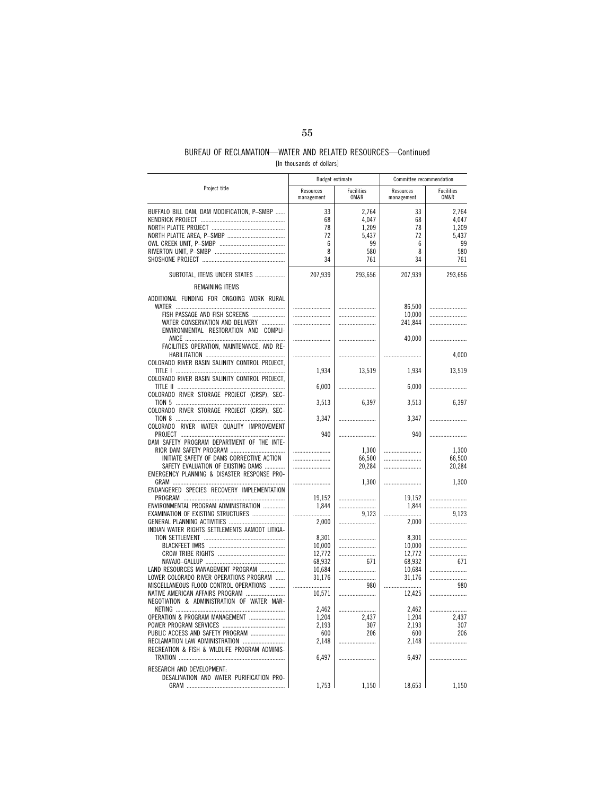# BUREAU OF RECLAMATION—WATER AND RELATED RESOURCES—Continued

| [In thousands of dollars] |  |
|---------------------------|--|
|---------------------------|--|

|                                                |                         | <b>Budget estimate</b> | Committee recommendation |                    |
|------------------------------------------------|-------------------------|------------------------|--------------------------|--------------------|
| Project title                                  | Resources<br>management | Facilities<br>OM&R     | Resources<br>management  | Facilities<br>OM&R |
| BUFFALO BILL DAM, DAM MODIFICATION, P-SMBP     | 33                      | 2,764                  | 33                       | 2,764              |
|                                                | 68                      | 4,047                  | 68                       | 4,047              |
|                                                | 78                      | 1,209                  | 78                       | 1,209              |
|                                                | 72                      | 5,437                  | 72                       | 5,437              |
|                                                | 6                       | 99                     | 6                        | 99                 |
|                                                |                         |                        | 8                        |                    |
|                                                | 8                       | 580                    | 34                       | 580                |
|                                                | 34                      | 761                    |                          | 761                |
|                                                |                         |                        |                          |                    |
| SUBTOTAL, ITEMS UNDER STATES                   | 207,939                 | 293,656                | 207,939                  | 293,656            |
| REMAINING ITEMS                                |                         |                        |                          |                    |
| ADDITIONAL FUNDING FOR ONGOING WORK RURAL      |                         |                        | 86,500                   |                    |
| FISH PASSAGE AND FISH SCREENS                  |                         |                        | 10,000                   |                    |
| WATER CONSERVATION AND DELIVERY<br>            |                         |                        | 241,844                  |                    |
| ENVIRONMENTAL RESTORATION AND COMPLI-          |                         |                        |                          |                    |
|                                                |                         |                        |                          |                    |
| FACILITIES OPERATION, MAINTENANCE, AND RE-     |                         |                        | 40,000                   |                    |
|                                                |                         |                        |                          | 4,000              |
| COLORADO RIVER BASIN SALINITY CONTROL PROJECT, |                         |                        |                          |                    |
|                                                | 1,934                   | 13,519                 | 1,934                    | 13,519             |
| COLORADO RIVER BASIN SALINITY CONTROL PROJECT, |                         |                        |                          |                    |
|                                                | 6,000                   |                        | 6,000                    | .                  |
| COLORADO RIVER STORAGE PROJECT (CRSP), SEC-    |                         |                        |                          |                    |
|                                                | 3,513                   | 6,397                  | 3,513                    | 6,397              |
| COLORADO RIVER STORAGE PROJECT (CRSP), SEC-    |                         |                        |                          |                    |
|                                                | 3,347                   |                        | 3,347                    |                    |
| COLORADO RIVER WATER QUALITY IMPROVEMENT       |                         |                        |                          |                    |
|                                                | 940                     |                        | 940                      |                    |
| DAM SAFETY PROGRAM DEPARTMENT OF THE INTE-     |                         |                        |                          |                    |
|                                                |                         | 1,300                  |                          | 1,300              |
| INITIATE SAFETY OF DAMS CORRECTIVE ACTION      |                         | 66,500                 |                          | 66,500             |
| SAFETY EVALUATION OF EXISTING DAMS             |                         | 20,284                 |                          | 20,284             |
| EMERGENCY PLANNING & DISASTER RESPONSE PRO-    |                         |                        |                          |                    |
|                                                |                         | 1,300                  |                          | 1,300              |
| ENDANGERED SPECIES RECOVERY IMPLEMENTATION     |                         |                        |                          |                    |
|                                                |                         |                        |                          |                    |
|                                                | 19,152                  |                        | 19,152                   |                    |
| ENVIRONMENTAL PROGRAM ADMINISTRATION           | 1.844                   |                        | 1,844                    |                    |
| EXAMINATION OF EXISTING STRUCTURES             |                         | 9,123                  |                          | 9,123              |
|                                                | 2,000                   |                        | 2,000                    |                    |
| INDIAN WATER RIGHTS SETTLEMENTS AAMODT LITIGA- |                         |                        |                          |                    |
|                                                | 8,301                   |                        | 8,301                    |                    |
|                                                | 10,000                  |                        | 10,000                   |                    |
|                                                | 12,772                  |                        | 12,772                   |                    |
|                                                | 68,932                  | 671                    | 68,932                   | 671                |
| LAND RESOURCES MANAGEMENT PROGRAM              | 10,684                  |                        | 10,684                   |                    |
| LOWER COLORADO RIVER OPERATIONS PROGRAM        | 31,176                  |                        | 31,176                   |                    |
| MISCELLANEOUS FLOOD CONTROL OPERATIONS         |                         | 980                    | .                        | 980                |
| NATIVE AMERICAN AFFAIRS PROGRAM                | 10,571                  |                        | 12,425                   |                    |
| NEGOTIATION & ADMINISTRATION OF WATER MAR-     |                         |                        |                          |                    |
|                                                | 2,462                   |                        | 2,462                    |                    |
| OPERATION & PROGRAM MANAGEMENT                 | 1,204                   | 2,437                  | 1,204                    | 2,437              |
|                                                | 2,193                   | 307                    | 2,193                    | 307                |
|                                                |                         | 206                    |                          | 206                |
| PUBLIC ACCESS AND SAFETY PROGRAM               | 600                     |                        | 600                      |                    |
| RECLAMATION LAW ADMINISTRATION                 | 2,148                   |                        | 2,148                    |                    |
| RECREATION & FISH & WILDLIFE PROGRAM ADMINIS-  |                         |                        |                          |                    |
|                                                | 6,497                   |                        | 6,497                    |                    |
| RESEARCH AND DEVELOPMENT:                      |                         |                        |                          |                    |
| DESALINATION AND WATER PURIFICATION PRO-       |                         |                        |                          |                    |
| GRAM                                           | 1,753                   | 1,150                  | 18,653                   | 1,150              |
|                                                |                         |                        |                          |                    |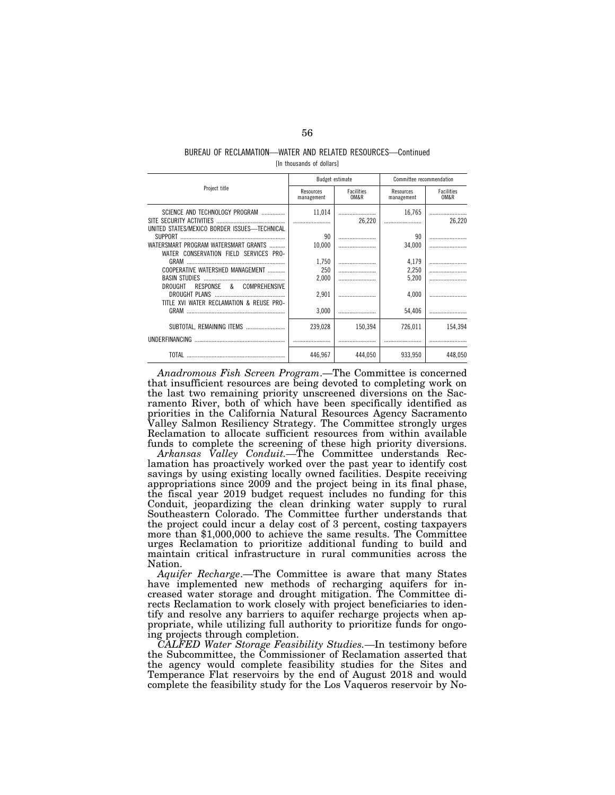## BUREAU OF RECLAMATION—WATER AND RELATED RESOURCES—Continued [In thousands of dollars]

|                                                                                                                      | Budget estimate         |                           | Committee recommendation |                           |
|----------------------------------------------------------------------------------------------------------------------|-------------------------|---------------------------|--------------------------|---------------------------|
| Project title                                                                                                        | Resources<br>management | <b>Facilities</b><br>OM&R | Resources<br>management  | <b>Facilities</b><br>OM&R |
| SCIENCE AND TECHNOLOGY PROGRAM<br>UNITED STATES/MEXICO BORDER ISSUES-TECHNICAL                                       | 11.014                  | 26.220                    | 16.765                   | 26.220                    |
|                                                                                                                      | 90                      |                           | 90                       |                           |
| WATERSMART PROGRAM WATERSMART GRANTS                                                                                 | 10.000                  |                           | 34.000                   |                           |
| WATER CONSERVATION FIELD SERVICES PRO-                                                                               |                         |                           |                          |                           |
|                                                                                                                      | 1.750                   |                           | 4,179                    |                           |
| COOPERATIVE WATERSHED MANAGEMENT                                                                                     | 250                     |                           | 2,250                    |                           |
|                                                                                                                      | 2.000                   |                           | 5,200                    |                           |
| DROUGHT<br>RESPONSE<br><b>COMPREHENSIVE</b><br>$\alpha$<br>DROUGHT PLANS<br>TITLE XVI WATER RECLAMATION & REUSE PRO- | 2.901                   |                           | 4,000                    |                           |
|                                                                                                                      | 3.000                   |                           | 54,406                   |                           |
| SUBTOTAL, REMAINING ITEMS                                                                                            | 239.028                 | 150.394                   | 726,011                  | 154.394                   |
| <b>UNDERFINANCING</b>                                                                                                |                         |                           |                          |                           |
|                                                                                                                      | 446.967                 | 444.050                   | 933.950                  | 448.050                   |

*Anadromous Fish Screen Program*.—The Committee is concerned that insufficient resources are being devoted to completing work on the last two remaining priority unscreened diversions on the Sacramento River, both of which have been specifically identified as priorities in the California Natural Resources Agency Sacramento Valley Salmon Resiliency Strategy. The Committee strongly urges Reclamation to allocate sufficient resources from within available funds to complete the screening of these high priority diversions.

*Arkansas Valley Conduit.—*The Committee understands Reclamation has proactively worked over the past year to identify cost savings by using existing locally owned facilities. Despite receiving appropriations since 2009 and the project being in its final phase, the fiscal year 2019 budget request includes no funding for this Conduit, jeopardizing the clean drinking water supply to rural Southeastern Colorado. The Committee further understands that the project could incur a delay cost of 3 percent, costing taxpayers more than \$1,000,000 to achieve the same results. The Committee urges Reclamation to prioritize additional funding to build and maintain critical infrastructure in rural communities across the Nation.

*Aquifer Recharge*.—The Committee is aware that many States have implemented new methods of recharging aquifers for increased water storage and drought mitigation. The Committee directs Reclamation to work closely with project beneficiaries to identify and resolve any barriers to aquifer recharge projects when appropriate, while utilizing full authority to prioritize funds for ongoing projects through completion.

*CALFED Water Storage Feasibility Studies.—*In testimony before the Subcommittee, the Commissioner of Reclamation asserted that the agency would complete feasibility studies for the Sites and Temperance Flat reservoirs by the end of August 2018 and would complete the feasibility study for the Los Vaqueros reservoir by No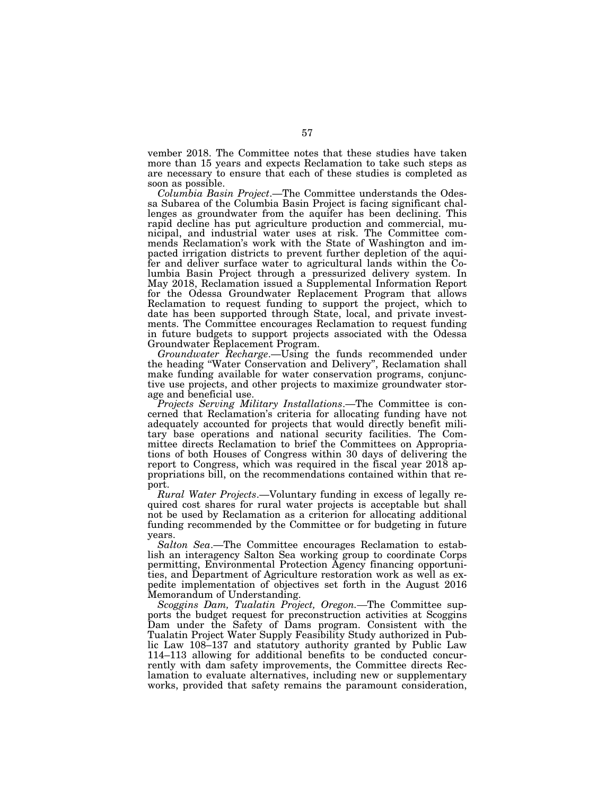vember 2018. The Committee notes that these studies have taken more than 15 years and expects Reclamation to take such steps as are necessary to ensure that each of these studies is completed as soon as possible.

*Columbia Basin Project*.—The Committee understands the Odessa Subarea of the Columbia Basin Project is facing significant challenges as groundwater from the aquifer has been declining. This rapid decline has put agriculture production and commercial, municipal, and industrial water uses at risk. The Committee commends Reclamation's work with the State of Washington and impacted irrigation districts to prevent further depletion of the aquifer and deliver surface water to agricultural lands within the Columbia Basin Project through a pressurized delivery system. In May 2018, Reclamation issued a Supplemental Information Report for the Odessa Groundwater Replacement Program that allows Reclamation to request funding to support the project, which to date has been supported through State, local, and private investments. The Committee encourages Reclamation to request funding in future budgets to support projects associated with the Odessa Groundwater Replacement Program.

*Groundwater Recharge*.—Using the funds recommended under the heading ''Water Conservation and Delivery'', Reclamation shall make funding available for water conservation programs, conjunctive use projects, and other projects to maximize groundwater storage and beneficial use.

*Projects Serving Military Installations*.—The Committee is concerned that Reclamation's criteria for allocating funding have not adequately accounted for projects that would directly benefit military base operations and national security facilities. The Committee directs Reclamation to brief the Committees on Appropriations of both Houses of Congress within 30 days of delivering the report to Congress, which was required in the fiscal year 2018 appropriations bill, on the recommendations contained within that report.

*Rural Water Projects*.—Voluntary funding in excess of legally required cost shares for rural water projects is acceptable but shall not be used by Reclamation as a criterion for allocating additional funding recommended by the Committee or for budgeting in future years.

*Salton Sea*.—The Committee encourages Reclamation to establish an interagency Salton Sea working group to coordinate Corps permitting, Environmental Protection Agency financing opportunities, and Department of Agriculture restoration work as well as expedite implementation of objectives set forth in the August 2016 Memorandum of Understanding.

*Scoggins Dam, Tualatin Project, Oregon.—*The Committee supports the budget request for preconstruction activities at Scoggins Dam under the Safety of Dams program. Consistent with the Tualatin Project Water Supply Feasibility Study authorized in Public Law 108–137 and statutory authority granted by Public Law 114–113 allowing for additional benefits to be conducted concurrently with dam safety improvements, the Committee directs Reclamation to evaluate alternatives, including new or supplementary works, provided that safety remains the paramount consideration,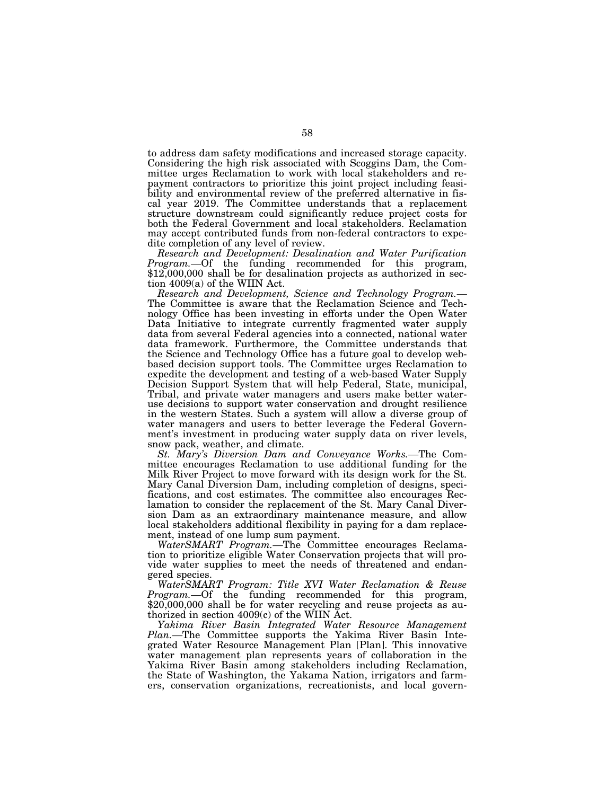to address dam safety modifications and increased storage capacity. Considering the high risk associated with Scoggins Dam, the Committee urges Reclamation to work with local stakeholders and repayment contractors to prioritize this joint project including feasibility and environmental review of the preferred alternative in fiscal year 2019. The Committee understands that a replacement structure downstream could significantly reduce project costs for both the Federal Government and local stakeholders. Reclamation may accept contributed funds from non-federal contractors to expedite completion of any level of review.

*Research and Development: Desalination and Water Purification Program.*—Of the funding recommended for this program, \$12,000,000 shall be for desalination projects as authorized in section 4009(a) of the WIIN Act.

*Research and Development, Science and Technology Program.—*  The Committee is aware that the Reclamation Science and Technology Office has been investing in efforts under the Open Water Data Initiative to integrate currently fragmented water supply data from several Federal agencies into a connected, national water data framework. Furthermore, the Committee understands that the Science and Technology Office has a future goal to develop webbased decision support tools. The Committee urges Reclamation to expedite the development and testing of a web-based Water Supply Decision Support System that will help Federal, State, municipal, Tribal, and private water managers and users make better wateruse decisions to support water conservation and drought resilience in the western States. Such a system will allow a diverse group of water managers and users to better leverage the Federal Government's investment in producing water supply data on river levels, snow pack, weather, and climate.

*St. Mary's Diversion Dam and Conveyance Works.—*The Committee encourages Reclamation to use additional funding for the Milk River Project to move forward with its design work for the St. Mary Canal Diversion Dam, including completion of designs, specifications, and cost estimates. The committee also encourages Reclamation to consider the replacement of the St. Mary Canal Diversion Dam as an extraordinary maintenance measure, and allow local stakeholders additional flexibility in paying for a dam replacement, instead of one lump sum payment.

*WaterSMART Program.—*The Committee encourages Reclamation to prioritize eligible Water Conservation projects that will provide water supplies to meet the needs of threatened and endangered species.

*WaterSMART Program: Title XVI Water Reclamation & Reuse Program.—*Of the funding recommended for this program, \$20,000,000 shall be for water recycling and reuse projects as authorized in section 4009(c) of the WIIN Act.

*Yakima River Basin Integrated Water Resource Management Plan.—*The Committee supports the Yakima River Basin Integrated Water Resource Management Plan [Plan]. This innovative water management plan represents years of collaboration in the Yakima River Basin among stakeholders including Reclamation, the State of Washington, the Yakama Nation, irrigators and farmers, conservation organizations, recreationists, and local govern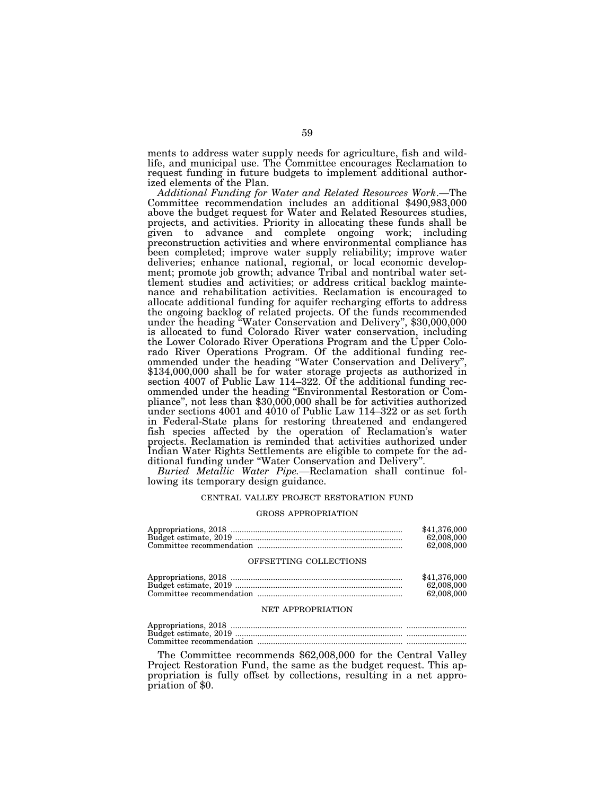ments to address water supply needs for agriculture, fish and wildlife, and municipal use. The Committee encourages Reclamation to request funding in future budgets to implement additional authorized elements of the Plan.

*Additional Funding for Water and Related Resources Work*.—The Committee recommendation includes an additional \$490,983,000 above the budget request for Water and Related Resources studies, projects, and activities. Priority in allocating these funds shall be given to advance and complete ongoing work; including preconstruction activities and where environmental compliance has been completed; improve water supply reliability; improve water deliveries; enhance national, regional, or local economic development; promote job growth; advance Tribal and nontribal water settlement studies and activities; or address critical backlog maintenance and rehabilitation activities. Reclamation is encouraged to allocate additional funding for aquifer recharging efforts to address the ongoing backlog of related projects. Of the funds recommended under the heading ''Water Conservation and Delivery'', \$30,000,000 is allocated to fund Colorado River water conservation, including the Lower Colorado River Operations Program and the Upper Colorado River Operations Program. Of the additional funding recommended under the heading ''Water Conservation and Delivery'', \$134,000,000 shall be for water storage projects as authorized in section 4007 of Public Law 114–322. Of the additional funding recommended under the heading ''Environmental Restoration or Compliance'', not less than \$30,000,000 shall be for activities authorized under sections 4001 and 4010 of Public Law 114–322 or as set forth in Federal-State plans for restoring threatened and endangered fish species affected by the operation of Reclamation's water projects. Reclamation is reminded that activities authorized under Indian Water Rights Settlements are eligible to compete for the additional funding under ''Water Conservation and Delivery''.

*Buried Metallic Water Pipe.—*Reclamation shall continue following its temporary design guidance.

#### CENTRAL VALLEY PROJECT RESTORATION FUND

#### GROSS APPROPRIATION

| \$41.376,000 |
|--------------|
| 62,008,000   |
| 62,008,000   |

#### OFFSETTING COLLECTIONS

| \$41,376,000 |
|--------------|
| 62,008,000   |
| 62,008,000   |

#### NET APPROPRIATION

The Committee recommends \$62,008,000 for the Central Valley Project Restoration Fund, the same as the budget request. This appropriation is fully offset by collections, resulting in a net appropriation of \$0.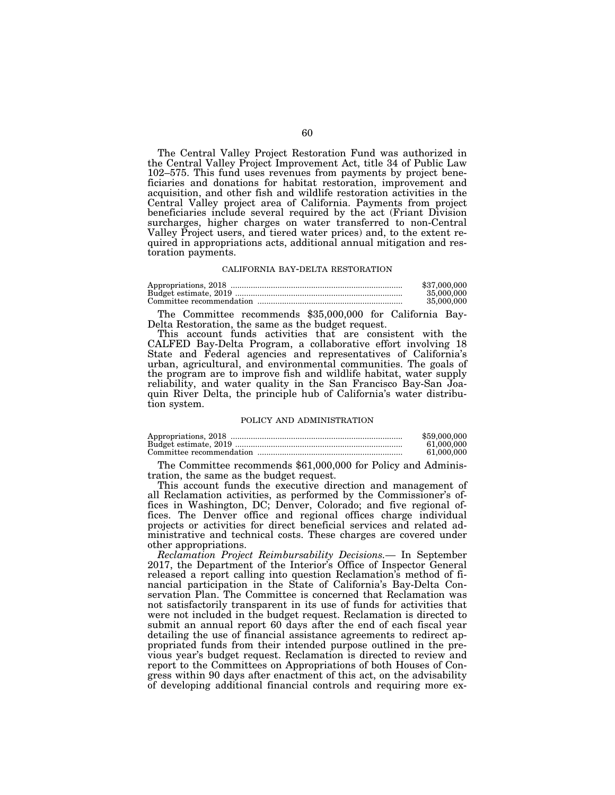The Central Valley Project Restoration Fund was authorized in the Central Valley Project Improvement Act, title 34 of Public Law 102–575. This fund uses revenues from payments by project beneficiaries and donations for habitat restoration, improvement and acquisition, and other fish and wildlife restoration activities in the Central Valley project area of California. Payments from project beneficiaries include several required by the act (Friant Division surcharges, higher charges on water transferred to non-Central Valley Project users, and tiered water prices) and, to the extent required in appropriations acts, additional annual mitigation and restoration payments.

#### CALIFORNIA BAY-DELTA RESTORATION

| \$37,000,000 |
|--------------|
| 35,000,000   |
| 35,000,000   |

The Committee recommends \$35,000,000 for California Bay-Delta Restoration, the same as the budget request.

This account funds activities that are consistent with the CALFED Bay-Delta Program, a collaborative effort involving 18 State and Federal agencies and representatives of California's urban, agricultural, and environmental communities. The goals of the program are to improve fish and wildlife habitat, water supply reliability, and water quality in the San Francisco Bay-San Joaquin River Delta, the principle hub of California's water distribution system.

#### POLICY AND ADMINISTRATION

| \$59,000,000 |
|--------------|
| 61.000.000   |
| 61.000.000   |

The Committee recommends \$61,000,000 for Policy and Administration, the same as the budget request.

This account funds the executive direction and management of all Reclamation activities, as performed by the Commissioner's offices in Washington, DC; Denver, Colorado; and five regional offices. The Denver office and regional offices charge individual projects or activities for direct beneficial services and related administrative and technical costs. These charges are covered under other appropriations.

*Reclamation Project Reimbursability Decisions.—* In September 2017, the Department of the Interior's Office of Inspector General released a report calling into question Reclamation's method of financial participation in the State of California's Bay-Delta Conservation Plan. The Committee is concerned that Reclamation was not satisfactorily transparent in its use of funds for activities that were not included in the budget request. Reclamation is directed to submit an annual report 60 days after the end of each fiscal year detailing the use of financial assistance agreements to redirect appropriated funds from their intended purpose outlined in the previous year's budget request. Reclamation is directed to review and report to the Committees on Appropriations of both Houses of Congress within 90 days after enactment of this act, on the advisability of developing additional financial controls and requiring more ex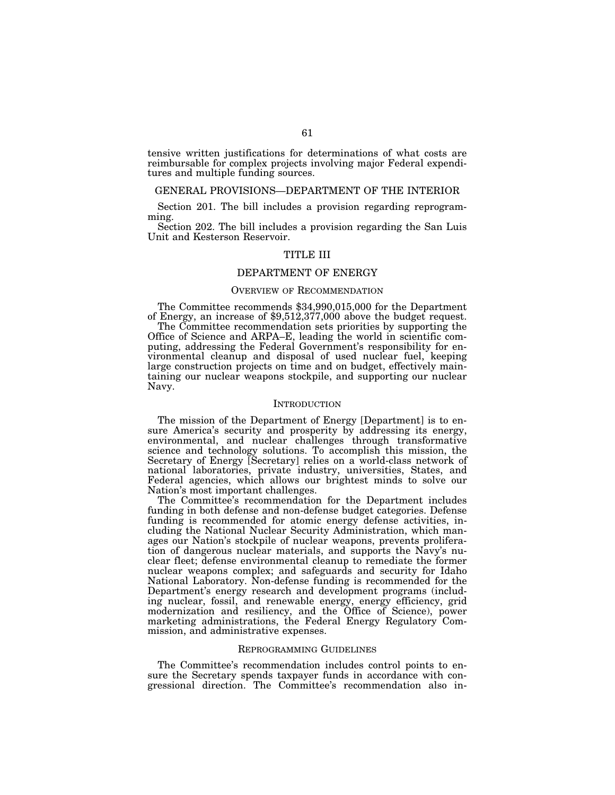tensive written justifications for determinations of what costs are reimbursable for complex projects involving major Federal expenditures and multiple funding sources.

# GENERAL PROVISIONS—DEPARTMENT OF THE INTERIOR

Section 201. The bill includes a provision regarding reprogramming.

Section 202. The bill includes a provision regarding the San Luis Unit and Kesterson Reservoir.

# TITLE III

# DEPARTMENT OF ENERGY

# OVERVIEW OF RECOMMENDATION

The Committee recommends \$34,990,015,000 for the Department of Energy, an increase of \$9,512,377,000 above the budget request.

The Committee recommendation sets priorities by supporting the Office of Science and ARPA–E, leading the world in scientific computing, addressing the Federal Government's responsibility for environmental cleanup and disposal of used nuclear fuel, keeping large construction projects on time and on budget, effectively maintaining our nuclear weapons stockpile, and supporting our nuclear Navy.

# **INTRODUCTION**

The mission of the Department of Energy [Department] is to ensure America's security and prosperity by addressing its energy, environmental, and nuclear challenges through transformative science and technology solutions. To accomplish this mission, the Secretary of Energy [Secretary] relies on a world-class network of national laboratories, private industry, universities, States, and Federal agencies, which allows our brightest minds to solve our Nation's most important challenges.

The Committee's recommendation for the Department includes funding in both defense and non-defense budget categories. Defense funding is recommended for atomic energy defense activities, including the National Nuclear Security Administration, which manages our Nation's stockpile of nuclear weapons, prevents proliferation of dangerous nuclear materials, and supports the Navy's nuclear fleet; defense environmental cleanup to remediate the former nuclear weapons complex; and safeguards and security for Idaho National Laboratory. Non-defense funding is recommended for the Department's energy research and development programs (including nuclear, fossil, and renewable energy, energy efficiency, grid modernization and resiliency, and the Office of Science), power marketing administrations, the Federal Energy Regulatory Commission, and administrative expenses.

#### REPROGRAMMING GUIDELINES

The Committee's recommendation includes control points to ensure the Secretary spends taxpayer funds in accordance with congressional direction. The Committee's recommendation also in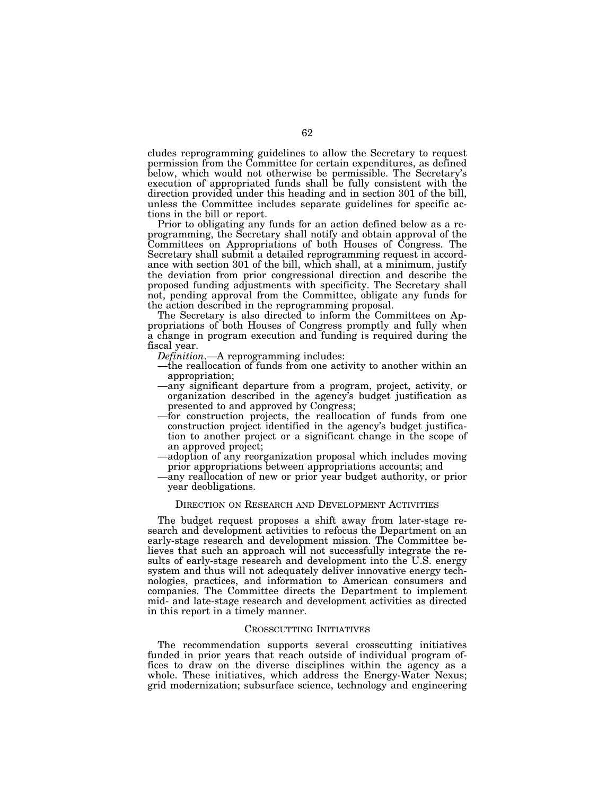cludes reprogramming guidelines to allow the Secretary to request permission from the Committee for certain expenditures, as defined below, which would not otherwise be permissible. The Secretary's execution of appropriated funds shall be fully consistent with the direction provided under this heading and in section 301 of the bill, unless the Committee includes separate guidelines for specific actions in the bill or report.

Prior to obligating any funds for an action defined below as a reprogramming, the Secretary shall notify and obtain approval of the Committees on Appropriations of both Houses of Congress. The Secretary shall submit a detailed reprogramming request in accordance with section 301 of the bill, which shall, at a minimum, justify the deviation from prior congressional direction and describe the proposed funding adjustments with specificity. The Secretary shall not, pending approval from the Committee, obligate any funds for the action described in the reprogramming proposal.

The Secretary is also directed to inform the Committees on Appropriations of both Houses of Congress promptly and fully when a change in program execution and funding is required during the fiscal year.

*Definition*.—A reprogramming includes:

- —the reallocation of funds from one activity to another within an appropriation;
- —any significant departure from a program, project, activity, or organization described in the agency's budget justification as presented to and approved by Congress;
- —for construction projects, the reallocation of funds from one construction project identified in the agency's budget justification to another project or a significant change in the scope of an approved project;
- —adoption of any reorganization proposal which includes moving prior appropriations between appropriations accounts; and
- —any reallocation of new or prior year budget authority, or prior year deobligations.

# DIRECTION ON RESEARCH AND DEVELOPMENT ACTIVITIES

The budget request proposes a shift away from later-stage research and development activities to refocus the Department on an early-stage research and development mission. The Committee believes that such an approach will not successfully integrate the results of early-stage research and development into the U.S. energy system and thus will not adequately deliver innovative energy technologies, practices, and information to American consumers and companies. The Committee directs the Department to implement mid- and late-stage research and development activities as directed in this report in a timely manner.

## CROSSCUTTING INITIATIVES

The recommendation supports several crosscutting initiatives funded in prior years that reach outside of individual program offices to draw on the diverse disciplines within the agency as a whole. These initiatives, which address the Energy-Water Nexus; grid modernization; subsurface science, technology and engineering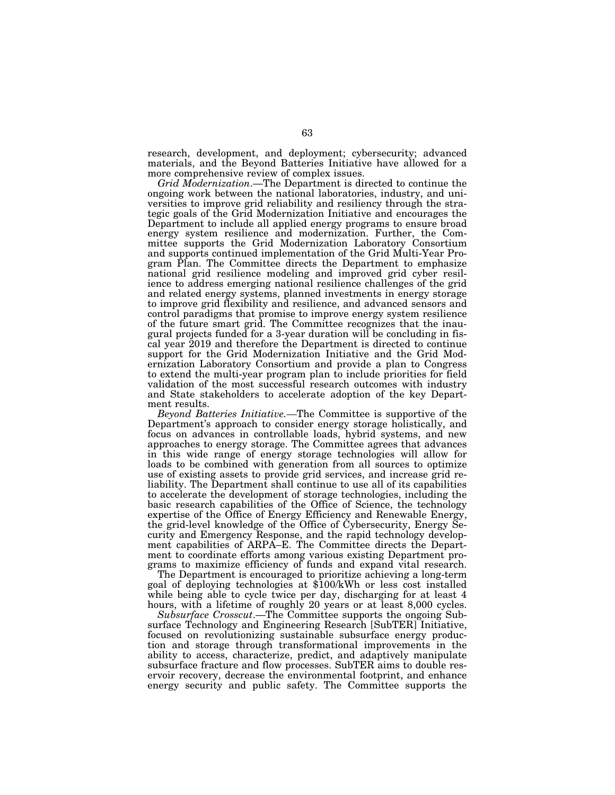research, development, and deployment; cybersecurity; advanced materials, and the Beyond Batteries Initiative have allowed for a more comprehensive review of complex issues.

*Grid Modernization*.—The Department is directed to continue the ongoing work between the national laboratories, industry, and universities to improve grid reliability and resiliency through the strategic goals of the Grid Modernization Initiative and encourages the Department to include all applied energy programs to ensure broad energy system resilience and modernization. Further, the Committee supports the Grid Modernization Laboratory Consortium and supports continued implementation of the Grid Multi-Year Program Plan. The Committee directs the Department to emphasize national grid resilience modeling and improved grid cyber resilience to address emerging national resilience challenges of the grid and related energy systems, planned investments in energy storage to improve grid flexibility and resilience, and advanced sensors and control paradigms that promise to improve energy system resilience of the future smart grid. The Committee recognizes that the inaugural projects funded for a 3-year duration will be concluding in fiscal year 2019 and therefore the Department is directed to continue support for the Grid Modernization Initiative and the Grid Modernization Laboratory Consortium and provide a plan to Congress to extend the multi-year program plan to include priorities for field validation of the most successful research outcomes with industry and State stakeholders to accelerate adoption of the key Department results.

*Beyond Batteries Initiative.—*The Committee is supportive of the Department's approach to consider energy storage holistically, and focus on advances in controllable loads, hybrid systems, and new approaches to energy storage. The Committee agrees that advances in this wide range of energy storage technologies will allow for loads to be combined with generation from all sources to optimize use of existing assets to provide grid services, and increase grid reliability. The Department shall continue to use all of its capabilities to accelerate the development of storage technologies, including the basic research capabilities of the Office of Science, the technology expertise of the Office of Energy Efficiency and Renewable Energy, the grid-level knowledge of the Office of Cybersecurity, Energy Security and Emergency Response, and the rapid technology development capabilities of ARPA–E. The Committee directs the Department to coordinate efforts among various existing Department programs to maximize efficiency of funds and expand vital research.

The Department is encouraged to prioritize achieving a long-term goal of deploying technologies at \$100/kWh or less cost installed while being able to cycle twice per day, discharging for at least 4 hours, with a lifetime of roughly 20 years or at least 8,000 cycles.

*Subsurface Crosscut*.—The Committee supports the ongoing Subsurface Technology and Engineering Research [SubTER] Initiative, focused on revolutionizing sustainable subsurface energy production and storage through transformational improvements in the ability to access, characterize, predict, and adaptively manipulate subsurface fracture and flow processes. SubTER aims to double reservoir recovery, decrease the environmental footprint, and enhance energy security and public safety. The Committee supports the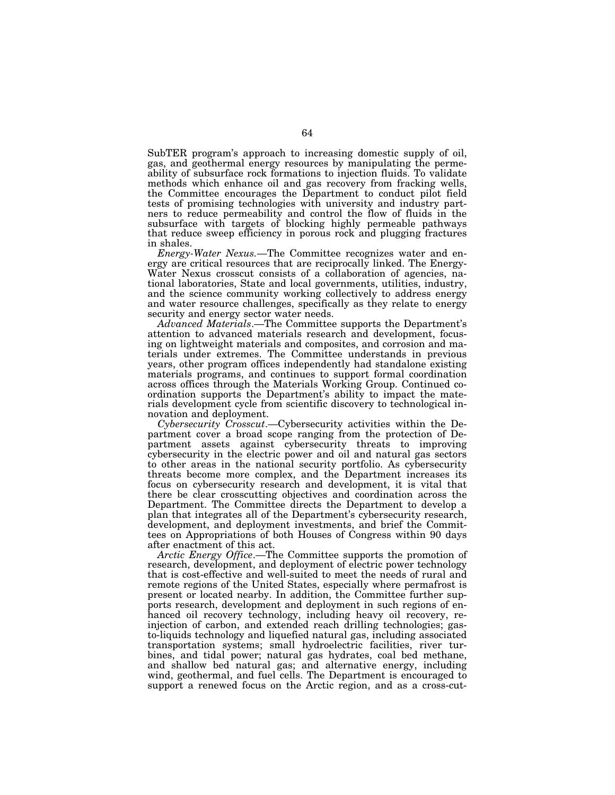SubTER program's approach to increasing domestic supply of oil, gas, and geothermal energy resources by manipulating the permeability of subsurface rock formations to injection fluids. To validate methods which enhance oil and gas recovery from fracking wells, the Committee encourages the Department to conduct pilot field tests of promising technologies with university and industry partners to reduce permeability and control the flow of fluids in the subsurface with targets of blocking highly permeable pathways that reduce sweep efficiency in porous rock and plugging fractures in shales.

*Energy-Water Nexus.*—The Committee recognizes water and energy are critical resources that are reciprocally linked. The Energy-Water Nexus crosscut consists of a collaboration of agencies, national laboratories, State and local governments, utilities, industry, and the science community working collectively to address energy and water resource challenges, specifically as they relate to energy security and energy sector water needs.

*Advanced Materials*.—The Committee supports the Department's attention to advanced materials research and development, focusing on lightweight materials and composites, and corrosion and materials under extremes. The Committee understands in previous years, other program offices independently had standalone existing materials programs, and continues to support formal coordination across offices through the Materials Working Group. Continued coordination supports the Department's ability to impact the materials development cycle from scientific discovery to technological innovation and deployment.

*Cybersecurity Crosscut*.—Cybersecurity activities within the Department cover a broad scope ranging from the protection of Department assets against cybersecurity threats to improving cybersecurity in the electric power and oil and natural gas sectors to other areas in the national security portfolio. As cybersecurity threats become more complex, and the Department increases its focus on cybersecurity research and development, it is vital that there be clear crosscutting objectives and coordination across the Department. The Committee directs the Department to develop a plan that integrates all of the Department's cybersecurity research, development, and deployment investments, and brief the Committees on Appropriations of both Houses of Congress within 90 days after enactment of this act.

*Arctic Energy Office*.—The Committee supports the promotion of research, development, and deployment of electric power technology that is cost-effective and well-suited to meet the needs of rural and remote regions of the United States, especially where permafrost is present or located nearby. In addition, the Committee further supports research, development and deployment in such regions of enhanced oil recovery technology, including heavy oil recovery, reinjection of carbon, and extended reach drilling technologies; gasto-liquids technology and liquefied natural gas, including associated transportation systems; small hydroelectric facilities, river turbines, and tidal power; natural gas hydrates, coal bed methane, and shallow bed natural gas; and alternative energy, including wind, geothermal, and fuel cells. The Department is encouraged to support a renewed focus on the Arctic region, and as a cross-cut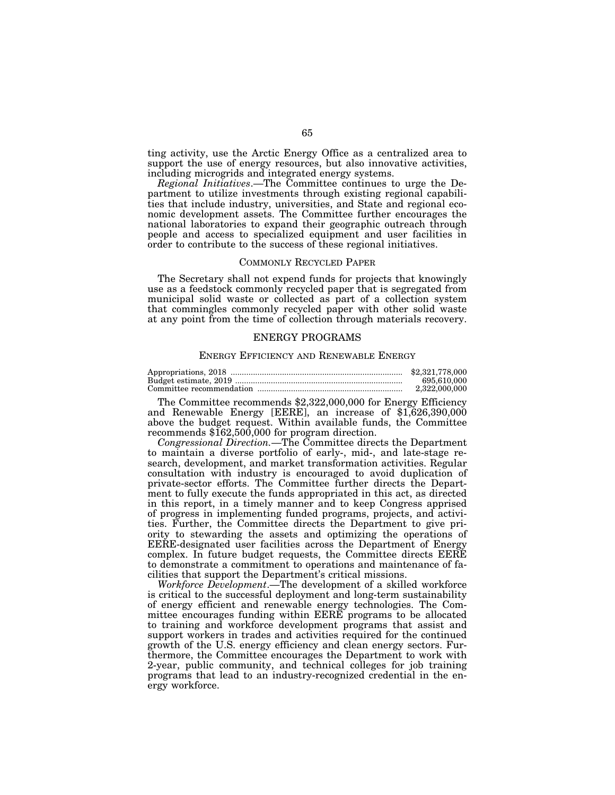ting activity, use the Arctic Energy Office as a centralized area to support the use of energy resources, but also innovative activities, including microgrids and integrated energy systems.

*Regional Initiatives*.—The Committee continues to urge the Department to utilize investments through existing regional capabilities that include industry, universities, and State and regional economic development assets. The Committee further encourages the national laboratories to expand their geographic outreach through people and access to specialized equipment and user facilities in order to contribute to the success of these regional initiatives.

#### COMMONLY RECYCLED PAPER

The Secretary shall not expend funds for projects that knowingly use as a feedstock commonly recycled paper that is segregated from municipal solid waste or collected as part of a collection system that commingles commonly recycled paper with other solid waste at any point from the time of collection through materials recovery.

# ENERGY PROGRAMS

# ENERGY EFFICIENCY AND RENEWABLE ENERGY

|                          | \$2,321,778,000 |
|--------------------------|-----------------|
|                          | 695,610,000     |
| Committee recommendation | 2.322.000.000   |

The Committee recommends \$2,322,000,000 for Energy Efficiency and Renewable Energy [EERE], an increase of \$1,626,390,000 above the budget request. Within available funds, the Committee recommends \$162,500,000 for program direction.

*Congressional Direction.*—The Committee directs the Department to maintain a diverse portfolio of early-, mid-, and late-stage research, development, and market transformation activities. Regular consultation with industry is encouraged to avoid duplication of private-sector efforts. The Committee further directs the Department to fully execute the funds appropriated in this act, as directed in this report, in a timely manner and to keep Congress apprised of progress in implementing funded programs, projects, and activities. Further, the Committee directs the Department to give priority to stewarding the assets and optimizing the operations of EERE-designated user facilities across the Department of Energy complex. In future budget requests, the Committee directs EERE to demonstrate a commitment to operations and maintenance of facilities that support the Department's critical missions.

*Workforce Development*.—The development of a skilled workforce is critical to the successful deployment and long-term sustainability of energy efficient and renewable energy technologies. The Committee encourages funding within EERE programs to be allocated to training and workforce development programs that assist and support workers in trades and activities required for the continued growth of the U.S. energy efficiency and clean energy sectors. Furthermore, the Committee encourages the Department to work with 2-year, public community, and technical colleges for job training programs that lead to an industry-recognized credential in the energy workforce.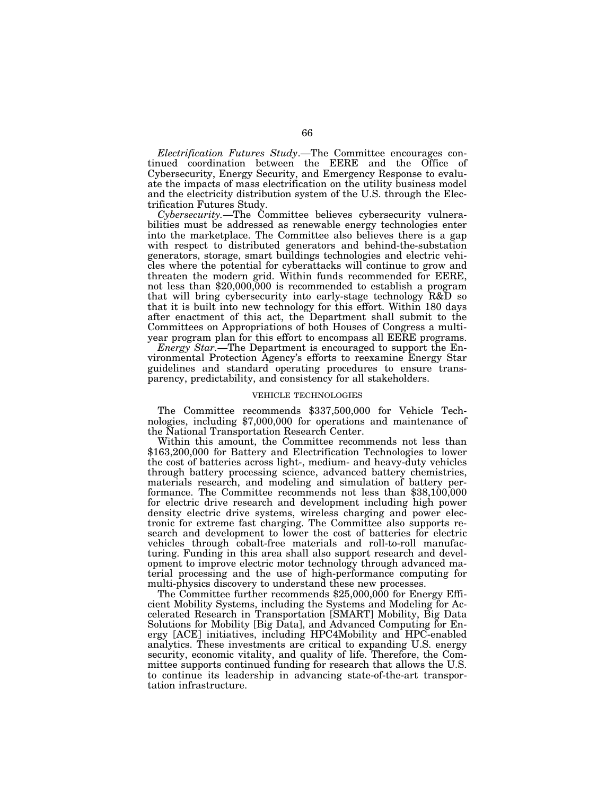*Electrification Futures Study*.—The Committee encourages continued coordination between the EERE and the Office of Cybersecurity, Energy Security, and Emergency Response to evaluate the impacts of mass electrification on the utility business model and the electricity distribution system of the U.S. through the Electrification Futures Study.

*Cybersecurity.*—The Committee believes cybersecurity vulnerabilities must be addressed as renewable energy technologies enter into the marketplace. The Committee also believes there is a gap with respect to distributed generators and behind-the-substation generators, storage, smart buildings technologies and electric vehicles where the potential for cyberattacks will continue to grow and threaten the modern grid. Within funds recommended for EERE, not less than \$20,000,000 is recommended to establish a program that will bring cybersecurity into early-stage technology R&D so that it is built into new technology for this effort. Within 180 days after enactment of this act, the Department shall submit to the Committees on Appropriations of both Houses of Congress a multiyear program plan for this effort to encompass all EERE programs.

*Energy Star.*—The Department is encouraged to support the Environmental Protection Agency's efforts to reexamine Energy Star guidelines and standard operating procedures to ensure transparency, predictability, and consistency for all stakeholders.

# VEHICLE TECHNOLOGIES

The Committee recommends \$337,500,000 for Vehicle Technologies, including \$7,000,000 for operations and maintenance of the National Transportation Research Center.

Within this amount, the Committee recommends not less than \$163,200,000 for Battery and Electrification Technologies to lower the cost of batteries across light-, medium- and heavy-duty vehicles through battery processing science, advanced battery chemistries, materials research, and modeling and simulation of battery performance. The Committee recommends not less than \$38,100,000 for electric drive research and development including high power density electric drive systems, wireless charging and power electronic for extreme fast charging. The Committee also supports research and development to lower the cost of batteries for electric vehicles through cobalt-free materials and roll-to-roll manufacturing. Funding in this area shall also support research and development to improve electric motor technology through advanced material processing and the use of high-performance computing for multi-physics discovery to understand these new processes.

The Committee further recommends \$25,000,000 for Energy Efficient Mobility Systems, including the Systems and Modeling for Accelerated Research in Transportation [SMART] Mobility, Big Data Solutions for Mobility [Big Data], and Advanced Computing for Energy [ACE] initiatives, including HPC4Mobility and HPC-enabled analytics. These investments are critical to expanding U.S. energy security, economic vitality, and quality of life. Therefore, the Committee supports continued funding for research that allows the U.S. to continue its leadership in advancing state-of-the-art transportation infrastructure.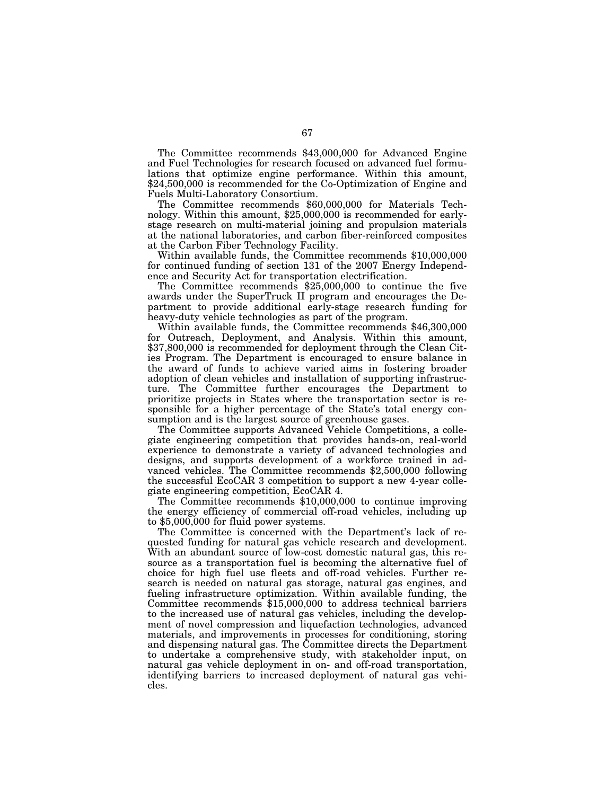The Committee recommends \$43,000,000 for Advanced Engine and Fuel Technologies for research focused on advanced fuel formulations that optimize engine performance. Within this amount, \$24,500,000 is recommended for the Co-Optimization of Engine and Fuels Multi-Laboratory Consortium.

The Committee recommends \$60,000,000 for Materials Technology. Within this amount, \$25,000,000 is recommended for earlystage research on multi-material joining and propulsion materials at the national laboratories, and carbon fiber-reinforced composites at the Carbon Fiber Technology Facility.

Within available funds, the Committee recommends \$10,000,000 for continued funding of section 131 of the 2007 Energy Independence and Security Act for transportation electrification.

The Committee recommends \$25,000,000 to continue the five awards under the SuperTruck II program and encourages the Department to provide additional early-stage research funding for heavy-duty vehicle technologies as part of the program.

Within available funds, the Committee recommends \$46,300,000 for Outreach, Deployment, and Analysis. Within this amount, \$37,800,000 is recommended for deployment through the Clean Cities Program. The Department is encouraged to ensure balance in the award of funds to achieve varied aims in fostering broader adoption of clean vehicles and installation of supporting infrastructure. The Committee further encourages the Department to prioritize projects in States where the transportation sector is responsible for a higher percentage of the State's total energy consumption and is the largest source of greenhouse gases.

The Committee supports Advanced Vehicle Competitions, a collegiate engineering competition that provides hands-on, real-world experience to demonstrate a variety of advanced technologies and designs, and supports development of a workforce trained in advanced vehicles. The Committee recommends \$2,500,000 following the successful EcoCAR 3 competition to support a new 4-year collegiate engineering competition, EcoCAR 4.

The Committee recommends \$10,000,000 to continue improving the energy efficiency of commercial off-road vehicles, including up to \$5,000,000 for fluid power systems.

The Committee is concerned with the Department's lack of requested funding for natural gas vehicle research and development. With an abundant source of low-cost domestic natural gas, this resource as a transportation fuel is becoming the alternative fuel of choice for high fuel use fleets and off-road vehicles. Further research is needed on natural gas storage, natural gas engines, and fueling infrastructure optimization. Within available funding, the Committee recommends \$15,000,000 to address technical barriers to the increased use of natural gas vehicles, including the development of novel compression and liquefaction technologies, advanced materials, and improvements in processes for conditioning, storing and dispensing natural gas. The Committee directs the Department to undertake a comprehensive study, with stakeholder input, on natural gas vehicle deployment in on- and off-road transportation, identifying barriers to increased deployment of natural gas vehicles.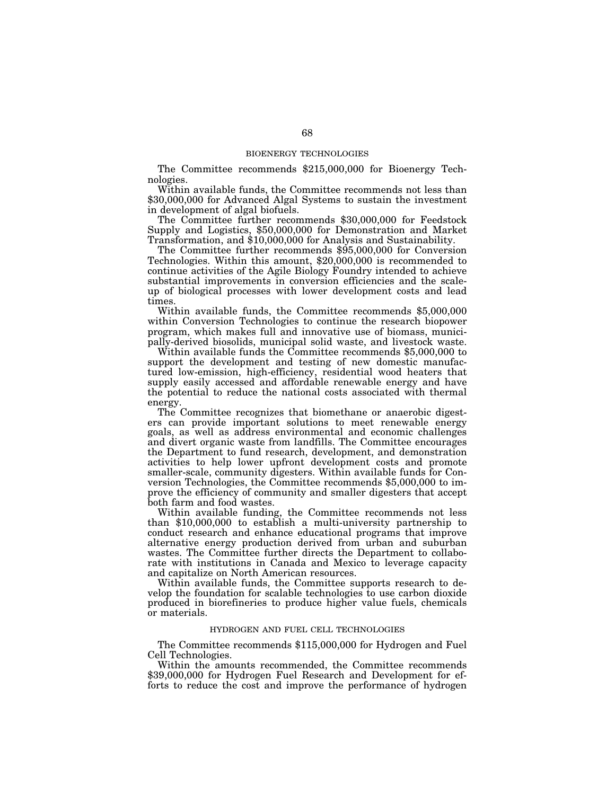# BIOENERGY TECHNOLOGIES

The Committee recommends \$215,000,000 for Bioenergy Technologies.

Within available funds, the Committee recommends not less than \$30,000,000 for Advanced Algal Systems to sustain the investment in development of algal biofuels.

The Committee further recommends \$30,000,000 for Feedstock Supply and Logistics, \$50,000,000 for Demonstration and Market Transformation, and \$10,000,000 for Analysis and Sustainability.

The Committee further recommends \$95,000,000 for Conversion Technologies. Within this amount, \$20,000,000 is recommended to continue activities of the Agile Biology Foundry intended to achieve substantial improvements in conversion efficiencies and the scaleup of biological processes with lower development costs and lead times.

Within available funds, the Committee recommends \$5,000,000 within Conversion Technologies to continue the research biopower program, which makes full and innovative use of biomass, municipally-derived biosolids, municipal solid waste, and livestock waste.

Within available funds the Committee recommends \$5,000,000 to support the development and testing of new domestic manufactured low-emission, high-efficiency, residential wood heaters that supply easily accessed and affordable renewable energy and have the potential to reduce the national costs associated with thermal energy.

The Committee recognizes that biomethane or anaerobic digesters can provide important solutions to meet renewable energy goals, as well as address environmental and economic challenges and divert organic waste from landfills. The Committee encourages the Department to fund research, development, and demonstration activities to help lower upfront development costs and promote smaller-scale, community digesters. Within available funds for Conversion Technologies, the Committee recommends \$5,000,000 to improve the efficiency of community and smaller digesters that accept both farm and food wastes.

Within available funding, the Committee recommends not less than \$10,000,000 to establish a multi-university partnership to conduct research and enhance educational programs that improve alternative energy production derived from urban and suburban wastes. The Committee further directs the Department to collaborate with institutions in Canada and Mexico to leverage capacity and capitalize on North American resources.

Within available funds, the Committee supports research to develop the foundation for scalable technologies to use carbon dioxide produced in biorefineries to produce higher value fuels, chemicals or materials.

# HYDROGEN AND FUEL CELL TECHNOLOGIES

The Committee recommends \$115,000,000 for Hydrogen and Fuel Cell Technologies.

Within the amounts recommended, the Committee recommends \$39,000,000 for Hydrogen Fuel Research and Development for efforts to reduce the cost and improve the performance of hydrogen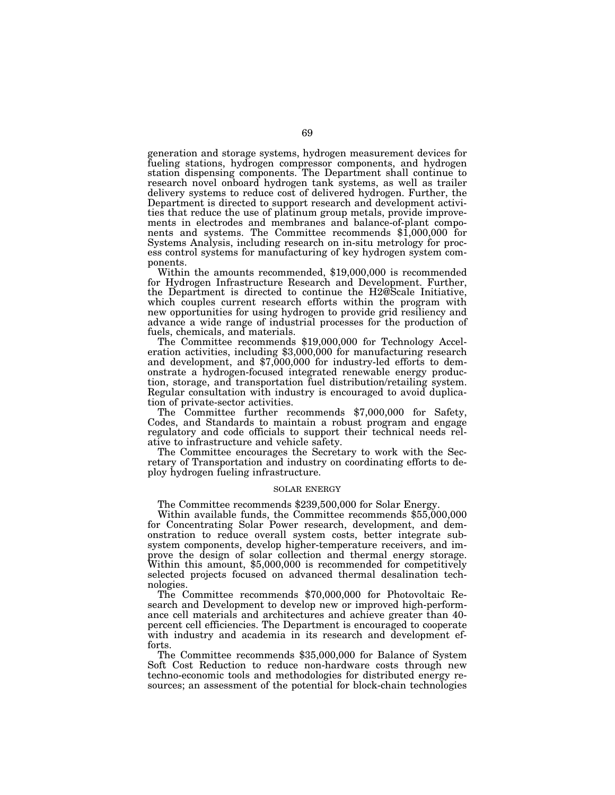generation and storage systems, hydrogen measurement devices for fueling stations, hydrogen compressor components, and hydrogen station dispensing components. The Department shall continue to research novel onboard hydrogen tank systems, as well as trailer delivery systems to reduce cost of delivered hydrogen. Further, the Department is directed to support research and development activities that reduce the use of platinum group metals, provide improvements in electrodes and membranes and balance-of-plant components and systems. The Committee recommends \$1,000,000 for Systems Analysis, including research on in-situ metrology for process control systems for manufacturing of key hydrogen system com-

Within the amounts recommended, \$19,000,000 is recommended for Hydrogen Infrastructure Research and Development. Further, the Department is directed to continue the H2@Scale Initiative, which couples current research efforts within the program with new opportunities for using hydrogen to provide grid resiliency and advance a wide range of industrial processes for the production of

fuels, chemicals, and materials.<br>The Committee recommends \$19,000,000 for Technology Acceleration activities, including  $$3,000,000$  for manufacturing research and development, and \$7,000,000 for industry-led efforts to demonstrate a hydrogen-focused integrated renewable energy production, storage, and transportation fuel distribution/retailing system. Regular consultation with industry is encouraged to avoid duplication of private-sector activities.

The Committee further recommends \$7,000,000 for Safety, Codes, and Standards to maintain a robust program and engage regulatory and code officials to support their technical needs relative to infrastructure and vehicle safety.

The Committee encourages the Secretary to work with the Secretary of Transportation and industry on coordinating efforts to deploy hydrogen fueling infrastructure.

# SOLAR ENERGY

The Committee recommends \$239,500,000 for Solar Energy.

Within available funds, the Committee recommends \$55,000,000 for Concentrating Solar Power research, development, and demonstration to reduce overall system costs, better integrate subsystem components, develop higher-temperature receivers, and improve the design of solar collection and thermal energy storage. Within this amount, \$5,000,000 is recommended for competitively selected projects focused on advanced thermal desalination technologies.

The Committee recommends \$70,000,000 for Photovoltaic Research and Development to develop new or improved high-performance cell materials and architectures and achieve greater than 40 percent cell efficiencies. The Department is encouraged to cooperate with industry and academia in its research and development efforts.

The Committee recommends \$35,000,000 for Balance of System Soft Cost Reduction to reduce non-hardware costs through new techno-economic tools and methodologies for distributed energy resources; an assessment of the potential for block-chain technologies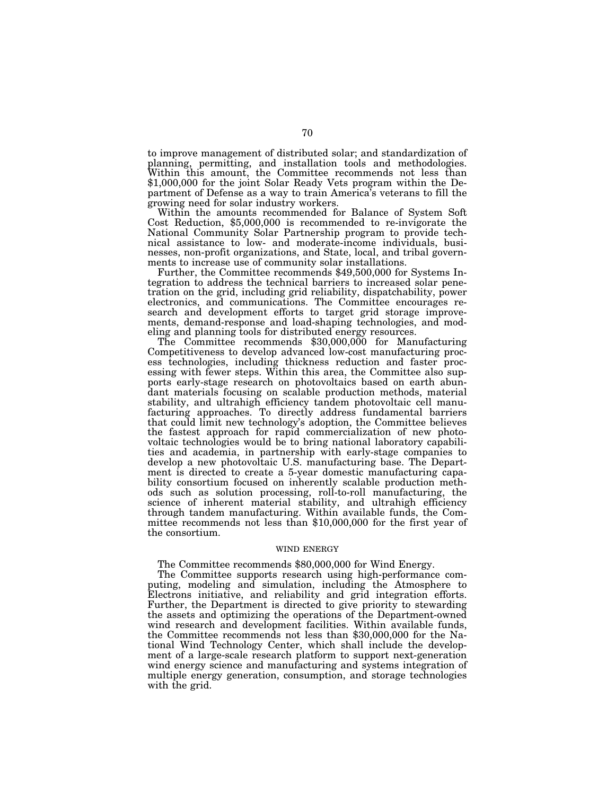to improve management of distributed solar; and standardization of planning, permitting, and installation tools and methodologies. Within this amount, the Committee recommends not less than \$1,000,000 for the joint Solar Ready Vets program within the Department of Defense as a way to train America's veterans to fill the growing need for solar industry workers.<br>Within the amounts recommended for Balance of System Soft

Cost Reduction,  $$5,000,000$  is recommended to re-invigorate the National Community Solar Partnership program to provide technical assistance to low- and moderate-income individuals, businesses, non-profit organizations, and State, local, and tribal governments to increase use of community solar installations. Further, the Committee recommends \$49,500,000 for Systems In-

tegration to address the technical barriers to increased solar penetration on the grid, including grid reliability, dispatchability, power electronics, and communications. The Committee encourages research and development efforts to target grid storage improvements, demand-response and load-shaping technologies, and mod-<br>eling and planning tools for distributed energy resources.

The Committee recommends \$30,000,000 for Manufacturing Competitiveness to develop advanced low-cost manufacturing process technologies, including thickness reduction and faster processing with fewer steps. Within this area, the Committee also supports early-stage research on photovoltaics based on earth abundant materials focusing on scalable production methods, material stability, and ultrahigh efficiency tandem photovoltaic cell manufacturing approaches. To directly address fundamental barriers that could limit new technology's adoption, the Committee believes the fastest approach for rapid commercialization of new photovoltaic technologies would be to bring national laboratory capabilities and academia, in partnership with early-stage companies to develop a new photovoltaic U.S. manufacturing base. The Department is directed to create a 5-year domestic manufacturing capability consortium focused on inherently scalable production methods such as solution processing, roll-to-roll manufacturing, the science of inherent material stability, and ultrahigh efficiency through tandem manufacturing. Within available funds, the Committee recommends not less than \$10,000,000 for the first year of the consortium.

# WIND ENERGY

# The Committee recommends \$80,000,000 for Wind Energy.

The Committee supports research using high-performance computing, modeling and simulation, including the Atmosphere to Electrons initiative, and reliability and grid integration efforts. Further, the Department is directed to give priority to stewarding the assets and optimizing the operations of the Department-owned wind research and development facilities. Within available funds, the Committee recommends not less than \$30,000,000 for the National Wind Technology Center, which shall include the development of a large-scale research platform to support next-generation wind energy science and manufacturing and systems integration of multiple energy generation, consumption, and storage technologies with the grid.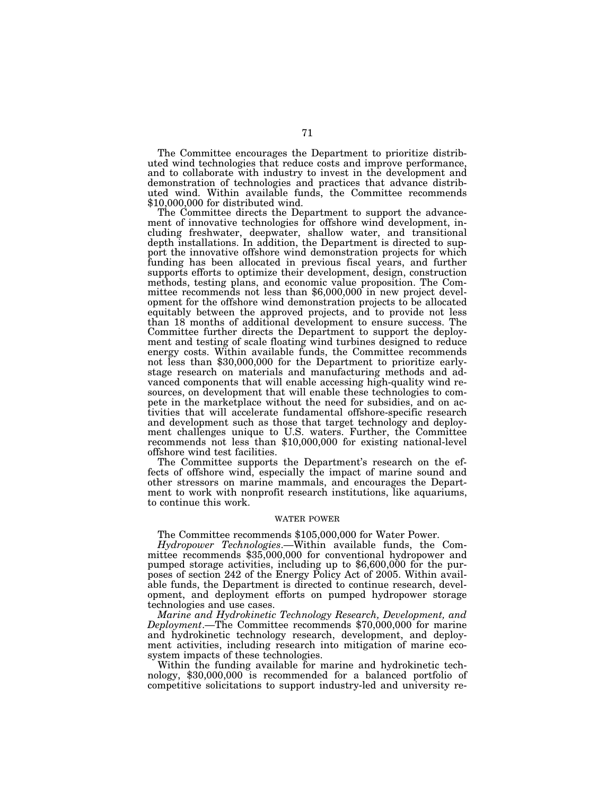The Committee encourages the Department to prioritize distributed wind technologies that reduce costs and improve performance, and to collaborate with industry to invest in the development and demonstration of technologies and practices that advance distributed wind. Within available funds, the Committee recommends \$10,000,000 for distributed wind.

The Committee directs the Department to support the advancement of innovative technologies for offshore wind development, including freshwater, deepwater, shallow water, and transitional depth installations. In addition, the Department is directed to support the innovative offshore wind demonstration projects for which funding has been allocated in previous fiscal years, and further supports efforts to optimize their development, design, construction methods, testing plans, and economic value proposition. The Committee recommends not less than \$6,000,000 in new project development for the offshore wind demonstration projects to be allocated equitably between the approved projects, and to provide not less than 18 months of additional development to ensure success. The Committee further directs the Department to support the deployment and testing of scale floating wind turbines designed to reduce energy costs. Within available funds, the Committee recommends not less than \$30,000,000 for the Department to prioritize earlystage research on materials and manufacturing methods and advanced components that will enable accessing high-quality wind resources, on development that will enable these technologies to compete in the marketplace without the need for subsidies, and on activities that will accelerate fundamental offshore-specific research and development such as those that target technology and deployment challenges unique to U.S. waters. Further, the Committee recommends not less than \$10,000,000 for existing national-level offshore wind test facilities.

The Committee supports the Department's research on the effects of offshore wind, especially the impact of marine sound and other stressors on marine mammals, and encourages the Department to work with nonprofit research institutions, like aquariums, to continue this work.

#### WATER POWER

The Committee recommends \$105,000,000 for Water Power.

*Hydropower Technologies*.—Within available funds, the Committee recommends \$35,000,000 for conventional hydropower and pumped storage activities, including up to \$6,600,000 for the purposes of section 242 of the Energy Policy Act of 2005. Within available funds, the Department is directed to continue research, development, and deployment efforts on pumped hydropower storage technologies and use cases.

*Marine and Hydrokinetic Technology Research, Development, and Deployment*.—The Committee recommends \$70,000,000 for marine and hydrokinetic technology research, development, and deployment activities, including research into mitigation of marine ecosystem impacts of these technologies.

Within the funding available for marine and hydrokinetic technology, \$30,000,000 is recommended for a balanced portfolio of competitive solicitations to support industry-led and university re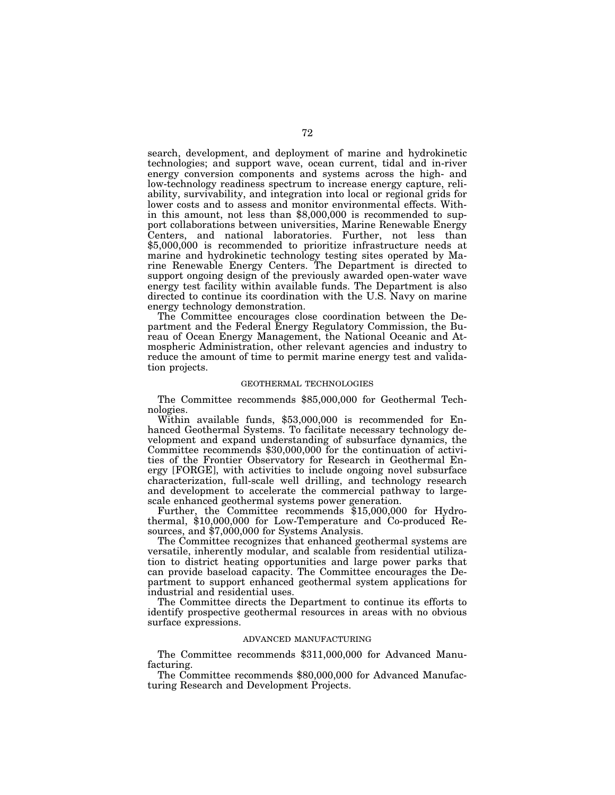search, development, and deployment of marine and hydrokinetic technologies; and support wave, ocean current, tidal and in-river energy conversion components and systems across the high- and low-technology readiness spectrum to increase energy capture, reliability, survivability, and integration into local or regional grids for lower costs and to assess and monitor environmental effects. Within this amount, not less than \$8,000,000 is recommended to support collaborations between universities, Marine Renewable Energy Centers, and national laboratories. Further, not less than \$5,000,000 is recommended to prioritize infrastructure needs at marine and hydrokinetic technology testing sites operated by Marine Renewable Energy Centers. The Department is directed to support ongoing design of the previously awarded open-water wave energy test facility within available funds. The Department is also directed to continue its coordination with the U.S. Navy on marine energy technology demonstration.

The Committee encourages close coordination between the Department and the Federal Energy Regulatory Commission, the Bureau of Ocean Energy Management, the National Oceanic and Atmospheric Administration, other relevant agencies and industry to reduce the amount of time to permit marine energy test and validation projects.

#### GEOTHERMAL TECHNOLOGIES

The Committee recommends \$85,000,000 for Geothermal Technologies.

Within available funds, \$53,000,000 is recommended for Enhanced Geothermal Systems. To facilitate necessary technology development and expand understanding of subsurface dynamics, the Committee recommends \$30,000,000 for the continuation of activities of the Frontier Observatory for Research in Geothermal Energy [FORGE], with activities to include ongoing novel subsurface characterization, full-scale well drilling, and technology research and development to accelerate the commercial pathway to largescale enhanced geothermal systems power generation.

Further, the Committee recommends \$15,000,000 for Hydrothermal, \$10,000,000 for Low-Temperature and Co-produced Resources, and \$7,000,000 for Systems Analysis.

The Committee recognizes that enhanced geothermal systems are versatile, inherently modular, and scalable from residential utilization to district heating opportunities and large power parks that can provide baseload capacity. The Committee encourages the Department to support enhanced geothermal system applications for industrial and residential uses.

The Committee directs the Department to continue its efforts to identify prospective geothermal resources in areas with no obvious surface expressions.

# ADVANCED MANUFACTURING

The Committee recommends \$311,000,000 for Advanced Manufacturing.

The Committee recommends \$80,000,000 for Advanced Manufacturing Research and Development Projects.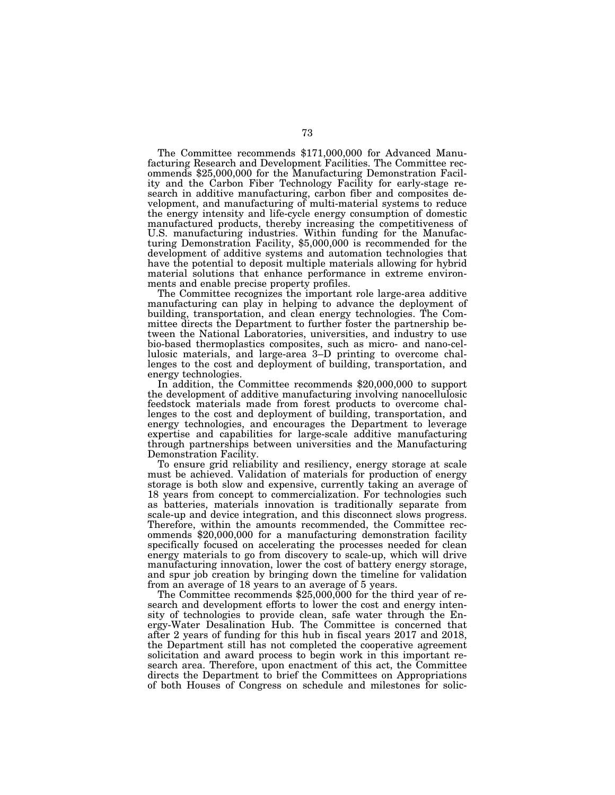The Committee recommends \$171,000,000 for Advanced Manufacturing Research and Development Facilities. The Committee recommends \$25,000,000 for the Manufacturing Demonstration Facility and the Carbon Fiber Technology Facility for early-stage research in additive manufacturing, carbon fiber and composites development, and manufacturing of multi-material systems to reduce the energy intensity and life-cycle energy consumption of domestic manufactured products, thereby increasing the competitiveness of U.S. manufacturing industries. Within funding for the Manufacturing Demonstration Facility, \$5,000,000 is recommended for the development of additive systems and automation technologies that have the potential to deposit multiple materials allowing for hybrid material solutions that enhance performance in extreme environments and enable precise property profiles.

The Committee recognizes the important role large-area additive manufacturing can play in helping to advance the deployment of building, transportation, and clean energy technologies. The Committee directs the Department to further foster the partnership between the National Laboratories, universities, and industry to use bio-based thermoplastics composites, such as micro- and nano-cellulosic materials, and large-area 3–D printing to overcome challenges to the cost and deployment of building, transportation, and energy technologies.

In addition, the Committee recommends \$20,000,000 to support the development of additive manufacturing involving nanocellulosic feedstock materials made from forest products to overcome challenges to the cost and deployment of building, transportation, and energy technologies, and encourages the Department to leverage expertise and capabilities for large-scale additive manufacturing through partnerships between universities and the Manufacturing Demonstration Facility.

To ensure grid reliability and resiliency, energy storage at scale must be achieved. Validation of materials for production of energy storage is both slow and expensive, currently taking an average of 18 years from concept to commercialization. For technologies such as batteries, materials innovation is traditionally separate from scale-up and device integration, and this disconnect slows progress. Therefore, within the amounts recommended, the Committee recommends \$20,000,000 for a manufacturing demonstration facility specifically focused on accelerating the processes needed for clean energy materials to go from discovery to scale-up, which will drive manufacturing innovation, lower the cost of battery energy storage, and spur job creation by bringing down the timeline for validation from an average of 18 years to an average of 5 years.

The Committee recommends \$25,000,000 for the third year of research and development efforts to lower the cost and energy intensity of technologies to provide clean, safe water through the Energy-Water Desalination Hub. The Committee is concerned that after 2 years of funding for this hub in fiscal years 2017 and 2018, the Department still has not completed the cooperative agreement solicitation and award process to begin work in this important research area. Therefore, upon enactment of this act, the Committee directs the Department to brief the Committees on Appropriations of both Houses of Congress on schedule and milestones for solic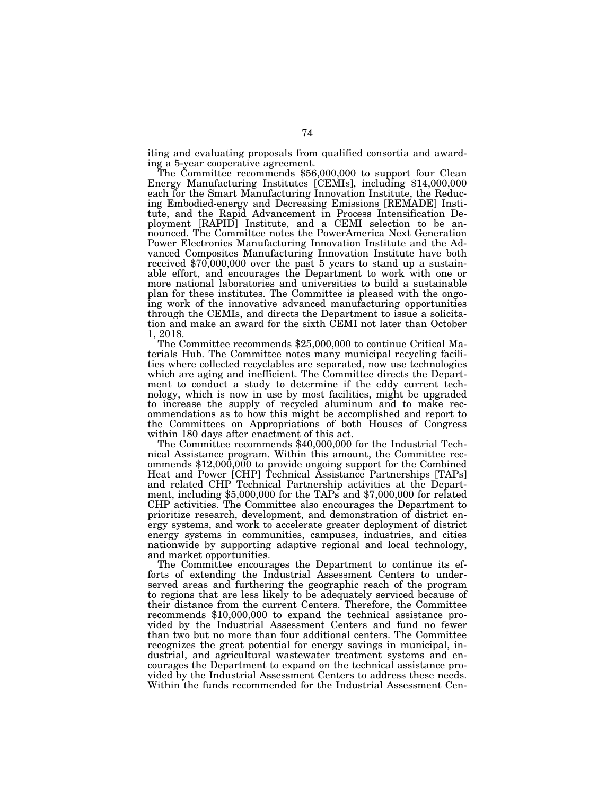iting and evaluating proposals from qualified consortia and award-

ing a 5-year cooperative agreement. The Committee recommends \$56,000,000 to support four Clean Energy Manufacturing Institutes [CEMIs], including \$14,000,000 each for the Smart Manufacturing Innovation Institute, the Reducing Embodied-energy and Decreasing Emissions [REMADE] Institute, and the Rapid Advancement in Process Intensification Deployment [RAPID] Institute, and a CEMI selection to be announced. The Committee notes the PowerAmerica Next Generation Power Electronics Manufacturing Innovation Institute and the Advanced Composites Manufacturing Innovation Institute have both received \$70,000,000 over the past 5 years to stand up a sustainable effort, and encourages the Department to work with one or more national laboratories and universities to build a sustainable plan for these institutes. The Committee is pleased with the ongoing work of the innovative advanced manufacturing opportunities through the CEMIs, and directs the Department to issue a solicitation and make an award for the sixth CEMI not later than October 1, 2018.

The Committee recommends \$25,000,000 to continue Critical Materials Hub. The Committee notes many municipal recycling facilities where collected recyclables are separated, now use technologies which are aging and inefficient. The Committee directs the Department to conduct a study to determine if the eddy current technology, which is now in use by most facilities, might be upgraded to increase the supply of recycled aluminum and to make recommendations as to how this might be accomplished and report to the Committees on Appropriations of both Houses of Congress within 180 days after enactment of this act. The Committee recommends \$40,000,000 for the Industrial Tech-

nical Assistance program. Within this amount, the Committee recommends \$12,000,000 to provide ongoing support for the Combined Heat and Power [CHP] Technical Assistance Partnerships [TAPs] and related CHP Technical Partnership activities at the Department, including \$5,000,000 for the TAPs and \$7,000,000 for related CHP activities. The Committee also encourages the Department to prioritize research, development, and demonstration of district energy systems, and work to accelerate greater deployment of district energy systems in communities, campuses, industries, and cities nationwide by supporting adaptive regional and local technology, and market opportunities.

The Committee encourages the Department to continue its efforts of extending the Industrial Assessment Centers to underserved areas and furthering the geographic reach of the program to regions that are less likely to be adequately serviced because of their distance from the current Centers. Therefore, the Committee recommends \$10,000,000 to expand the technical assistance provided by the Industrial Assessment Centers and fund no fewer than two but no more than four additional centers. The Committee recognizes the great potential for energy savings in municipal, industrial, and agricultural wastewater treatment systems and encourages the Department to expand on the technical assistance provided by the Industrial Assessment Centers to address these needs. Within the funds recommended for the Industrial Assessment Cen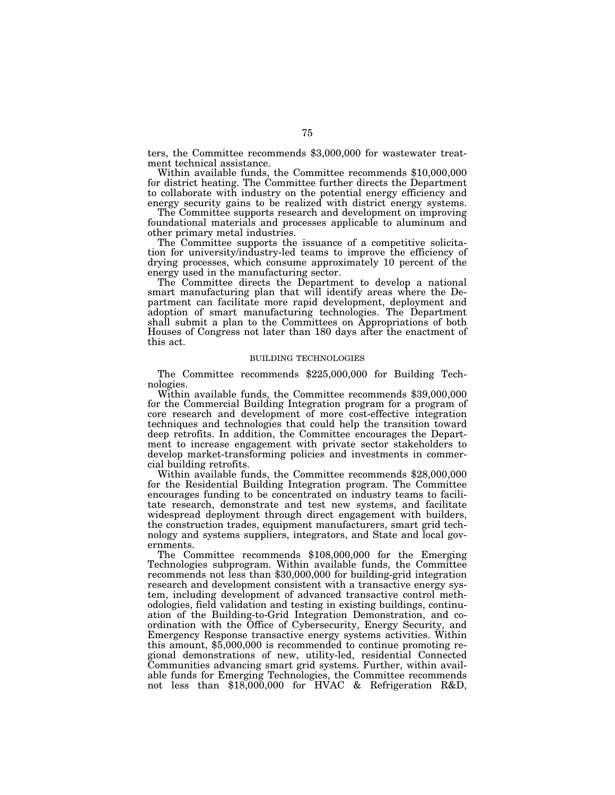ters, the Committee recommends \$3,000,000 for wastewater treatment technical assistance.

Within available funds, the Committee recommends \$10,000,000 for district heating. The Committee further directs the Department to collaborate with industry on the potential energy efficiency and energy security gains to be realized with district energy systems.

The Committee supports research and development on improving foundational materials and processes applicable to aluminum and other primary metal industries.

The Committee supports the issuance of a competitive solicitation for university/industry-led teams to improve the efficiency of drying processes, which consume approximately 10 percent of the energy used in the manufacturing sector.

The Committee directs the Department to develop a national smart manufacturing plan that will identify areas where the Department can facilitate more rapid development, deployment and adoption of smart manufacturing technologies. The Department shall submit a plan to the Committees on Appropriations of both Houses of Congress not later than 180 days after the enactment of this act.

## BUILDING TECHNOLOGIES

The Committee recommends \$225,000,000 for Building Tech-

nologies. Within available funds, the Committee recommends \$39,000,000 for the Commercial Building Integration program for a program of core research and development of more cost-effective integration techniques and technologies that could help the transition toward deep retrofits. In addition, the Committee encourages the Department to increase engagement with private sector stakeholders to develop market-transforming policies and investments in commer-<br>cial building retrofits.

Within available funds, the Committee recommends \$28,000,000 for the Residential Building Integration program. The Committee encourages funding to be concentrated on industry teams to facilitate research, demonstrate and test new systems, and facilitate widespread deployment through direct engagement with builders, the construction trades, equipment manufacturers, smart grid technology and systems suppliers, integrators, and State and local governments.

The Committee recommends \$108,000,000 for the Emerging Technologies subprogram. Within available funds, the Committee recommends not less than \$30,000,000 for building-grid integration research and development consistent with a transactive energy system, including development of advanced transactive control methodologies, field validation and testing in existing buildings, continuation of the Building-to-Grid Integration Demonstration, and coordination with the Office of Cybersecurity, Energy Security, and Emergency Response transactive energy systems activities. Within this amount, \$5,000,000 is recommended to continue promoting regional demonstrations of new, utility-led, residential Connected Communities advancing smart grid systems. Further, within available funds for Emerging Technologies, the Committee recommends not less than \$18,000,000 for HVAC & Refrigeration R&D,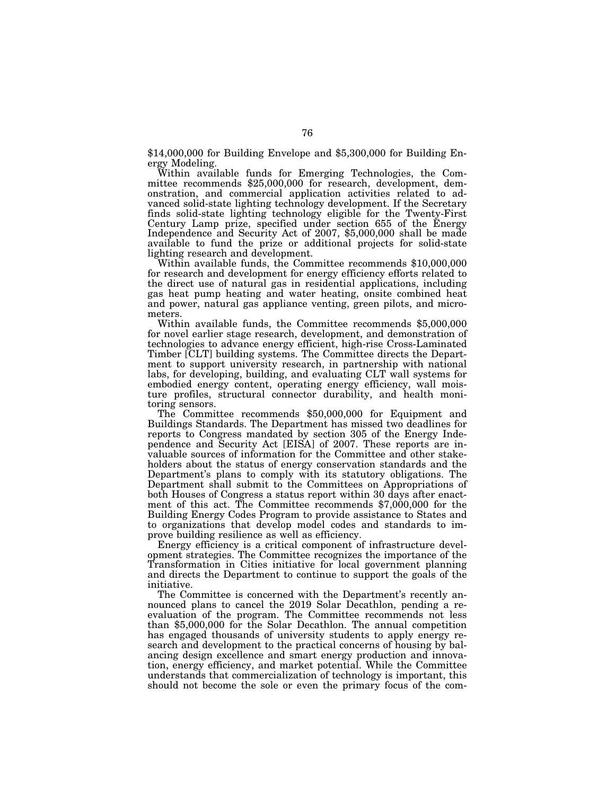\$14,000,000 for Building Envelope and \$5,300,000 for Building En-

ergy Modeling.<br>Within available funds for Emerging Technologies, the Committee recommends \$25,000,000 for research, development, demonstration, and commercial application activities related to advanced solid-state lighting technology development. If the Secretary finds solid-state lighting technology eligible for the Twenty-First Century Lamp prize, specified under section 655 of the Energy Independence and Security Act of 2007, \$5,000,000 shall be made available to fund the prize or additional projects for solid-state

lighting research and development. Within available funds, the Committee recommends \$10,000,000 for research and development for energy efficiency efforts related to the direct use of natural gas in residential applications, including gas heat pump heating and water heating, onsite combined heat and power, natural gas appliance venting, green pilots, and micrometers.

Within available funds, the Committee recommends \$5,000,000 for novel earlier stage research, development, and demonstration of technologies to advance energy efficient, high-rise Cross-Laminated Timber [CLT] building systems. The Committee directs the Department to support university research, in partnership with national labs, for developing, building, and evaluating CLT wall systems for embodied energy content, operating energy efficiency, wall moisture profiles, structural connector durability, and health moni-

toring sensors. The Committee recommends \$50,000,000 for Equipment and Buildings Standards. The Department has missed two deadlines for reports to Congress mandated by section 305 of the Energy Independence and Security Act [EISA] of 2007. These reports are invaluable sources of information for the Committee and other stakeholders about the status of energy conservation standards and the Department's plans to comply with its statutory obligations. The Department shall submit to the Committees on Appropriations of both Houses of Congress a status report within 30 days after enactment of this act. The Committee recommends \$7,000,000 for the Building Energy Codes Program to provide assistance to States and to organizations that develop model codes and standards to improve building resilience as well as efficiency.

Energy efficiency is a critical component of infrastructure development strategies. The Committee recognizes the importance of the Transformation in Cities initiative for local government planning and directs the Department to continue to support the goals of the initiative.

The Committee is concerned with the Department's recently announced plans to cancel the 2019 Solar Decathlon, pending a reevaluation of the program. The Committee recommends not less than \$5,000,000 for the Solar Decathlon. The annual competition has engaged thousands of university students to apply energy research and development to the practical concerns of housing by balancing design excellence and smart energy production and innovation, energy efficiency, and market potential. While the Committee understands that commercialization of technology is important, this should not become the sole or even the primary focus of the com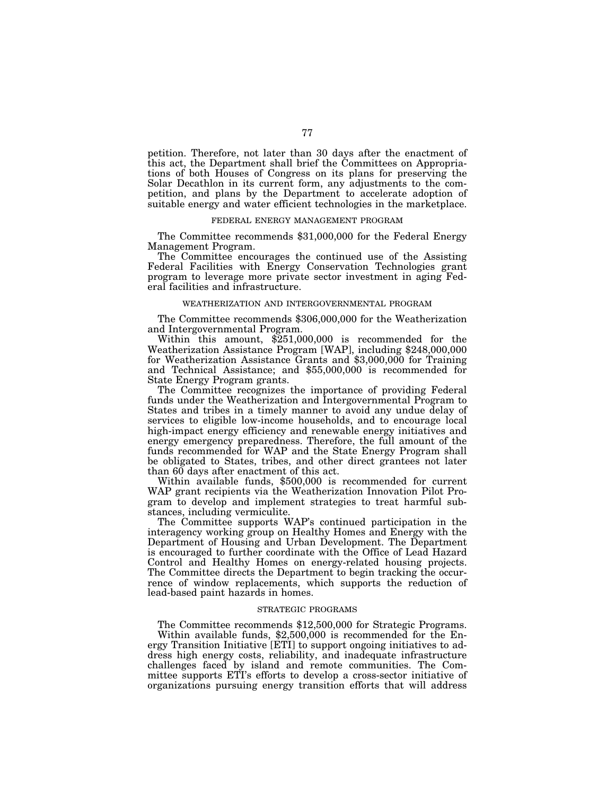petition. Therefore, not later than 30 days after the enactment of this act, the Department shall brief the Committees on Appropriations of both Houses of Congress on its plans for preserving the Solar Decathlon in its current form, any adjustments to the competition, and plans by the Department to accelerate adoption of suitable energy and water efficient technologies in the marketplace.

# FEDERAL ENERGY MANAGEMENT PROGRAM

The Committee recommends \$31,000,000 for the Federal Energy Management Program.

The Committee encourages the continued use of the Assisting Federal Facilities with Energy Conservation Technologies grant program to leverage more private sector investment in aging Federal facilities and infrastructure.

## WEATHERIZATION AND INTERGOVERNMENTAL PROGRAM

The Committee recommends \$306,000,000 for the Weatherization and Intergovernmental Program.

Within this amount, \$251,000,000 is recommended for the Weatherization Assistance Program [WAP], including \$248,000,000 for Weatherization Assistance Grants and \$3,000,000 for Training and Technical Assistance; and \$55,000,000 is recommended for State Energy Program grants.

The Committee recognizes the importance of providing Federal funds under the Weatherization and Intergovernmental Program to States and tribes in a timely manner to avoid any undue delay of services to eligible low-income households, and to encourage local high-impact energy efficiency and renewable energy initiatives and energy emergency preparedness. Therefore, the full amount of the funds recommended for WAP and the State Energy Program shall be obligated to States, tribes, and other direct grantees not later than 60 days after enactment of this act.

Within available funds, \$500,000 is recommended for current WAP grant recipients via the Weatherization Innovation Pilot Program to develop and implement strategies to treat harmful substances, including vermiculite.

The Committee supports WAP's continued participation in the interagency working group on Healthy Homes and Energy with the Department of Housing and Urban Development. The Department is encouraged to further coordinate with the Office of Lead Hazard Control and Healthy Homes on energy-related housing projects. The Committee directs the Department to begin tracking the occurrence of window replacements, which supports the reduction of lead-based paint hazards in homes.

#### STRATEGIC PROGRAMS

The Committee recommends \$12,500,000 for Strategic Programs.

Within available funds, \$2,500,000 is recommended for the Energy Transition Initiative [ETI] to support ongoing initiatives to address high energy costs, reliability, and inadequate infrastructure challenges faced by island and remote communities. The Committee supports ETI's efforts to develop a cross-sector initiative of organizations pursuing energy transition efforts that will address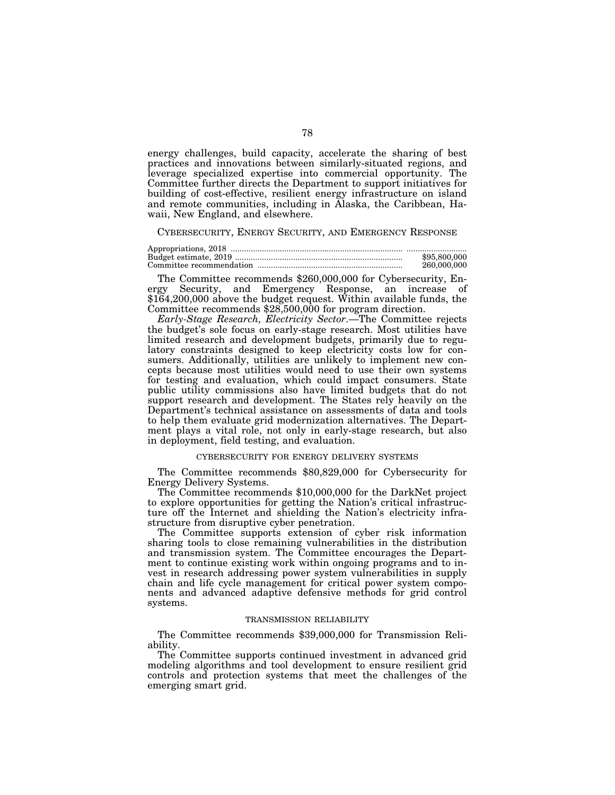energy challenges, build capacity, accelerate the sharing of best practices and innovations between similarly-situated regions, and leverage specialized expertise into commercial opportunity. The Committee further directs the Department to support initiatives for building of cost-effective, resilient energy infrastructure on island and remote communities, including in Alaska, the Caribbean, Hawaii, New England, and elsewhere.

# CYBERSECURITY, ENERGY SECURITY, AND EMERGENCY RESPONSE

| \$95,800,000 |
|--------------|
| 260,000,000  |

The Committee recommends \$260,000,000 for Cybersecurity, Energy Security, and Emergency Response, an increase of \$164,200,000 above the budget request. Within available funds, the Committee recommends \$28,500,000 for program direction.

*Early-Stage Research, Electricity Sector*.—The Committee rejects the budget's sole focus on early-stage research. Most utilities have limited research and development budgets, primarily due to regulatory constraints designed to keep electricity costs low for consumers. Additionally, utilities are unlikely to implement new concepts because most utilities would need to use their own systems for testing and evaluation, which could impact consumers. State public utility commissions also have limited budgets that do not support research and development. The States rely heavily on the Department's technical assistance on assessments of data and tools to help them evaluate grid modernization alternatives. The Department plays a vital role, not only in early-stage research, but also in deployment, field testing, and evaluation.

# CYBERSECURITY FOR ENERGY DELIVERY SYSTEMS

The Committee recommends \$80,829,000 for Cybersecurity for Energy Delivery Systems.

The Committee recommends \$10,000,000 for the DarkNet project to explore opportunities for getting the Nation's critical infrastructure off the Internet and shielding the Nation's electricity infrastructure from disruptive cyber penetration.

The Committee supports extension of cyber risk information sharing tools to close remaining vulnerabilities in the distribution and transmission system. The Committee encourages the Department to continue existing work within ongoing programs and to invest in research addressing power system vulnerabilities in supply chain and life cycle management for critical power system components and advanced adaptive defensive methods for grid control systems.

#### TRANSMISSION RELIABILITY

The Committee recommends \$39,000,000 for Transmission Reliability.

The Committee supports continued investment in advanced grid modeling algorithms and tool development to ensure resilient grid controls and protection systems that meet the challenges of the emerging smart grid.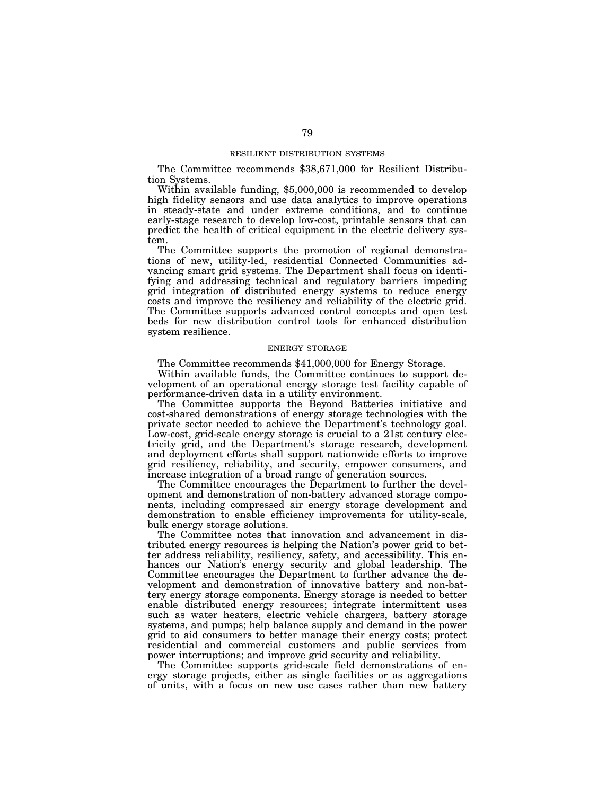### RESILIENT DISTRIBUTION SYSTEMS

The Committee recommends \$38,671,000 for Resilient Distribution Systems.

Within available funding, \$5,000,000 is recommended to develop high fidelity sensors and use data analytics to improve operations in steady-state and under extreme conditions, and to continue early-stage research to develop low-cost, printable sensors that can predict the health of critical equipment in the electric delivery system.

The Committee supports the promotion of regional demonstrations of new, utility-led, residential Connected Communities advancing smart grid systems. The Department shall focus on identifying and addressing technical and regulatory barriers impeding grid integration of distributed energy systems to reduce energy costs and improve the resiliency and reliability of the electric grid. The Committee supports advanced control concepts and open test beds for new distribution control tools for enhanced distribution system resilience.

# ENERGY STORAGE

The Committee recommends \$41,000,000 for Energy Storage.

Within available funds, the Committee continues to support development of an operational energy storage test facility capable of performance-driven data in a utility environment.

The Committee supports the Beyond Batteries initiative and cost-shared demonstrations of energy storage technologies with the private sector needed to achieve the Department's technology goal. Low-cost, grid-scale energy storage is crucial to a 21st century electricity grid, and the Department's storage research, development and deployment efforts shall support nationwide efforts to improve grid resiliency, reliability, and security, empower consumers, and increase integration of a broad range of generation sources.

The Committee encourages the Department to further the development and demonstration of non-battery advanced storage components, including compressed air energy storage development and demonstration to enable efficiency improvements for utility-scale, bulk energy storage solutions.

The Committee notes that innovation and advancement in distributed energy resources is helping the Nation's power grid to better address reliability, resiliency, safety, and accessibility. This enhances our Nation's energy security and global leadership. The Committee encourages the Department to further advance the development and demonstration of innovative battery and non-battery energy storage components. Energy storage is needed to better enable distributed energy resources; integrate intermittent uses such as water heaters, electric vehicle chargers, battery storage systems, and pumps; help balance supply and demand in the power grid to aid consumers to better manage their energy costs; protect residential and commercial customers and public services from power interruptions; and improve grid security and reliability.

The Committee supports grid-scale field demonstrations of energy storage projects, either as single facilities or as aggregations of units, with a focus on new use cases rather than new battery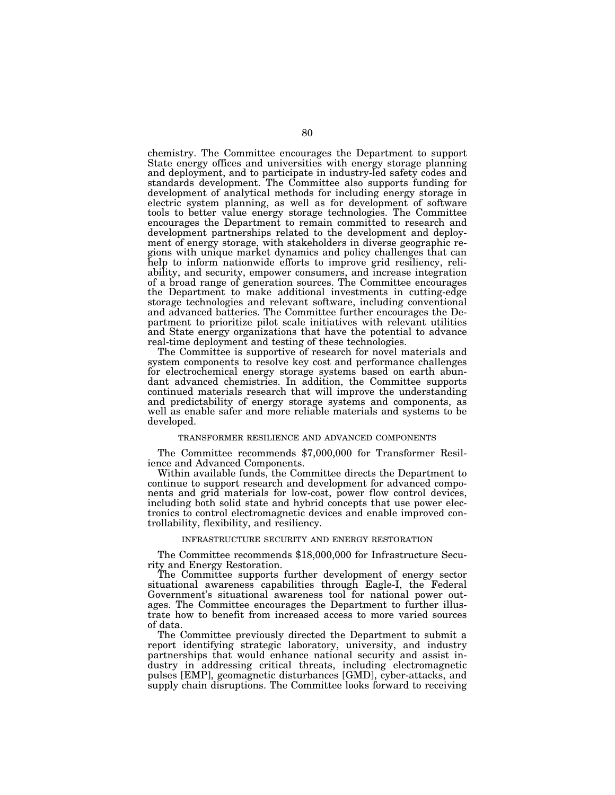chemistry. The Committee encourages the Department to support State energy offices and universities with energy storage planning and deployment, and to participate in industry-led safety codes and standards development. The Committee also supports funding for development of analytical methods for including energy storage in electric system planning, as well as for development of software tools to better value energy storage technologies. The Committee encourages the Department to remain committed to research and development partnerships related to the development and deployment of energy storage, with stakeholders in diverse geographic regions with unique market dynamics and policy challenges that can help to inform nationwide efforts to improve grid resiliency, reliability, and security, empower consumers, and increase integration of a broad range of generation sources. The Committee encourages the Department to make additional investments in cutting-edge storage technologies and relevant software, including conventional and advanced batteries. The Committee further encourages the Department to prioritize pilot scale initiatives with relevant utilities and State energy organizations that have the potential to advance real-time deployment and testing of these technologies.

The Committee is supportive of research for novel materials and system components to resolve key cost and performance challenges for electrochemical energy storage systems based on earth abundant advanced chemistries. In addition, the Committee supports continued materials research that will improve the understanding and predictability of energy storage systems and components, as well as enable safer and more reliable materials and systems to be developed.

# TRANSFORMER RESILIENCE AND ADVANCED COMPONENTS

The Committee recommends \$7,000,000 for Transformer Resilience and Advanced Components.

Within available funds, the Committee directs the Department to continue to support research and development for advanced components and grid materials for low-cost, power flow control devices, including both solid state and hybrid concepts that use power electronics to control electromagnetic devices and enable improved controllability, flexibility, and resiliency.

#### INFRASTRUCTURE SECURITY AND ENERGY RESTORATION

The Committee recommends \$18,000,000 for Infrastructure Security and Energy Restoration.

The Committee supports further development of energy sector situational awareness capabilities through Eagle-I, the Federal Government's situational awareness tool for national power outages. The Committee encourages the Department to further illustrate how to benefit from increased access to more varied sources of data.

The Committee previously directed the Department to submit a report identifying strategic laboratory, university, and industry partnerships that would enhance national security and assist industry in addressing critical threats, including electromagnetic pulses [EMP], geomagnetic disturbances [GMD], cyber-attacks, and supply chain disruptions. The Committee looks forward to receiving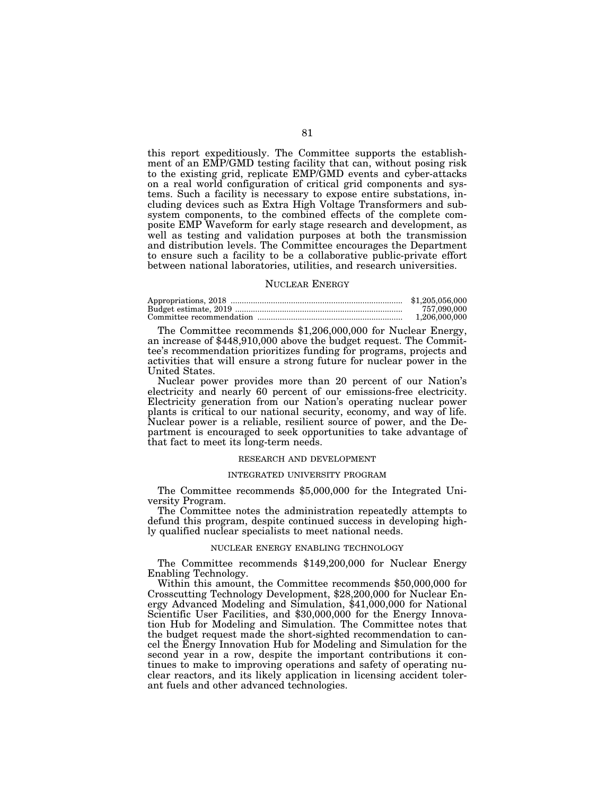this report expeditiously. The Committee supports the establishment of an EMP/GMD testing facility that can, without posing risk to the existing grid, replicate EMP/GMD events and cyber-attacks on a real world configuration of critical grid components and systems. Such a facility is necessary to expose entire substations, including devices such as Extra High Voltage Transformers and subsystem components, to the combined effects of the complete composite EMP Waveform for early stage research and development, as well as testing and validation purposes at both the transmission and distribution levels. The Committee encourages the Department to ensure such a facility to be a collaborative public-private effort between national laboratories, utilities, and research universities.

#### NUCLEAR ENERGY

| \$1,205,056,000 |
|-----------------|
| 757.090.000     |
| 1.206.000.000   |

The Committee recommends \$1,206,000,000 for Nuclear Energy, an increase of \$448,910,000 above the budget request. The Committee's recommendation prioritizes funding for programs, projects and activities that will ensure a strong future for nuclear power in the United States.

Nuclear power provides more than 20 percent of our Nation's electricity and nearly 60 percent of our emissions-free electricity. Electricity generation from our Nation's operating nuclear power plants is critical to our national security, economy, and way of life. Nuclear power is a reliable, resilient source of power, and the Department is encouraged to seek opportunities to take advantage of that fact to meet its long-term needs.

# RESEARCH AND DEVELOPMENT

# INTEGRATED UNIVERSITY PROGRAM

The Committee recommends \$5,000,000 for the Integrated University Program.

The Committee notes the administration repeatedly attempts to defund this program, despite continued success in developing highly qualified nuclear specialists to meet national needs.

### NUCLEAR ENERGY ENABLING TECHNOLOGY

The Committee recommends \$149,200,000 for Nuclear Energy Enabling Technology.

Within this amount, the Committee recommends \$50,000,000 for Crosscutting Technology Development, \$28,200,000 for Nuclear Energy Advanced Modeling and Simulation, \$41,000,000 for National Scientific User Facilities, and \$30,000,000 for the Energy Innovation Hub for Modeling and Simulation. The Committee notes that the budget request made the short-sighted recommendation to cancel the Energy Innovation Hub for Modeling and Simulation for the second year in a row, despite the important contributions it continues to make to improving operations and safety of operating nuclear reactors, and its likely application in licensing accident tolerant fuels and other advanced technologies.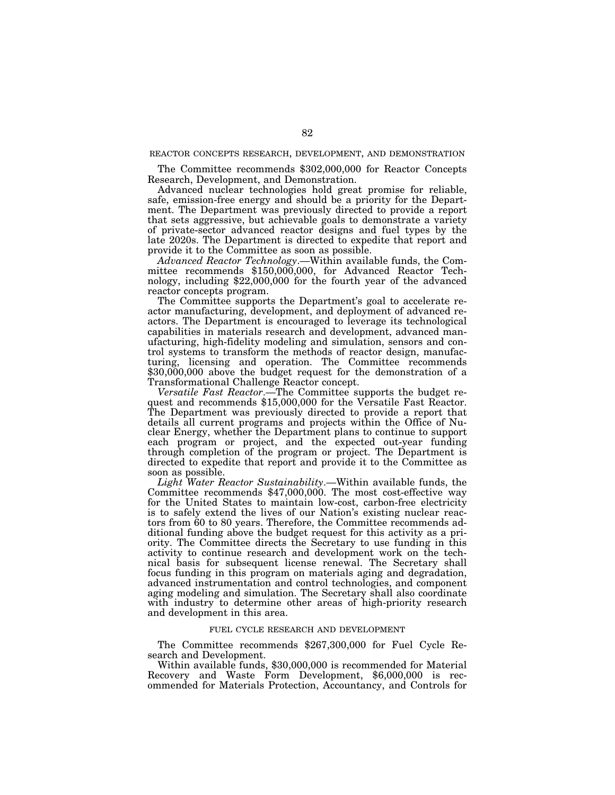# REACTOR CONCEPTS RESEARCH, DEVELOPMENT, AND DEMONSTRATION

The Committee recommends \$302,000,000 for Reactor Concepts Research, Development, and Demonstration.

Advanced nuclear technologies hold great promise for reliable, safe, emission-free energy and should be a priority for the Department. The Department was previously directed to provide a report that sets aggressive, but achievable goals to demonstrate a variety of private-sector advanced reactor designs and fuel types by the late 2020s. The Department is directed to expedite that report and provide it to the Committee as soon as possible.

*Advanced Reactor Technology*.—Within available funds, the Committee recommends  $$150,000,000$ , for Advanced Reactor Technology, including \$22,000,000 for the fourth year of the advanced reactor concepts program.

The Committee supports the Department's goal to accelerate reactor manufacturing, development, and deployment of advanced reactors. The Department is encouraged to leverage its technological capabilities in materials research and development, advanced manufacturing, high-fidelity modeling and simulation, sensors and control systems to transform the methods of reactor design, manufacturing, licensing and operation. The Committee recommends \$30,000,000 above the budget request for the demonstration of a Transformational Challenge Reactor concept.

*Versatile Fast Reactor*.—The Committee supports the budget request and recommends \$15,000,000 for the Versatile Fast Reactor. The Department was previously directed to provide a report that details all current programs and projects within the Office of Nuclear Energy, whether the Department plans to continue to support each program or project, and the expected out-year funding through completion of the program or project. The Department is directed to expedite that report and provide it to the Committee as soon as possible.

*Light Water Reactor Sustainability*.—Within available funds, the Committee recommends \$47,000,000. The most cost-effective way for the United States to maintain low-cost, carbon-free electricity is to safely extend the lives of our Nation's existing nuclear reactors from 60 to 80 years. Therefore, the Committee recommends additional funding above the budget request for this activity as a priority. The Committee directs the Secretary to use funding in this activity to continue research and development work on the technical basis for subsequent license renewal. The Secretary shall focus funding in this program on materials aging and degradation, advanced instrumentation and control technologies, and component aging modeling and simulation. The Secretary shall also coordinate with industry to determine other areas of high-priority research and development in this area.

# FUEL CYCLE RESEARCH AND DEVELOPMENT

The Committee recommends \$267,300,000 for Fuel Cycle Research and Development.

Within available funds, \$30,000,000 is recommended for Material Recovery and Waste Form Development, \$6,000,000 is recommended for Materials Protection, Accountancy, and Controls for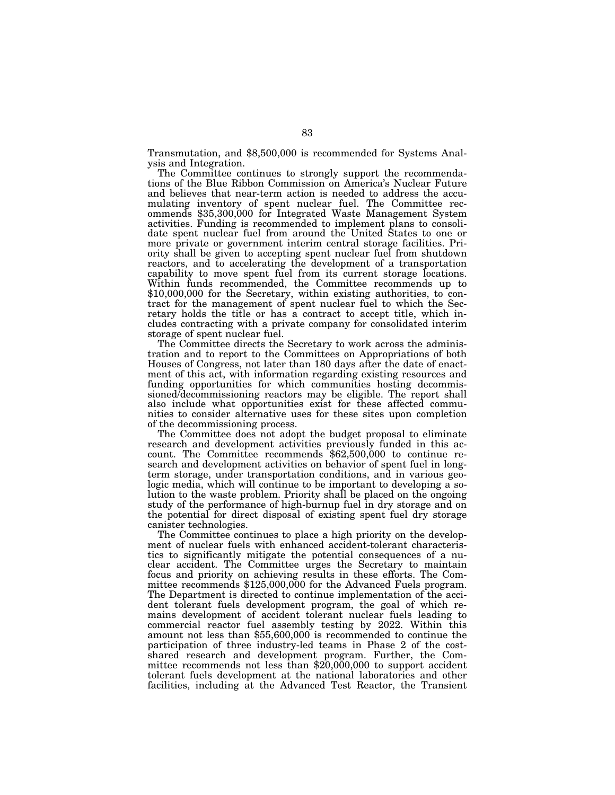Transmutation, and \$8,500,000 is recommended for Systems Analysis and Integration.

The Committee continues to strongly support the recommendations of the Blue Ribbon Commission on America's Nuclear Future and believes that near-term action is needed to address the accumulating inventory of spent nuclear fuel. The Committee recommends \$35,300,000 for Integrated Waste Management System activities. Funding is recommended to implement plans to consolidate spent nuclear fuel from around the United States to one or more private or government interim central storage facilities. Priority shall be given to accepting spent nuclear fuel from shutdown reactors, and to accelerating the development of a transportation capability to move spent fuel from its current storage locations. Within funds recommended, the Committee recommends up to \$10,000,000 for the Secretary, within existing authorities, to contract for the management of spent nuclear fuel to which the Secretary holds the title or has a contract to accept title, which includes contracting with a private company for consolidated interim storage of spent nuclear fuel.

The Committee directs the Secretary to work across the administration and to report to the Committees on Appropriations of both Houses of Congress, not later than 180 days after the date of enactment of this act, with information regarding existing resources and funding opportunities for which communities hosting decommissioned/decommissioning reactors may be eligible. The report shall also include what opportunities exist for these affected communities to consider alternative uses for these sites upon completion of the decommissioning process.

The Committee does not adopt the budget proposal to eliminate research and development activities previously funded in this account. The Committee recommends \$62,500,000 to continue research and development activities on behavior of spent fuel in longterm storage, under transportation conditions, and in various geologic media, which will continue to be important to developing a solution to the waste problem. Priority shall be placed on the ongoing study of the performance of high-burnup fuel in dry storage and on the potential for direct disposal of existing spent fuel dry storage canister technologies.

The Committee continues to place a high priority on the development of nuclear fuels with enhanced accident-tolerant characteristics to significantly mitigate the potential consequences of a nuclear accident. The Committee urges the Secretary to maintain focus and priority on achieving results in these efforts. The Committee recommends \$125,000,000 for the Advanced Fuels program. The Department is directed to continue implementation of the accident tolerant fuels development program, the goal of which remains development of accident tolerant nuclear fuels leading to commercial reactor fuel assembly testing by 2022. Within this amount not less than \$55,600,000 is recommended to continue the participation of three industry-led teams in Phase 2 of the costshared research and development program. Further, the Committee recommends not less than \$20,000,000 to support accident tolerant fuels development at the national laboratories and other facilities, including at the Advanced Test Reactor, the Transient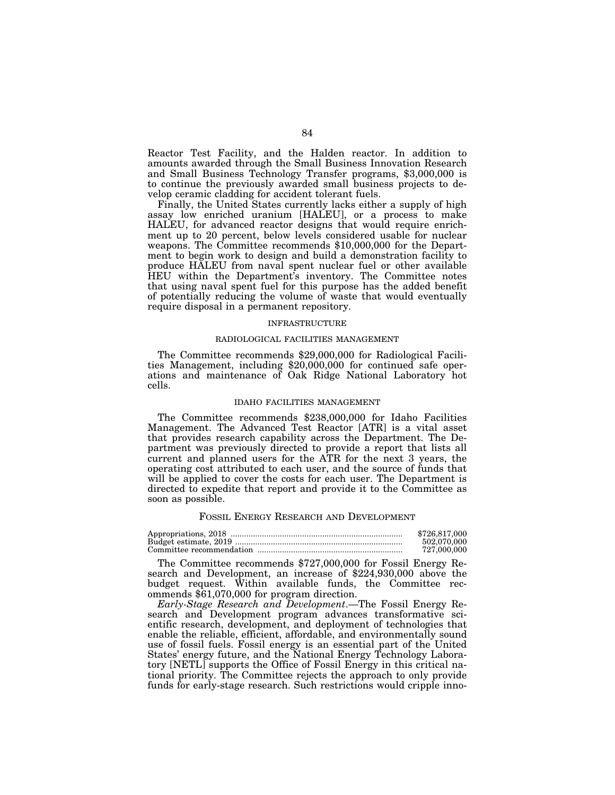Reactor Test Facility, and the Halden reactor. In addition to amounts awarded through the Small Business Innovation Research and Small Business Technology Transfer programs, \$3,000,000 is to continue the previously awarded small business projects to develop ceramic cladding for accident tolerant fuels.

Finally, the United States currently lacks either a supply of high assay low enriched uranium [HALEU], or a process to make HALEU, for advanced reactor designs that would require enrichment up to 20 percent, below levels considered usable for nuclear weapons. The Committee recommends \$10,000,000 for the Department to begin work to design and build a demonstration facility to produce HALEU from naval spent nuclear fuel or other available HEU within the Department's inventory. The Committee notes that using naval spent fuel for this purpose has the added benefit of potentially reducing the volume of waste that would eventually require disposal in a permanent repository.

#### INFRASTRUCTURE

## RADIOLOGICAL FACILITIES MANAGEMENT

The Committee recommends \$29,000,000 for Radiological Facilities Management, including \$20,000,000 for continued safe operations and maintenance of Oak Ridge National Laboratory hot cells.

#### IDAHO FACILITIES MANAGEMENT

The Committee recommends \$238,000,000 for Idaho Facilities Management. The Advanced Test Reactor [ATR] is a vital asset that provides research capability across the Department. The Department was previously directed to provide a report that lists all current and planned users for the ATR for the next 3 years, the operating cost attributed to each user, and the source of funds that will be applied to cover the costs for each user. The Department is directed to expedite that report and provide it to the Committee as soon as possible.

#### FOSSIL ENERGY RESEARCH AND DEVELOPMENT

| \$726,817,000 |
|---------------|
| 502.070.000   |
| 727.000.000   |

The Committee recommends \$727,000,000 for Fossil Energy Research and Development, an increase of \$224,930,000 above the budget request. Within available funds, the Committee recommends \$61,070,000 for program direction.

*Early-Stage Research and Development*.—The Fossil Energy Research and Development program advances transformative scientific research, development, and deployment of technologies that enable the reliable, efficient, affordable, and environmentally sound use of fossil fuels. Fossil energy is an essential part of the United States' energy future, and the National Energy Technology Laboratory [NETL] supports the Office of Fossil Energy in this critical national priority. The Committee rejects the approach to only provide funds for early-stage research. Such restrictions would cripple inno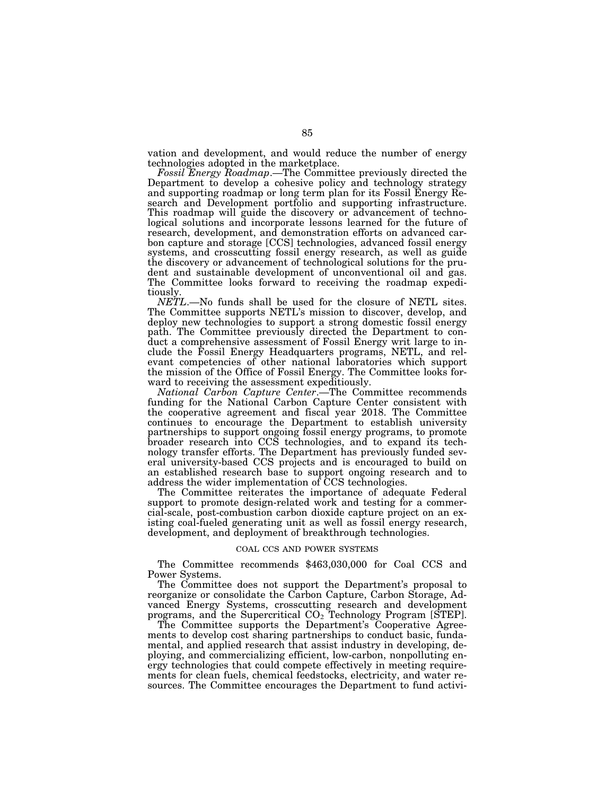vation and development, and would reduce the number of energy technologies adopted in the marketplace.

*Fossil Energy Roadmap*.—The Committee previously directed the Department to develop a cohesive policy and technology strategy and supporting roadmap or long term plan for its Fossil Energy Research and Development portfolio and supporting infrastructure. This roadmap will guide the discovery or advancement of technological solutions and incorporate lessons learned for the future of research, development, and demonstration efforts on advanced carbon capture and storage [CCS] technologies, advanced fossil energy systems, and crosscutting fossil energy research, as well as guide the discovery or advancement of technological solutions for the prudent and sustainable development of unconventional oil and gas. The Committee looks forward to receiving the roadmap expeditiously.

*NETL*.—No funds shall be used for the closure of NETL sites. The Committee supports NETL's mission to discover, develop, and deploy new technologies to support a strong domestic fossil energy path. The Committee previously directed the Department to conduct a comprehensive assessment of Fossil Energy writ large to include the Fossil Energy Headquarters programs, NETL, and relevant competencies of other national laboratories which support the mission of the Office of Fossil Energy. The Committee looks forward to receiving the assessment expeditiously.

*National Carbon Capture Center*.—The Committee recommends funding for the National Carbon Capture Center consistent with the cooperative agreement and fiscal year 2018. The Committee continues to encourage the Department to establish university partnerships to support ongoing fossil energy programs, to promote broader research into CCS technologies, and to expand its technology transfer efforts. The Department has previously funded several university-based CCS projects and is encouraged to build on an established research base to support ongoing research and to address the wider implementation of CCS technologies.

The Committee reiterates the importance of adequate Federal support to promote design-related work and testing for a commercial-scale, post-combustion carbon dioxide capture project on an existing coal-fueled generating unit as well as fossil energy research, development, and deployment of breakthrough technologies.

### COAL CCS AND POWER SYSTEMS

The Committee recommends \$463,030,000 for Coal CCS and Power Systems.

The Committee does not support the Department's proposal to reorganize or consolidate the Carbon Capture, Carbon Storage, Advanced Energy Systems, crosscutting research and development programs, and the Supercritical  $CO<sub>2</sub>$  Technology Program [STEP].

The Committee supports the Department's Cooperative Agreements to develop cost sharing partnerships to conduct basic, fundamental, and applied research that assist industry in developing, deploying, and commercializing efficient, low-carbon, nonpolluting energy technologies that could compete effectively in meeting requirements for clean fuels, chemical feedstocks, electricity, and water resources. The Committee encourages the Department to fund activi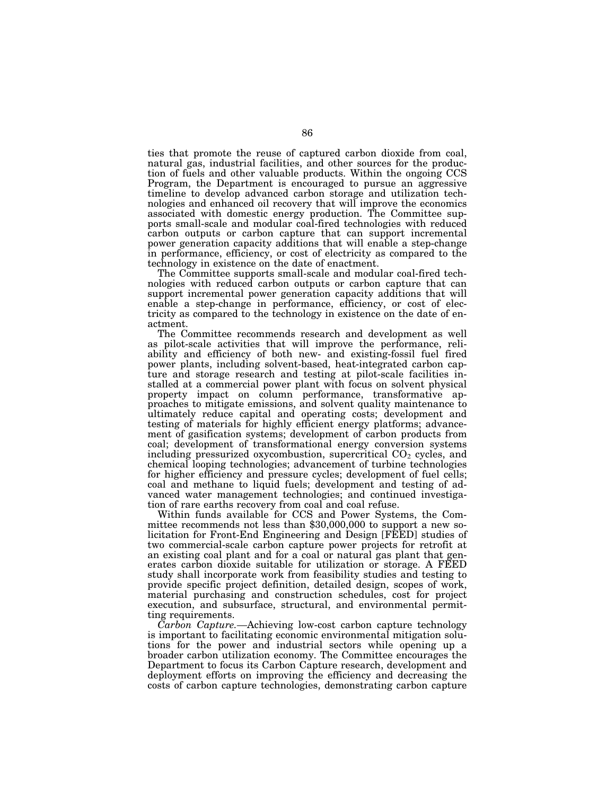ties that promote the reuse of captured carbon dioxide from coal, natural gas, industrial facilities, and other sources for the production of fuels and other valuable products. Within the ongoing CCS Program, the Department is encouraged to pursue an aggressive timeline to develop advanced carbon storage and utilization technologies and enhanced oil recovery that will improve the economics associated with domestic energy production. The Committee supports small-scale and modular coal-fired technologies with reduced carbon outputs or carbon capture that can support incremental power generation capacity additions that will enable a step-change in performance, efficiency, or cost of electricity as compared to the technology in existence on the date of enactment.

The Committee supports small-scale and modular coal-fired technologies with reduced carbon outputs or carbon capture that can support incremental power generation capacity additions that will enable a step-change in performance, efficiency, or cost of electricity as compared to the technology in existence on the date of enactment.

The Committee recommends research and development as well as pilot-scale activities that will improve the performance, reliability and efficiency of both new- and existing-fossil fuel fired power plants, including solvent-based, heat-integrated carbon capture and storage research and testing at pilot-scale facilities installed at a commercial power plant with focus on solvent physical property impact on column performance, transformative approaches to mitigate emissions, and solvent quality maintenance to ultimately reduce capital and operating costs; development and testing of materials for highly efficient energy platforms; advancement of gasification systems; development of carbon products from coal; development of transformational energy conversion systems including pressurized oxycombustion, supercritical  $CO<sub>2</sub>$  cycles, and chemical looping technologies; advancement of turbine technologies for higher efficiency and pressure cycles; development of fuel cells; coal and methane to liquid fuels; development and testing of advanced water management technologies; and continued investigation of rare earths recovery from coal and coal refuse.

Within funds available for CCS and Power Systems, the Committee recommends not less than \$30,000,000 to support a new solicitation for Front-End Engineering and Design [FEED] studies of two commercial-scale carbon capture power projects for retrofit at an existing coal plant and for a coal or natural gas plant that generates carbon dioxide suitable for utilization or storage. A FEED study shall incorporate work from feasibility studies and testing to provide specific project definition, detailed design, scopes of work, material purchasing and construction schedules, cost for project execution, and subsurface, structural, and environmental permitting requirements.

*Carbon Capture.—*Achieving low-cost carbon capture technology is important to facilitating economic environmental mitigation solutions for the power and industrial sectors while opening up a broader carbon utilization economy. The Committee encourages the Department to focus its Carbon Capture research, development and deployment efforts on improving the efficiency and decreasing the costs of carbon capture technologies, demonstrating carbon capture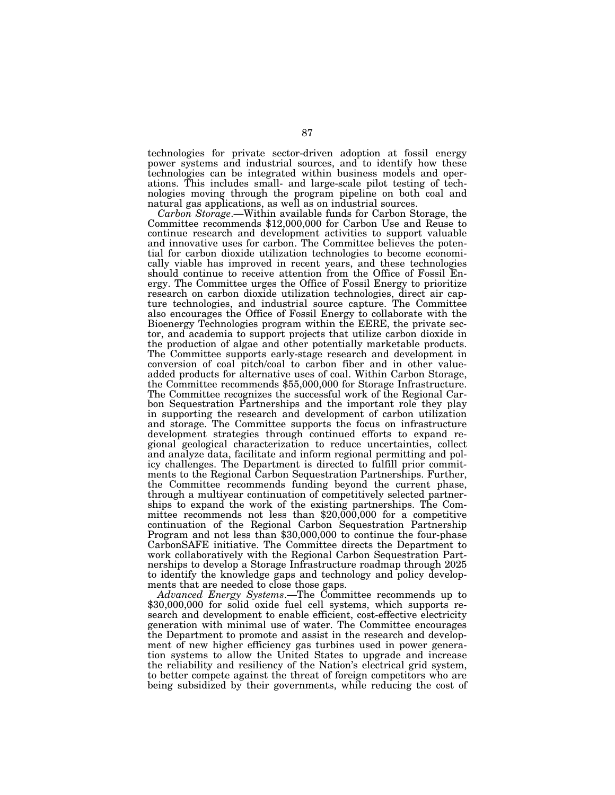technologies for private sector-driven adoption at fossil energy power systems and industrial sources, and to identify how these technologies can be integrated within business models and operations. This includes small- and large-scale pilot testing of technologies moving through the program pipeline on both coal and natural gas applications, as well as on industrial sources.<br>Carbon Storage.—Within available funds for Carbon Storage, the

*Committee recommends* \$12,000,000 for Carbon Use and Reuse to continue research and development activities to support valuable and innovative uses for carbon. The Committee believes the potential for carbon dioxide utilization technologies to become economically viable has improved in recent years, and these technologies should continue to receive attention from the Office of Fossil Energy. The Committee urges the Office of Fossil Energy to prioritize research on carbon dioxide utilization technologies, direct air capture technologies, and industrial source capture. The Committee also encourages the Office of Fossil Energy to collaborate with the Bioenergy Technologies program within the EERE, the private sector, and academia to support projects that utilize carbon dioxide in the production of algae and other potentially marketable products. The Committee supports early-stage research and development in conversion of coal pitch/coal to carbon fiber and in other valueadded products for alternative uses of coal. Within Carbon Storage, the Committee recommends \$55,000,000 for Storage Infrastructure. The Committee recognizes the successful work of the Regional Carbon Sequestration Partnerships and the important role they play in supporting the research and development of carbon utilization and storage. The Committee supports the focus on infrastructure development strategies through continued efforts to expand regional geological characterization to reduce uncertainties, collect and analyze data, facilitate and inform regional permitting and policy challenges. The Department is directed to fulfill prior commitments to the Regional Carbon Sequestration Partnerships. Further, the Committee recommends funding beyond the current phase, through a multiyear continuation of competitively selected partnerships to expand the work of the existing partnerships. The Committee recommends not less than \$20,000,000 for a competitive continuation of the Regional Carbon Sequestration Partnership Program and not less than \$30,000,000 to continue the four-phase CarbonSAFE initiative. The Committee directs the Department to work collaboratively with the Regional Carbon Sequestration Partnerships to develop a Storage Infrastructure roadmap through 2025 to identify the knowledge gaps and technology and policy developments that are needed to close those gaps.

*Advanced Energy Systems*.—The Committee recommends up to \$30,000,000 for solid oxide fuel cell systems, which supports research and development to enable efficient, cost-effective electricity generation with minimal use of water. The Committee encourages the Department to promote and assist in the research and development of new higher efficiency gas turbines used in power generation systems to allow the United States to upgrade and increase the reliability and resiliency of the Nation's electrical grid system, to better compete against the threat of foreign competitors who are being subsidized by their governments, while reducing the cost of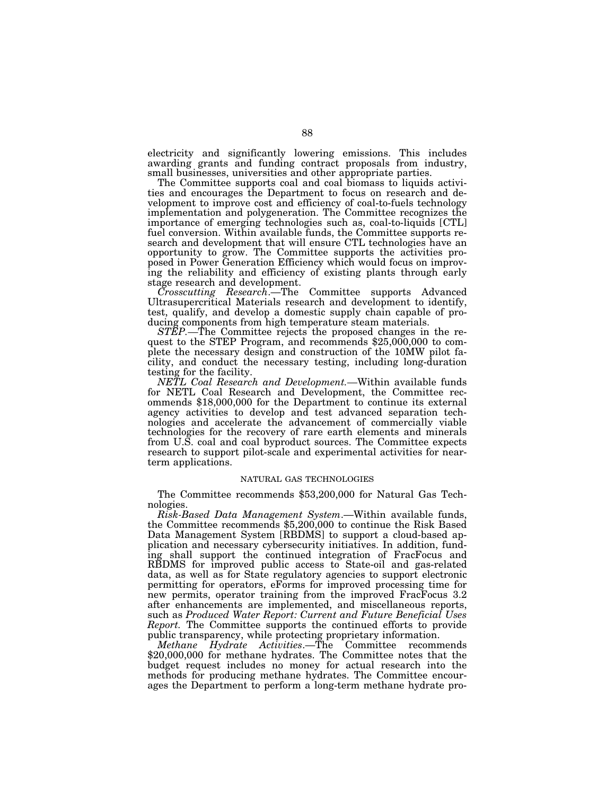electricity and significantly lowering emissions. This includes awarding grants and funding contract proposals from industry, small businesses, universities and other appropriate parties.

The Committee supports coal and coal biomass to liquids activities and encourages the Department to focus on research and development to improve cost and efficiency of coal-to-fuels technology implementation and polygeneration. The Committee recognizes the importance of emerging technologies such as, coal-to-liquids [CTL] fuel conversion. Within available funds, the Committee supports research and development that will ensure CTL technologies have an opportunity to grow. The Committee supports the activities proposed in Power Generation Efficiency which would focus on improving the reliability and efficiency of existing plants through early stage research and development.

*Crosscutting Research*.—The Committee supports Advanced Ultrasupercritical Materials research and development to identify, test, qualify, and develop a domestic supply chain capable of producing components from high temperature steam materials.

*STEP.*—The Committee rejects the proposed changes in the request to the STEP Program, and recommends \$25,000,000 to complete the necessary design and construction of the 10MW pilot facility, and conduct the necessary testing, including long-duration testing for the facility.

*NETL Coal Research and Development.—*Within available funds for NETL Coal Research and Development, the Committee recommends \$18,000,000 for the Department to continue its external agency activities to develop and test advanced separation technologies and accelerate the advancement of commercially viable technologies for the recovery of rare earth elements and minerals from U.S. coal and coal byproduct sources. The Committee expects research to support pilot-scale and experimental activities for nearterm applications.

#### NATURAL GAS TECHNOLOGIES

The Committee recommends \$53,200,000 for Natural Gas Technologies.

*Risk-Based Data Management System*.—Within available funds, the Committee recommends \$5,200,000 to continue the Risk Based Data Management System [RBDMS] to support a cloud-based application and necessary cybersecurity initiatives. In addition, funding shall support the continued integration of FracFocus and RBDMS for improved public access to State-oil and gas-related data, as well as for State regulatory agencies to support electronic permitting for operators, eForms for improved processing time for new permits, operator training from the improved FracFocus 3.2 after enhancements are implemented, and miscellaneous reports, such as *Produced Water Report: Current and Future Beneficial Uses Report.* The Committee supports the continued efforts to provide public transparency, while protecting proprietary information.

*Methane Hydrate Activities*.—The Committee recommends \$20,000,000 for methane hydrates. The Committee notes that the budget request includes no money for actual research into the methods for producing methane hydrates. The Committee encourages the Department to perform a long-term methane hydrate pro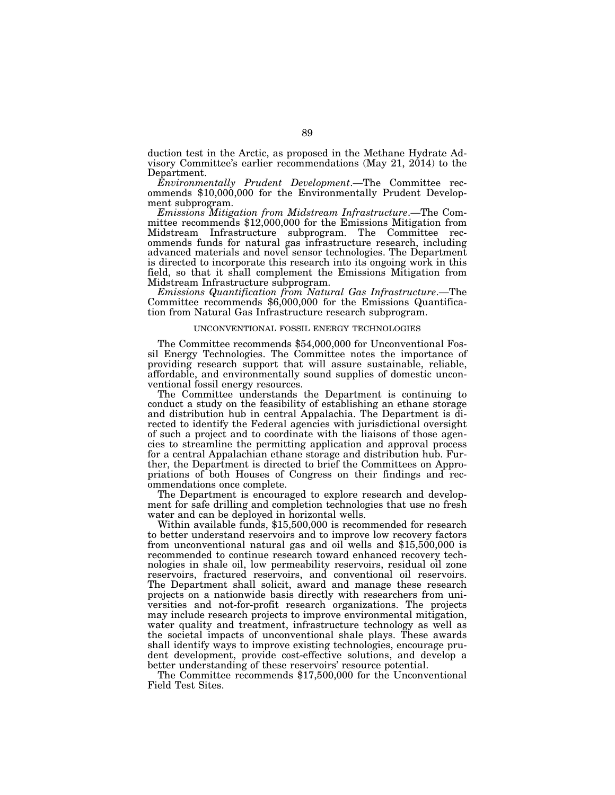duction test in the Arctic, as proposed in the Methane Hydrate Advisory Committee's earlier recommendations (May 21, 2014) to the Department.

*Environmentally Prudent Development*.—The Committee recommends \$10,000,000 for the Environmentally Prudent Development subprogram.

*Emissions Mitigation from Midstream Infrastructure*.—The Committee recommends \$12,000,000 for the Emissions Mitigation from Midstream Infrastructure subprogram. The Committee recommends funds for natural gas infrastructure research, including advanced materials and novel sensor technologies. The Department is directed to incorporate this research into its ongoing work in this field, so that it shall complement the Emissions Mitigation from Midstream Infrastructure subprogram.

*Emissions Quantification from Natural Gas Infrastructure*.—The Committee recommends \$6,000,000 for the Emissions Quantification from Natural Gas Infrastructure research subprogram.

#### UNCONVENTIONAL FOSSIL ENERGY TECHNOLOGIES

The Committee recommends \$54,000,000 for Unconventional Fossil Energy Technologies. The Committee notes the importance of providing research support that will assure sustainable, reliable, affordable, and environmentally sound supplies of domestic unconventional fossil energy resources.

The Committee understands the Department is continuing to conduct a study on the feasibility of establishing an ethane storage and distribution hub in central Appalachia. The Department is directed to identify the Federal agencies with jurisdictional oversight of such a project and to coordinate with the liaisons of those agencies to streamline the permitting application and approval process for a central Appalachian ethane storage and distribution hub. Further, the Department is directed to brief the Committees on Appropriations of both Houses of Congress on their findings and recommendations once complete.

The Department is encouraged to explore research and development for safe drilling and completion technologies that use no fresh water and can be deployed in horizontal wells.

Within available funds, \$15,500,000 is recommended for research to better understand reservoirs and to improve low recovery factors from unconventional natural gas and oil wells and \$15,500,000 is recommended to continue research toward enhanced recovery technologies in shale oil, low permeability reservoirs, residual oil zone reservoirs, fractured reservoirs, and conventional oil reservoirs. The Department shall solicit, award and manage these research projects on a nationwide basis directly with researchers from universities and not-for-profit research organizations. The projects may include research projects to improve environmental mitigation, water quality and treatment, infrastructure technology as well as the societal impacts of unconventional shale plays. These awards shall identify ways to improve existing technologies, encourage prudent development, provide cost-effective solutions, and develop a better understanding of these reservoirs' resource potential.

The Committee recommends \$17,500,000 for the Unconventional Field Test Sites.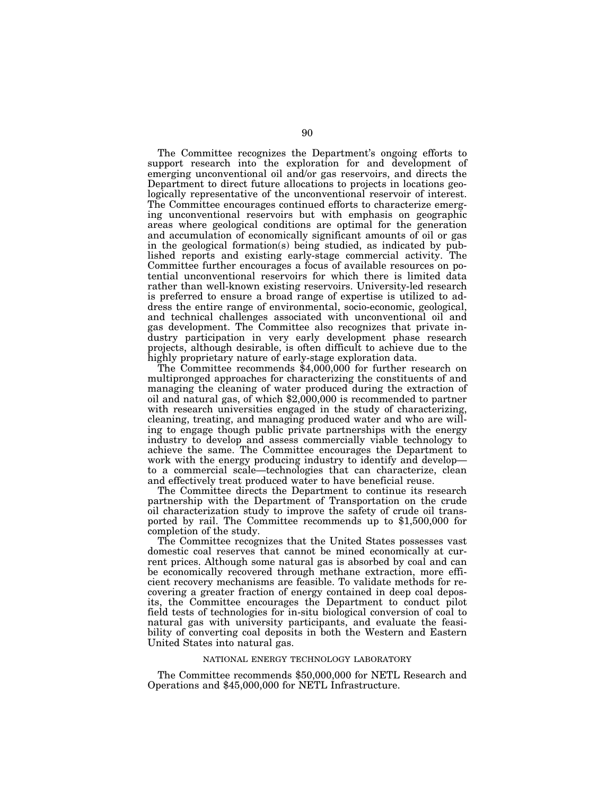The Committee recognizes the Department's ongoing efforts to support research into the exploration for and development of emerging unconventional oil and/or gas reservoirs, and directs the Department to direct future allocations to projects in locations geologically representative of the unconventional reservoir of interest. The Committee encourages continued efforts to characterize emerging unconventional reservoirs but with emphasis on geographic areas where geological conditions are optimal for the generation and accumulation of economically significant amounts of oil or gas in the geological formation(s) being studied, as indicated by published reports and existing early-stage commercial activity. The Committee further encourages a focus of available resources on potential unconventional reservoirs for which there is limited data rather than well-known existing reservoirs. University-led research is preferred to ensure a broad range of expertise is utilized to address the entire range of environmental, socio-economic, geological, and technical challenges associated with unconventional oil and gas development. The Committee also recognizes that private industry participation in very early development phase research projects, although desirable, is often difficult to achieve due to the highly proprietary nature of early-stage exploration data.

The Committee recommends \$4,000,000 for further research on multipronged approaches for characterizing the constituents of and managing the cleaning of water produced during the extraction of oil and natural gas, of which \$2,000,000 is recommended to partner with research universities engaged in the study of characterizing, cleaning, treating, and managing produced water and who are willing to engage though public private partnerships with the energy industry to develop and assess commercially viable technology to achieve the same. The Committee encourages the Department to work with the energy producing industry to identify and develop to a commercial scale—technologies that can characterize, clean and effectively treat produced water to have beneficial reuse.

The Committee directs the Department to continue its research partnership with the Department of Transportation on the crude oil characterization study to improve the safety of crude oil transported by rail. The Committee recommends up to \$1,500,000 for completion of the study.

The Committee recognizes that the United States possesses vast domestic coal reserves that cannot be mined economically at current prices. Although some natural gas is absorbed by coal and can be economically recovered through methane extraction, more efficient recovery mechanisms are feasible. To validate methods for recovering a greater fraction of energy contained in deep coal deposits, the Committee encourages the Department to conduct pilot field tests of technologies for in-situ biological conversion of coal to natural gas with university participants, and evaluate the feasibility of converting coal deposits in both the Western and Eastern United States into natural gas.

#### NATIONAL ENERGY TECHNOLOGY LABORATORY

The Committee recommends \$50,000,000 for NETL Research and Operations and \$45,000,000 for NETL Infrastructure.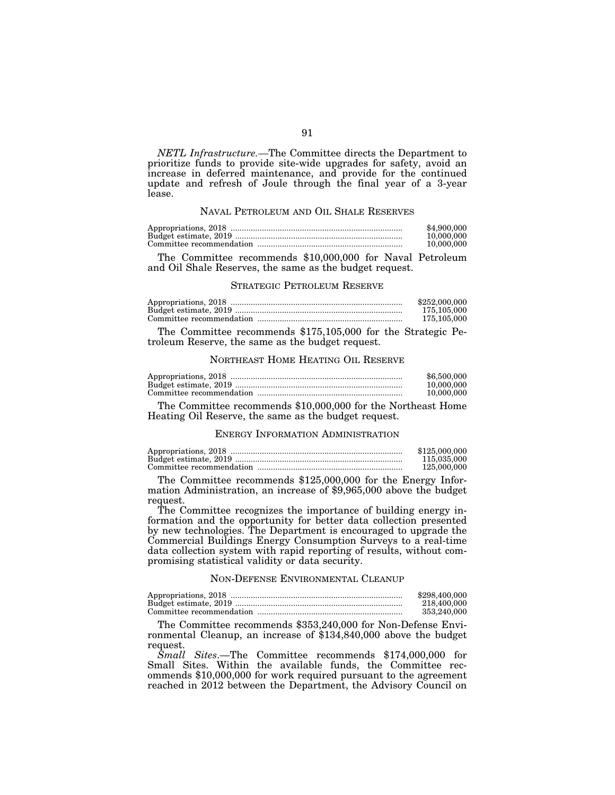*NETL Infrastructure.—*The Committee directs the Department to prioritize funds to provide site-wide upgrades for safety, avoid an increase in deferred maintenance, and provide for the continued update and refresh of Joule through the final year of a 3-year lease.

### NAVAL PETROLEUM AND OIL SHALE RESERVES

| \$4,900,000 |
|-------------|
| 10.000.000  |
| 10,000,000  |

The Committee recommends \$10,000,000 for Naval Petroleum and Oil Shale Reserves, the same as the budget request.

## STRATEGIC PETROLEUM RESERVE

| \$252,000,000 |
|---------------|
| 175,105,000   |
| 175,105,000   |

The Committee recommends \$175,105,000 for the Strategic Petroleum Reserve, the same as the budget request.

#### NORTHEAST HOME HEATING OIL RESERVE

| Appropriations, 2018. | \$6,500,000 |
|-----------------------|-------------|
|                       | 10.000.000  |
|                       | 10.000.000  |

The Committee recommends \$10,000,000 for the Northeast Home Heating Oil Reserve, the same as the budget request.

## ENERGY INFORMATION ADMINISTRATION

| \$125,000,000 |
|---------------|
| 115,035,000   |
| 125,000,000   |

The Committee recommends \$125,000,000 for the Energy Information Administration, an increase of \$9,965,000 above the budget request.

The Committee recognizes the importance of building energy information and the opportunity for better data collection presented by new technologies. The Department is encouraged to upgrade the Commercial Buildings Energy Consumption Surveys to a real-time data collection system with rapid reporting of results, without compromising statistical validity or data security.

# NON-DEFENSE ENVIRONMENTAL CLEANUP

| \$298,400,000 |
|---------------|
| 218.400.000   |
| 353.240.000   |

The Committee recommends \$353,240,000 for Non-Defense Environmental Cleanup, an increase of \$134,840,000 above the budget request.

*Small Sites*.—The Committee recommends \$174,000,000 for Small Sites. Within the available funds, the Committee recommends \$10,000,000 for work required pursuant to the agreement reached in 2012 between the Department, the Advisory Council on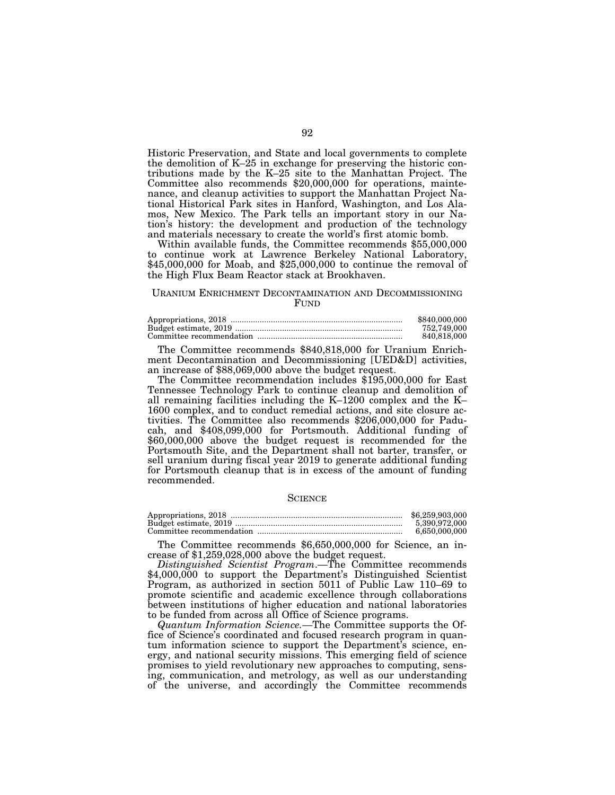Historic Preservation, and State and local governments to complete the demolition of K–25 in exchange for preserving the historic contributions made by the K–25 site to the Manhattan Project. The Committee also recommends \$20,000,000 for operations, maintenance, and cleanup activities to support the Manhattan Project National Historical Park sites in Hanford, Washington, and Los Alamos, New Mexico. The Park tells an important story in our Nation's history: the development and production of the technology and materials necessary to create the world's first atomic bomb.

Within available funds, the Committee recommends \$55,000,000 to continue work at Lawrence Berkeley National Laboratory, \$45,000,000 for Moab, and \$25,000,000 to continue the removal of the High Flux Beam Reactor stack at Brookhaven.

# URANIUM ENRICHMENT DECONTAMINATION AND DECOMMISSIONING **FUND**

| \$840,000,000 |
|---------------|
| 752.749.000   |
| 840.818.000   |

The Committee recommends \$840,818,000 for Uranium Enrichment Decontamination and Decommissioning [UED&D] activities, an increase of \$88,069,000 above the budget request.

The Committee recommendation includes \$195,000,000 for East Tennessee Technology Park to continue cleanup and demolition of all remaining facilities including the K–1200 complex and the K– 1600 complex, and to conduct remedial actions, and site closure activities. The Committee also recommends \$206,000,000 for Paducah, and \$408,099,000 for Portsmouth. Additional funding of \$60,000,000 above the budget request is recommended for the Portsmouth Site, and the Department shall not barter, transfer, or sell uranium during fiscal year 2019 to generate additional funding for Portsmouth cleanup that is in excess of the amount of funding recommended.

### **SCIENCE**

| \$6,259,903,000 |
|-----------------|
| 5.390.972.000   |
| 6.650.000.000   |

The Committee recommends \$6,650,000,000 for Science, an increase of \$1,259,028,000 above the budget request.

*Distinguished Scientist Program*.—The Committee recommends \$4,000,000 to support the Department's Distinguished Scientist Program, as authorized in section 5011 of Public Law 110–69 to promote scientific and academic excellence through collaborations between institutions of higher education and national laboratories to be funded from across all Office of Science programs.

*Quantum Information Science.—*The Committee supports the Office of Science's coordinated and focused research program in quantum information science to support the Department's science, energy, and national security missions. This emerging field of science promises to yield revolutionary new approaches to computing, sensing, communication, and metrology, as well as our understanding of the universe, and accordingly the Committee recommends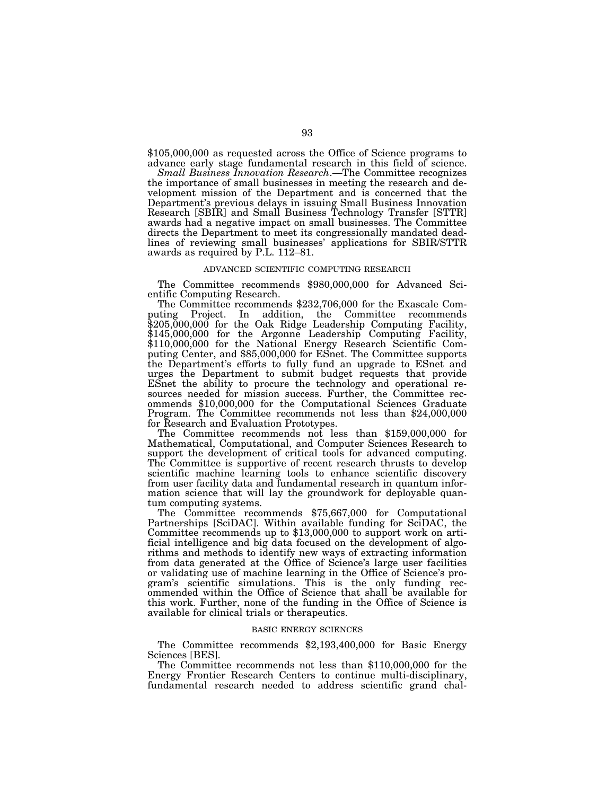\$105,000,000 as requested across the Office of Science programs to advance early stage fundamental research in this field of science.

*Small Business Innovation Research*.—The Committee recognizes the importance of small businesses in meeting the research and development mission of the Department and is concerned that the Department's previous delays in issuing Small Business Innovation Research [SBIR] and Small Business Technology Transfer [STTR] awards had a negative impact on small businesses. The Committee directs the Department to meet its congressionally mandated deadlines of reviewing small businesses' applications for SBIR/STTR awards as required by P.L. 112–81.

# ADVANCED SCIENTIFIC COMPUTING RESEARCH

The Committee recommends \$980,000,000 for Advanced Sci-

The Committee recommends \$232,706,000 for the Exascale Computing Project. In addition, the Committee recommends \$205,000,000 for the Oak Ridge Leadership Computing Facility, \$145,000,000 for the Argonne Leadership Computing Facility, \$110,000,000 for the National Energy Research Scientific Computing Center, and \$85,000,000 for ESnet. The Committee supports the Department's efforts to fully fund an upgrade to ESnet and urges the Department to submit budget requests that provide ESnet the ability to procure the technology and operational resources needed for mission success. Further, the Committee recommends \$10,000,000 for the Computational Sciences Graduate Program. The Committee recommends not less than \$24,000,000

The Committee recommends not less than  $$159,000,000$  for Mathematical, Computational, and Computer Sciences Research to support the development of critical tools for advanced computing. The Committee is supportive of recent research thrusts to develop scientific machine learning tools to enhance scientific discovery from user facility data and fundamental research in quantum information science that will lay the groundwork for deployable quantum computing systems. The Committee recommends \$75,667,000 for Computational

Partnerships [SciDAC]. Within available funding for SciDAC, the Committee recommends up to \$13,000,000 to support work on artificial intelligence and big data focused on the development of algorithms and methods to identify new ways of extracting information from data generated at the Office of Science's large user facilities or validating use of machine learning in the Office of Science's program's scientific simulations. This is the only funding recommended within the Office of Science that shall be available for this work. Further, none of the funding in the Office of Science is available for clinical trials or therapeutics.

# BASIC ENERGY SCIENCES

The Committee recommends \$2,193,400,000 for Basic Energy Sciences [BES].

The Committee recommends not less than \$110,000,000 for the Energy Frontier Research Centers to continue multi-disciplinary, fundamental research needed to address scientific grand chal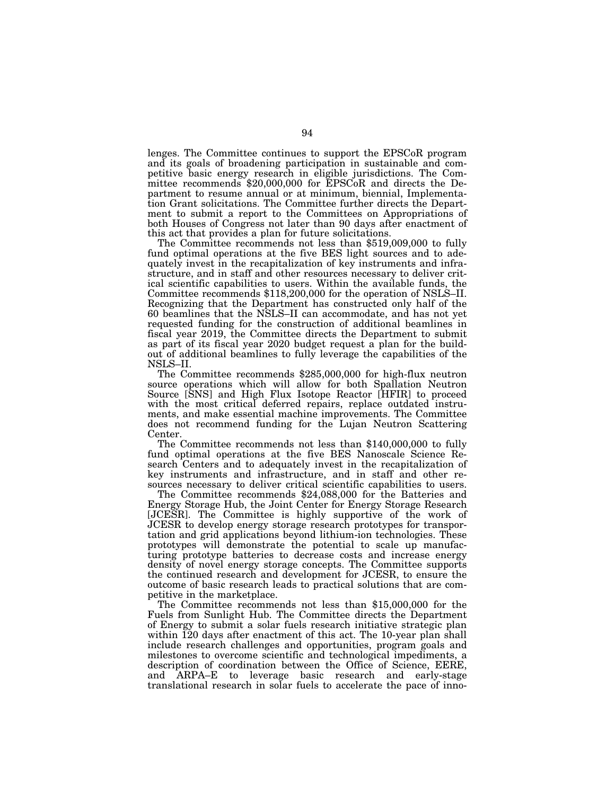lenges. The Committee continues to support the EPSCoR program and its goals of broadening participation in sustainable and competitive basic energy research in eligible jurisdictions. The Committee recommends \$20,000,000 for EPSCoR and directs the Department to resume annual or at minimum, biennial, Implementation Grant solicitations. The Committee further directs the Department to submit a report to the Committees on Appropriations of both Houses of Congress not later than 90 days after enactment of this act that provides a plan for future solicitations.

The Committee recommends not less than \$519,009,000 to fully fund optimal operations at the five BES light sources and to adequately invest in the recapitalization of key instruments and infrastructure, and in staff and other resources necessary to deliver critical scientific capabilities to users. Within the available funds, the Committee recommends \$118,200,000 for the operation of NSLS–II. Recognizing that the Department has constructed only half of the 60 beamlines that the NSLS–II can accommodate, and has not yet requested funding for the construction of additional beamlines in fiscal year 2019, the Committee directs the Department to submit as part of its fiscal year 2020 budget request a plan for the buildout of additional beamlines to fully leverage the capabilities of the NSLS–II.

The Committee recommends \$285,000,000 for high-flux neutron source operations which will allow for both Spallation Neutron Source [SNS] and High Flux Isotope Reactor [HFIR] to proceed with the most critical deferred repairs, replace outdated instruments, and make essential machine improvements. The Committee does not recommend funding for the Lujan Neutron Scattering Center.

The Committee recommends not less than \$140,000,000 to fully fund optimal operations at the five BES Nanoscale Science Research Centers and to adequately invest in the recapitalization of key instruments and infrastructure, and in staff and other resources necessary to deliver critical scientific capabilities to users.

The Committee recommends \$24,088,000 for the Batteries and Energy Storage Hub, the Joint Center for Energy Storage Research [JCESR]. The Committee is highly supportive of the work of JCESR to develop energy storage research prototypes for transportation and grid applications beyond lithium-ion technologies. These prototypes will demonstrate the potential to scale up manufacturing prototype batteries to decrease costs and increase energy density of novel energy storage concepts. The Committee supports the continued research and development for JCESR, to ensure the outcome of basic research leads to practical solutions that are competitive in the marketplace.

The Committee recommends not less than \$15,000,000 for the Fuels from Sunlight Hub. The Committee directs the Department of Energy to submit a solar fuels research initiative strategic plan within 120 days after enactment of this act. The 10-year plan shall include research challenges and opportunities, program goals and milestones to overcome scientific and technological impediments, a description of coordination between the Office of Science, EERE, and ARPA–E to leverage basic research and early-stage translational research in solar fuels to accelerate the pace of inno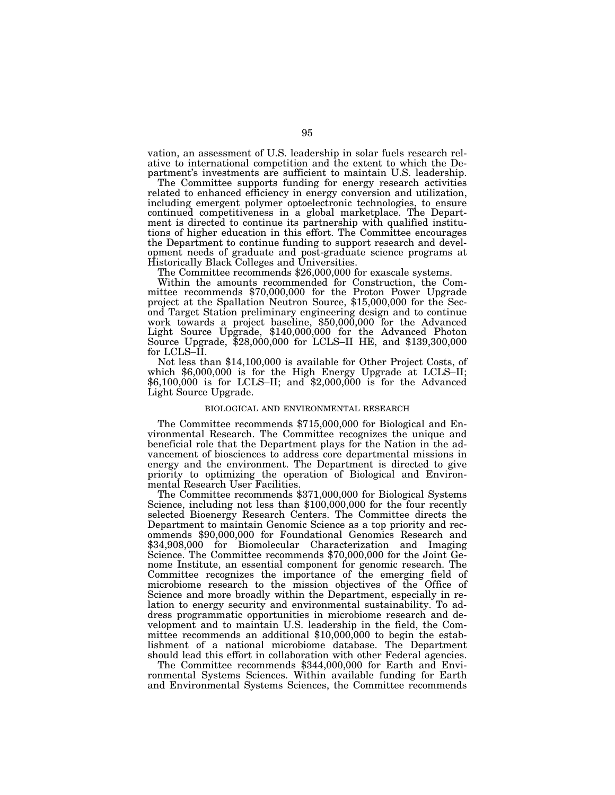vation, an assessment of U.S. leadership in solar fuels research relative to international competition and the extent to which the Department's investments are sufficient to maintain U.S. leadership.

The Committee supports funding for energy research activities related to enhanced efficiency in energy conversion and utilization, including emergent polymer optoelectronic technologies, to ensure continued competitiveness in a global marketplace. The Department is directed to continue its partnership with qualified institutions of higher education in this effort. The Committee encourages the Department to continue funding to support research and development needs of graduate and post-graduate science programs at

The Committee recommends \$26,000,000 for exascale systems.

Within the amounts recommended for Construction, the Committee recommends \$70,000,000 for the Proton Power Upgrade project at the Spallation Neutron Source, \$15,000,000 for the Second Target Station preliminary engineering design and to continue work towards a project baseline, \$50,000,000 for the Advanced Light Source Upgrade, \$140,000,000 for the Advanced Photon Source Upgrade, \$28,000,000 for LCLS–II HE, and \$139,300,000 for LCLS–II.

Not less than \$14,100,000 is available for Other Project Costs, of which \$6,000,000 is for the High Energy Upgrade at LCLS–II;  $$6,100,000$  is for LCLS–II; and  $$2,000,000$  is for the Advanced Light Source Upgrade.

## BIOLOGICAL AND ENVIRONMENTAL RESEARCH

The Committee recommends \$715,000,000 for Biological and Environmental Research. The Committee recognizes the unique and beneficial role that the Department plays for the Nation in the advancement of biosciences to address core departmental missions in energy and the environment. The Department is directed to give priority to optimizing the operation of Biological and Environmental Research User Facilities.

The Committee recommends \$371,000,000 for Biological Systems Science, including not less than \$100,000,000 for the four recently selected Bioenergy Research Centers. The Committee directs the Department to maintain Genomic Science as a top priority and recommends \$90,000,000 for Foundational Genomics Research and \$34,908,000 for Biomolecular Characterization and Imaging Science. The Committee recommends \$70,000,000 for the Joint Genome Institute, an essential component for genomic research. The Committee recognizes the importance of the emerging field of microbiome research to the mission objectives of the Office of Science and more broadly within the Department, especially in relation to energy security and environmental sustainability. To address programmatic opportunities in microbiome research and development and to maintain U.S. leadership in the field, the Committee recommends an additional \$10,000,000 to begin the establishment of a national microbiome database. The Department should lead this effort in collaboration with other Federal agencies.

The Committee recommends \$344,000,000 for Earth and Environmental Systems Sciences. Within available funding for Earth and Environmental Systems Sciences, the Committee recommends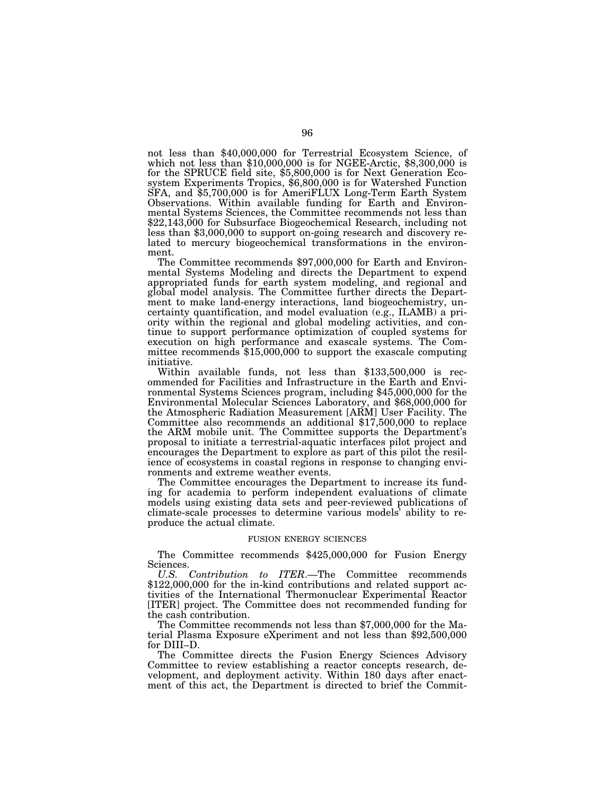not less than \$40,000,000 for Terrestrial Ecosystem Science, of which not less than \$10,000,000 is for NGEE-Arctic, \$8,300,000 is for the SPRUCE field site, \$5,800,000 is for Next Generation Ecosystem Experiments Tropics, \$6,800,000 is for Watershed Function SFA, and \$5,700,000 is for AmeriFLUX Long-Term Earth System Observations. Within available funding for Earth and Environmental Systems Sciences, the Committee recommends not less than \$22,143,000 for Subsurface Biogeochemical Research, including not less than \$3,000,000 to support on-going research and discovery related to mercury biogeochemical transformations in the environment.

The Committee recommends \$97,000,000 for Earth and Environmental Systems Modeling and directs the Department to expend appropriated funds for earth system modeling, and regional and global model analysis. The Committee further directs the Department to make land-energy interactions, land biogeochemistry, uncertainty quantification, and model evaluation (e.g., ILAMB) a priority within the regional and global modeling activities, and continue to support performance optimization of coupled systems for execution on high performance and exascale systems. The Committee recommends \$15,000,000 to support the exascale computing initiative.

Within available funds, not less than \$133,500,000 is recommended for Facilities and Infrastructure in the Earth and Environmental Systems Sciences program, including \$45,000,000 for the Environmental Molecular Sciences Laboratory, and \$68,000,000 for the Atmospheric Radiation Measurement [ARM] User Facility. The Committee also recommends an additional \$17,500,000 to replace the ARM mobile unit. The Committee supports the Department's proposal to initiate a terrestrial-aquatic interfaces pilot project and encourages the Department to explore as part of this pilot the resilience of ecosystems in coastal regions in response to changing environments and extreme weather events.

The Committee encourages the Department to increase its funding for academia to perform independent evaluations of climate models using existing data sets and peer-reviewed publications of climate-scale processes to determine various models' ability to reproduce the actual climate.

#### FUSION ENERGY SCIENCES

The Committee recommends \$425,000,000 for Fusion Energy Sciences.

*U.S. Contribution to ITER*.—The Committee recommends \$122,000,000 for the in-kind contributions and related support activities of the International Thermonuclear Experimental Reactor [ITER] project. The Committee does not recommended funding for the cash contribution.

The Committee recommends not less than \$7,000,000 for the Material Plasma Exposure eXperiment and not less than \$92,500,000 for DIII–D.

The Committee directs the Fusion Energy Sciences Advisory Committee to review establishing a reactor concepts research, development, and deployment activity. Within 180 days after enactment of this act, the Department is directed to brief the Commit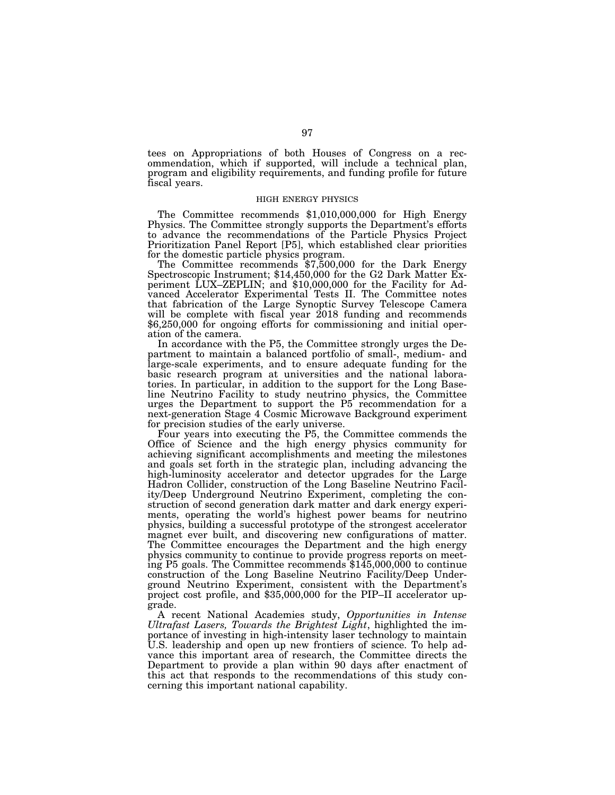tees on Appropriations of both Houses of Congress on a recommendation, which if supported, will include a technical plan, program and eligibility requirements, and funding profile for future fiscal years.

## HIGH ENERGY PHYSICS

The Committee recommends \$1,010,000,000 for High Energy Physics. The Committee strongly supports the Department's efforts to advance the recommendations of the Particle Physics Project Prioritization Panel Report [P5], which established clear priorities

The Committee recommends \$7,500,000 for the Dark Energy Spectroscopic Instrument; \$14,450,000 for the G2 Dark Matter Experiment LUX–ZEPLIN; and \$10,000,000 for the Facility for Advanced Accelerator Experimental Tests II. The Committee notes that fabrication of the Large Synoptic Survey Telescope Camera will be complete with fiscal year 2018 funding and recommends \$6,250,000 for ongoing efforts for commissioning and initial operation of the camera.

In accordance with the P5, the Committee strongly urges the Department to maintain a balanced portfolio of small-, medium- and large-scale experiments, and to ensure adequate funding for the basic research program at universities and the national laboratories. In particular, in addition to the support for the Long Baseline Neutrino Facility to study neutrino physics, the Committee urges the Department to support the P5 recommendation for a next-generation Stage 4 Cosmic Microwave Background experiment for precision studies of the early universe.

Four years into executing the P5, the Committee commends the Office of Science and the high energy physics community for achieving significant accomplishments and meeting the milestones and goals set forth in the strategic plan, including advancing the high-luminosity accelerator and detector upgrades for the Large Hadron Collider, construction of the Long Baseline Neutrino Facility/Deep Underground Neutrino Experiment, completing the construction of second generation dark matter and dark energy experiments, operating the world's highest power beams for neutrino physics, building a successful prototype of the strongest accelerator magnet ever built, and discovering new configurations of matter. The Committee encourages the Department and the high energy physics community to continue to provide progress reports on meeting P5 goals. The Committee recommends \$145,000,000 to continue construction of the Long Baseline Neutrino Facility/Deep Underground Neutrino Experiment, consistent with the Department's project cost profile, and \$35,000,000 for the PIP–II accelerator upgrade.

A recent National Academies study, *Opportunities in Intense Ultrafast Lasers, Towards the Brightest Light*, highlighted the importance of investing in high-intensity laser technology to maintain U.S. leadership and open up new frontiers of science. To help advance this important area of research, the Committee directs the Department to provide a plan within 90 days after enactment of this act that responds to the recommendations of this study concerning this important national capability.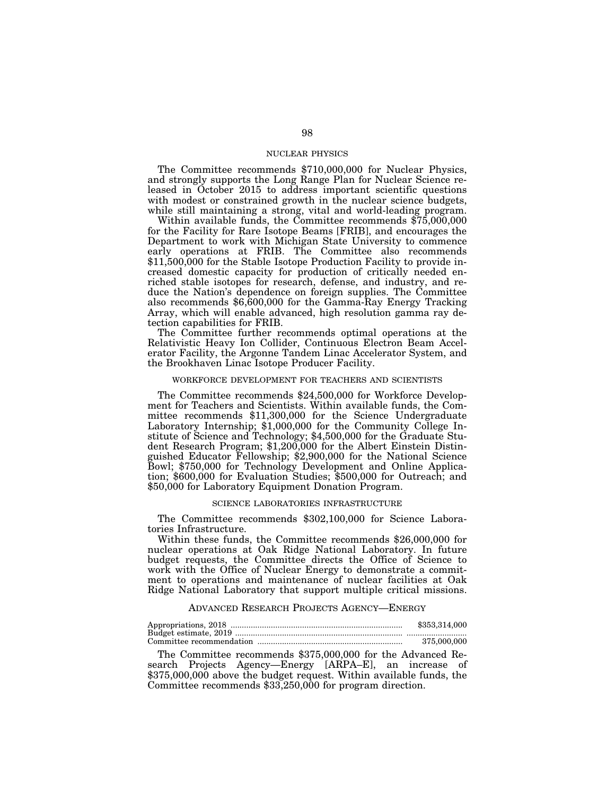## NUCLEAR PHYSICS

The Committee recommends \$710,000,000 for Nuclear Physics, and strongly supports the Long Range Plan for Nuclear Science released in October 2015 to address important scientific questions with modest or constrained growth in the nuclear science budgets, while still maintaining a strong, vital and world-leading program.

Within available funds, the Committee recommends \$75,000,000 for the Facility for Rare Isotope Beams [FRIB], and encourages the Department to work with Michigan State University to commence early operations at FRIB. The Committee also recommends \$11,500,000 for the Stable Isotope Production Facility to provide increased domestic capacity for production of critically needed enriched stable isotopes for research, defense, and industry, and reduce the Nation's dependence on foreign supplies. The Committee also recommends \$6,600,000 for the Gamma-Ray Energy Tracking Array, which will enable advanced, high resolution gamma ray detection capabilities for FRIB.

The Committee further recommends optimal operations at the Relativistic Heavy Ion Collider, Continuous Electron Beam Accelerator Facility, the Argonne Tandem Linac Accelerator System, and the Brookhaven Linac Isotope Producer Facility.

# WORKFORCE DEVELOPMENT FOR TEACHERS AND SCIENTISTS

The Committee recommends \$24,500,000 for Workforce Development for Teachers and Scientists. Within available funds, the Committee recommends \$11,300,000 for the Science Undergraduate Laboratory Internship; \$1,000,000 for the Community College Institute of Science and Technology; \$4,500,000 for the Graduate Student Research Program; \$1,200,000 for the Albert Einstein Distinguished Educator Fellowship; \$2,900,000 for the National Science Bowl; \$750,000 for Technology Development and Online Application; \$600,000 for Evaluation Studies; \$500,000 for Outreach; and \$50,000 for Laboratory Equipment Donation Program.

## SCIENCE LABORATORIES INFRASTRUCTURE

The Committee recommends \$302,100,000 for Science Laboratories Infrastructure.

Within these funds, the Committee recommends \$26,000,000 for nuclear operations at Oak Ridge National Laboratory. In future budget requests, the Committee directs the Office of Science to work with the Office of Nuclear Energy to demonstrate a commitment to operations and maintenance of nuclear facilities at Oak Ridge National Laboratory that support multiple critical missions.

## ADVANCED RESEARCH PROJECTS AGENCY—ENERGY

| \$353,314,000 |
|---------------|
|               |
| 375,000,000   |

The Committee recommends \$375,000,000 for the Advanced Research Projects Agency—Energy [ARPA–E], an increase of \$375,000,000 above the budget request. Within available funds, the Committee recommends \$33,250,000 for program direction.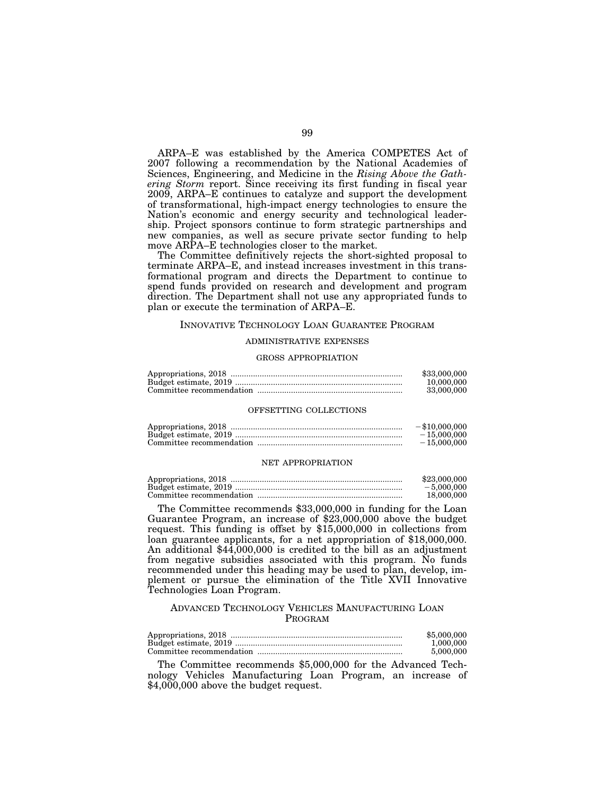ARPA–E was established by the America COMPETES Act of 2007 following a recommendation by the National Academies of Sciences, Engineering, and Medicine in the *Rising Above the Gathering Storm* report. Since receiving its first funding in fiscal year 2009, ARPA–E continues to catalyze and support the development of transformational, high-impact energy technologies to ensure the Nation's economic and energy security and technological leadership. Project sponsors continue to form strategic partnerships and new companies, as well as secure private sector funding to help move ARPA–E technologies closer to the market.

The Committee definitively rejects the short-sighted proposal to terminate ARPA–E, and instead increases investment in this transformational program and directs the Department to continue to spend funds provided on research and development and program direction. The Department shall not use any appropriated funds to plan or execute the termination of ARPA–E.

### INNOVATIVE TECHNOLOGY LOAN GUARANTEE PROGRAM

## ADMINISTRATIVE EXPENSES

#### GROSS APPROPRIATION

| \$33,000,000 |
|--------------|
| 10.000.000   |
| 33,000,000   |

#### OFFSETTING COLLECTIONS

| $-$ \$10,000,000 |
|------------------|
| $-15,000,000$    |
| $-15.000.000$    |

#### NET APPROPRIATION

| \$23,000,000 |
|--------------|
| $-5.000.000$ |
| 18,000,000   |

The Committee recommends \$33,000,000 in funding for the Loan Guarantee Program, an increase of \$23,000,000 above the budget request. This funding is offset by \$15,000,000 in collections from loan guarantee applicants, for a net appropriation of \$18,000,000. An additional \$44,000,000 is credited to the bill as an adjustment from negative subsidies associated with this program. No funds recommended under this heading may be used to plan, develop, implement or pursue the elimination of the Title XVII Innovative Technologies Loan Program.

# ADVANCED TECHNOLOGY VEHICLES MANUFACTURING LOAN PROGRAM

| \$5,000,000 |
|-------------|
| 1.000.000   |
| 5,000,000   |

The Committee recommends \$5,000,000 for the Advanced Technology Vehicles Manufacturing Loan Program, an increase of \$4,000,000 above the budget request.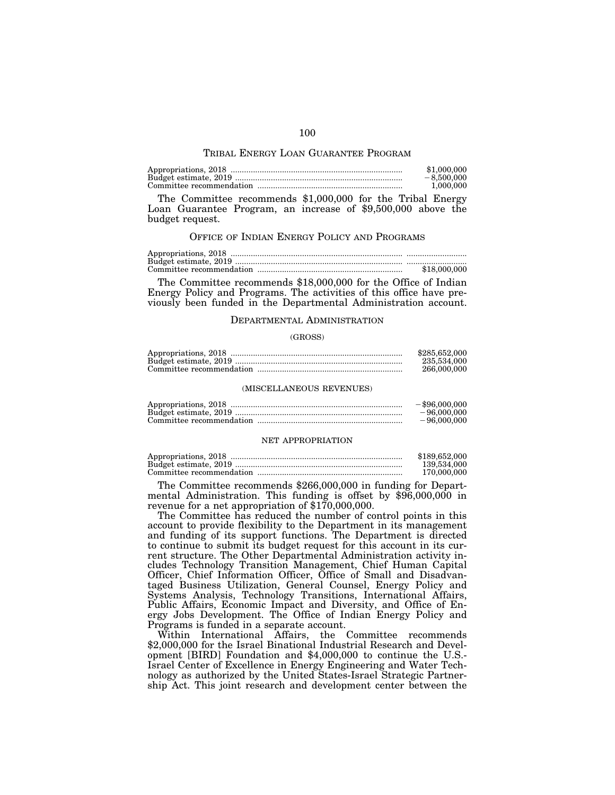## TRIBAL ENERGY LOAN GUARANTEE PROGRAM

| \$1,000,000  |
|--------------|
| $-8.500,000$ |
| 1.000.000    |

The Committee recommends \$1,000,000 for the Tribal Energy Loan Guarantee Program, an increase of \$9,500,000 above the budget request.

# OFFICE OF INDIAN ENERGY POLICY AND PROGRAMS

Appropriations, 2018 ............................................................................. ........................... Budget estimate, 2019 ........................................................................... ........................... Committee recommendation ................................................................. \$18,000,000

The Committee recommends \$18,000,000 for the Office of Indian Energy Policy and Programs. The activities of this office have previously been funded in the Departmental Administration account.

## DEPARTMENTAL ADMINISTRATION

## (GROSS)

| \$285,652,000 |
|---------------|
| 235,534,000   |
| 266,000,000   |

# (MISCELLANEOUS REVENUES)

| $-$ \$96,000,000 |
|------------------|
| $-96,000,000$    |
| $-96.000.000$    |

## NET APPROPRIATION

| \$189,652,000 |
|---------------|
| 139.534.000   |
| 170,000,000   |

The Committee recommends \$266,000,000 in funding for Depart- mental Administration. This funding is offset by \$96,000,000 in revenue for a net appropriation of \$170,000,000.

The Committee has reduced the number of control points in this account to provide flexibility to the Department in its management and funding of its support functions. The Department is directed to continue to submit its budget request for this account in its current structure. The Other Departmental Administration activity includes Technology Transition Management, Chief Human Capital Officer, Chief Information Officer, Office of Small and Disadvantaged Business Utilization, General Counsel, Energy Policy and Systems Analysis, Technology Transitions, International Affairs, Public Affairs, Economic Impact and Diversity, and Office of Energy Jobs Development. The Office of Indian Energy Policy and Programs is funded in a separate account.

Within International Affairs, the Committee recommends \$2,000,000 for the Israel Binational Industrial Research and Development [BIRD] Foundation and \$4,000,000 to continue the U.S.- Israel Center of Excellence in Energy Engineering and Water Technology as authorized by the United States-Israel Strategic Partnership Act. This joint research and development center between the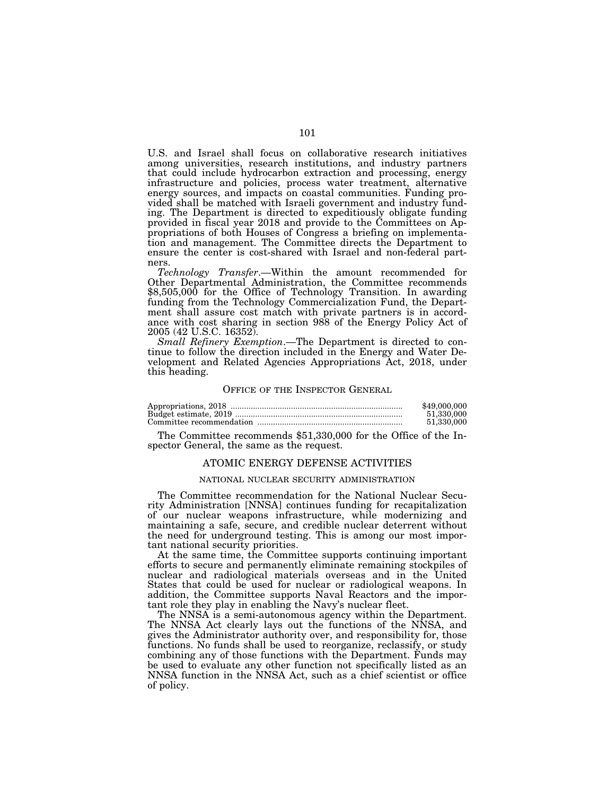U.S. and Israel shall focus on collaborative research initiatives among universities, research institutions, and industry partners that could include hydrocarbon extraction and processing, energy infrastructure and policies, process water treatment, alternative energy sources, and impacts on coastal communities. Funding provided shall be matched with Israeli government and industry funding. The Department is directed to expeditiously obligate funding provided in fiscal year 2018 and provide to the Committees on Appropriations of both Houses of Congress a briefing on implementation and management. The Committee directs the Department to ensure the center is cost-shared with Israel and non-federal partners.

*Technology Transfer*.—Within the amount recommended for Other Departmental Administration, the Committee recommends \$8,505,000 for the Office of Technology Transition. In awarding funding from the Technology Commercialization Fund, the Department shall assure cost match with private partners is in accordance with cost sharing in section 988 of the Energy Policy Act of 2005 (42 U.S.C. 16352).

*Small Refinery Exemption*.—The Department is directed to continue to follow the direction included in the Energy and Water Development and Related Agencies Appropriations Act, 2018, under this heading.

#### OFFICE OF THE INSPECTOR GENERAL

| \$49,000,000 |
|--------------|
| 51.330.000   |
| 51.330.000   |

The Committee recommends \$51,330,000 for the Office of the Inspector General, the same as the request.

## ATOMIC ENERGY DEFENSE ACTIVITIES

## NATIONAL NUCLEAR SECURITY ADMINISTRATION

The Committee recommendation for the National Nuclear Security Administration [NNSA] continues funding for recapitalization of our nuclear weapons infrastructure, while modernizing and maintaining a safe, secure, and credible nuclear deterrent without the need for underground testing. This is among our most important national security priorities.

At the same time, the Committee supports continuing important efforts to secure and permanently eliminate remaining stockpiles of nuclear and radiological materials overseas and in the United States that could be used for nuclear or radiological weapons. In addition, the Committee supports Naval Reactors and the important role they play in enabling the Navy's nuclear fleet.

The NNSA is a semi-autonomous agency within the Department. The NNSA Act clearly lays out the functions of the NNSA, and gives the Administrator authority over, and responsibility for, those functions. No funds shall be used to reorganize, reclassify, or study combining any of those functions with the Department. Funds may be used to evaluate any other function not specifically listed as an NNSA function in the NNSA Act, such as a chief scientist or office of policy.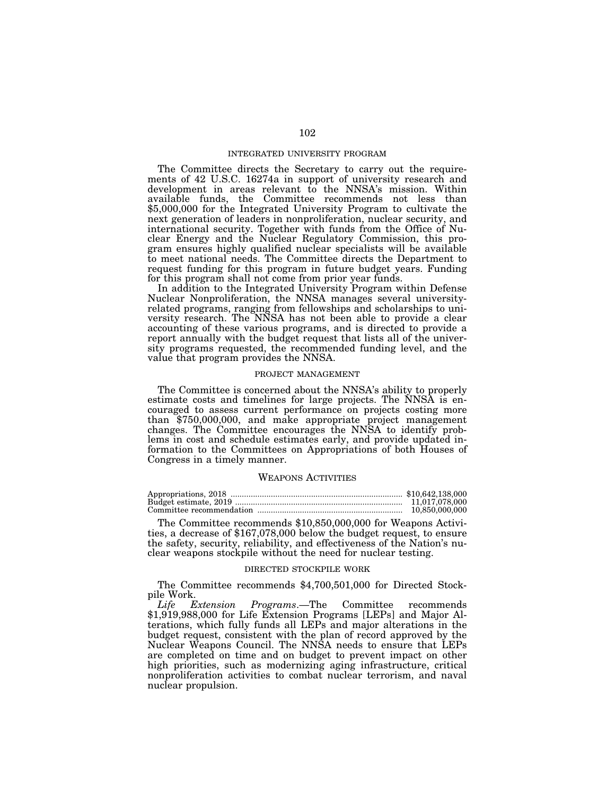## INTEGRATED UNIVERSITY PROGRAM

The Committee directs the Secretary to carry out the requirements of 42 U.S.C. 16274a in support of university research and development in areas relevant to the NNSA's mission. Within available funds, the Committee recommends not less than \$5,000,000 for the Integrated University Program to cultivate the next generation of leaders in nonproliferation, nuclear security, and international security. Together with funds from the Office of Nuclear Energy and the Nuclear Regulatory Commission, this program ensures highly qualified nuclear specialists will be available to meet national needs. The Committee directs the Department to request funding for this program in future budget years. Funding for this program shall not come from prior year funds.

In addition to the Integrated University Program within Defense Nuclear Nonproliferation, the NNSA manages several universityrelated programs, ranging from fellowships and scholarships to university research. The NNSA has not been able to provide a clear accounting of these various programs, and is directed to provide a report annually with the budget request that lists all of the university programs requested, the recommended funding level, and the value that program provides the NNSA.

# PROJECT MANAGEMENT

The Committee is concerned about the NNSA's ability to properly estimate costs and timelines for large projects. The NNSA is encouraged to assess current performance on projects costing more than \$750,000,000, and make appropriate project management changes. The Committee encourages the NNSA to identify problems in cost and schedule estimates early, and provide updated information to the Committees on Appropriations of both Houses of Congress in a timely manner.

#### WEAPONS ACTIVITIES

| 11.017.078.000 |
|----------------|
| 10,850,000,000 |

The Committee recommends \$10,850,000,000 for Weapons Activi- ties, a decrease of \$167,078,000 below the budget request, to ensure the safety, security, reliability, and effectiveness of the Nation's nuclear weapons stockpile without the need for nuclear testing.

#### DIRECTED STOCKPILE WORK

The Committee recommends \$4,700,501,000 for Directed Stockpile Work.

*Life Extension Programs*.—The Committee recommends \$1,919,988,000 for Life Extension Programs [LEPs] and Major Alterations, which fully funds all LEPs and major alterations in the budget request, consistent with the plan of record approved by the Nuclear Weapons Council. The NNSA needs to ensure that LEPs are completed on time and on budget to prevent impact on other high priorities, such as modernizing aging infrastructure, critical nonproliferation activities to combat nuclear terrorism, and naval nuclear propulsion.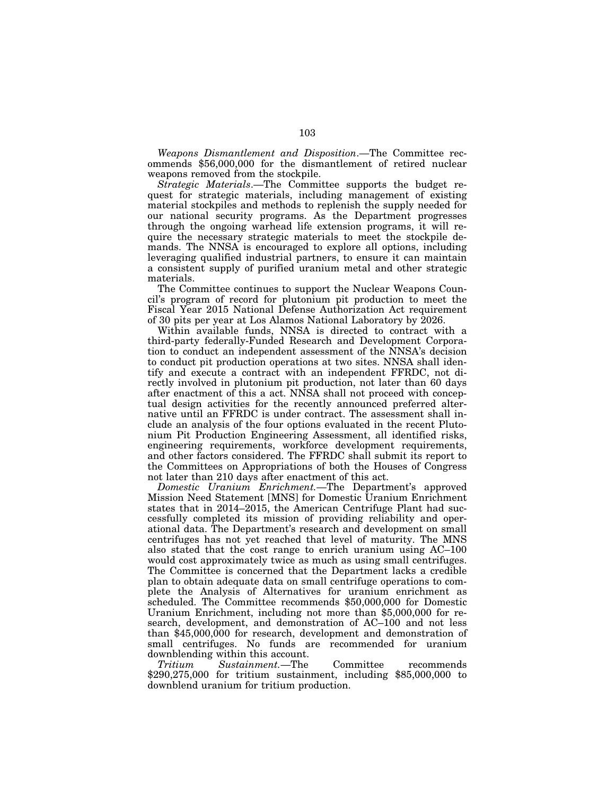*Weapons Dismantlement and Disposition*.—The Committee recommends \$56,000,000 for the dismantlement of retired nuclear weapons removed from the stockpile.

*Strategic Materials*.—The Committee supports the budget request for strategic materials, including management of existing material stockpiles and methods to replenish the supply needed for our national security programs. As the Department progresses through the ongoing warhead life extension programs, it will require the necessary strategic materials to meet the stockpile demands. The NNSA is encouraged to explore all options, including leveraging qualified industrial partners, to ensure it can maintain a consistent supply of purified uranium metal and other strategic materials.

The Committee continues to support the Nuclear Weapons Council's program of record for plutonium pit production to meet the Fiscal Year 2015 National Defense Authorization Act requirement of 30 pits per year at Los Alamos National Laboratory by 2026.

Within available funds, NNSA is directed to contract with a third-party federally-Funded Research and Development Corporation to conduct an independent assessment of the NNSA's decision to conduct pit production operations at two sites. NNSA shall identify and execute a contract with an independent FFRDC, not directly involved in plutonium pit production, not later than 60 days after enactment of this a act. NNSA shall not proceed with conceptual design activities for the recently announced preferred alternative until an FFRDC is under contract. The assessment shall include an analysis of the four options evaluated in the recent Plutonium Pit Production Engineering Assessment, all identified risks, engineering requirements, workforce development requirements, and other factors considered. The FFRDC shall submit its report to the Committees on Appropriations of both the Houses of Congress not later than 210 days after enactment of this act.

*Domestic Uranium Enrichment.*—The Department's approved Mission Need Statement [MNS] for Domestic Uranium Enrichment states that in 2014–2015, the American Centrifuge Plant had successfully completed its mission of providing reliability and operational data. The Department's research and development on small centrifuges has not yet reached that level of maturity. The MNS also stated that the cost range to enrich uranium using AC–100 would cost approximately twice as much as using small centrifuges. The Committee is concerned that the Department lacks a credible plan to obtain adequate data on small centrifuge operations to complete the Analysis of Alternatives for uranium enrichment as scheduled. The Committee recommends \$50,000,000 for Domestic Uranium Enrichment, including not more than \$5,000,000 for research, development, and demonstration of AC–100 and not less than \$45,000,000 for research, development and demonstration of small centrifuges. No funds are recommended for uranium downblending within this account.

*Tritium Sustainment.*—The Committee recommends \$290,275,000 for tritium sustainment, including \$85,000,000 to downblend uranium for tritium production.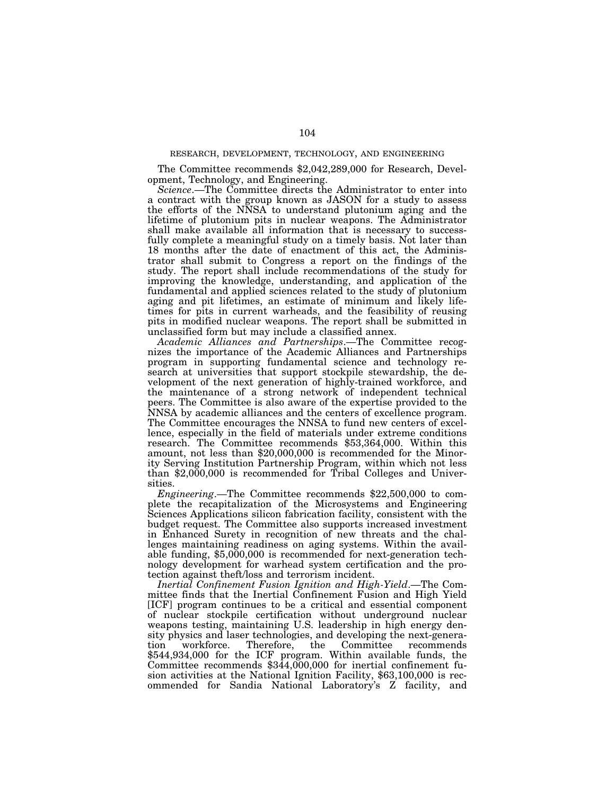# RESEARCH, DEVELOPMENT, TECHNOLOGY, AND ENGINEERING

The Committee recommends \$2,042,289,000 for Research, Development, Technology, and Engineering.

*Science*.—The Committee directs the Administrator to enter into a contract with the group known as JASON for a study to assess the efforts of the NNSA to understand plutonium aging and the lifetime of plutonium pits in nuclear weapons. The Administrator shall make available all information that is necessary to successfully complete a meaningful study on a timely basis. Not later than 18 months after the date of enactment of this act, the Administrator shall submit to Congress a report on the findings of the study. The report shall include recommendations of the study for improving the knowledge, understanding, and application of the fundamental and applied sciences related to the study of plutonium aging and pit lifetimes, an estimate of minimum and likely lifetimes for pits in current warheads, and the feasibility of reusing pits in modified nuclear weapons. The report shall be submitted in unclassified form but may include a classified annex.

*Academic Alliances and Partnerships*.—The Committee recognizes the importance of the Academic Alliances and Partnerships program in supporting fundamental science and technology research at universities that support stockpile stewardship, the development of the next generation of highly-trained workforce, and the maintenance of a strong network of independent technical peers. The Committee is also aware of the expertise provided to the NNSA by academic alliances and the centers of excellence program. The Committee encourages the NNSA to fund new centers of excellence, especially in the field of materials under extreme conditions research. The Committee recommends \$53,364,000. Within this amount, not less than \$20,000,000 is recommended for the Minority Serving Institution Partnership Program, within which not less than \$2,000,000 is recommended for Tribal Colleges and Universities.

*Engineering*.—The Committee recommends \$22,500,000 to complete the recapitalization of the Microsystems and Engineering Sciences Applications silicon fabrication facility, consistent with the budget request. The Committee also supports increased investment in Enhanced Surety in recognition of new threats and the challenges maintaining readiness on aging systems. Within the available funding, \$5,000,000 is recommended for next-generation technology development for warhead system certification and the protection against theft/loss and terrorism incident.

*Inertial Confinement Fusion Ignition and High-Yield*.—The Committee finds that the Inertial Confinement Fusion and High Yield [ICF] program continues to be a critical and essential component of nuclear stockpile certification without underground nuclear weapons testing, maintaining U.S. leadership in high energy density physics and laser technologies, and developing the next-generation workforce. Therefore, the Committee recommends \$544,934,000 for the ICF program. Within available funds, the Committee recommends \$344,000,000 for inertial confinement fusion activities at the National Ignition Facility, \$63,100,000 is recommended for Sandia National Laboratory's Z facility, and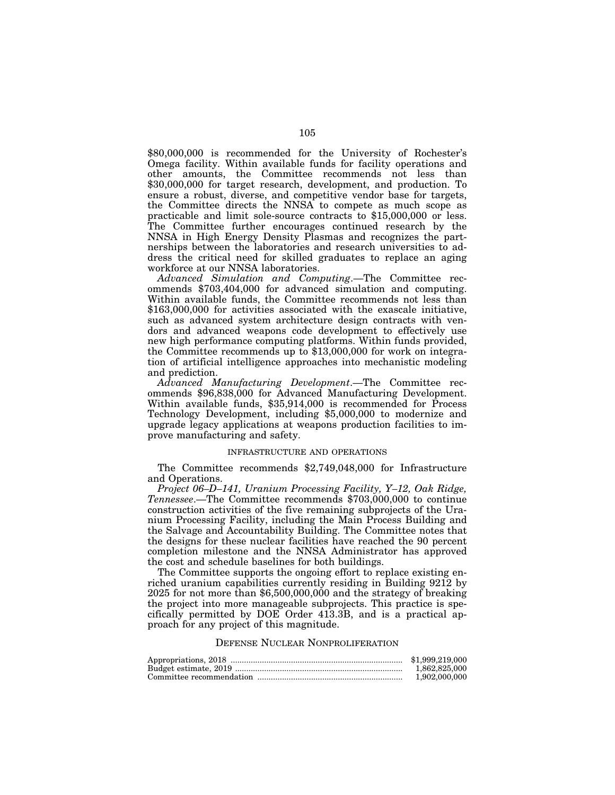\$80,000,000 is recommended for the University of Rochester's Omega facility. Within available funds for facility operations and other amounts, the Committee recommends not less than \$30,000,000 for target research, development, and production. To ensure a robust, diverse, and competitive vendor base for targets, the Committee directs the NNSA to compete as much scope as practicable and limit sole-source contracts to \$15,000,000 or less. The Committee further encourages continued research by the NNSA in High Energy Density Plasmas and recognizes the partnerships between the laboratories and research universities to address the critical need for skilled graduates to replace an aging workforce at our NNSA laboratories.

*Advanced Simulation and Computing*.—The Committee recommends \$703,404,000 for advanced simulation and computing. Within available funds, the Committee recommends not less than \$163,000,000 for activities associated with the exascale initiative, such as advanced system architecture design contracts with vendors and advanced weapons code development to effectively use new high performance computing platforms. Within funds provided, the Committee recommends up to \$13,000,000 for work on integration of artificial intelligence approaches into mechanistic modeling and prediction.

*Advanced Manufacturing Development*.—The Committee recommends \$96,838,000 for Advanced Manufacturing Development. Within available funds, \$35,914,000 is recommended for Process Technology Development, including \$5,000,000 to modernize and upgrade legacy applications at weapons production facilities to improve manufacturing and safety.

## INFRASTRUCTURE AND OPERATIONS

The Committee recommends \$2,749,048,000 for Infrastructure and Operations.

*Project 06–D–141, Uranium Processing Facility, Y–12, Oak Ridge, Tennessee*.—The Committee recommends \$703,000,000 to continue construction activities of the five remaining subprojects of the Uranium Processing Facility, including the Main Process Building and the Salvage and Accountability Building. The Committee notes that the designs for these nuclear facilities have reached the 90 percent completion milestone and the NNSA Administrator has approved the cost and schedule baselines for both buildings.

The Committee supports the ongoing effort to replace existing enriched uranium capabilities currently residing in Building 9212 by 2025 for not more than \$6,500,000,000 and the strategy of breaking the project into more manageable subprojects. This practice is specifically permitted by DOE Order 413.3B, and is a practical approach for any project of this magnitude.

#### DEFENSE NUCLEAR NONPROLIFERATION

| \$1,999,219,000 |
|-----------------|
| 1.862.825.000   |
| 1.902.000.000   |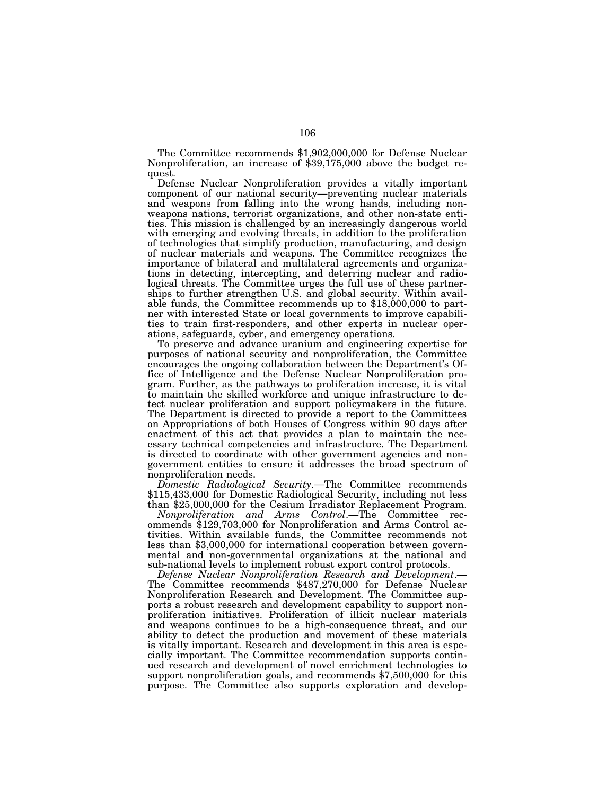The Committee recommends \$1,902,000,000 for Defense Nuclear Nonproliferation, an increase of \$39,175,000 above the budget request.

Defense Nuclear Nonproliferation provides a vitally important component of our national security—preventing nuclear materials and weapons from falling into the wrong hands, including nonweapons nations, terrorist organizations, and other non-state entities. This mission is challenged by an increasingly dangerous world with emerging and evolving threats, in addition to the proliferation of technologies that simplify production, manufacturing, and design of nuclear materials and weapons. The Committee recognizes the importance of bilateral and multilateral agreements and organizations in detecting, intercepting, and deterring nuclear and radiological threats. The Committee urges the full use of these partnerships to further strengthen U.S. and global security. Within available funds, the Committee recommends up to \$18,000,000 to partner with interested State or local governments to improve capabilities to train first-responders, and other experts in nuclear operations, safeguards, cyber, and emergency operations.

To preserve and advance uranium and engineering expertise for purposes of national security and nonproliferation, the Committee encourages the ongoing collaboration between the Department's Office of Intelligence and the Defense Nuclear Nonproliferation program. Further, as the pathways to proliferation increase, it is vital to maintain the skilled workforce and unique infrastructure to detect nuclear proliferation and support policymakers in the future. The Department is directed to provide a report to the Committees on Appropriations of both Houses of Congress within 90 days after enactment of this act that provides a plan to maintain the necessary technical competencies and infrastructure. The Department is directed to coordinate with other government agencies and nongovernment entities to ensure it addresses the broad spectrum of nonproliferation needs.

*Domestic Radiological Security*.—The Committee recommends \$115,433,000 for Domestic Radiological Security, including not less than \$25,000,000 for the Cesium Irradiator Replacement Program.

*Nonproliferation and Arms Control*.—The Committee recommends \$129,703,000 for Nonproliferation and Arms Control activities. Within available funds, the Committee recommends not less than \$3,000,000 for international cooperation between governmental and non-governmental organizations at the national and sub-national levels to implement robust export control protocols.

*Defense Nuclear Nonproliferation Research and Development*.— The Committee recommends \$487,270,000 for Defense Nuclear Nonproliferation Research and Development. The Committee supports a robust research and development capability to support nonproliferation initiatives. Proliferation of illicit nuclear materials and weapons continues to be a high-consequence threat, and our ability to detect the production and movement of these materials is vitally important. Research and development in this area is especially important. The Committee recommendation supports continued research and development of novel enrichment technologies to support nonproliferation goals, and recommends \$7,500,000 for this purpose. The Committee also supports exploration and develop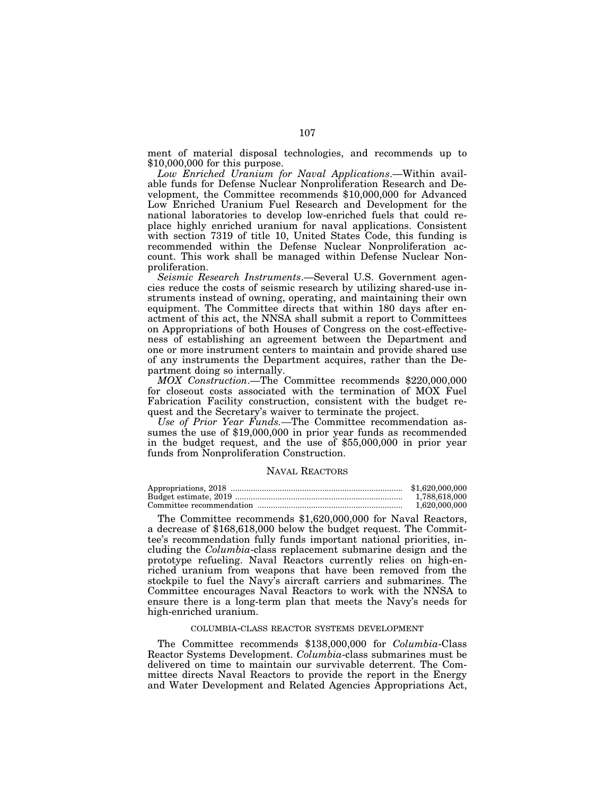ment of material disposal technologies, and recommends up to \$10,000,000 for this purpose.

*Low Enriched Uranium for Naval Applications*.—Within available funds for Defense Nuclear Nonproliferation Research and Development, the Committee recommends \$10,000,000 for Advanced Low Enriched Uranium Fuel Research and Development for the national laboratories to develop low-enriched fuels that could replace highly enriched uranium for naval applications. Consistent with section 7319 of title 10, United States Code, this funding is recommended within the Defense Nuclear Nonproliferation account. This work shall be managed within Defense Nuclear Nonproliferation.

*Seismic Research Instruments*.—Several U.S. Government agencies reduce the costs of seismic research by utilizing shared-use instruments instead of owning, operating, and maintaining their own equipment. The Committee directs that within 180 days after enactment of this act, the NNSA shall submit a report to Committees on Appropriations of both Houses of Congress on the cost-effectiveness of establishing an agreement between the Department and one or more instrument centers to maintain and provide shared use of any instruments the Department acquires, rather than the Department doing so internally.

*MOX Construction*.—The Committee recommends \$220,000,000 for closeout costs associated with the termination of MOX Fuel Fabrication Facility construction, consistent with the budget request and the Secretary's waiver to terminate the project.

*Use of Prior Year Funds.—*The Committee recommendation assumes the use of \$19,000,000 in prior year funds as recommended in the budget request, and the use of \$55,000,000 in prior year funds from Nonproliferation Construction.

#### NAVAL REACTORS

| \$1,620,000,000 |
|-----------------|
| 1.788.618.000   |
| 1.620.000.000   |

The Committee recommends \$1,620,000,000 for Naval Reactors, a decrease of \$168,618,000 below the budget request. The Committee's recommendation fully funds important national priorities, including the *Columbia*-class replacement submarine design and the prototype refueling. Naval Reactors currently relies on high-enriched uranium from weapons that have been removed from the stockpile to fuel the Navy's aircraft carriers and submarines. The Committee encourages Naval Reactors to work with the NNSA to ensure there is a long-term plan that meets the Navy's needs for high-enriched uranium.

## COLUMBIA-CLASS REACTOR SYSTEMS DEVELOPMENT

The Committee recommends \$138,000,000 for *Columbia*-Class Reactor Systems Development. *Columbia*-class submarines must be delivered on time to maintain our survivable deterrent. The Committee directs Naval Reactors to provide the report in the Energy and Water Development and Related Agencies Appropriations Act,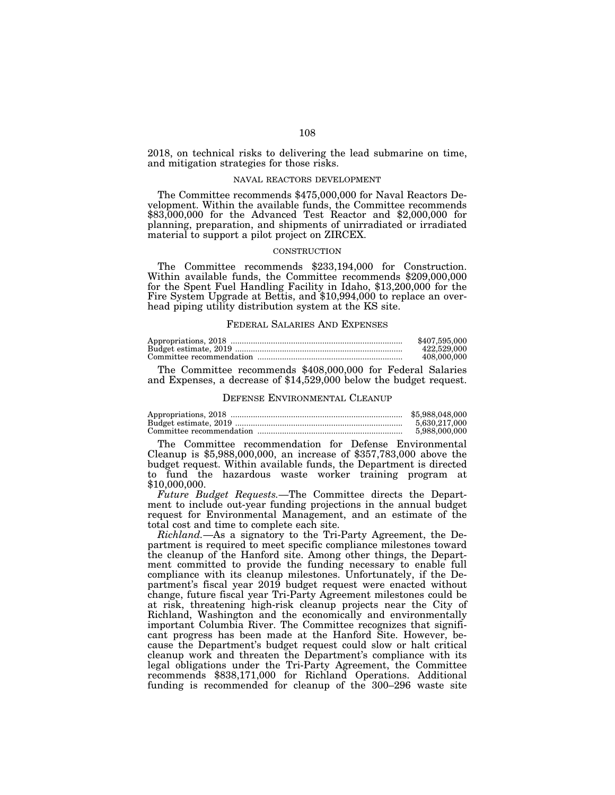2018, on technical risks to delivering the lead submarine on time, and mitigation strategies for those risks.

#### NAVAL REACTORS DEVELOPMENT

The Committee recommends \$475,000,000 for Naval Reactors Development. Within the available funds, the Committee recommends \$83,000,000 for the Advanced Test Reactor and \$2,000,000 for planning, preparation, and shipments of unirradiated or irradiated material to support a pilot project on ZIRCEX.

#### **CONSTRUCTION**

The Committee recommends \$233,194,000 for Construction. Within available funds, the Committee recommends \$209,000,000 for the Spent Fuel Handling Facility in Idaho, \$13,200,000 for the Fire System Upgrade at Bettis, and \$10,994,000 to replace an overhead piping utility distribution system at the KS site.

#### FEDERAL SALARIES AND EXPENSES

| \$407,595,000 |
|---------------|
| 422,529,000   |
| 408,000,000   |

The Committee recommends \$408,000,000 for Federal Salaries and Expenses, a decrease of \$14,529,000 below the budget request.

# DEFENSE ENVIRONMENTAL CLEANUP

| \$5,988,048,000 |
|-----------------|
| 5.630.217.000   |
| 5,988,000,000   |

The Committee recommendation for Defense Environmental Cleanup is \$5,988,000,000, an increase of \$357,783,000 above the budget request. Within available funds, the Department is directed to fund the hazardous waste worker training program at \$10,000,000.

*Future Budget Requests.*—The Committee directs the Department to include out-year funding projections in the annual budget request for Environmental Management, and an estimate of the total cost and time to complete each site.

*Richland.*—As a signatory to the Tri-Party Agreement, the Department is required to meet specific compliance milestones toward the cleanup of the Hanford site. Among other things, the Department committed to provide the funding necessary to enable full compliance with its cleanup milestones. Unfortunately, if the Department's fiscal year 2019 budget request were enacted without change, future fiscal year Tri-Party Agreement milestones could be at risk, threatening high-risk cleanup projects near the City of Richland, Washington and the economically and environmentally important Columbia River. The Committee recognizes that significant progress has been made at the Hanford Site. However, because the Department's budget request could slow or halt critical cleanup work and threaten the Department's compliance with its legal obligations under the Tri-Party Agreement, the Committee recommends \$838,171,000 for Richland Operations. Additional funding is recommended for cleanup of the 300–296 waste site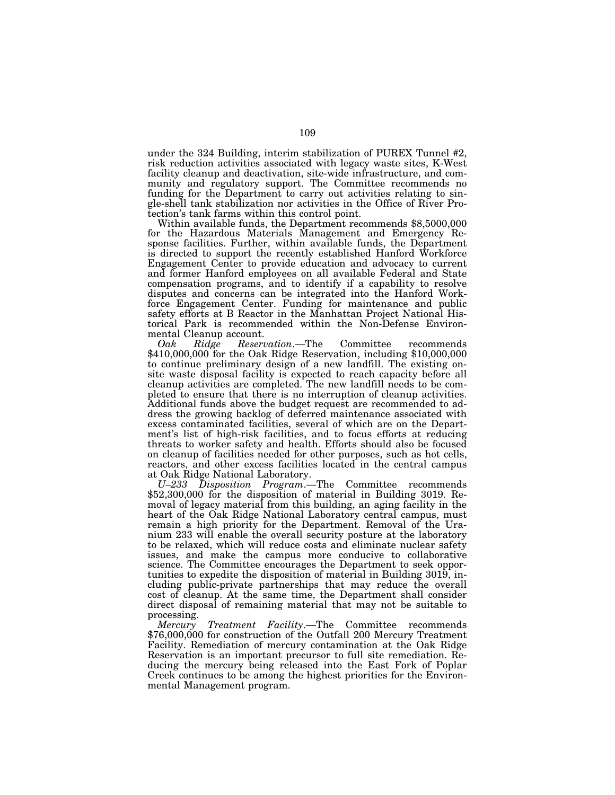under the 324 Building, interim stabilization of PUREX Tunnel #2, risk reduction activities associated with legacy waste sites, K-West facility cleanup and deactivation, site-wide infrastructure, and community and regulatory support. The Committee recommends no funding for the Department to carry out activities relating to single-shell tank stabilization nor activities in the Office of River Protection's tank farms within this control point. Within available funds, the Department recommends \$8,5000,000

for the Hazardous Materials Management and Emergency Response facilities. Further, within available funds, the Department is directed to support the recently established Hanford Workforce Engagement Center to provide education and advocacy to current and former Hanford employees on all available Federal and State compensation programs, and to identify if a capability to resolve disputes and concerns can be integrated into the Hanford Workforce Engagement Center. Funding for maintenance and public safety efforts at B Reactor in the Manhattan Project National Historical Park is recommended within the Non-Defense Environmental Cleanup account.

*Oak Ridge Reservation*.—The Committee recommends \$410,000,000 for the Oak Ridge Reservation, including \$10,000,000 to continue preliminary design of a new landfill. The existing onsite waste disposal facility is expected to reach capacity before all cleanup activities are completed. The new landfill needs to be completed to ensure that there is no interruption of cleanup activities. Additional funds above the budget request are recommended to address the growing backlog of deferred maintenance associated with excess contaminated facilities, several of which are on the Department's list of high-risk facilities, and to focus efforts at reducing threats to worker safety and health. Efforts should also be focused on cleanup of facilities needed for other purposes, such as hot cells, reactors, and other excess facilities located in the central campus at Oak Ridge National Laboratory.

*U–233 Disposition Program*.—The Committee recommends \$52,300,000 for the disposition of material in Building 3019. Removal of legacy material from this building, an aging facility in the heart of the Oak Ridge National Laboratory central campus, must remain a high priority for the Department. Removal of the Uranium 233 will enable the overall security posture at the laboratory to be relaxed, which will reduce costs and eliminate nuclear safety issues, and make the campus more conducive to collaborative science. The Committee encourages the Department to seek opportunities to expedite the disposition of material in Building 3019, including public-private partnerships that may reduce the overall cost of cleanup. At the same time, the Department shall consider direct disposal of remaining material that may not be suitable to processing.

*Mercury Treatment Facility*.—The Committee recommends \$76,000,000 for construction of the Outfall 200 Mercury Treatment Facility. Remediation of mercury contamination at the Oak Ridge Reservation is an important precursor to full site remediation. Reducing the mercury being released into the East Fork of Poplar Creek continues to be among the highest priorities for the Environmental Management program.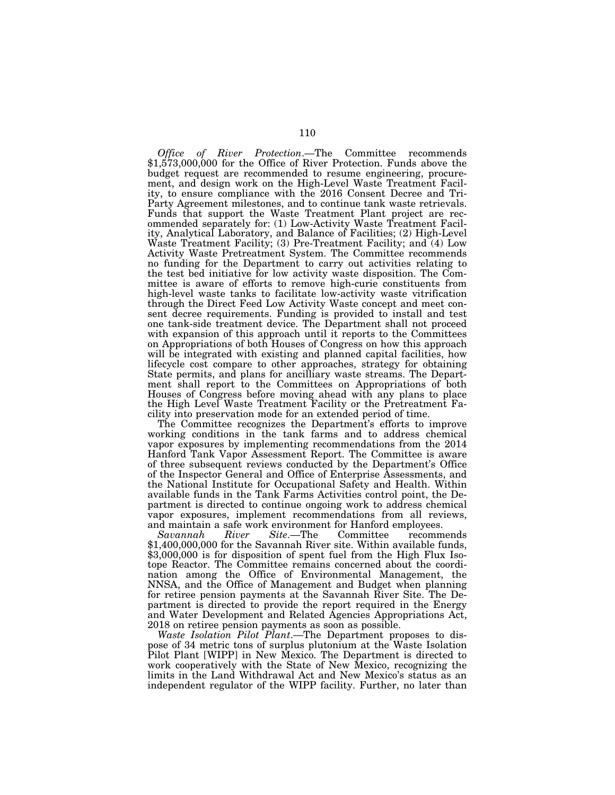*Office of River Protection*.—The Committee recommends \$1,573,000,000 for the Office of River Protection. Funds above the budget request are recommended to resume engineering, procurement, and design work on the High-Level Waste Treatment Facility, to ensure compliance with the 2016 Consent Decree and Tri-Party Agreement milestones, and to continue tank waste retrievals. Funds that support the Waste Treatment Plant project are recommended separately for: (1) Low-Activity Waste Treatment Facility, Analytical Laboratory, and Balance of Facilities; (2) High-Level Waste Treatment Facility; (3) Pre-Treatment Facility; and (4) Low Activity Waste Pretreatment System. The Committee recommends no funding for the Department to carry out activities relating to the test bed initiative for low activity waste disposition. The Committee is aware of efforts to remove high-curie constituents from high-level waste tanks to facilitate low-activity waste vitrification through the Direct Feed Low Activity Waste concept and meet consent decree requirements. Funding is provided to install and test one tank-side treatment device. The Department shall not proceed with expansion of this approach until it reports to the Committees on Appropriations of both Houses of Congress on how this approach will be integrated with existing and planned capital facilities, how lifecycle cost compare to other approaches, strategy for obtaining State permits, and plans for ancilliary waste streams. The Department shall report to the Committees on Appropriations of both Houses of Congress before moving ahead with any plans to place the High Level Waste Treatment Facility or the Pretreatment Facility into preservation mode for an extended period of time.

The Committee recognizes the Department's efforts to improve working conditions in the tank farms and to address chemical vapor exposures by implementing recommendations from the 2014 Hanford Tank Vapor Assessment Report. The Committee is aware of three subsequent reviews conducted by the Department's Office of the Inspector General and Office of Enterprise Assessments, and the National Institute for Occupational Safety and Health. Within available funds in the Tank Farms Activities control point, the Department is directed to continue ongoing work to address chemical vapor exposures, implement recommendations from all reviews, and maintain a safe work environment for Hanford employees.<br>Savannah River Site.—The Committee recomm

recommends \$1,400,000,000 for the Savannah River site. Within available funds, \$3,000,000 is for disposition of spent fuel from the High Flux Isotope Reactor. The Committee remains concerned about the coordination among the Office of Environmental Management, the NNSA, and the Office of Management and Budget when planning for retiree pension payments at the Savannah River Site. The Department is directed to provide the report required in the Energy and Water Development and Related Agencies Appropriations Act, 2018 on retiree pension payments as soon as possible.

*Waste Isolation Pilot Plant*.—The Department proposes to dispose of 34 metric tons of surplus plutonium at the Waste Isolation Pilot Plant [WIPP] in New Mexico. The Department is directed to work cooperatively with the State of New Mexico, recognizing the limits in the Land Withdrawal Act and New Mexico's status as an independent regulator of the WIPP facility. Further, no later than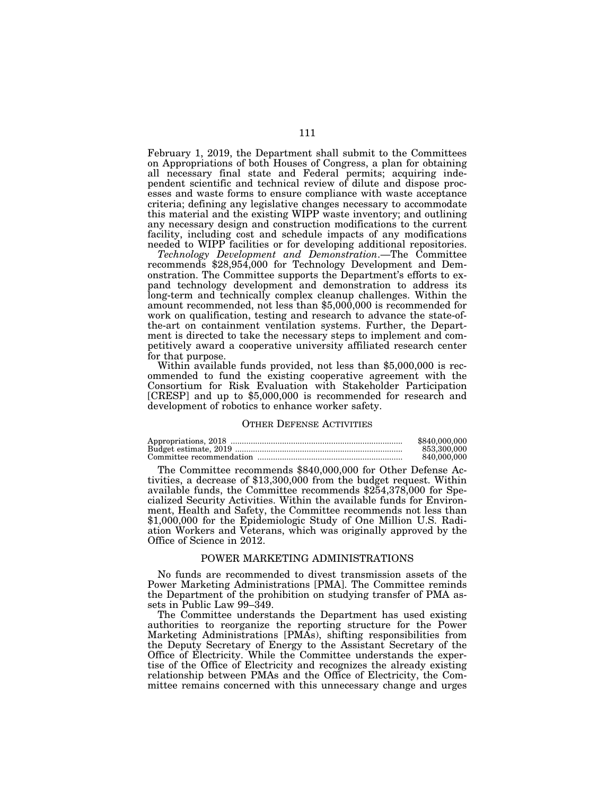February 1, 2019, the Department shall submit to the Committees on Appropriations of both Houses of Congress, a plan for obtaining all necessary final state and Federal permits; acquiring independent scientific and technical review of dilute and dispose processes and waste forms to ensure compliance with waste acceptance criteria; defining any legislative changes necessary to accommodate this material and the existing WIPP waste inventory; and outlining any necessary design and construction modifications to the current facility, including cost and schedule impacts of any modifications needed to WIPP facilities or for developing additional repositories.

*Technology Development and Demonstration*.—The Committee recommends \$28,954,000 for Technology Development and Demonstration. The Committee supports the Department's efforts to expand technology development and demonstration to address its long-term and technically complex cleanup challenges. Within the amount recommended, not less than \$5,000,000 is recommended for work on qualification, testing and research to advance the state-ofthe-art on containment ventilation systems. Further, the Department is directed to take the necessary steps to implement and competitively award a cooperative university affiliated research center

for that purpose. Within available funds provided, not less than \$5,000,000 is recommended to fund the existing cooperative agreement with the Consortium for Risk Evaluation with Stakeholder Participation [CRESP] and up to \$5,000,000 is recommended for research and development of robotics to enhance worker safety.

# OTHER DEFENSE ACTIVITIES

| \$840,000,000 |
|---------------|
| 853,300,000   |
| 840,000,000   |

The Committee recommends \$840,000,000 for Other Defense Activities, a decrease of \$13,300,000 from the budget request. Within available funds, the Committee recommends \$254,378,000 for Specialized Security Activities. Within the available funds for Environment, Health and Safety, the Committee recommends not less than \$1,000,000 for the Epidemiologic Study of One Million U.S. Radiation Workers and Veterans, which was originally approved by the Office of Science in 2012.

# POWER MARKETING ADMINISTRATIONS

No funds are recommended to divest transmission assets of the Power Marketing Administrations [PMA]. The Committee reminds the Department of the prohibition on studying transfer of PMA assets in Public Law 99–349.

The Committee understands the Department has used existing authorities to reorganize the reporting structure for the Power Marketing Administrations [PMAs), shifting responsibilities from the Deputy Secretary of Energy to the Assistant Secretary of the Office of Electricity. While the Committee understands the expertise of the Office of Electricity and recognizes the already existing relationship between PMAs and the Office of Electricity, the Committee remains concerned with this unnecessary change and urges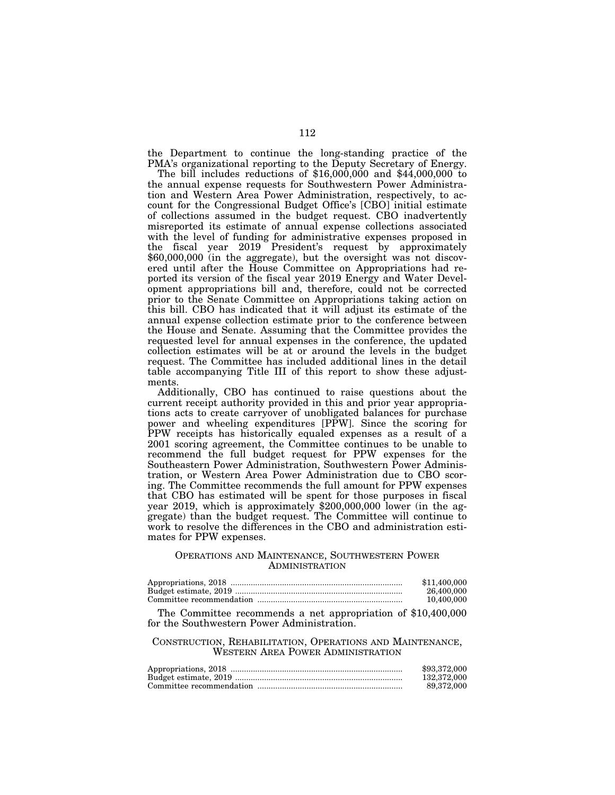the Department to continue the long-standing practice of the PMA's organizational reporting to the Deputy Secretary of Energy.

The bill includes reductions of \$16,000,000 and \$44,000,000 to the annual expense requests for Southwestern Power Administration and Western Area Power Administration, respectively, to account for the Congressional Budget Office's [CBO] initial estimate of collections assumed in the budget request. CBO inadvertently misreported its estimate of annual expense collections associated with the level of funding for administrative expenses proposed in the fiscal year 2019 President's request by approximately \$60,000,000 (in the aggregate), but the oversight was not discovered until after the House Committee on Appropriations had reported its version of the fiscal year 2019 Energy and Water Development appropriations bill and, therefore, could not be corrected prior to the Senate Committee on Appropriations taking action on this bill. CBO has indicated that it will adjust its estimate of the annual expense collection estimate prior to the conference between the House and Senate. Assuming that the Committee provides the requested level for annual expenses in the conference, the updated collection estimates will be at or around the levels in the budget request. The Committee has included additional lines in the detail table accompanying Title III of this report to show these adjustments.

Additionally, CBO has continued to raise questions about the current receipt authority provided in this and prior year appropriations acts to create carryover of unobligated balances for purchase power and wheeling expenditures [PPW]. Since the scoring for PPW receipts has historically equaled expenses as a result of a 2001 scoring agreement, the Committee continues to be unable to recommend the full budget request for PPW expenses for the Southeastern Power Administration, Southwestern Power Administration, or Western Area Power Administration due to CBO scoring. The Committee recommends the full amount for PPW expenses that CBO has estimated will be spent for those purposes in fiscal year 2019, which is approximately \$200,000,000 lower (in the aggregate) than the budget request. The Committee will continue to work to resolve the differences in the CBO and administration estimates for PPW expenses.

# OPERATIONS AND MAINTENANCE, SOUTHWESTERN POWER ADMINISTRATION

| \$11,400,000 |
|--------------|
| 26.400.000   |
| 10.400.000   |

The Committee recommends a net appropriation of \$10,400,000 for the Southwestern Power Administration.

# CONSTRUCTION, REHABILITATION, OPERATIONS AND MAINTENANCE, WESTERN AREA POWER ADMINISTRATION

| \$93,372,000 |
|--------------|
| 132.372.000  |
| 89.372.000   |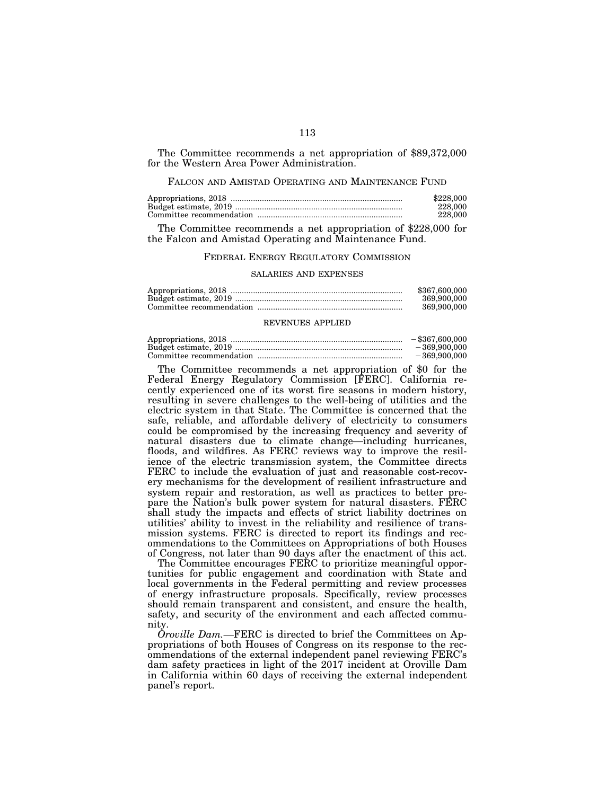The Committee recommends a net appropriation of \$89,372,000 for the Western Area Power Administration.

# FALCON AND AMISTAD OPERATING AND MAINTENANCE FUND

| \$228,000 |
|-----------|
| 228,000   |
| 228,000   |
|           |

The Committee recommends a net appropriation of \$228,000 for the Falcon and Amistad Operating and Maintenance Fund.

### FEDERAL ENERGY REGULATORY COMMISSION

### SALARIES AND EXPENSES

| \$367,600,000 |
|---------------|
| 369,900,000   |
| 369,900,000   |

### REVENUES APPLIED

| $-$ \$367,600,000 |
|-------------------|
| $-369.900.000$    |
| $-369.900.000$    |

The Committee recommends a net appropriation of \$0 for the Federal Energy Regulatory Commission [FERC]. California recently experienced one of its worst fire seasons in modern history, resulting in severe challenges to the well-being of utilities and the electric system in that State. The Committee is concerned that the safe, reliable, and affordable delivery of electricity to consumers could be compromised by the increasing frequency and severity of natural disasters due to climate change—including hurricanes, floods, and wildfires. As FERC reviews way to improve the resilience of the electric transmission system, the Committee directs FERC to include the evaluation of just and reasonable cost-recovery mechanisms for the development of resilient infrastructure and system repair and restoration, as well as practices to better prepare the Nation's bulk power system for natural disasters. FERC shall study the impacts and effects of strict liability doctrines on utilities' ability to invest in the reliability and resilience of transmission systems. FERC is directed to report its findings and recommendations to the Committees on Appropriations of both Houses of Congress, not later than 90 days after the enactment of this act.

The Committee encourages FERC to prioritize meaningful opportunities for public engagement and coordination with State and local governments in the Federal permitting and review processes of energy infrastructure proposals. Specifically, review processes should remain transparent and consistent, and ensure the health, safety, and security of the environment and each affected community.

*Oroville Dam.—*FERC is directed to brief the Committees on Appropriations of both Houses of Congress on its response to the recommendations of the external independent panel reviewing FERC's dam safety practices in light of the 2017 incident at Oroville Dam in California within 60 days of receiving the external independent panel's report.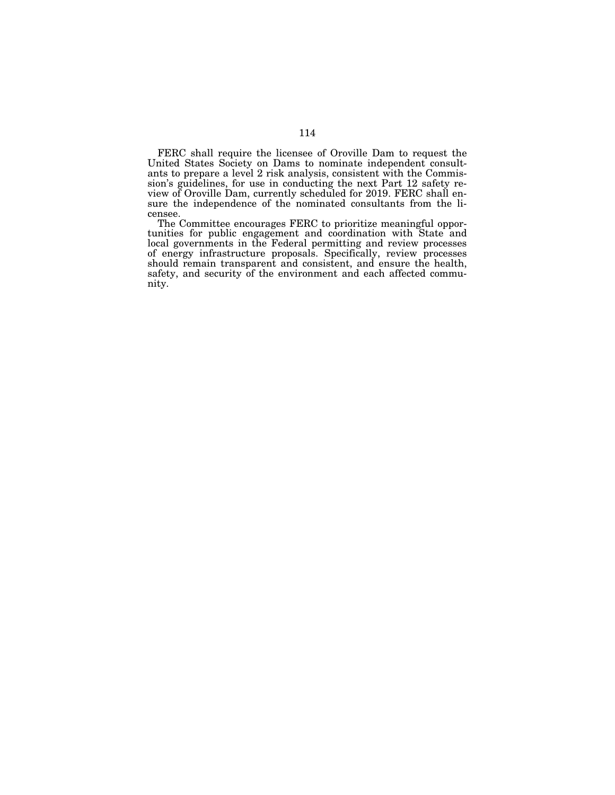FERC shall require the licensee of Oroville Dam to request the United States Society on Dams to nominate independent consultants to prepare a level 2 risk analysis, consistent with the Commission's guidelines, for use in conducting the next Part 12 safety review of Oroville Dam, currently scheduled for 2019. FERC shall ensure the independence of the nominated consultants from the licensee.

The Committee encourages FERC to prioritize meaningful opportunities for public engagement and coordination with State and local governments in the Federal permitting and review processes of energy infrastructure proposals. Specifically, review processes should remain transparent and consistent, and ensure the health, safety, and security of the environment and each affected community.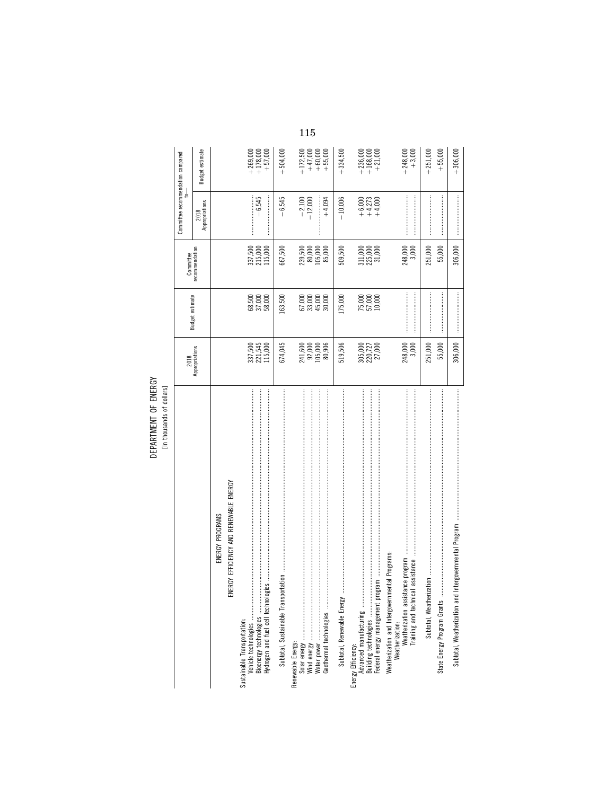DEPARTMENT OF ENERGY<br>[In thousands of dollars]

|                                                                                                                                                |                                                             |                                  |                                                             | Committee recommendation compared<br>₹ |                                                               |
|------------------------------------------------------------------------------------------------------------------------------------------------|-------------------------------------------------------------|----------------------------------|-------------------------------------------------------------|----------------------------------------|---------------------------------------------------------------|
|                                                                                                                                                | 2018<br>Appropriations                                      | Budget estimate                  | Committee<br>recommendation                                 | Appropriations<br>2018                 | Budget estimate                                               |
| ENERGY PROGRAMS                                                                                                                                |                                                             |                                  |                                                             |                                        |                                                               |
| <b>JERGY EFFICIENCY AND RENEWABLE ENERGY</b><br>ш                                                                                              |                                                             |                                  |                                                             |                                        |                                                               |
| Vehicle technologies<br>Sustainable Transportation:                                                                                            |                                                             |                                  |                                                             |                                        |                                                               |
|                                                                                                                                                | 337,500<br>221,545<br>115,000                               | $68,500$<br>$37,000$<br>$58,000$ | 337,500<br>215,000<br>115,000                               | $-6,545$                               | $\begin{matrix} +269,000 \\ +178,000 \\ +57,000 \end{matrix}$ |
|                                                                                                                                                |                                                             |                                  |                                                             |                                        |                                                               |
| Subtotal, Sustainable Transportation                                                                                                           | 674,045                                                     | 163,500                          | 667,500                                                     | $-6,545$                               | $+504,000$                                                    |
| Renewable Energy:                                                                                                                              |                                                             |                                  |                                                             |                                        |                                                               |
|                                                                                                                                                | $241,600$<br>$92,000$<br>$105,000$<br>$80,906$              | 62000<br>630000<br>630000        | $239,500$<br>$80,000$<br>$105,000$<br>$85,000$              | $-2,100$<br>$-12,000$                  | $+172,500$<br>$+47,000$<br>$+60,000$<br>$+55,000$             |
|                                                                                                                                                |                                                             |                                  |                                                             |                                        |                                                               |
|                                                                                                                                                |                                                             |                                  |                                                             | $+4,094$                               |                                                               |
| Subtotal, Renewable Energy                                                                                                                     | 519,506                                                     | 175,000                          | 509,500                                                     | $-10,006$                              | $+334,500$                                                    |
| Advanced manufacturing<br>Energy Efficiency:                                                                                                   |                                                             |                                  |                                                             |                                        |                                                               |
| <b>医子宫的 医阿尔伯氏氏征 医阿尔伯氏征 医阿尔伯氏征 医阿尔伯氏征 医阿尔伯氏征 医阿尔伯氏征 医阿尔伯氏征 医阿尔伯氏征 医阿尔伯氏征 医阿尔伯氏征 医阿尔伯氏征 医阿尔比氏征 医阿尔比氏征 医阿尔比氏征 医阿尔比氏征</b><br>Building technologies | $\begin{array}{c} 305,000 \\ 220,727 \\ 27,000 \end{array}$ | 75,000<br>57,000<br>10,000       | $\begin{array}{c} 311,000 \\ 225,000 \\ 31,000 \end{array}$ | $+6,000$<br>$+4,273$<br>$+4,000$       | $\begin{matrix} +236,000 \\ +168,000 \\ +21,000 \end{matrix}$ |
| Federal energy management program                                                                                                              |                                                             |                                  |                                                             |                                        |                                                               |
| Weatherization and Intergovernmental Programs                                                                                                  |                                                             |                                  |                                                             |                                        |                                                               |
|                                                                                                                                                | 248,000<br>3,000                                            |                                  | 248,000<br>3,000                                            |                                        | $+ 248,000$<br>$+ 3,000$                                      |
|                                                                                                                                                |                                                             |                                  |                                                             |                                        |                                                               |
|                                                                                                                                                | 251,000                                                     |                                  | 251,000                                                     |                                        | $+251,000$                                                    |
| State Energy Program Grants                                                                                                                    | 55,000                                                      |                                  | 55,000                                                      |                                        | $+55,000$                                                     |
| Intergovernmental Program<br>Subtotal, Weatherization and                                                                                      | 306,000                                                     |                                  | 306,000                                                     |                                        | $+306,000$                                                    |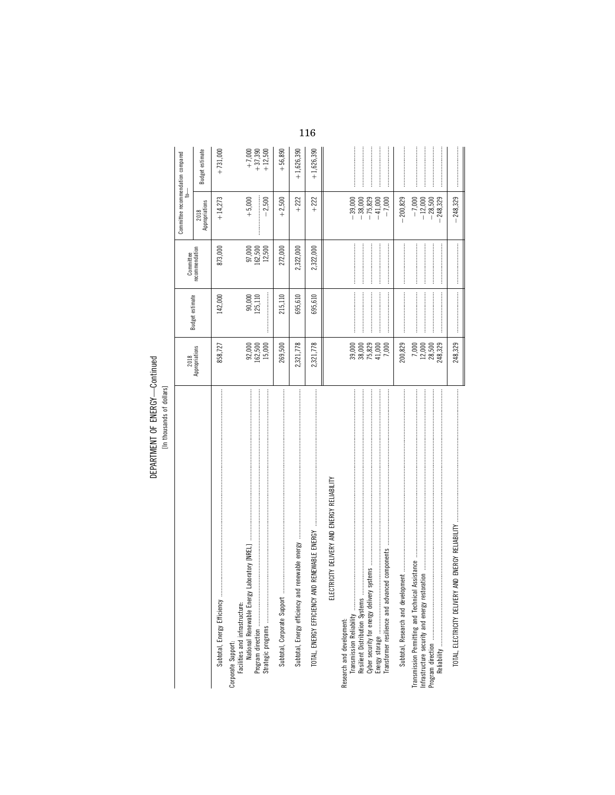DEPARTMENT OF ENERGY-Continued

|                                                                                                                                                                                 |                                               |                     | Committee                   | Committee recommendation compared                                                   |                                    |
|---------------------------------------------------------------------------------------------------------------------------------------------------------------------------------|-----------------------------------------------|---------------------|-----------------------------|-------------------------------------------------------------------------------------|------------------------------------|
|                                                                                                                                                                                 | 2018<br>Appropriations                        | Budget estimate     | recommendation              | 2018<br>Appropriations                                                              | Budget estimate                    |
| Subtotal, Energy Efficiency                                                                                                                                                     | 858,727                                       | 142,000             | 873,000                     | $+14,273$                                                                           | $+731,000$                         |
| Laboratory [NREL]<br>Facilities and infrastructure:<br>National Renewable Energy<br>Corporate Support:                                                                          | 92,000<br>162,500<br>15,000                   | $90,000$<br>125,110 | 97,000<br>162,500<br>12,500 | $+ 5,000$<br>$-2,500$                                                               | $+7,000$<br>$+37,390$<br>$+12,500$ |
|                                                                                                                                                                                 | 269,500                                       | 215,110             | 272,000                     | $+2,500$                                                                            | $+56,890$                          |
| <b>医子宫 医阿尔伯氏 医阿尔比氏试验检尿 医阿尔比氏试验检尿 医阿尔比氏试验检尿 医阿尔比氏试验检尿 医阿尔比氏试验检尿道检尿道检尿道检尿道检尿道检尿道检尿道检尿道检尿道检尿道检尿道 医阿尔比氏</b><br>renewable energy<br>Subtotal, Energy efficiency and                  | 2,321,778                                     | 695,610             | 2,322,000                   | $+222$                                                                              | $+1,626,390$                       |
| ID RENEWABLE ENERGY<br>TOTAL, ENERGY EFFICIENCY AN                                                                                                                              | 2,321,778                                     | 695,610             | 2,322,000                   | $+222$                                                                              | $+1,626,390$                       |
| TRICITY DELIVERY AND ENERGY RELIABILITY<br>ELEC                                                                                                                                 |                                               |                     |                             |                                                                                     |                                    |
| Transformer resilience and advanced components<br>Resilient Distribution Systems<br>Cyber security for energy delivery<br>Transmission Reliability<br>Research and development: | 39,000<br>38,000<br>75,829<br>41,000<br>7,000 |                     |                             | $\begin{array}{r} -39,000 \\ -38,000 \\ -15,829 \\ -41,000 \end{array}$<br>$-7,000$ |                                    |
|                                                                                                                                                                                 | 200,829                                       |                     |                             | $-200,829$                                                                          |                                    |
| Infrastructure security and energy restoration<br>Transmission Permitting and Technical                                                                                         | $7,000$<br>$12,000$<br>$28,500$<br>248,329    |                     |                             | $-12,000$<br>$-28,500$<br>$-248,329$<br>$-7,000$                                    |                                    |
| 的复数形式 医皮肤发生 医皮肤发生的 医皮肤性的 医生物的 医生物的 医生物的 医假生物的 医皮肤性 医皮肤性 医皮肤性 医皮肤性 医皮肤性 医皮肤性 医生物学 医生物学<br>AND ENERGY RELIABILITY<br>TOTAL, ELECTRICITY DELIVERY                                  | 248.329                                       |                     |                             | $-248.329$                                                                          |                                    |

116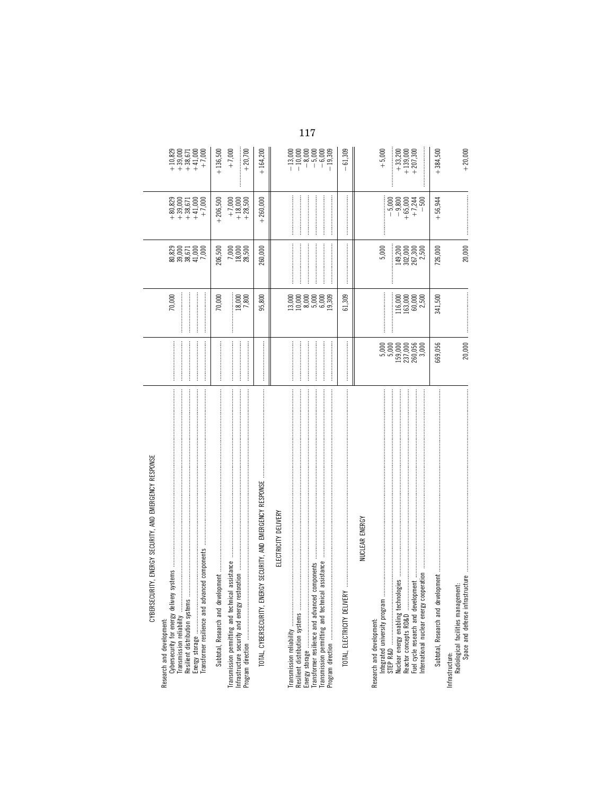| CYBERSECURITY, ENERGY SECURITY, AND EMERGENCY RESPONSE<br>Cybersecurity for energy delivery<br>Research and development:                                                                       |                                                                                         | 70,000                                                                     | 80,829<br>80,000<br>80,671<br>80,000<br>7,000   | $\begin{array}{l} + \ 80,829 \\ + \ 39,000 \\ + \ 38,671 \\ + \ 41,000 \\ + \ 41,700 \\ + \end{array}$ | $\begin{array}{l} + \ 10,829 \\ + \ 39,000 \\ + \ 38,671 \\ + \ 41,000 \\ + \ 7,000 \\ + \ 1,000 \\ + \end{array}$                                                                                                                                                                                    |
|------------------------------------------------------------------------------------------------------------------------------------------------------------------------------------------------|-----------------------------------------------------------------------------------------|----------------------------------------------------------------------------|-------------------------------------------------|--------------------------------------------------------------------------------------------------------|-------------------------------------------------------------------------------------------------------------------------------------------------------------------------------------------------------------------------------------------------------------------------------------------------------|
| Transmission permitting and technical assistance<br>Infrastructure security and energy restoration                                                                                             |                                                                                         | $\frac{18,000}{7,800}$<br>70,000                                           | $\frac{7,000}{18,500}$<br>206,500               | $+7,000$<br>$+18,000$<br>$+28,500$<br>$+206,500$                                                       | $+136,500$<br>$+20,700$<br>$+7,000$                                                                                                                                                                                                                                                                   |
| ERGY SECURITY, AND EMERGENCY RESPONSE<br>TOTAL, CYBERSECURITY, ENI                                                                                                                             |                                                                                         | 95,800                                                                     | 260,000                                         | $+260,000$                                                                                             | $+164,200$                                                                                                                                                                                                                                                                                            |
| ELECTRICITY DELIVERY<br>Transmission permitting and technical assistance<br>components<br>TOTAL, ELECTRICITY DELIVERY<br>Resilient distribution systems<br>Transformer resilience and advanced |                                                                                         | 61,309                                                                     |                                                 |                                                                                                        | 61,309<br>$\begin{array}{r} 13,000\\ -13,000\\ -1\end{array}$ + 0.000<br>- 0.000<br>- 0.000<br>- 0.000<br>- 1.000<br>- 1.000<br>- 1.000<br>- 1.000<br>- 1.000<br>- 1.000<br>- 1.000<br>- 1.000<br>- 1.000<br>- 1.000<br>- 1.000<br>- 1.000<br>- 1.000<br>- 1.000<br>- 1.000<br>- 1.000<br>- 1.000<br> |
| NUCLEAR ENERGY<br>Research and development:                                                                                                                                                    |                                                                                         |                                                                            |                                                 |                                                                                                        |                                                                                                                                                                                                                                                                                                       |
| International nuclear energy cooperation                                                                                                                                                       | 5,000<br>5,000<br>$\begin{array}{l} 159,000 \\ 237,000 \\ 260,056 \\ 3,000 \end{array}$ | $\begin{array}{l} 116,000 \\ 1163,000 \\ 163,000 \\ 25,500 \\ \end{array}$ | 5,000<br>149,200<br>302,000<br>267,300<br>2,500 | $-5,000$<br>$-9,800$<br>$+65,000$<br>$+7,244$<br>$-500$                                                | $+ 5,000$<br>$\begin{array}{c} +33,200 \\ +139,000 \\ +207,300 \end{array}$                                                                                                                                                                                                                           |
| Radiological facilities management:<br>Space and defense infrastructure<br>Infrastructure:                                                                                                     | 669,056                                                                                 | 341,500                                                                    | 726,000                                         | $+56,944$                                                                                              | $+384,500$                                                                                                                                                                                                                                                                                            |
|                                                                                                                                                                                                | 20,000                                                                                  |                                                                            | 20,000                                          |                                                                                                        | $+20,000$                                                                                                                                                                                                                                                                                             |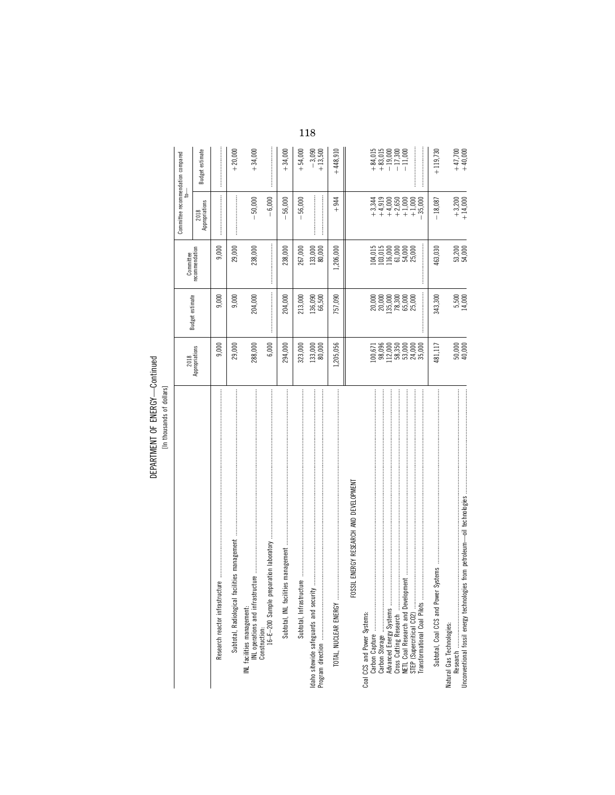DEPARTMENT OF ENERGY-Continued

|                                        |                                                                                      |                   | Committee                             | Committee recommendation compared |                                                                                       |
|----------------------------------------|--------------------------------------------------------------------------------------|-------------------|---------------------------------------|-----------------------------------|---------------------------------------------------------------------------------------|
|                                        | 2018<br>Appropriations                                                               | Budget estimate   | recommendation                        | 2018<br>Appropriations            | Budget estimate                                                                       |
|                                        | 9,000                                                                                | 9,000             | 9,000                                 |                                   |                                                                                       |
|                                        | 29,000                                                                               | 9,000             | 29,000                                |                                   | $+20,000$                                                                             |
|                                        | 288,000                                                                              | 204,000           | 238,000                               | $-50,000$                         | $+34,000$                                                                             |
|                                        | 6,000                                                                                |                   |                                       | $-6,000$                          |                                                                                       |
|                                        | 294,000                                                                              | 204,000           | 238,000                               | 56,000                            | $+34,000$                                                                             |
|                                        | 323,000                                                                              | 213,000           | 267,000                               | $-56,000$                         | $+54,000$                                                                             |
|                                        | 133,000<br>80,000                                                                    | 136,090<br>66,500 | 133,000<br>80,000                     |                                   | $-3,090$<br>+ 13,500                                                                  |
| TOTAL, NUCLEAR ENERGY                  | 1,205,056                                                                            | 757,090           | 1,206,000                             | $+944$                            | $+448,910$                                                                            |
| FOSSIL ENERGY RESEARCH AND DEVELOPMENT |                                                                                      |                   |                                       |                                   |                                                                                       |
| Coal CCS and Power Systems:            |                                                                                      |                   | 104,015                               |                                   |                                                                                       |
|                                        | $100,671$<br>$98,096$<br>$98,3500$<br>$112,000$<br>$58,3500$<br>$54,000$<br>$35,000$ |                   | 103,015                               |                                   | $\begin{array}{r} +34,015 \\ +33,015 \\ +17,300 \\ -17,300 \\ -11,000 \\ \end{array}$ |
|                                        |                                                                                      |                   | 116,000<br>G1,000<br>G1,000<br>Z5,000 |                                   |                                                                                       |
| STEP (Supercritical CO2)               |                                                                                      |                   |                                       | $+1,000$<br>$-35,000$             |                                                                                       |
| Transformational Coal Pilots           |                                                                                      |                   |                                       |                                   |                                                                                       |
| Subtotal, Coal CCS and Power           | 481,117                                                                              | 343,300           | 463,030                               | $-18,087$                         | $+119,730$                                                                            |
| Natural Gas Technologies:              |                                                                                      |                   |                                       |                                   |                                                                                       |
|                                        | $50,000$<br>$40,000$                                                                 | 5,500<br>14,000   | $53,200$<br>$54,000$                  | $+3,200$<br>+ 14,000              | $+47,700$<br>+40,000                                                                  |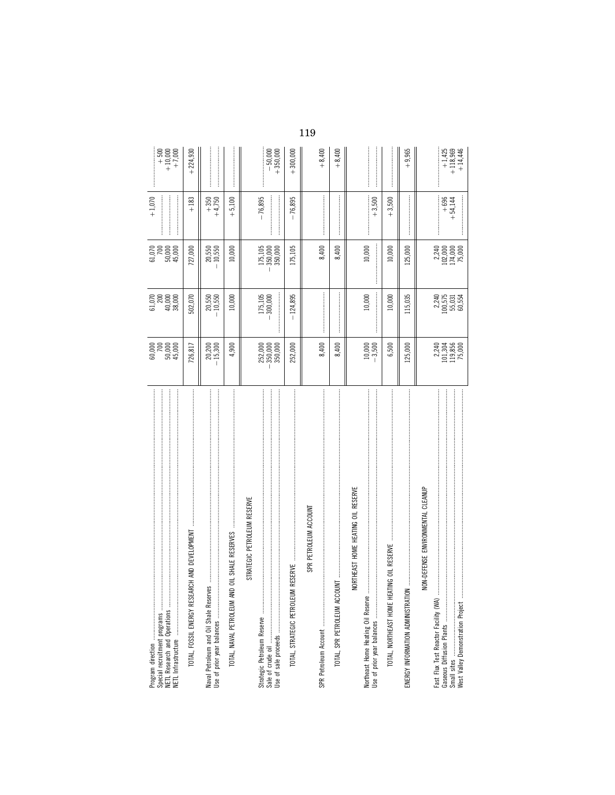|                                                                                                                                                                                                                                                                |                                       |                                    | $61,070$<br>$50,000$                                                  | $+1,070$            |                                    |
|----------------------------------------------------------------------------------------------------------------------------------------------------------------------------------------------------------------------------------------------------------------|---------------------------------------|------------------------------------|-----------------------------------------------------------------------|---------------------|------------------------------------|
| NETL Research and Operations                                                                                                                                                                                                                                   | 60,000<br>50,000<br>60,000<br>60,000  |                                    | 45,000                                                                |                     | $+ 500$<br>$+ 10,000$<br>$+ 7,000$ |
|                                                                                                                                                                                                                                                                | 726,817                               | 502,070                            | 727,000                                                               | $+183$              | $+224,930$                         |
| Naval Petroleum and Oil Shale Reserves                                                                                                                                                                                                                         | 20,200<br>15,300                      | 20,550<br>10,550                   | 20,550<br>10,550                                                      | $+350$<br>$+4,750$  |                                    |
| 的过去式和过去分词 医皮肤发生 医皮肤发生 医皮肤发生 医皮肤皮肤发生 医皮肤皮肤发生 医皮肤皮肤皮肤 医皮肤性皮肤 医皮肤皮肤皮肤 医皮肤皮肤皮肤 医皮肤皮肤皮肤 医皮肤皮肤皮肤 医前面发生的<br>OIL SHALE RESERVES<br>TOTAL, NAVAL PETROLEUM AND                                                                                                          | 4,900                                 | 10,000                             | 10,000                                                                | $+5,100$            |                                    |
| STRATEGIC PETROLEUM RESERVE                                                                                                                                                                                                                                    |                                       |                                    |                                                                       |                     |                                    |
| Strategic Petroleum Reserve                                                                                                                                                                                                                                    | $-350,000$<br>$350,000$<br>252,000    | 175,105<br>-300,000                | 350,000<br>350,000<br>175,105                                         | $-76,895$           | $-50,000$<br>+ 350,000             |
| TOTAL, STRATEGIC PETROLEUN                                                                                                                                                                                                                                     | 252,000                               | $-124,895$                         | 175,105                                                               | 76,895              | $+300,000$                         |
| SPR PETROLEUM ACCOUNT                                                                                                                                                                                                                                          |                                       |                                    |                                                                       |                     |                                    |
|                                                                                                                                                                                                                                                                | 8,400                                 |                                    | 8,400                                                                 |                     | $+8,400$                           |
| $\frac{1}{2}$ . The continuum continuum continuum continuum continuum continuum continuum continuum continuum continuum continuum continuum continuum continuum continuum continuum continuum continuum continuum continuum conti<br>TOTAL, SPR PETROLEUM ACCO | 8,400                                 |                                    | 8,400                                                                 |                     | $+8,400$                           |
| NORTHEAST HOME HEATING OIL RESERVE                                                                                                                                                                                                                             |                                       |                                    |                                                                       |                     |                                    |
| Northeast Home Heating Oil Reserve                                                                                                                                                                                                                             | $10,000$<br>$-3,500$                  | 10,000                             | 10,000                                                                | $+3,500$            |                                    |
| TOTAL, NORTHEAST HOME HEATING OIL RESERVE                                                                                                                                                                                                                      | 6,500                                 | 10,000                             | 10,000                                                                | $+3,500$            |                                    |
| ENERGY INFORMATION ADMINISTRATION                                                                                                                                                                                                                              | 125,000                               | 115,035                            | .25,000                                                               |                     | $+9,965$                           |
| NON-DEFENSE ENVIRONMENTAL CLEANUP                                                                                                                                                                                                                              |                                       |                                    |                                                                       |                     |                                    |
| Fast Flux Test Reactor Facility (WA)                                                                                                                                                                                                                           | 2,240<br>101,365<br>119,856<br>75,000 | 2240<br>100575<br>1005554<br>60554 | $\begin{array}{c} 2,240 \\ 102,000 \\ 174,000 \\ 175,000 \end{array}$ | $+696$<br>$+54,144$ | $+1,425$ $+118,969$ $+14,446$      |
|                                                                                                                                                                                                                                                                |                                       |                                    |                                                                       |                     |                                    |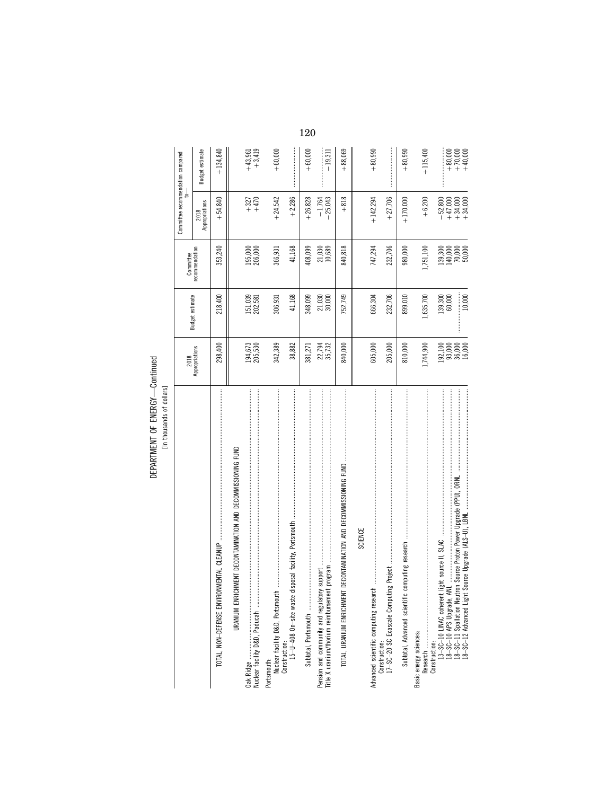DEPARTMENT OF ENERGY-Continued DEPARTMENT OF ENERGY—Continued [In thousands of dollars]

|                                                                               |                                  |                    | Committee                                                             | Committee recommendation compared<br>ţ                                                                                                                                                                                                                                                                                |                                     |
|-------------------------------------------------------------------------------|----------------------------------|--------------------|-----------------------------------------------------------------------|-----------------------------------------------------------------------------------------------------------------------------------------------------------------------------------------------------------------------------------------------------------------------------------------------------------------------|-------------------------------------|
|                                                                               | 2018<br>Appropriations           | Budget estimate    | recommendation                                                        | 2018<br>Appropriations                                                                                                                                                                                                                                                                                                | Budget estimate                     |
| <b>IMENTAL CLEANUP</b><br>TOTAL, NON-DEFENSE ENVIRON                          | 298,400                          | 218,400            | 353,240                                                               | $+54,840$                                                                                                                                                                                                                                                                                                             | $+134,840$                          |
| URANIUM ENRICHMENT DECONTAMINATION AND DECOMMISSIONING FUND                   |                                  |                    |                                                                       |                                                                                                                                                                                                                                                                                                                       |                                     |
|                                                                               | 194,673<br>205,530               | 151,039<br>202,581 | 195,000<br>206,000                                                    | $+470$<br>$+327$                                                                                                                                                                                                                                                                                                      | $+43,961$<br>$+3,419$               |
| Portsmouth:<br>Nuclear facility D&D, Portsmouth                               | 342,389                          | 306,931            | 366,931                                                               | $+24,542$                                                                                                                                                                                                                                                                                                             | $+60,000$                           |
| Construction:<br>15-U-408 On-site waste disposal facility, Portsmouth         | 38,882                           | 41,168             | 41,168                                                                | $+2,286$                                                                                                                                                                                                                                                                                                              |                                     |
| Subtotal, Portsmouth                                                          | 381,271                          | 348,099            | 408,099                                                               | $+26,828$                                                                                                                                                                                                                                                                                                             | $+60,000$                           |
| Title X uranium/thorium reimbursement<br>Pension and community and regulatory | 22,794<br>35,732                 | 21,030<br>30,000   | 21,030<br>10,689                                                      | $-1,764$<br>$-25,043$                                                                                                                                                                                                                                                                                                 | $-19,311$                           |
| DECONTAMINATION AND DECOMMISSIONING FUND<br>TOTAL, URANIUM ENRICHMENT         | 840,000                          | 752,749            | 840,818                                                               | $+818$                                                                                                                                                                                                                                                                                                                | $+88,069$                           |
| <b>SCIENCE</b>                                                                |                                  |                    |                                                                       |                                                                                                                                                                                                                                                                                                                       |                                     |
| Advanced scientific computing research                                        | 605,000                          | 666,304            | 747,294                                                               | $+142,294$                                                                                                                                                                                                                                                                                                            | $+80,990$                           |
| Construction:<br>17–SC–20 SC Exascale Computin                                | 205,000                          | 232,706            | 232,706                                                               | $+27,706$                                                                                                                                                                                                                                                                                                             |                                     |
|                                                                               | 810,000                          | 899,010            | 980,000                                                               | $+170,000$                                                                                                                                                                                                                                                                                                            | $+80,990$                           |
| Basic energy sciences:                                                        | 1,744,900                        | 1,635,700          | 1,751,100                                                             | $+6,200$                                                                                                                                                                                                                                                                                                              | $+115,400$                          |
| Construction:                                                                 | 192,100                          | 139,300            |                                                                       |                                                                                                                                                                                                                                                                                                                       |                                     |
|                                                                               |                                  | 60,000             |                                                                       |                                                                                                                                                                                                                                                                                                                       |                                     |
|                                                                               | $93,000$<br>$36,000$<br>$16,000$ | 10,000             | $\begin{array}{l} 139,300 \\ 140,000 \\ 70,000 \\ 50,000 \end{array}$ | $\begin{array}{c} 0.800 \\ -0.5000 \\ +0.5000 \\ +0.5000 \\ +0.5000 \\ +0.5000 \\ +0.5000 \\ +0.5000 \\ +0.5000 \\ +0.5000 \\ +0.5000 \\ +0.5000 \\ +0.5000 \\ +0.5000 \\ +0.5000 \\ +0.5000 \\ +0.5000 \\ +0.5000 \\ +0.5000 \\ +0.5000 \\ +0.5000 \\ +0.5000 \\ +0.5000 \\ +0.5000 \\ +0.5000 \\ +0.5000 \\ +0.500$ | $+80,000$<br>$+70,000$<br>$+40,000$ |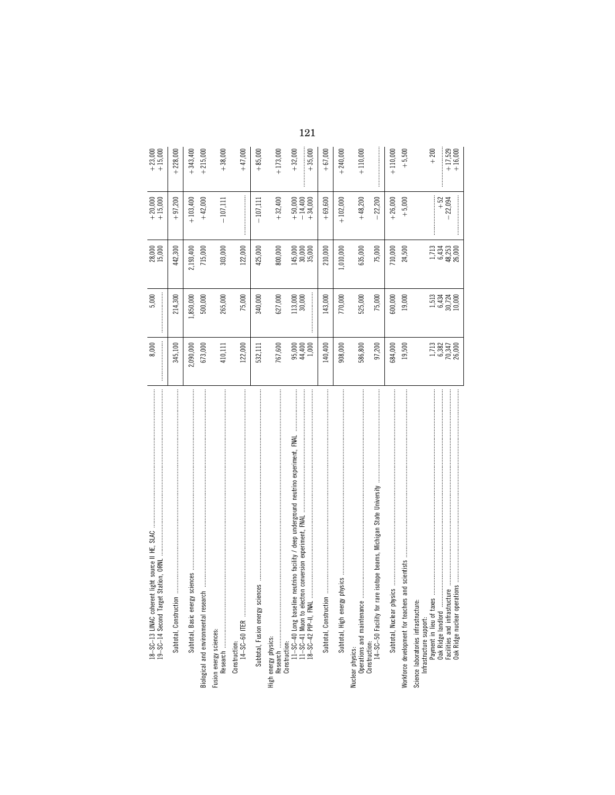| light source II HE, SLAC<br>18-SC-13 LINAC coherent light source<br>19-SC-14 Second Target Station, ORNI                                                                                                                                                                                                                                                                                                                                                                                                                          | 8,000                                                                | 5,000                                        | 28,000<br>15,000                             | $+ 20,000$<br>+ 15,000                                       | $+ 23,000$<br>+ 15,000                       |
|-----------------------------------------------------------------------------------------------------------------------------------------------------------------------------------------------------------------------------------------------------------------------------------------------------------------------------------------------------------------------------------------------------------------------------------------------------------------------------------------------------------------------------------|----------------------------------------------------------------------|----------------------------------------------|----------------------------------------------|--------------------------------------------------------------|----------------------------------------------|
| Subtotal, Construction.                                                                                                                                                                                                                                                                                                                                                                                                                                                                                                           | 345,100                                                              | 214,300                                      | 442,300                                      | $+97,200$                                                    | $+228,000$                                   |
| Subtotal, Basic energy sciences                                                                                                                                                                                                                                                                                                                                                                                                                                                                                                   | 2,090,000                                                            | 1,850,000                                    | 2,193,400                                    | $+103,400$                                                   | $+343,400$                                   |
| Biological and environmental research                                                                                                                                                                                                                                                                                                                                                                                                                                                                                             | 673,000                                                              | 500,000                                      | 715,000                                      | $+42,000$                                                    | $+215,000$                                   |
|                                                                                                                                                                                                                                                                                                                                                                                                                                                                                                                                   | 410,111                                                              | 265,000                                      | 303,000                                      | $-107,111$                                                   | $+38,000$                                    |
|                                                                                                                                                                                                                                                                                                                                                                                                                                                                                                                                   | 122,000                                                              | 75,000                                       | 122,000                                      |                                                              | $+47,000$                                    |
| Subtotal, Fusion energy sciences                                                                                                                                                                                                                                                                                                                                                                                                                                                                                                  | 532,111                                                              | 340,000                                      | 425,000                                      | $-107,111$                                                   | $+85,000$                                    |
| High energy physics:                                                                                                                                                                                                                                                                                                                                                                                                                                                                                                              | 767,600                                                              | 627,000                                      | 800,000                                      | $+32,400$                                                    | $+173,000$                                   |
|                                                                                                                                                                                                                                                                                                                                                                                                                                                                                                                                   | $95,000$<br>$44,400$<br>$1,000$                                      | 113,000<br>30,000                            | $145,000$<br>$30,000$<br>$35,000$            | $\begin{array}{r} +50,000 \\ -14,400 \\ +34,000 \end{array}$ | $+35,000$<br>$+32,000$                       |
|                                                                                                                                                                                                                                                                                                                                                                                                                                                                                                                                   | 140,400                                                              | 143,000                                      | 210,000                                      | $+69,600$                                                    | $+67,000$                                    |
|                                                                                                                                                                                                                                                                                                                                                                                                                                                                                                                                   | 908,000                                                              | 770,000                                      | 1,010,000                                    | $+102,000$                                                   | $+240,000$                                   |
| isotope beams, Michigan State University<br>Construction:<br>Construction:<br>14–SC–50 Facility for rare                                                                                                                                                                                                                                                                                                                                                                                                                          | 586,800<br>97,200                                                    | 525,000<br>75,000                            | 635,000<br>75,000                            | $+48,200$<br>$-22,200$                                       | $+110,000$                                   |
| $\begin{minipage}{0.9\linewidth} \begin{tabular}{l} \textbf{0.9\linewidth} \end{tabular} \begin{tabular}{l} \textbf{0.9\linewidth} \end{tabular} \begin{tabular}{l} \textbf{0.9\linewidth} \end{tabular} \begin{tabular}{l} \textbf{0.9\linewidth} \end{tabular} \begin{tabular}{l} \textbf{0.9\linewidth} \end{tabular} \end{minipage} \begin{tabular}{l} \textbf{0.9\linewidth} \end{tabular} \begin{tabular}{l} \textbf{0.9\linewidth} \end{tabular} \begin{tabular}{l} \textbf{0.9\linewidth} \end{tabular} \end{minipage} \$ |                                                                      |                                              |                                              |                                                              |                                              |
|                                                                                                                                                                                                                                                                                                                                                                                                                                                                                                                                   | 684,000                                                              | 600,000                                      | 710,000                                      | $+26,000$                                                    | $+110,000$                                   |
| Workforce development for teachers and scientists<br>Science laboratories infrastructure:                                                                                                                                                                                                                                                                                                                                                                                                                                         | $\frac{1}{6}$ , $\frac{382}{70,347}$<br>70, 347<br>26, 000<br>19,500 | 1,513<br>6,434<br>30,724<br>10,000<br>19,000 | 1,713<br>6,434<br>48,253<br>26,000<br>24,500 | $+52$<br>22,094<br>$+ 5,000$                                 | $+17,529$<br>$+200$<br>$+16,000$<br>$+5,500$ |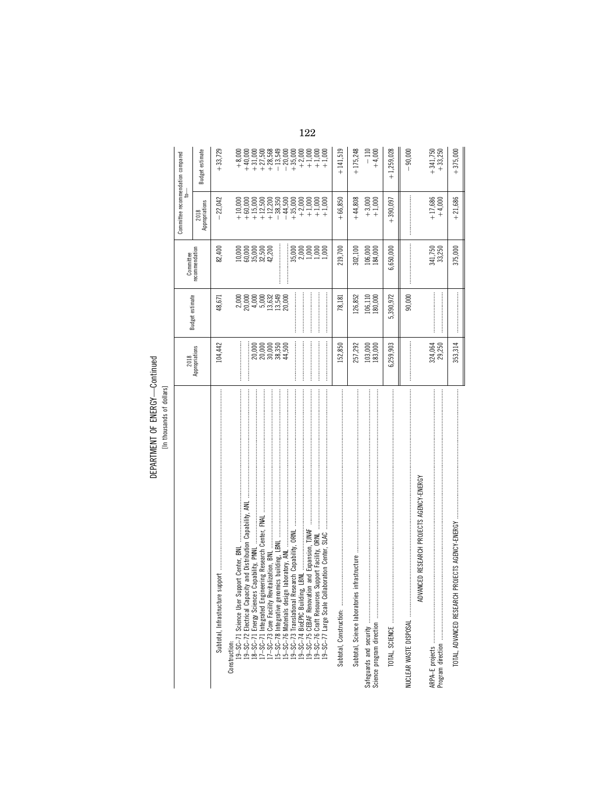DEPARTMENT OF ENERGY-Continued

|                                                                                                                                                                                                                                                                                                                                                                                                                                                                                                                                                  |                        |                                                                                                            | Committee                                                                          | Committee recommendation compared<br>ţ |                        |
|--------------------------------------------------------------------------------------------------------------------------------------------------------------------------------------------------------------------------------------------------------------------------------------------------------------------------------------------------------------------------------------------------------------------------------------------------------------------------------------------------------------------------------------------------|------------------------|------------------------------------------------------------------------------------------------------------|------------------------------------------------------------------------------------|----------------------------------------|------------------------|
|                                                                                                                                                                                                                                                                                                                                                                                                                                                                                                                                                  | 2018<br>Appropriations | Budget estimate                                                                                            | recommendation                                                                     | Appropriations<br>2018                 | <b>Budget estimate</b> |
| Subtotal, Infrastructure                                                                                                                                                                                                                                                                                                                                                                                                                                                                                                                         | 104,442                | 48,671                                                                                                     | 82,400                                                                             | 22,042                                 | $+33,729$              |
| Construction:                                                                                                                                                                                                                                                                                                                                                                                                                                                                                                                                    |                        |                                                                                                            |                                                                                    |                                        |                        |
|                                                                                                                                                                                                                                                                                                                                                                                                                                                                                                                                                  |                        |                                                                                                            |                                                                                    |                                        |                        |
|                                                                                                                                                                                                                                                                                                                                                                                                                                                                                                                                                  | :<br>:                 |                                                                                                            |                                                                                    |                                        |                        |
|                                                                                                                                                                                                                                                                                                                                                                                                                                                                                                                                                  |                        |                                                                                                            | $\begin{array}{l} 1000 \\ 6000 \\ 6000 \\ 7000 \\ 85,500 \\ 42,200 \\ \end{array}$ |                                        |                        |
|                                                                                                                                                                                                                                                                                                                                                                                                                                                                                                                                                  |                        |                                                                                                            |                                                                                    |                                        |                        |
|                                                                                                                                                                                                                                                                                                                                                                                                                                                                                                                                                  |                        | $\begin{array}{l} 2,000 \\ 2,000 \\ 2,000 \\ 4,000 \\ 5,000 \\ 1,5,49 \\ 1,3,549 \\ 20,000 \\ \end{array}$ |                                                                                    |                                        |                        |
|                                                                                                                                                                                                                                                                                                                                                                                                                                                                                                                                                  |                        |                                                                                                            |                                                                                    |                                        |                        |
|                                                                                                                                                                                                                                                                                                                                                                                                                                                                                                                                                  |                        |                                                                                                            |                                                                                    |                                        |                        |
|                                                                                                                                                                                                                                                                                                                                                                                                                                                                                                                                                  |                        |                                                                                                            |                                                                                    |                                        |                        |
|                                                                                                                                                                                                                                                                                                                                                                                                                                                                                                                                                  |                        |                                                                                                            |                                                                                    |                                        |                        |
| Subtotal, Construction:                                                                                                                                                                                                                                                                                                                                                                                                                                                                                                                          | 152,850                | 78,181                                                                                                     | 219,700                                                                            | $+66,850$                              | $+141,519$             |
|                                                                                                                                                                                                                                                                                                                                                                                                                                                                                                                                                  | 257,292                | 126,852                                                                                                    | 302,100                                                                            | $+44,808$                              | $+175,248$             |
| Safeguards and security www.manusuramanusuramanusuramanusuramanusuramanusuramanusuramanusuramanusuramanusurama                                                                                                                                                                                                                                                                                                                                                                                                                                   | 103,000<br>183,000     | 106,110<br>180,000                                                                                         | 106,000<br>184,000                                                                 | $+3,000$<br>+ 1,000                    | $-110$<br>+4,000       |
|                                                                                                                                                                                                                                                                                                                                                                                                                                                                                                                                                  | 6,259,903              | 5,390,972                                                                                                  | 6,650,000                                                                          | $+390,097$                             | $+1,259,028$           |
| $\label{def:1} \begin{minipage}{0.9\linewidth} \begin{minipage}{0.9\linewidth} \begin{minipage}{0.9\linewidth} \begin{minipage}{0.9\linewidth} \end{minipage} \begin{minipage}{0.9\linewidth} \begin{minipage}{0.9\linewidth} \end{minipage} \begin{minipage}{0.9\linewidth} \begin{minipage}{0.9\linewidth} \end{minipage} \begin{minipage}{0.9\linewidth} \begin{minipage}{0.9\linewidth} \end{minipage} \begin{minipage}{0.9\linewidth} \end{minipage} \begin{minipage}{0.9\linewidth} \begin{minipage}{0.9\linewidth} \end{minipage} \begin$ |                        | 90,000                                                                                                     |                                                                                    |                                        | 90,000                 |
| ADVANCED RESEARCH PROJECTS AGENCY-ENERGY                                                                                                                                                                                                                                                                                                                                                                                                                                                                                                         |                        |                                                                                                            |                                                                                    |                                        |                        |
|                                                                                                                                                                                                                                                                                                                                                                                                                                                                                                                                                  | 324,064                |                                                                                                            |                                                                                    | $+17,686$                              | $+341,750$             |
|                                                                                                                                                                                                                                                                                                                                                                                                                                                                                                                                                  | 29,250                 |                                                                                                            | 341,750<br>33,250                                                                  | $+4,000$                               | $+33,250$              |
| TOTAL, ADVANCED RESEARCH                                                                                                                                                                                                                                                                                                                                                                                                                                                                                                                         | 353,314                |                                                                                                            | 375,000                                                                            | $+21,686$                              | $+375,000$             |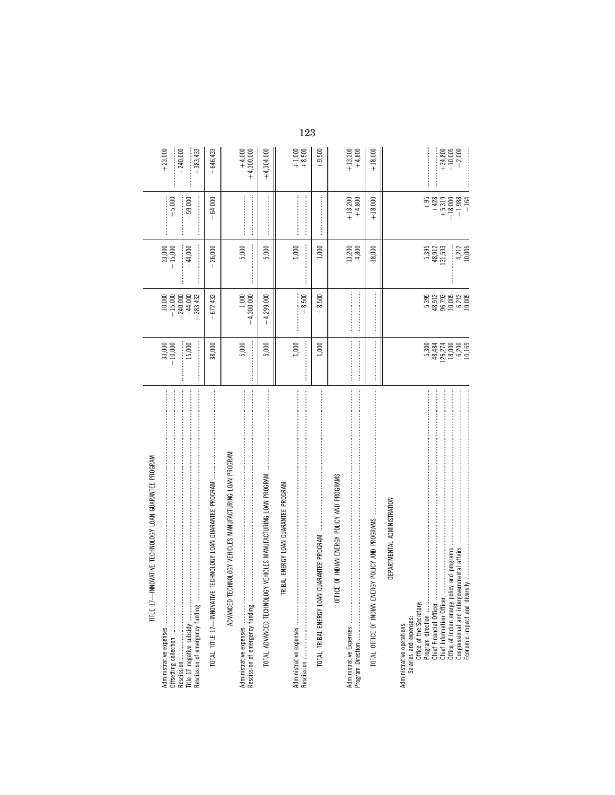| TITLE 17-INNOVATIVE TECHNOLOGY LOAN GUARANTEE PROGRAM                                                                                                |                                                                                                 |                                               |                                                                                                                                                                                                                                                                                                                                                                                                                                     |                                                                   |                                    |
|------------------------------------------------------------------------------------------------------------------------------------------------------|-------------------------------------------------------------------------------------------------|-----------------------------------------------|-------------------------------------------------------------------------------------------------------------------------------------------------------------------------------------------------------------------------------------------------------------------------------------------------------------------------------------------------------------------------------------------------------------------------------------|-------------------------------------------------------------------|------------------------------------|
| Administrative expenses                                                                                                                              | $33,000$<br>$10,000$                                                                            | $-15,000$                                     | $-15,000$                                                                                                                                                                                                                                                                                                                                                                                                                           | $-5,000$                                                          | $+23,000$                          |
| Rescission of emergency funding                                                                                                                      | 15,000                                                                                          | $-240,000$<br>$-44,000$<br>$-383,433$         | $-44,000$                                                                                                                                                                                                                                                                                                                                                                                                                           | $-59,000$                                                         | $+383,433$<br>$+240,000$           |
| /E TECHNOLOGY LOAN GUARANTEE PROGRAM<br>TOTAL, TITLE 17-INNOVATIV                                                                                    | 38,000                                                                                          | $-672,433$                                    | 26,000                                                                                                                                                                                                                                                                                                                                                                                                                              | 64,000                                                            | $+646,433$                         |
| ADVANCED TECHNOLOGY VEHICLES MANUFACTURING LOAN PROGRAM<br>Rescission of emergency funding                                                           | 5,000                                                                                           | $-4,300,000$                                  | 5,000                                                                                                                                                                                                                                                                                                                                                                                                                               |                                                                   | $+4,000$<br>+4,300,000             |
| TOTAL, ADVANCED TECHNOL                                                                                                                              | 5,000                                                                                           | $-4,299,000$                                  | 5,000                                                                                                                                                                                                                                                                                                                                                                                                                               |                                                                   | $+4,304,000$                       |
| TRIBAL ENERGY LOAN GUARANTEE PROGRAM                                                                                                                 | 1,000                                                                                           | $-8,500$                                      | $\begin{minipage}{0.9\linewidth} \begin{tabular}{l} \hline \textbf{1} & \textbf{2} & \textbf{3} & \textbf{4} & \textbf{5} & \textbf{6} & \textbf{6} & \textbf{7} & \textbf{8} & \textbf{9} & \textbf{10} & \textbf{10} & \textbf{10} & \textbf{10} & \textbf{10} & \textbf{10} & \textbf{10} & \textbf{10} & \textbf{10} & \textbf{10} & \textbf{10} & \textbf{10} & \textbf{10} & \textbf{10} & \textbf{10} & \textbf{10$<br>1,000 |                                                                   | $+1,000$<br>+8,500                 |
| TOTAL, TRIBAL ENERGY LOAN GUARANTEE PROGRAM                                                                                                          | 1,000                                                                                           | 8,500                                         | 1,000                                                                                                                                                                                                                                                                                                                                                                                                                               |                                                                   | $+9,500$                           |
| <b>"我们,我们我们的一个,我们我们的一个,我们我们我们的一个,我们我们我们的一个,我们我们的一个,我们我们的一个,我们我们的一个人,我们的一个人,我们的自己的一个人,我们的自己的一个人。</b><br>ICE OF INDIAN ENERGY POLICY AND PROGRAMS<br>苫 |                                                                                                 |                                               | 13,200<br>4,800                                                                                                                                                                                                                                                                                                                                                                                                                     | $+13,200$<br>+4,800                                               | $+13,200$<br>$+4,800$              |
| TOTAL, OFFICE OF INDIAN ENERGY POLICY AND PROGRAMS                                                                                                   |                                                                                                 |                                               | 18,000                                                                                                                                                                                                                                                                                                                                                                                                                              | $+18,000$                                                         | $+18,000$                          |
| DEPARTMENTAL ADMINISTRATION                                                                                                                          |                                                                                                 |                                               |                                                                                                                                                                                                                                                                                                                                                                                                                                     |                                                                   |                                    |
| Chief Financial Officer<br>Chief Information Officer<br>Salaries and expenses:<br>Office of the Secretary:<br>Administrative operations:             | $\begin{array}{r} 5,300 \\ 48,430 \\ 126,274 \\ 18,000 \\ 6,200 \\ 6,169 \\ \hline \end{array}$ | 5,395<br>48,912<br>96,795<br>90,005<br>10,005 | $\frac{5,395}{48,912}$                                                                                                                                                                                                                                                                                                                                                                                                              | $+95$<br>$\begin{array}{r} +428 \\ +5,319 \\ +3.9 \\ \end{array}$ | $+34,800$<br>$-10,005$<br>$-2,000$ |
| Office of Indian energy policy and programs .<br>Congressional and intergovernmental affairs<br>Economic impact and diversity                        |                                                                                                 |                                               | $4,212$<br>$10,005$                                                                                                                                                                                                                                                                                                                                                                                                                 | $-1,988$<br>$-164$                                                |                                    |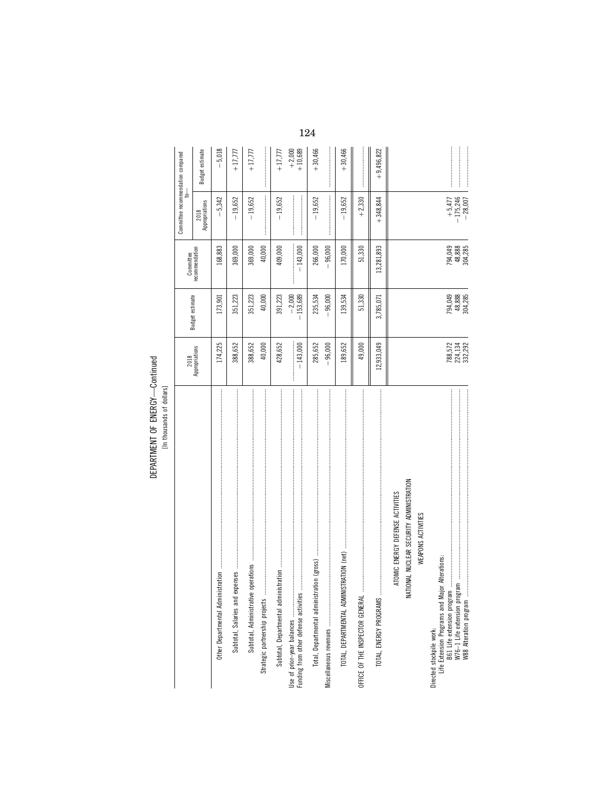DEPARTMENT OF ENERGY-Continued DEPARTMENT OF ENERGY—Continued [In thousands of dollars]

|                                                                                                          |                               |                              |                              | Committee recommendation compared<br>$\frac{1}{2}$                                                                                                                                                                                                                                                                                                                                                                                                                                                                                          |                      |
|----------------------------------------------------------------------------------------------------------|-------------------------------|------------------------------|------------------------------|---------------------------------------------------------------------------------------------------------------------------------------------------------------------------------------------------------------------------------------------------------------------------------------------------------------------------------------------------------------------------------------------------------------------------------------------------------------------------------------------------------------------------------------------|----------------------|
|                                                                                                          | 2018<br>Appropriations        | Budget estimate              | Committee<br>recommendation  | 2018<br>Appropriations                                                                                                                                                                                                                                                                                                                                                                                                                                                                                                                      | Budget estimate      |
|                                                                                                          | 174,225                       | 173,901                      | 168,883                      | $-5,342$                                                                                                                                                                                                                                                                                                                                                                                                                                                                                                                                    | $-5,018$             |
|                                                                                                          | 388,652                       | 351,223                      | 369,000                      | $-19,652$                                                                                                                                                                                                                                                                                                                                                                                                                                                                                                                                   | $+17,777$            |
| operations<br>Subtotal, Administrative                                                                   | 388,652                       | 351,223                      | 369,000                      | $-19,652$                                                                                                                                                                                                                                                                                                                                                                                                                                                                                                                                   | $+17,777$            |
| Strategic partnership projects                                                                           | 40,000                        | 40,000                       | 40,000                       | $\label{def:1} \begin{minipage}{0.9\linewidth} \begin{minipage}{0.9\linewidth} \begin{minipage}{0.9\linewidth} \begin{minipage}{0.9\linewidth} \end{minipage} \begin{minipage}{0.9\linewidth} \begin{minipage}{0.9\linewidth} \end{minipage} \end{minipage} \begin{minipage}{0.9\linewidth} \begin{minipage}{0.9\linewidth} \begin{minipage}{0.9\linewidth} \end{minipage} \end{minipage} \begin{minipage}{0.9\linewidth} \begin{minipage}{0.9\linewidth} \end{minipage} \end{minipage} \begin{minipage}{0.9\linewidth} \begin{minipage}{0$ |                      |
| Subtotal, Departmental admin                                                                             | 428,652                       | 391,223                      | 409,000                      | $-19,652$                                                                                                                                                                                                                                                                                                                                                                                                                                                                                                                                   | $+17,777$            |
| Funding from other defense activities                                                                    | $-143,000$                    | $-153,689$<br>$-2,000$       | $-143,000$                   |                                                                                                                                                                                                                                                                                                                                                                                                                                                                                                                                             | $+2,000$<br>+ 10,689 |
|                                                                                                          | 285,652                       | 235,534                      | 266,000                      | $-19,652$                                                                                                                                                                                                                                                                                                                                                                                                                                                                                                                                   | $+30,466$            |
|                                                                                                          | $-96,000$                     | $-96,000$                    | $-96,000$                    |                                                                                                                                                                                                                                                                                                                                                                                                                                                                                                                                             |                      |
| <b>IISTRATION</b> (net)<br>TOTAL, DEPARTMENTAL ADMIN                                                     | 189,652                       | 139,534                      | 170,000                      | $-19,652$                                                                                                                                                                                                                                                                                                                                                                                                                                                                                                                                   | $+30,466$            |
| OFFICE OF THE INSPECTOR GENERAL                                                                          | 49,000                        | 51,330                       | 51,330                       | $+2,330$                                                                                                                                                                                                                                                                                                                                                                                                                                                                                                                                    |                      |
|                                                                                                          | 12,933,049                    | 3,785,071                    | 13,281,893                   | $+348,844$                                                                                                                                                                                                                                                                                                                                                                                                                                                                                                                                  | $+9,496,822$         |
| ATOMIC ENERGY DEFENSE ACTIVITIES                                                                         |                               |                              |                              |                                                                                                                                                                                                                                                                                                                                                                                                                                                                                                                                             |                      |
| TIONAL NUCLEAR SECURITY ADMINISTRATION<br>⋚                                                              |                               |                              |                              |                                                                                                                                                                                                                                                                                                                                                                                                                                                                                                                                             |                      |
| WEAPONS ACTIVITIES                                                                                       |                               |                              |                              |                                                                                                                                                                                                                                                                                                                                                                                                                                                                                                                                             |                      |
| Life Extension Programs and Major Alterations:<br>B61 Life extension program<br>Directed stockpile work: |                               |                              |                              |                                                                                                                                                                                                                                                                                                                                                                                                                                                                                                                                             |                      |
|                                                                                                          | 788,572<br>224,134<br>332,292 | 794,049<br>48,888<br>304,285 | 794,049<br>48,888<br>304,285 | $+5,477\n-175,246\n-28,007$                                                                                                                                                                                                                                                                                                                                                                                                                                                                                                                 |                      |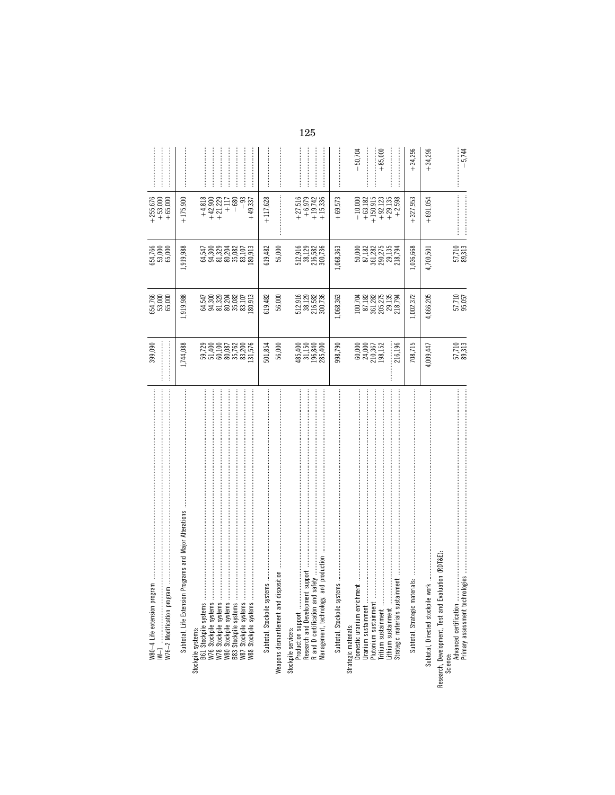| $\label{def:1} \begin{minipage}{0.9\textwidth} \begin{minipage}{0.9\textwidth} \centering \begin{minipage}{0.9\textwidth} \centering \end{minipage} \begin{minipage}{0.9\textwidth} \centering \begin{minipage}{0.9\textwidth} \centering \end{minipage} \begin{minipage}{0.9\textwidth} \centering \end{minipage} \begin{minipage}{0.9\textwidth} \centering \end{minipage} \begin{minipage}{0.9\textwidth} \centering \end{minipage} \begin{minipage}{0.9\textwidth} \centering \end{minipage} \begin{minipage}{0.9\textwidth} \centering \end{min$<br>W80-4 Life extension program | 399,090                                                               | 554,766<br>53,000<br>65,000                         | 654,766<br>53,000<br>65,000                                                                          | $\begin{array}{r} +255,676 \\ +53,000 \\ +65,000 \end{array}$                                     |           |
|---------------------------------------------------------------------------------------------------------------------------------------------------------------------------------------------------------------------------------------------------------------------------------------------------------------------------------------------------------------------------------------------------------------------------------------------------------------------------------------------------------------------------------------------------------------------------------------|-----------------------------------------------------------------------|-----------------------------------------------------|------------------------------------------------------------------------------------------------------|---------------------------------------------------------------------------------------------------|-----------|
|                                                                                                                                                                                                                                                                                                                                                                                                                                                                                                                                                                                       |                                                                       |                                                     |                                                                                                      |                                                                                                   |           |
|                                                                                                                                                                                                                                                                                                                                                                                                                                                                                                                                                                                       |                                                                       |                                                     |                                                                                                      |                                                                                                   |           |
| Programs and Major Alterations<br>Subtotal, Life Extension                                                                                                                                                                                                                                                                                                                                                                                                                                                                                                                            | 1,744,088                                                             | ,919,988                                            | 1,919,988                                                                                            | $+175,900$                                                                                        |           |
| Stockpile systems:<br>B61 Stockpile systems                                                                                                                                                                                                                                                                                                                                                                                                                                                                                                                                           |                                                                       |                                                     |                                                                                                      |                                                                                                   |           |
|                                                                                                                                                                                                                                                                                                                                                                                                                                                                                                                                                                                       |                                                                       |                                                     |                                                                                                      | $\begin{array}{r} +4,818 \\ +42,900 \\ +42,729 \\ +111 \\ +600 \\ +111 \\ +600 \\ \end{array}$    |           |
|                                                                                                                                                                                                                                                                                                                                                                                                                                                                                                                                                                                       |                                                                       |                                                     |                                                                                                      |                                                                                                   |           |
|                                                                                                                                                                                                                                                                                                                                                                                                                                                                                                                                                                                       |                                                                       |                                                     |                                                                                                      |                                                                                                   |           |
| W87 Stockpile systems                                                                                                                                                                                                                                                                                                                                                                                                                                                                                                                                                                 |                                                                       |                                                     |                                                                                                      | $-93$                                                                                             |           |
|                                                                                                                                                                                                                                                                                                                                                                                                                                                                                                                                                                                       | 59,729<br>51,400<br>50,087<br>60,087<br>83,200<br>83,576              | 34,547<br>36,320<br>36,2020<br>36,020,513<br>36,913 | 34,547<br>36,320<br>36,2020<br>36,910<br>36,913                                                      | 49,337                                                                                            |           |
| Subtotal, Stockpile systems                                                                                                                                                                                                                                                                                                                                                                                                                                                                                                                                                           | 501,854                                                               | 619,482                                             | 619,482                                                                                              | $+117,628$                                                                                        |           |
| position<br>Weapons dismantlement and dis                                                                                                                                                                                                                                                                                                                                                                                                                                                                                                                                             | 56,000                                                                | 56,000                                              | 56,000                                                                                               |                                                                                                   |           |
| Stockpile services:                                                                                                                                                                                                                                                                                                                                                                                                                                                                                                                                                                   |                                                                       |                                                     |                                                                                                      |                                                                                                   |           |
| <br>Production support                                                                                                                                                                                                                                                                                                                                                                                                                                                                                                                                                                |                                                                       |                                                     |                                                                                                      |                                                                                                   |           |
| support<br>Research and Development                                                                                                                                                                                                                                                                                                                                                                                                                                                                                                                                                   |                                                                       |                                                     |                                                                                                      |                                                                                                   |           |
| Management, technology, and production<br>safety<br>R and D certification and                                                                                                                                                                                                                                                                                                                                                                                                                                                                                                         | 485,400<br>31,150<br>196,840<br>285,400                               | 512,916<br>38,129<br>216,582<br>300,736             | $512,916$<br>$38,129$<br>$216,582$<br>$216,582$<br>$300,736$                                         | $\begin{array}{r} +27,516 \\ +6,979 \\ +19,742 \\ +15,336 \end{array}$                            |           |
| Subtotal, Stockpile systems                                                                                                                                                                                                                                                                                                                                                                                                                                                                                                                                                           | 998,790                                                               | 1,068,363                                           | 1,068,363                                                                                            | $+69,573$                                                                                         |           |
| Strategic materials:                                                                                                                                                                                                                                                                                                                                                                                                                                                                                                                                                                  |                                                                       |                                                     |                                                                                                      |                                                                                                   |           |
| Domestic uranium enrichment                                                                                                                                                                                                                                                                                                                                                                                                                                                                                                                                                           |                                                                       |                                                     |                                                                                                      |                                                                                                   | $-50,704$ |
|                                                                                                                                                                                                                                                                                                                                                                                                                                                                                                                                                                                       | $\begin{array}{c} 60,000 \\ 24,000 \\ 210,367 \\ 198,152 \end{array}$ | 100,704<br>87,182<br>861,282<br>205,275<br>218,794  | $\begin{array}{l} 50,000 \\ 87,182 \\ 87,282 \\ 361,282 \\ 290,275 \\ 29,135 \\ 218,794 \end{array}$ | $\begin{array}{r} -10,000 \\ +63,182 \\ +150,915 \\ +92,123 \\ +29,135 \\ +24,135 \\ \end{array}$ |           |
|                                                                                                                                                                                                                                                                                                                                                                                                                                                                                                                                                                                       |                                                                       |                                                     |                                                                                                      |                                                                                                   | $+85,000$ |
| Lithium sustainment                                                                                                                                                                                                                                                                                                                                                                                                                                                                                                                                                                   |                                                                       |                                                     |                                                                                                      |                                                                                                   |           |
| Strategic materials sustainment                                                                                                                                                                                                                                                                                                                                                                                                                                                                                                                                                       | 216,196                                                               |                                                     |                                                                                                      |                                                                                                   |           |
| Subtotal, Strategic materials:                                                                                                                                                                                                                                                                                                                                                                                                                                                                                                                                                        | 708,715                                                               | 1,002,372                                           | 1,036,668                                                                                            | $+327,953$                                                                                        | $+34,296$ |
| Subtotal, Directed stockpile work                                                                                                                                                                                                                                                                                                                                                                                                                                                                                                                                                     | 1,009,447                                                             | 4,666,205                                           | 4,700,501                                                                                            | $+691,054$                                                                                        | $+34,296$ |
| Research, Development, Test and Evaluation (RDT&E)                                                                                                                                                                                                                                                                                                                                                                                                                                                                                                                                    |                                                                       |                                                     |                                                                                                      |                                                                                                   |           |
| Science:<br>Advanced certification<br>``^^**ment technr                                                                                                                                                                                                                                                                                                                                                                                                                                                                                                                               |                                                                       |                                                     |                                                                                                      |                                                                                                   |           |
| Primary assessment technologies                                                                                                                                                                                                                                                                                                                                                                                                                                                                                                                                                       | 57,710<br>89,313                                                      | 57,710<br>95,057                                    | 57,710<br>89,313                                                                                     |                                                                                                   | $-5,744$  |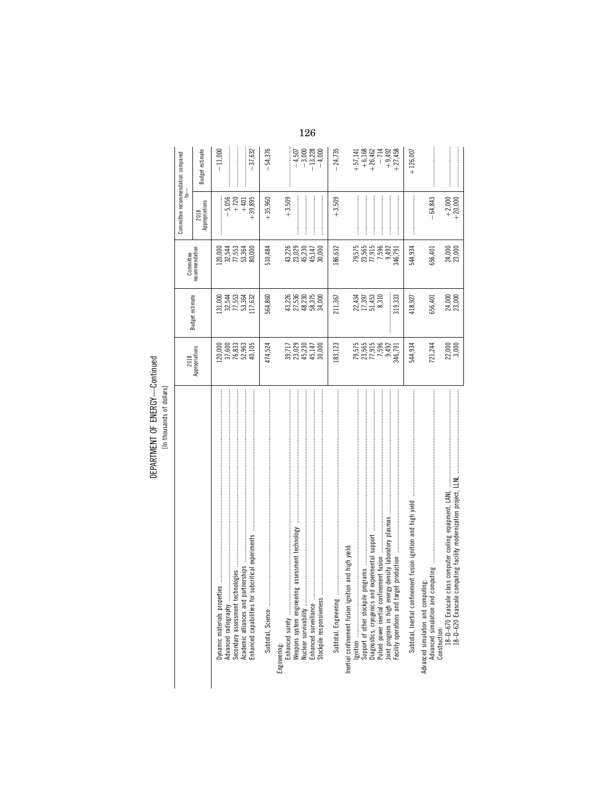DEPARTMENT OF ENERGY-Continued DEPARTMENT OF ENERGY—Continued [In thousands of dollars]

|                                                                                                                                                                      | 2018                                     | <b>Budget estimate</b>                     | Committee                                      | Committee recommendation compared |                                   |
|----------------------------------------------------------------------------------------------------------------------------------------------------------------------|------------------------------------------|--------------------------------------------|------------------------------------------------|-----------------------------------|-----------------------------------|
|                                                                                                                                                                      | Appropriations                           |                                            | recommendation                                 | Appropriations<br>2018            | <b>Budget estimate</b>            |
| Dynamic materials propert<br>Advanced radiography                                                                                                                    |                                          | 13253<br>32553<br>13253<br>13364           |                                                | $-5,056$                          | $-11,000$                         |
| subcritical experiments<br>Academic alliances and partnerships<br>Secondary assessment technologies<br>Enhanced capabilities for                                     | 2000<br>37.6833<br>2000<br>2000<br>2000  | 117,632                                    |                                                | $+39,895$<br>$+720$<br>$+401$     | 37,632                            |
|                                                                                                                                                                      | 474,524                                  | 564,860                                    | 510,484                                        | $+35,960$                         | $-54,376$                         |
| Enhanced surety<br>Engineering:                                                                                                                                      |                                          |                                            |                                                | $+3,509$                          |                                   |
| ng assessment technology<br>Weapons system engineeri<br>Enhanced surveillance                                                                                        | 39,717<br>2023<br>2023<br>2000<br>45,000 | 43,530<br>25,530<br>45,735,00<br>45,835,00 | 43,226<br>23,029<br>23,230<br>45,147<br>45,000 |                                   | $-4,507$<br>$-3,000$<br>$-13,228$ |
| Stockpile responsiveness                                                                                                                                             |                                          |                                            |                                                |                                   | $-4,000$                          |
|                                                                                                                                                                      | 183,123                                  | 211,367                                    | 186,632                                        | $+3,509$                          | $-24,735$                         |
| ition and high yield:<br>Inertial confinement fusion igni                                                                                                            |                                          |                                            |                                                |                                   | $+57,141$                         |
| programs                                                                                                                                                             | 79,575<br>23,565<br>77,596<br>7,596      | 22,434<br>27,397<br>27,453<br>8,310        | 79,575<br>23,565<br>77,915                     |                                   | $+6,168$<br>+26,462               |
| Diagnostics, cryogenics and experimental support<br>Pulsed power inertial confinement fusion                                                                         |                                          |                                            | 7,596<br>9,492                                 |                                   |                                   |
| Joint program in high energy density laboratory plasmas<br>Facility operations and target production                                                                 | 9,492<br>346,791                         | 319,333                                    | 346,791                                        |                                   | $-714$<br>$+9,492$<br>$+27,458$   |
|                                                                                                                                                                      | 544,934                                  | 418,927                                    | 544,934                                        |                                   | $+126,007$                        |
| computing<br>Advanced simulation and computing:<br>Advanced simulation and                                                                                           | 721,244                                  | 656,401                                    | 656,401                                        | $-64,843$                         |                                   |
| Construction:<br>- 18-D–670 Exascale class computer cooling equipment, LANL<br>- المقامة المستخدمات المستخدمات المستخدمات المستخدمات المستخدمات<br>18-D-620 Exascale | 22,000<br>3,000                          | 24,000<br>23,000                           | 24,000<br>23,000                               | $+2,000$<br>+20,000               |                                   |

126  $\overline{a}$  $\overline{a}$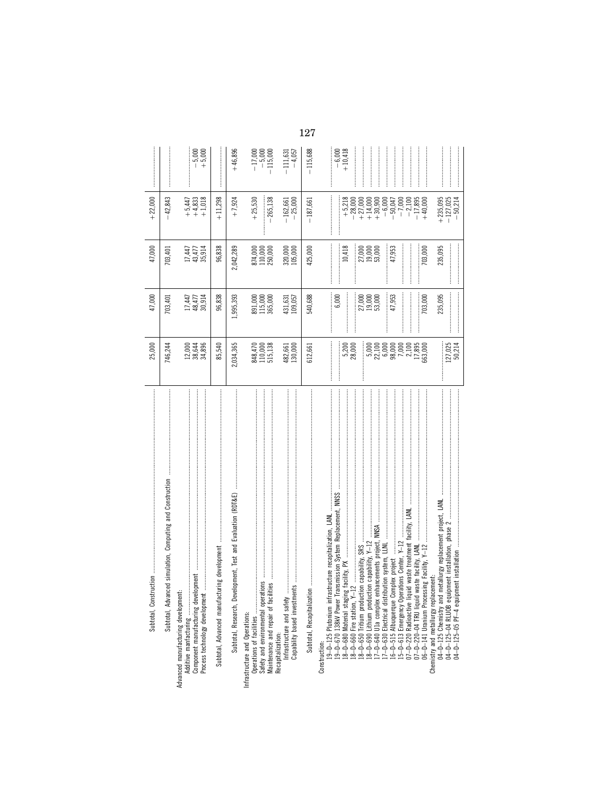| Subtotal, Construction                                                                                                                                                                                                                                                                                                                                                                                                                                                                                                                                                                 | 25,000                                                                                                                                                              | 47,000                                                                                      | 47,000                                                                                   | $+22,000$                                                                                                                                                                        |                                     |
|----------------------------------------------------------------------------------------------------------------------------------------------------------------------------------------------------------------------------------------------------------------------------------------------------------------------------------------------------------------------------------------------------------------------------------------------------------------------------------------------------------------------------------------------------------------------------------------|---------------------------------------------------------------------------------------------------------------------------------------------------------------------|---------------------------------------------------------------------------------------------|------------------------------------------------------------------------------------------|----------------------------------------------------------------------------------------------------------------------------------------------------------------------------------|-------------------------------------|
| Subtotal, Advanced simulation, Computing and Construction                                                                                                                                                                                                                                                                                                                                                                                                                                                                                                                              | 746,244                                                                                                                                                             | 703,401                                                                                     | 703,401                                                                                  | $-42,843$                                                                                                                                                                        |                                     |
| Component manufacturing development<br>Advanced manufacturing development:<br>Additive manfacturing                                                                                                                                                                                                                                                                                                                                                                                                                                                                                    | 12,000<br>38,644<br>34,896                                                                                                                                          | 17,447<br>48,477<br>30,914                                                                  | $\begin{array}{c} 17,447 \\ 43,477 \\ 35,914 \end{array}$                                | $+5,447$<br>$+4,833$<br>$+4,833$<br>$+1,018$                                                                                                                                     | $-5,000$<br>+5,000                  |
| cturing development<br>Subtotal, Advanced manufa                                                                                                                                                                                                                                                                                                                                                                                                                                                                                                                                       | 85,540                                                                                                                                                              | 96,838                                                                                      | 96,838                                                                                   | $+11,298$                                                                                                                                                                        |                                     |
| ļ<br>Subtotal, Research, Development, Test and Evaluation (RDT&E)                                                                                                                                                                                                                                                                                                                                                                                                                                                                                                                      | 2,034,365                                                                                                                                                           | 1,995,393                                                                                   | 2,042,289                                                                                | $+7,924$                                                                                                                                                                         | $+46,896$                           |
| rations<br>cilities<br>Safety and environmental oper<br>Maintenance and repair of fac<br>Operations of facilities<br>Infrastructure and Operations:<br>Recapitalization:                                                                                                                                                                                                                                                                                                                                                                                                               | 848,470<br>110,000<br>515,138                                                                                                                                       | 891,000<br>115,000<br>365,000                                                               | 874,000<br>110,000<br>250,000                                                            | $+25,530$<br>$-265,138$                                                                                                                                                          | $-17,000$<br>$-5,000$<br>$-115,000$ |
| nents<br>Infrastructure and safety<br>Capability based investm                                                                                                                                                                                                                                                                                                                                                                                                                                                                                                                         | 482,661<br>130,000                                                                                                                                                  | 431,631<br>109,057                                                                          | 320,000<br>105,000                                                                       | $-162,661$<br>$-25,000$                                                                                                                                                          | $-4,057$<br>$-111,631$              |
|                                                                                                                                                                                                                                                                                                                                                                                                                                                                                                                                                                                        | 612,661                                                                                                                                                             | 540,688                                                                                     | 425,000                                                                                  | $-187,661$                                                                                                                                                                       | $-115,688$                          |
| 19–D–125 Plutonium infrastructure recapitalization, LANL<br>19–D–670 138kV Power Transmission System Replacement, NNSS<br>iquid waste treatment facility, LANL<br>enhancements project, NNSA<br>15-D-613 Emergency Operations Center, Y-12<br>18-D-690 Lithium production capability, Y-12<br>17-D-640 U1a complex enhancements project,<br>17-D-630 Electrical distribution system, LLNL<br>06-D-141 Uranium Processing Facility, Y-12<br>Chemistry and metallurgy replacement:<br>12<br>18-D-680 Material stagi<br>18-D-660 Fire station,<br>07-D-220 Radioactive I<br>Construction: | $.27,025$<br>50,214<br>5,200<br>28,000<br>$\begin{array}{l} 5,000 \\ 5,100 \\ 2,1000 \\ 6,9000 \\ 7,000 \\ 7,100 \\ 1,289 \\ 1,300 \\ 100 \\ 63,000 \\ \end{array}$ | <br> <br> <br> <br> <br>6,000<br>235,095<br>27,000<br>19,000<br>53,000<br>47,953<br>703,000 | 10,418<br>47,953<br>235,095<br>27,000<br>19,000<br>53,000<br> <br> <br> <br> <br>703,000 | $+5,218$<br>$+235,095$<br>$-28,000$<br>$+27,000$<br>$+14,000$<br>$+30,900$<br>$-6,000$<br>$-50,047$<br>$-7,000$<br>$-127,025$<br>$-50,214$<br>$-2,100$<br>$-17,895$<br>$+40,000$ | $+10,418$<br>$-6,000$               |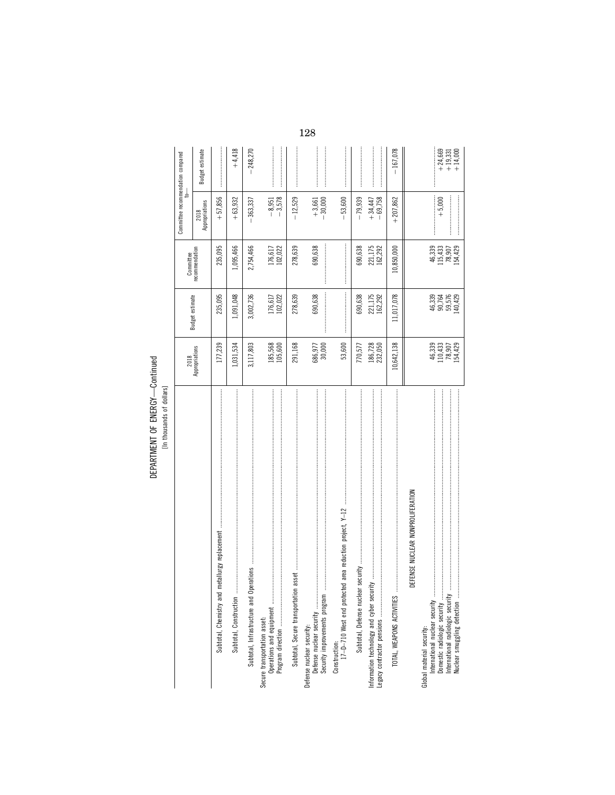DEPARTMENT OF ENERGY-Continued<br>[In thousands of dollars]

|                                                                                                                                                                 |                                        |                                                                                                                                                                                                                                                                                                                                                                                                                                   | Committee                               | Committee recommendation compared<br>₹ |                                        |
|-----------------------------------------------------------------------------------------------------------------------------------------------------------------|----------------------------------------|-----------------------------------------------------------------------------------------------------------------------------------------------------------------------------------------------------------------------------------------------------------------------------------------------------------------------------------------------------------------------------------------------------------------------------------|-----------------------------------------|----------------------------------------|----------------------------------------|
|                                                                                                                                                                 | 2018<br>Appropriations                 | Budget estimate                                                                                                                                                                                                                                                                                                                                                                                                                   | recommendation                          | 2018<br>Appropriations                 | Budget estimate                        |
| metallurgy replacement<br>Subtotal, Chemistry and                                                                                                               | 177,239                                | 235,095                                                                                                                                                                                                                                                                                                                                                                                                                           | 235,095                                 | $+57,856$                              |                                        |
| Subtotal, Construction.                                                                                                                                         | 1,031,534                              | 1,091,048                                                                                                                                                                                                                                                                                                                                                                                                                         | 1,095,466                               | $+63,932$                              | $+4,418$                               |
|                                                                                                                                                                 | 3,117,803                              | 3,002,736                                                                                                                                                                                                                                                                                                                                                                                                                         | 2,754,466                               | $-363,337$                             | $-248,270$                             |
| Secure transportation asset:                                                                                                                                    | 185,568<br>105,600                     | 176,617<br>102,022                                                                                                                                                                                                                                                                                                                                                                                                                | 176,617<br>102,022                      | $-3,578$<br>$-8,951$                   |                                        |
|                                                                                                                                                                 | 291,168                                | 278,639                                                                                                                                                                                                                                                                                                                                                                                                                           | 278,639                                 | $-12,529$                              |                                        |
| Defense nuclear security<br>Security improvements program<br>Defense nuclear security:                                                                          | 686,977<br>30,000                      | 690,638                                                                                                                                                                                                                                                                                                                                                                                                                           | 690,638                                 | $+3,661$<br>$-30,000$                  |                                        |
| Construction:<br>17-D-710 West end protected area reduction project, Y-12                                                                                       | 53,600                                 | $\label{def:1} \begin{split} \textbf{L} &\left(\textbf{L}^{(1)}\right) = \textbf{L}^{(1)}\left(\textbf{L}^{(1)}\right) = \textbf{L}^{(1)}\left(\textbf{L}^{(1)}\right) = \textbf{L}^{(1)}\left(\textbf{L}^{(1)}\right) = \textbf{L}^{(1)}\left(\textbf{L}^{(1)}\right) = \textbf{L}^{(1)}\left(\textbf{L}^{(1)}\right) = \textbf{L}^{(1)}\left(\textbf{L}^{(1)}\right) = \textbf{L}^{(1)}\left(\textbf{L}^{(1)}\right) = \textbf$ |                                         | $-53,600$                              |                                        |
|                                                                                                                                                                 | 770,577                                | 690,638                                                                                                                                                                                                                                                                                                                                                                                                                           | 690,638                                 | $-79,939$                              |                                        |
| <b>医子宫的 医阿尔伯氏氏征 医阿尔伯氏征 医阿尔伯氏征 医阿尔伯氏征 医阿尔伯氏征 医阿尔伯氏征 医阿尔伯氏征 医阿尔伯氏征 医阿尔伯氏征 医阿尔伯氏征 医阿尔伯氏征 医阿尔比氏征 医阿尔比氏征</b>                                                         | 186,728<br>232,050                     | 221,175<br>162,292                                                                                                                                                                                                                                                                                                                                                                                                                | 221,175<br>162,292                      | $-69,758$<br>$+34,447$                 |                                        |
| TOTAL, WEAPONS ACTIVITIES                                                                                                                                       | 10,642,138                             | 11,017,078                                                                                                                                                                                                                                                                                                                                                                                                                        | 10,850,000                              | $+207,862$                             | $-167,078$                             |
| DEFENSE NUCLEAR NONPROLIFERATION                                                                                                                                |                                        |                                                                                                                                                                                                                                                                                                                                                                                                                                   |                                         |                                        |                                        |
| International nuclear security<br>Nuclear smuggling detection<br>International radiologic security<br>Domestic radiologic security<br>Global material security: | 46,339<br>110,430<br>12,800<br>154,429 | 46,339<br>96,764<br>96,576<br>96,429                                                                                                                                                                                                                                                                                                                                                                                              | 46,339<br>115,430<br>128,429<br>154,429 | $+ 5,000$                              | $+ 24,669$<br>$+ 19,331$<br>$+ 14,000$ |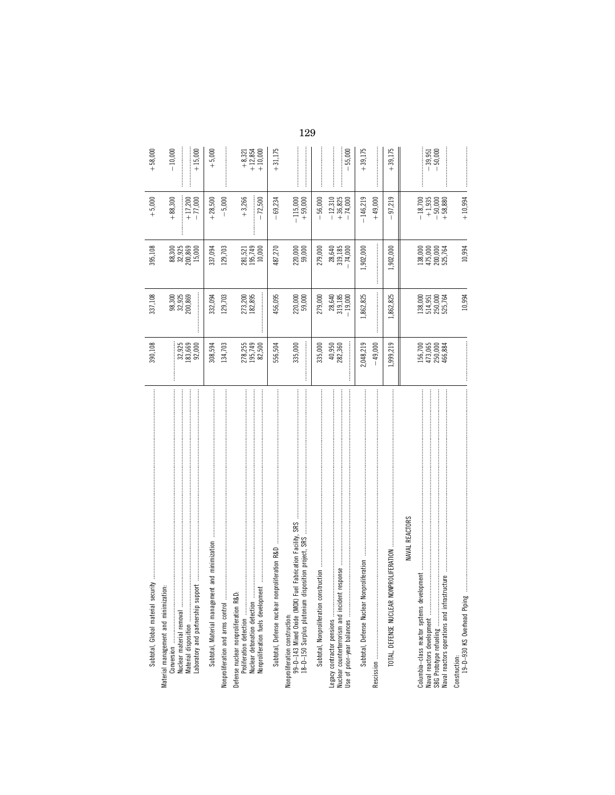| Subtotal, Global material security                                                                                                                  | 390,108                                  | 337,108                                                     | 395,108                                  | $+ 5,000$                                                              | $+58,000$                                                   |
|-----------------------------------------------------------------------------------------------------------------------------------------------------|------------------------------------------|-------------------------------------------------------------|------------------------------------------|------------------------------------------------------------------------|-------------------------------------------------------------|
| Material management and minimization:<br>Material disposition<br>Laboratory and partnership su <sup>,</sup>                                         | 32,925<br>183,669<br>92,000              | 98,300<br>32,925<br>200,869                                 | 88,300<br>32,925<br>200,869<br>15,000    | $+17,200$<br>$-77,000$<br>$+88,300$                                    | $-10,000$<br>$+15,000$                                      |
| Subtotal, Material management and minimization                                                                                                      | 134,703<br>308,594                       | 129,703<br>332,094                                          | 337,094<br>129,703                       | $-5,000$<br>$+28,500$                                                  | $+ 5,000$                                                   |
|                                                                                                                                                     | 278,255<br>195,749<br>82,500             | 273,200<br>182,895                                          | 281,521<br>195,749<br>10,000             | $+3,266$<br>$-72,500$                                                  | $\begin{array}{r} +8,321 \\ +12,854 \\ +12,854 \end{array}$ |
|                                                                                                                                                     | 556,504                                  | 456,095                                                     | 487,270                                  | 69,234                                                                 | $+31,175$                                                   |
| Nonproliferation construction:<br>99-D-143 Mixed Oxide (MOX) Fuel Fabrication Facility, SRS<br>18-D-150 Surplus plutonium disposition project, SRS  | 335,000                                  | 220,000<br>59,000                                           | 220,000<br>59,000                        | $-115,000$<br>+ 59,000                                                 |                                                             |
|                                                                                                                                                     | 335,000                                  | 279,000                                                     | 279,000                                  | $-56,000$                                                              |                                                             |
| int response<br>Legacy contractor pensions<br>Nuclear counterterrorism and incider<br>Use of prior-year balances                                    | 40,950<br>282,360<br> <br> <br> <br>     | $\begin{array}{c} 28,640 \\ 319,185 \\ -19,000 \end{array}$ | $28,640$<br>319,185<br>- 74,000          | $-12,310$<br>$+36,825$<br>$-74,000$                                    | $-55,000$                                                   |
| Subtotal, Defense Nuclear                                                                                                                           | 2,048,219<br>$-49,000$                   | 1,862,825                                                   | 1,902,000                                | $-146,219$<br>$+49,000$                                                | $+39,175$                                                   |
| <b>VONPROLIFERATION</b><br>TOTAL, DEFENSE NUCLEAR                                                                                                   | 1,999,219                                | 1,862,825                                                   | 1,902,000                                | 97,219                                                                 | $+39,175$                                                   |
| <b>MAVAL REACTORS</b>                                                                                                                               |                                          |                                                             |                                          |                                                                        |                                                             |
| Columbia-class reactor systems development<br>Naval reactors operations and infrastructure<br>Naval reactors development<br>S8G Prototype refueling | 156,700<br>473,065<br>250,000<br>466,884 | 138,000<br>514,951<br>250,000<br>525,764                    | 138,000<br>475,000<br>200,000<br>525,764 | $\begin{array}{r} -18,700 \\ +1,935 \\ -50,000 \\ +58,880 \end{array}$ | $-39,951$<br>$-50,000$                                      |
| Construction:<br>19–D–930 KS Overhead Piping                                                                                                        |                                          | 10,994                                                      | 10,994                                   | $+10,994$                                                              |                                                             |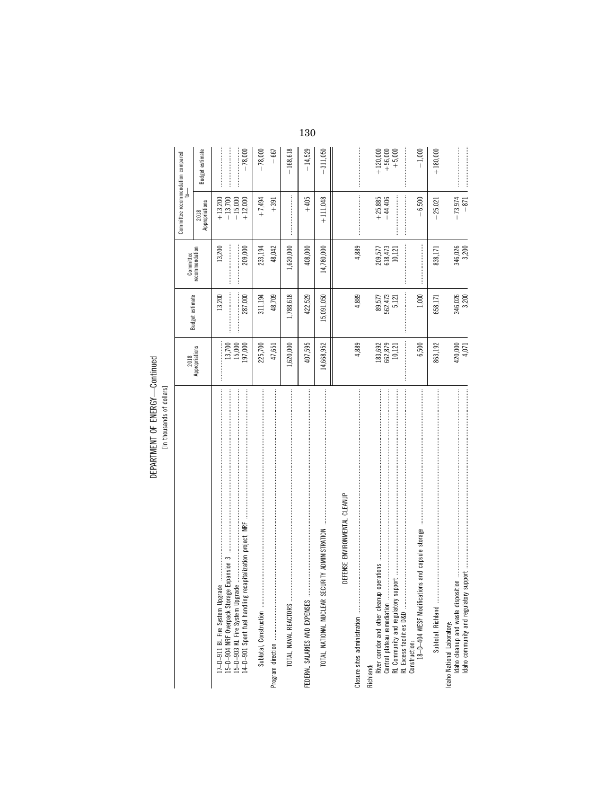DEPARTMENT OF ENERGY-Continued

|                                                                                                                                                                                                                                                                                                                                                                                                                                                                                                                                                                           |                                                             |                            | Committee                                                   | Committee recommendation compared<br>╛             |                                     |
|---------------------------------------------------------------------------------------------------------------------------------------------------------------------------------------------------------------------------------------------------------------------------------------------------------------------------------------------------------------------------------------------------------------------------------------------------------------------------------------------------------------------------------------------------------------------------|-------------------------------------------------------------|----------------------------|-------------------------------------------------------------|----------------------------------------------------|-------------------------------------|
|                                                                                                                                                                                                                                                                                                                                                                                                                                                                                                                                                                           | 2018<br>Appropriations                                      | Budget estimate            | recommendation                                              | 2018<br>Appropriations                             | Budget estimate                     |
|                                                                                                                                                                                                                                                                                                                                                                                                                                                                                                                                                                           | 197,000<br>$13,700$<br>$15,000$                             | 13,200<br>287,000          | 13,200<br>209,000<br>                                       | $+ 13,200$<br>$- 13,700$<br>$-15,000$<br>$+12,000$ | $-78,000$                           |
|                                                                                                                                                                                                                                                                                                                                                                                                                                                                                                                                                                           | 225,700<br>47,651                                           | 48,709<br>311,194          | 48,042<br>233,194                                           | $+7,494$<br>$+391$                                 | $-78,000$<br>$-667$                 |
| TOTAL, NAVAL REACTORS                                                                                                                                                                                                                                                                                                                                                                                                                                                                                                                                                     | 1,620,000                                                   | 1,788,618                  | 1,620,000                                                   |                                                    | $-168,618$                          |
|                                                                                                                                                                                                                                                                                                                                                                                                                                                                                                                                                                           | 407,595                                                     | 422,529                    | 408,000                                                     | $+405$                                             | $-14,529$                           |
| $\label{def:1} \begin{minipage}{0.9\textwidth} \begin{minipage}{0.9\textwidth} \begin{itemize} \textbf{0.9\textwidth} \begin{itemize} \textbf{0.9\textwidth} \begin{itemize} \textbf{0.9\textwidth} \begin{itemize} \textbf{0.9\textwidth} \begin{itemize} \textbf{0.9\textwidth} \begin{itemize} \textbf{0.9\textwidth} \begin{itemize} \textbf{0.9\textwidth} \begin{itemize} \textbf{0.9\textwidth} \begin{itemize} \textbf{0.9\textwidth} \begin{itemize} \textbf{0.9\textwidth} \begin{itemize} \textbf{0.9\text$<br>TOTAL, NATIONAL NUCLEAR SECURITY ADMINISTRATION | 14,668,952                                                  | 15,091,050                 | 14,780,000                                                  | $+111,048$                                         | 311,050                             |
| DEFENSE ENVIRONMENTAL CLEANUP<br>Closure sites administration                                                                                                                                                                                                                                                                                                                                                                                                                                                                                                             | 4,889                                                       | 4,889                      | 4,889                                                       |                                                    |                                     |
| River corridor and other cleanup<br>Central plateau remediation<br>RL Excess facilities D&D<br>Richland:                                                                                                                                                                                                                                                                                                                                                                                                                                                                  | $\begin{array}{c} 183,692 \\ 662,879 \\ 10,121 \end{array}$ | 89,577<br>562,473<br>5,121 | $\begin{array}{c} 209,577 \\ 618,473 \\ 10,121 \end{array}$ | $+25,885$<br>$-44,406$                             | $+56,000$<br>$+5,000$<br>$+120,000$ |
| 18-D-404 WESF Modifications and capsule storage<br>Construction:                                                                                                                                                                                                                                                                                                                                                                                                                                                                                                          | 6,500                                                       | <br> <br> <br>1,000        |                                                             | $-6,500$                                           | $-1,000$                            |
|                                                                                                                                                                                                                                                                                                                                                                                                                                                                                                                                                                           | 863,192                                                     | 658,171                    | 838,171                                                     | $-25,021$                                          | $+180,000$                          |
| Idaho cleanup and waste disposition<br>Idaho community and regulatory<br>Idaho National Laboratory:                                                                                                                                                                                                                                                                                                                                                                                                                                                                       | 420,000<br>4,071                                            | 346,026<br>3,200           | 346,026<br>3,200                                            | $-73,974$<br>$-871$                                |                                     |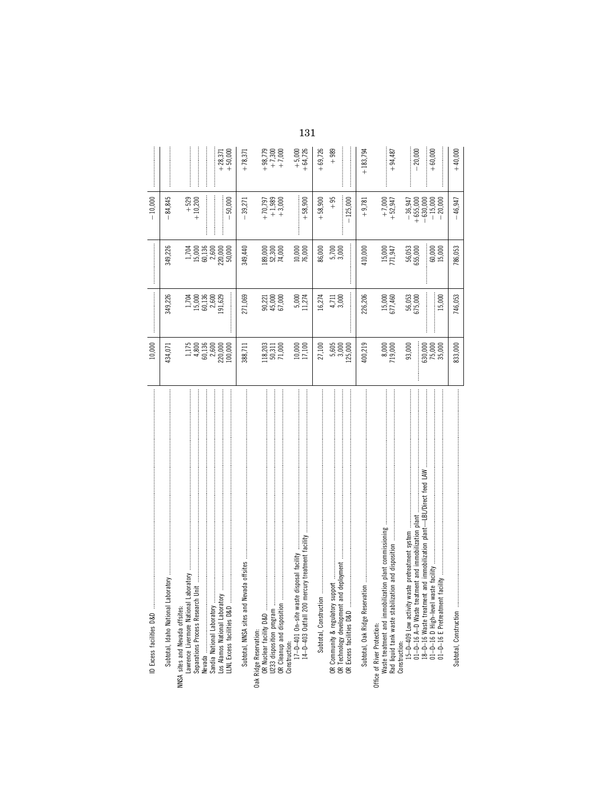| ID Excess facilities D&D                                                                                                                                                                                                                                                                 | 10,000                                                                                      |                                                       |                                                                                          | $-10,000$                                              |                                   |
|------------------------------------------------------------------------------------------------------------------------------------------------------------------------------------------------------------------------------------------------------------------------------------------|---------------------------------------------------------------------------------------------|-------------------------------------------------------|------------------------------------------------------------------------------------------|--------------------------------------------------------|-----------------------------------|
| yotar<br>Subtotal, Idaho National Labo                                                                                                                                                                                                                                                   | 434,071                                                                                     | 349,226                                               | 349,226                                                                                  | 84,845                                                 |                                   |
| Lawrence Livermore National Laboratory<br>Separations Process Research U<br>Los Alamos National Laboratory<br>NNSA sites and Nevada offsites:                                                                                                                                            | $\begin{array}{l} 1.175 \\ 4.800 \\ 60.136 \\ 60.000 \\ 2.2000 \\ 1000 \\ 1100 \end{array}$ | $1,7000$<br>$15,000$<br>$2,600$<br>$2,600$<br>$3,629$ | $\begin{array}{l} 1,704 \\ 15,000 \\ 60,136 \\ 60,000 \\ 7,000 \\ 80,000 \\ \end{array}$ | $+ 529$<br>$+ 10,200$                                  | $+28,371$                         |
| Subtotal, NNSA sites and Nevada offsites<br>LLNL Excess facilities D&D                                                                                                                                                                                                                   | 388,711                                                                                     | 271,069                                               | 349,440                                                                                  | 50,000<br>39,271                                       | $+50,000$<br>$+78,371$            |
| Oak Ridge Reservation:<br>OR Nuclear facility D&D<br>U233 disposition program<br>OR Cleanup and disposition                                                                                                                                                                              | $\begin{array}{c} 118,203 \\ 50,311 \\ 71,000 \end{array}$                                  | 90,221<br>45,000<br>67,000                            | $.89,000$<br>$52,300$<br>74,000                                                          | $+ 70,797$<br>$+ 1,989$<br>$+ 3,000$                   | $+98,779$<br>$+7,300$<br>$+7,000$ |
| 14-D-403 Outfall 200 mercury treatment facility<br>Construction:<br>17-D-401 On-site waste disposal facility                                                                                                                                                                             | 10,000<br>17,100                                                                            | 5,000<br>11,274                                       | 10,000<br>76,000                                                                         | $+58,900$                                              | $+64,726$<br>$+5,000$             |
| Subtotal, Construction.                                                                                                                                                                                                                                                                  | 27,100                                                                                      | 16,274                                                | 86,000                                                                                   | $+58,900$                                              | $+69,726$                         |
| deployment<br>OR Community & regulatory support<br>OR Technology development and dep<br>OR Excess facilities D&D                                                                                                                                                                         | $\frac{5,605}{3,000}$                                                                       | 3,000<br>4,711                                        | İ<br>$5,700$<br>$3,000$                                                                  | $+95$<br>$-125,000$                                    | <br> <br> <br> <br>$+989$         |
| Subtotal, Oak Ridge Reservation                                                                                                                                                                                                                                                          | 400,219                                                                                     | 226,206                                               | 410,000                                                                                  | $+9,781$                                               | $+183,794$                        |
| Rad liquid tank waste stabilization and disposition<br>Waste treatment and immobilization plant commissioning<br>Office of River Protection:                                                                                                                                             | 8,000<br>719,000                                                                            | 15,000<br>677,460                                     | 15,000<br>771,947                                                                        | $+7,000$<br>+52,947                                    | $+94,487$                         |
| and immobilization plant-LBL/Direct feed LAW<br>Construction:<br>15–D-409 Low activity waste pretreatment system<br>01–D-16 A-D Waste treatment and immobilization plant<br>ste facility<br>01-D-16 D High-level waste fac<br>01-D-16 E Pretreatment facility<br>18-D-16 Waste treatment | $\frac{530,000}{75,000}$<br>93,000                                                          | 56,053<br>575,000<br>15,000                           | 56,053<br>355,000<br>$60,000$<br>$15,000$                                                | $-36,947$<br>+655,000<br>-630,000<br>-15,000<br>20,000 | 20,000<br>$+60,000$               |
| Subtotal, Construction                                                                                                                                                                                                                                                                   | 833,000                                                                                     | 746,053                                               | 786,053                                                                                  | 46,947                                                 | $+40,000$                         |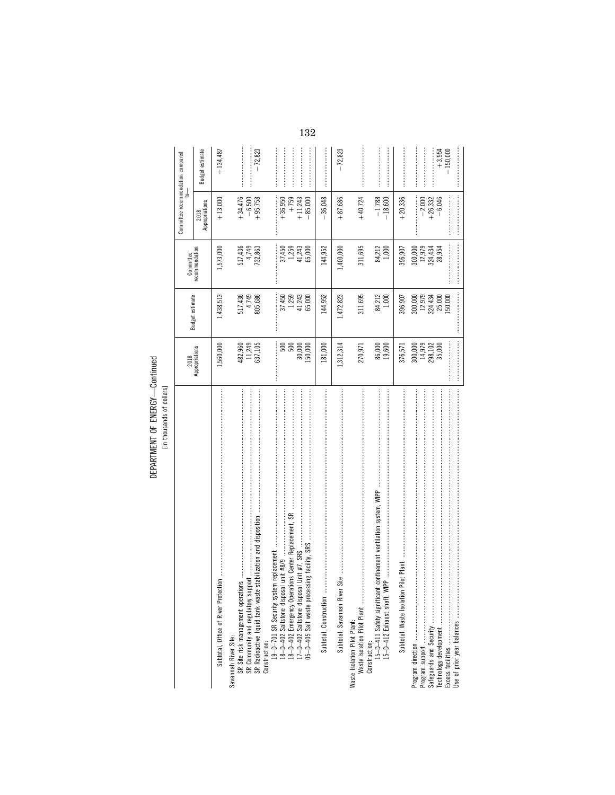DEPARTMENT OF ENERGY-Continued

|                                                                                                                               |                                                                |                                                         |                                                     | Committee recommendation compared<br>$\frac{1}{2}$ |                        |
|-------------------------------------------------------------------------------------------------------------------------------|----------------------------------------------------------------|---------------------------------------------------------|-----------------------------------------------------|----------------------------------------------------|------------------------|
|                                                                                                                               | 2018<br>Appropriations                                         | Budget estimate                                         | Committee<br>recommendation                         | 2018<br>Appropriations                             | Budget estimate        |
|                                                                                                                               | .560,000                                                       | 1,438,513                                               | 1,573,000                                           | $+13,000$                                          | $+134,487$             |
| SR Radioactive liquid tank waste stabilization and disposition<br>SR Community and regulatory support<br>Savannah River Site: | $\begin{array}{c} 482,960 \\ 11,249 \\ 637,105 \end{array}$    | 517,436<br>4,749<br>805,686                             | 517,436<br>4,749<br>732,863                         | $+34,476$<br>$-6,500$<br>$+95,758$                 | $-72,823$              |
| 5-D-405 Salt waste processing facility, SRS<br>Construction:                                                                  | $\begin{array}{c} 500 \\ 500 \end{array}$<br>30,000<br>.50,000 | $37,450$<br>$1,259$<br>$41,243$<br>$41,243$<br>$65,000$ | $37,450$<br>$1,259$<br>$41,243$<br>$65,000$         | $+759$<br>$+11,243$<br>$+36,950$<br>$-85,000$      |                        |
| Subtotal, Construction.                                                                                                       | 181,000                                                        | 144,952                                                 | 144,952                                             | 36,048                                             |                        |
| Subtotal, Savannah River Site                                                                                                 | 1,312,314                                                      | 1,472,823                                               | 1,400,000                                           | $+87,686$                                          | $-72,823$              |
| Waste Isolation Pilot Plant<br>Waste Isolation Pilot Plant:                                                                   | 270,971                                                        | 311,695                                                 | 311,695                                             | $+40,724$                                          |                        |
|                                                                                                                               | 86,000<br>19,600                                               | 84,212<br>1,000                                         | 84,212<br>1,000                                     | $-1,788$<br>$-18,600$                              |                        |
| Pilot Plant<br>Subtotal, Waste Isolation                                                                                      | 376,571                                                        | 396,907                                                 | 396,907                                             | $+20,336$                                          |                        |
|                                                                                                                               | $300,000$<br>14,979<br>298,102<br>35,000                       |                                                         | 000,000<br>00,973<br>00,974,434<br>00,974<br>00,954 | $-2,000$<br>+26,332                                |                        |
| Technology development                                                                                                        |                                                                | 300,000<br>12,979<br>124,434<br>150,000<br>150,000      |                                                     | $-6,046$                                           | $+3,954$<br>$-150,000$ |
|                                                                                                                               |                                                                |                                                         |                                                     |                                                    |                        |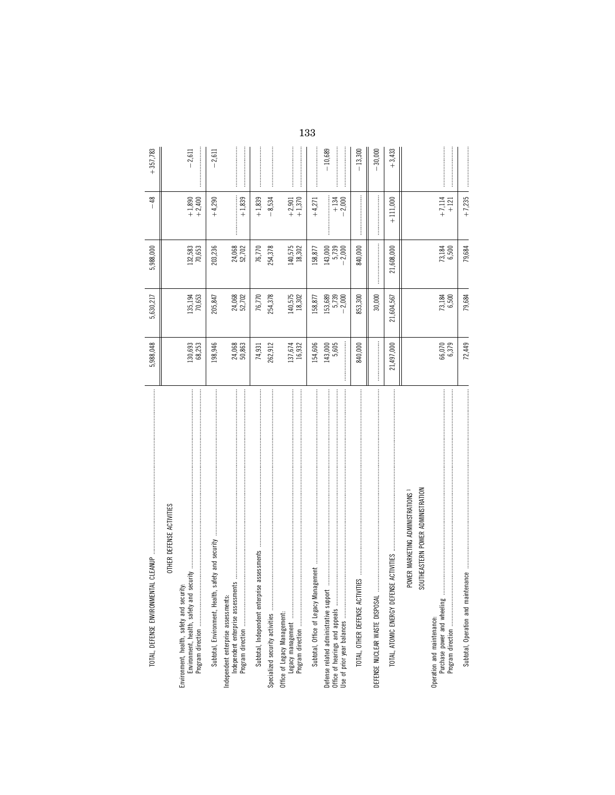| TOTAL, DEFENSE ENVIRONMEN                                                                              | 5,988,048         | 5,630,217                    | 5,988,000                 | $-48$              | $+357.783$ |
|--------------------------------------------------------------------------------------------------------|-------------------|------------------------------|---------------------------|--------------------|------------|
| OTHER DEFENSE ACTIVITIES                                                                               |                   |                              |                           |                    |            |
| Environment, health, safety and security:                                                              | 130,693<br>68,253 | 135,194<br>70,653            | 132,583<br>70,653         | $+1,890$<br>+2,400 | $-2,611$   |
| safety and security<br>Subtotal, Environment, Health,                                                  | 198,946           | 205,847                      | 203,236                   | $+4,290$           | 2,611      |
| Independent enterprise assessments:                                                                    | 24,068<br>50,863  | 24,068<br>52,702             | 24,068<br>52,702          | $+1,839$           |            |
| se assessments<br>Subtotal, Independent enterpri                                                       | 74,931            | 76,770                       | 76,770                    | $+1,839$           |            |
| Specialized security activities                                                                        | 262,912           | 254,378                      | 254,378                   | $-8,534$           |            |
| Office of Legacy Management:                                                                           | 137,674<br>16,932 | 140,575<br>18,302            | 140,575<br>18,302         | $+2,901$<br>+1,370 |            |
| Subtotal, Office of Legacy Management                                                                  | .54,606           | 158,877                      | 158,877                   | $+4,271$           |            |
| Defense related administrative support<br>Office of hearings and appeals<br>Use of prior year balances | 143,000<br>5,605  | 153,689<br>5,739<br>$-2,000$ | 143,000<br>5,739<br>2,000 | $+134$<br>$-2,000$ | $-10,689$  |
| TOTAL, OTHER DEFENSE ACTIV                                                                             | 840,000           | 853,300                      | 840,000                   |                    | $-13,300$  |
| DEFENSE NUCLEAR WASTE DISPOSAL                                                                         |                   | 30,000                       |                           |                    | 30,000     |
| <b>ISE ACTIVITIES</b><br>TOTAL, ATOMIC ENERGY DEFEN                                                    | 21,497,000        | 21,604,567                   | 21,608,000                | $+111,000$         | $+3,433$   |
| SOUTHEASTERN POWER ADMINISTRATION<br>POWER MARKETING ADMINISTRATIONS                                   |                   |                              |                           |                    |            |
| Operation and maintenance:                                                                             | 66,070<br>6,379   | 73,184<br>6,500              | 73,184<br>6,500           | $+7,114$<br>$+121$ |            |
| Subtotal, Operation and maintenance manual management communications and management and management of  | 72,449            | 79,684                       | 79,684                    | $+7,235$           |            |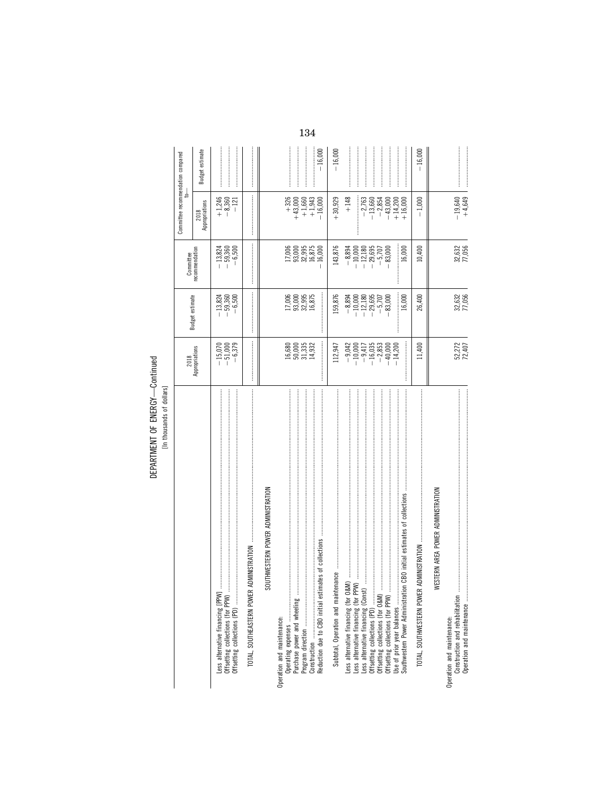DEPARTMENT OF ENERGY-Continued

|                                                                                                                                                                                                                                                                                               | 2018                                                                                                                                                                                                                                                                                                                                                                                                                                                                                                                                        | Budget estimate                                                                                                                                                                                                                                                                                                                                                                                                                                                                                                                           | Committee                                                                                                                                                                                                                                                                                                                                                                                                                                                                                                                                 | Committee recommendation compared<br>₹                                                                                                                                                                                                                                                                                                                                                                                                                                                                                                    |                 |
|-----------------------------------------------------------------------------------------------------------------------------------------------------------------------------------------------------------------------------------------------------------------------------------------------|---------------------------------------------------------------------------------------------------------------------------------------------------------------------------------------------------------------------------------------------------------------------------------------------------------------------------------------------------------------------------------------------------------------------------------------------------------------------------------------------------------------------------------------------|-------------------------------------------------------------------------------------------------------------------------------------------------------------------------------------------------------------------------------------------------------------------------------------------------------------------------------------------------------------------------------------------------------------------------------------------------------------------------------------------------------------------------------------------|-------------------------------------------------------------------------------------------------------------------------------------------------------------------------------------------------------------------------------------------------------------------------------------------------------------------------------------------------------------------------------------------------------------------------------------------------------------------------------------------------------------------------------------------|-------------------------------------------------------------------------------------------------------------------------------------------------------------------------------------------------------------------------------------------------------------------------------------------------------------------------------------------------------------------------------------------------------------------------------------------------------------------------------------------------------------------------------------------|-----------------|
|                                                                                                                                                                                                                                                                                               | Appropriations                                                                                                                                                                                                                                                                                                                                                                                                                                                                                                                              |                                                                                                                                                                                                                                                                                                                                                                                                                                                                                                                                           | recommendation                                                                                                                                                                                                                                                                                                                                                                                                                                                                                                                            | Appropriations<br>2018                                                                                                                                                                                                                                                                                                                                                                                                                                                                                                                    | Budget estimate |
| Offsetting collections (PD)<br>Less alternative financing [PPW<br>Offsetting collections (for PPW)                                                                                                                                                                                            | 6,379<br>$-15,070$<br>$-51,000$                                                                                                                                                                                                                                                                                                                                                                                                                                                                                                             | $-13,824$<br>$-59,360$<br>$-6,500$                                                                                                                                                                                                                                                                                                                                                                                                                                                                                                        | $-13,824$<br>$-59,360$<br>$-6,500$                                                                                                                                                                                                                                                                                                                                                                                                                                                                                                        | $+1,246$<br>$-8,360$<br>$-121$                                                                                                                                                                                                                                                                                                                                                                                                                                                                                                            |                 |
| ADMINISTRATION<br>TOTAL, SOUTHEASTERN POWER                                                                                                                                                                                                                                                   | $\label{def:1} \begin{minipage}{0.9\linewidth} \begin{minipage}{0.9\linewidth} \begin{minipage}{0.9\linewidth} \begin{minipage}{0.9\linewidth} \end{minipage} \begin{minipage}{0.9\linewidth} \begin{minipage}{0.9\linewidth} \end{minipage} \end{minipage} \begin{minipage}{0.9\linewidth} \begin{minipage}{0.9\linewidth} \begin{minipage}{0.9\linewidth} \end{minipage} \end{minipage} \begin{minipage}{0.9\linewidth} \begin{minipage}{0.9\linewidth} \end{minipage} \end{minipage} \begin{minipage}{0.9\linewidth} \begin{minipage}{0$ | $\label{def:1} \begin{minipage}{0.9\linewidth} \begin{minipage}{0.9\linewidth} \begin{minipage}{0.9\linewidth} \begin{minipage}{0.9\linewidth} \end{minipage} \begin{minipage}{0.9\linewidth} \begin{minipage}{0.9\linewidth} \end{minipage} \end{minipage} \end{minipage} \begin{minipage}{0.9\linewidth} \begin{minipage}{0.9\linewidth} \begin{minipage}{0.9\linewidth} \end{minipage} \end{minipage} \end{minipage} \begin{minipage}{0.9\linewidth} \begin{minipage}{0.9\linewidth} \begin{minipage}{0.9\linewidth} \end{minipage} \$ | $\label{def:1} \begin{minipage}{0.9\linewidth} \begin{minipage}{0.9\linewidth} \begin{minipage}{0.9\linewidth} \begin{minipage}{0.9\linewidth} \end{minipage} \end{minipage} \begin{minipage}{0.9\linewidth} \begin{minipage}{0.9\linewidth} \begin{minipage}{0.9\linewidth} \end{minipage} \end{minipage} \end{minipage} \begin{minipage}{0.9\linewidth} \begin{minipage}{0.9\linewidth} \begin{minipage}{0.9\linewidth} \end{minipage} \end{minipage} \end{minipage} \begin{minipage}{0.9\linewidth} \begin{minipage}{0.9\linewidth} \$ | $\label{def:1} \begin{minipage}{0.9\linewidth} \begin{minipage}{0.9\linewidth} \begin{minipage}{0.9\linewidth} \begin{minipage}{0.9\linewidth} \end{minipage} \begin{minipage}{0.9\linewidth} \begin{minipage}{0.9\linewidth} \end{minipage} \end{minipage} \begin{minipage}{0.9\linewidth} \begin{minipage}{0.9\linewidth} \begin{minipage}{0.9\linewidth} \end{minipage} \end{minipage} \end{minipage} \begin{minipage}{0.9\linewidth} \begin{minipage}{0.9\linewidth} \end{minipage} \end{minipage} \begin{minipage}{0.9\linewidth} \$ |                 |
| SOUTHWESTERN POWER ADMINISTRATION                                                                                                                                                                                                                                                             |                                                                                                                                                                                                                                                                                                                                                                                                                                                                                                                                             |                                                                                                                                                                                                                                                                                                                                                                                                                                                                                                                                           |                                                                                                                                                                                                                                                                                                                                                                                                                                                                                                                                           |                                                                                                                                                                                                                                                                                                                                                                                                                                                                                                                                           |                 |
| imates of collections<br>Reduction due to CBO initial est<br>Operation and maintenance:                                                                                                                                                                                                       | 16,680<br>50,000<br>50,333<br>14,932                                                                                                                                                                                                                                                                                                                                                                                                                                                                                                        | 17,006<br>93,000<br>16,875<br>16,875                                                                                                                                                                                                                                                                                                                                                                                                                                                                                                      | 17,006<br>93,995<br>16,875<br>16,875<br>16,000                                                                                                                                                                                                                                                                                                                                                                                                                                                                                            | $+326$<br>$+43,000$<br>$+43,060$<br>$+1,943$<br>$+1,943$<br>$-16,000$                                                                                                                                                                                                                                                                                                                                                                                                                                                                     | $-16,000$       |
| Subtotal, Operation and main                                                                                                                                                                                                                                                                  | 112,947                                                                                                                                                                                                                                                                                                                                                                                                                                                                                                                                     | 159,876                                                                                                                                                                                                                                                                                                                                                                                                                                                                                                                                   | 143,876                                                                                                                                                                                                                                                                                                                                                                                                                                                                                                                                   | $+30,929$                                                                                                                                                                                                                                                                                                                                                                                                                                                                                                                                 | $-16,000$       |
| Less alternative financing (Const)<br>Less alternative financing (for P<br>Offsetting collections (PD)<br>Offsetting collections (for O&M)<br>Offsetting collections (for PPW) .<br>Use of prior year balances<br>Southwestern Power Administrati<br>Less alternative financing (for $\theta$ | $-16,035$<br>$-2,853$<br>$-9,042$<br>$-10,000$<br>$-9,417$<br>$-40,000$<br>$-14,200$                                                                                                                                                                                                                                                                                                                                                                                                                                                        | $-8,894$<br>$-10,000$<br>$-12,180$<br>$-29,695$<br>$-5,707$<br>16,000<br>83,000                                                                                                                                                                                                                                                                                                                                                                                                                                                           | 16,000<br>$-12,180$<br>$-29,695$<br>$-8,894$<br>$-10,000$<br>$-5,707$<br>83,000                                                                                                                                                                                                                                                                                                                                                                                                                                                           | $+148$<br>$-2,763$<br>$-13,660$<br>$-2,854$<br>$-43,000$<br>$+14,200$<br>$+16,000$                                                                                                                                                                                                                                                                                                                                                                                                                                                        |                 |
| TOTAL, SOUTHWESTERN POWE                                                                                                                                                                                                                                                                      | 11,400                                                                                                                                                                                                                                                                                                                                                                                                                                                                                                                                      | 26,400                                                                                                                                                                                                                                                                                                                                                                                                                                                                                                                                    | 10,400                                                                                                                                                                                                                                                                                                                                                                                                                                                                                                                                    | $-1,000$                                                                                                                                                                                                                                                                                                                                                                                                                                                                                                                                  | $-16,000$       |
| WESTERN AREA POWER ADMINISTRATION                                                                                                                                                                                                                                                             |                                                                                                                                                                                                                                                                                                                                                                                                                                                                                                                                             |                                                                                                                                                                                                                                                                                                                                                                                                                                                                                                                                           |                                                                                                                                                                                                                                                                                                                                                                                                                                                                                                                                           |                                                                                                                                                                                                                                                                                                                                                                                                                                                                                                                                           |                 |
| Operation and maintenance<br>Construction and rehabilitation<br>Operation and maintenance:                                                                                                                                                                                                    | 52,272<br>72,407                                                                                                                                                                                                                                                                                                                                                                                                                                                                                                                            | 32,632<br>77,056                                                                                                                                                                                                                                                                                                                                                                                                                                                                                                                          | 32,632<br>77,056                                                                                                                                                                                                                                                                                                                                                                                                                                                                                                                          | $-19,640$<br>+4,649                                                                                                                                                                                                                                                                                                                                                                                                                                                                                                                       |                 |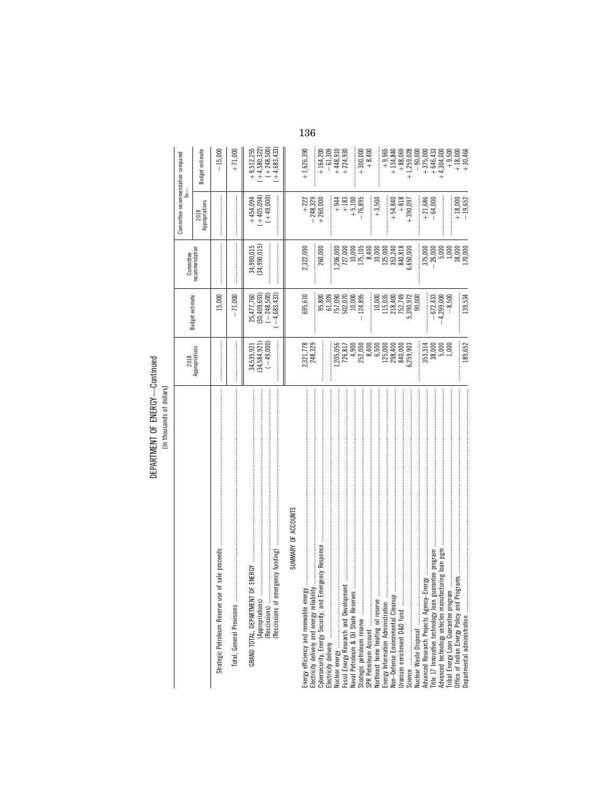# DEPARTMENT OF ENERGY-Continued<br>[In thousands of dollars]

|                                                                                                                                                 | 2018                                      | Budget estimate                                                       | Committee                                       | Committee recommendation compared         |                                                                 |
|-------------------------------------------------------------------------------------------------------------------------------------------------|-------------------------------------------|-----------------------------------------------------------------------|-------------------------------------------------|-------------------------------------------|-----------------------------------------------------------------|
|                                                                                                                                                 | Appropriations                            |                                                                       | recommendation                                  | 2018<br>Appropriations                    | Budget estimate                                                 |
| of sale proceeds<br>Strategic Petroleum Reserve use                                                                                             |                                           | 15,000                                                                |                                                 |                                           | $-15,000$                                                       |
| Total, General Provisions                                                                                                                       |                                           | 71,000<br>$\overline{1}$                                              |                                                 |                                           | $+71,000$                                                       |
| (Rescissions of emergency funding)<br>OF ENERGY<br>(Appropriations).<br>(Rescissions)<br>GRAND TOTAL, DEPARTMENT                                | 34,535,921<br>(34,584,921)<br>$(-49,000)$ | 25,477,760<br>(30,409,693)<br>$(-4,683,433)$<br>$(-248,500)$          | 34,990,015<br>(34,990,015)                      | $+454,094$<br>$(+405,094)$<br>$(+49,000)$ | $1 + 4,580,322$<br>$(+248,500)$<br>$+4,683,433$<br>$+9,512,255$ |
| SUMMARY OF ACCOUNTS                                                                                                                             |                                           |                                                                       |                                                 |                                           |                                                                 |
| Electricity delivery and energy reliability<br>Cybersecurity, Energy Security, and Emergency Response<br>Energy efficiency and renewable energy | 2,321,778<br>248,329                      | 695,610                                                               | 2,322,000                                       | $+ 222$<br>$- 248,329$<br>$+ 260,000$     | $+1,626,390$                                                    |
|                                                                                                                                                 |                                           | 95,800                                                                | 260,000                                         |                                           | $+164,200$<br>$-61,309$                                         |
|                                                                                                                                                 |                                           |                                                                       |                                                 | $+944$                                    | $+448,910$                                                      |
|                                                                                                                                                 | $7205,056$<br>726,817<br>4,900            | $\begin{array}{c} 61,309 \\ 757,090 \\ 502,070 \\ 10,000 \end{array}$ | $\frac{,206,000}{727,000}$<br>10,000<br>175,105 | $+183$                                    | $+224,930$                                                      |
| Strategic petroleum reserve<br>SPR Petroleum Account                                                                                            | 252,000                                   | 124,895                                                               |                                                 | $+ 5,100$<br>$- 76,895$                   | $+300,000$<br>$+8,400$                                          |
| Northeast home heating oil reserve                                                                                                              | 8,400<br>6,500                            | 10,000                                                                | 10,000<br>8,400                                 | $+3,500$                                  |                                                                 |
| Energy Information Administration<br>Non-Defense Environmental Cleanup                                                                          | 125,000                                   | 115,035                                                               | 125,000                                         |                                           | $+9,965$                                                        |
| Uranium enrichment D&D fund                                                                                                                     | 298,400<br>840,000                        | 218,400<br>752,749                                                    | 840,818<br>353,240                              | $+818$<br>$+54,840$                       | $+134,840$<br>$+88,069$                                         |
|                                                                                                                                                 | ,259,903                                  | 5,390,972                                                             | ,650,000                                        | $+390,097$                                | $+1,259,028$                                                    |
| Advanced Research Projects Agency-                                                                                                              | 353,314                                   | İ<br>90,000                                                           | 375,000<br>:<br>:<br>:                          |                                           | $-90,000$<br>$+375,000$                                         |
| Title 17 Innovative technology loan gu                                                                                                          | 38,000                                    | $-672,433$                                                            | $-26,000$                                       | $+21,686$<br>$-64,000$                    | $+646,433$                                                      |
| acturing loan pgm<br>Advanced technology vehicles manufa                                                                                        | 5,000                                     | 1,299,000                                                             | 5,000                                           |                                           | $+4,304,000$                                                    |
|                                                                                                                                                 | 1,000                                     | $-8,500$                                                              | 1,000                                           |                                           | $+9,500$<br>+ 18,000                                            |
| Departmental administration                                                                                                                     | 189,652                                   | <br> <br> <br>139,534                                                 | 18,000<br>170,000                               | $+18,000$<br>$-19,652$                    | $+30,466$                                                       |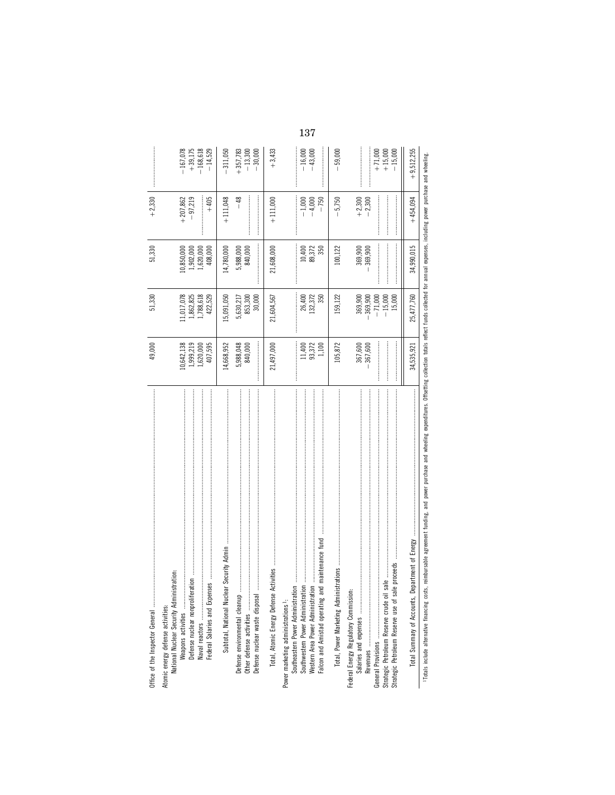| Office of the Inspector General                                                                                                                 | 49,000                                         | 51,330                                                 | 51,330                                         | $+2,330$                          |                                                    |
|-------------------------------------------------------------------------------------------------------------------------------------------------|------------------------------------------------|--------------------------------------------------------|------------------------------------------------|-----------------------------------|----------------------------------------------------|
| istration:<br>Atomic energy defense activities:<br>National Nuclear Security Admini<br>Federal Salaries and Exper<br>Weapons activities         | 0,642,138<br>1,999,219<br>1,620,000<br>407,595 | 1,017,078<br>1,788,618<br>.,862,825<br>422,529         | 1,902,000<br>408,000<br>1,620,000<br>0,850,000 | $-97,219$<br>$+405$<br>$+207,862$ | $-167,078$<br>$+39,175$<br>$-168,618$<br>$-14,529$ |
| Defense nuclear waste disposal<br>Defense environmental cleanup<br>Other defense activities                                                     | 14,668,952<br>5,988,048<br>840,000             | 15,091,050<br>853,300<br>5,630,217<br>30,000           | 5,988,000<br>840,000<br>14,780,000             | $+111,048$<br>$-48$               | $-311,050$<br>$+357,783$<br>$-13,300$<br>$-30,000$ |
| Activities<br>Total, Atomic Energy Defense                                                                                                      | 21,497,000                                     | 21,604,567                                             | 21,608,000                                     | $+111,000$                        | $+3,433$                                           |
| Falcon and Amistad operating and maintenance fund<br>Western Area Power Administration<br>Power marketing administrations <sup>1</sup> :        | 11,400<br>93,372<br>1,100                      | 132,372<br>26,400<br>350                               | 10,400<br>89,372<br>350                        | $-1,000$<br>$-4,000$<br>$-750$    | $-16,000$<br>$-43,000$                             |
|                                                                                                                                                 | 105,872                                        | 159,122                                                | 100,122                                        | $-5,750$                          | $-59,000$                                          |
| Federal Energy Regulatory Commission<br>Salaries and expenses<br>Strategic Petroleum Reserve crude oil<br>Strategic Petroleum Reserve use of sa | 367,600                                        | 369,900<br>369,900<br>$-15,000$<br>$-71,000$<br>15,000 | 369,900<br>369,900                             | $+2,300$<br>$-2,300$              | $+ 71,000$<br>$+ 15,000$<br>$-15,000$              |
| Total Summary of Accounts,<br><b>TWO CONTRACTOR</b>                                                                                             | 34,535,921                                     | 25,477,760                                             | 34,990,015                                     | $+454,094$                        | $+9,512,255$                                       |

including power purchase and wheelin ses, expen annual funds collected for expenditures. Offsetting collection totals reflect wheeling and purchase funding, and power agreement pursable ≣ costs, include alternative financing Totals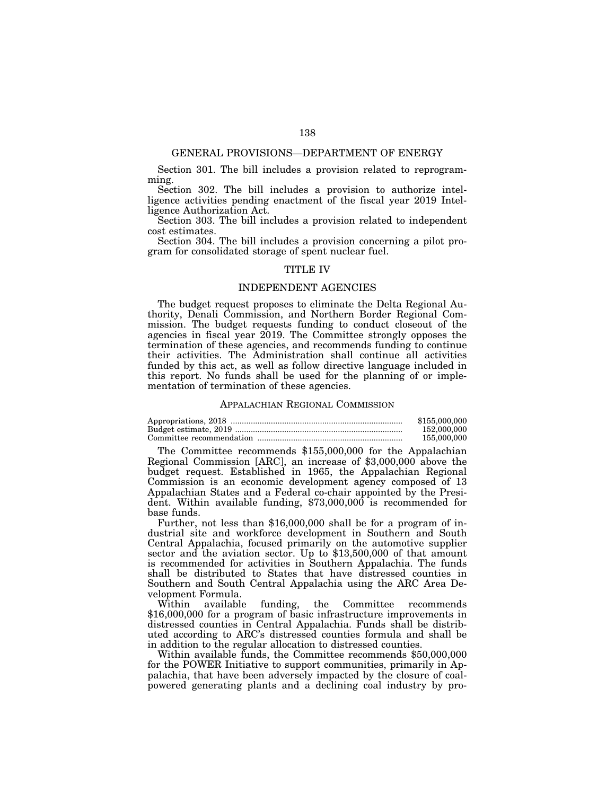# GENERAL PROVISIONS—DEPARTMENT OF ENERGY

Section 301. The bill includes a provision related to reprogramming.

Section 302. The bill includes a provision to authorize intelligence activities pending enactment of the fiscal year 2019 Intelligence Authorization Act.

Section 303. The bill includes a provision related to independent cost estimates.

Section 304. The bill includes a provision concerning a pilot program for consolidated storage of spent nuclear fuel.

# TITLE IV

# INDEPENDENT AGENCIES

The budget request proposes to eliminate the Delta Regional Authority, Denali Commission, and Northern Border Regional Commission. The budget requests funding to conduct closeout of the agencies in fiscal year 2019. The Committee strongly opposes the termination of these agencies, and recommends funding to continue their activities. The Administration shall continue all activities funded by this act, as well as follow directive language included in this report. No funds shall be used for the planning of or implementation of termination of these agencies.

# APPALACHIAN REGIONAL COMMISSION

| \$155,000,000 |
|---------------|
| 152,000,000   |
| 155,000,000   |

The Committee recommends \$155,000,000 for the Appalachian Regional Commission [ARC], an increase of \$3,000,000 above the budget request. Established in 1965, the Appalachian Regional Commission is an economic development agency composed of 13 Appalachian States and a Federal co-chair appointed by the President. Within available funding, \$73,000,000 is recommended for base funds.

Further, not less than \$16,000,000 shall be for a program of industrial site and workforce development in Southern and South Central Appalachia, focused primarily on the automotive supplier sector and the aviation sector. Up to \$13,500,000 of that amount is recommended for activities in Southern Appalachia. The funds shall be distributed to States that have distressed counties in Southern and South Central Appalachia using the ARC Area Development Formula.

funding, the Committee recommends \$16,000,000 for a program of basic infrastructure improvements in distressed counties in Central Appalachia. Funds shall be distributed according to ARC's distressed counties formula and shall be in addition to the regular allocation to distressed counties.

Within available funds, the Committee recommends \$50,000,000 for the POWER Initiative to support communities, primarily in Appalachia, that have been adversely impacted by the closure of coalpowered generating plants and a declining coal industry by pro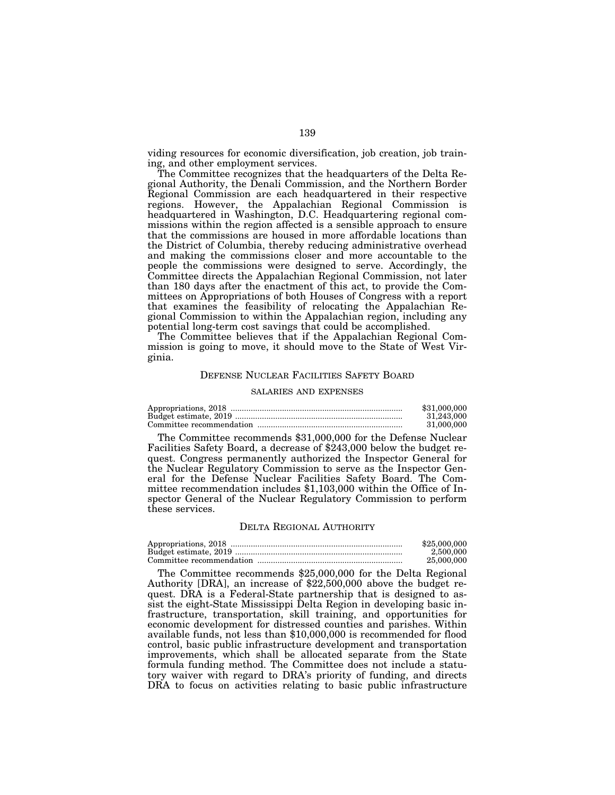viding resources for economic diversification, job creation, job training, and other employment services.

The Committee recognizes that the headquarters of the Delta Regional Authority, the Denali Commission, and the Northern Border Regional Commission are each headquartered in their respective regions. However, the Appalachian Regional Commission is headquartered in Washington, D.C. Headquartering regional commissions within the region affected is a sensible approach to ensure that the commissions are housed in more affordable locations than the District of Columbia, thereby reducing administrative overhead and making the commissions closer and more accountable to the people the commissions were designed to serve. Accordingly, the Committee directs the Appalachian Regional Commission, not later than 180 days after the enactment of this act, to provide the Committees on Appropriations of both Houses of Congress with a report that examines the feasibility of relocating the Appalachian Regional Commission to within the Appalachian region, including any potential long-term cost savings that could be accomplished.

The Committee believes that if the Appalachian Regional Commission is going to move, it should move to the State of West Virginia.

# DEFENSE NUCLEAR FACILITIES SAFETY BOARD

### SALARIES AND EXPENSES

| \$31,000,000 |
|--------------|
| 31.243.000   |
| 31,000,000   |

The Committee recommends \$31,000,000 for the Defense Nuclear Facilities Safety Board, a decrease of \$243,000 below the budget request. Congress permanently authorized the Inspector General for the Nuclear Regulatory Commission to serve as the Inspector General for the Defense Nuclear Facilities Safety Board. The Committee recommendation includes \$1,103,000 within the Office of Inspector General of the Nuclear Regulatory Commission to perform these services.

### DELTA REGIONAL AUTHORITY

| \$25,000,000 |
|--------------|
| 2.500,000    |
| 25,000,000   |

The Committee recommends \$25,000,000 for the Delta Regional Authority [DRA], an increase of \$22,500,000 above the budget request. DRA is a Federal-State partnership that is designed to assist the eight-State Mississippi Delta Region in developing basic infrastructure, transportation, skill training, and opportunities for economic development for distressed counties and parishes. Within available funds, not less than \$10,000,000 is recommended for flood control, basic public infrastructure development and transportation improvements, which shall be allocated separate from the State formula funding method. The Committee does not include a statutory waiver with regard to DRA's priority of funding, and directs DRA to focus on activities relating to basic public infrastructure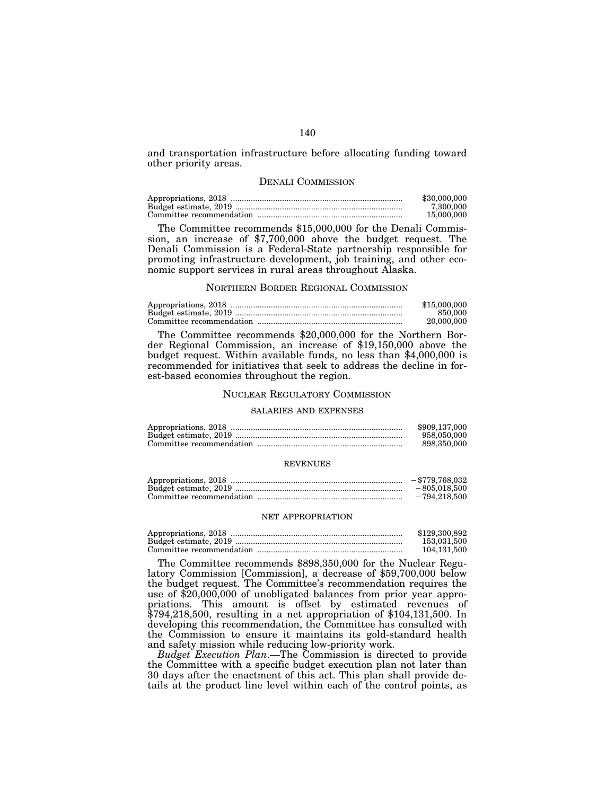and transportation infrastructure before allocating funding toward other priority areas.

# DENALI COMMISSION

| \$30,000,000 |
|--------------|
| 7.300.000    |
| 15,000,000   |

The Committee recommends \$15,000,000 for the Denali Commission, an increase of \$7,700,000 above the budget request. The Denali Commission is a Federal-State partnership responsible for promoting infrastructure development, job training, and other economic support services in rural areas throughout Alaska.

# NORTHERN BORDER REGIONAL COMMISSION

| \$15,000,000 |
|--------------|
| 850,000      |
| 20.000.000   |

The Committee recommends \$20,000,000 for the Northern Border Regional Commission, an increase of \$19,150,000 above the budget request. Within available funds, no less than \$4,000,000 is recommended for initiatives that seek to address the decline in forest-based economies throughout the region.

# NUCLEAR REGULATORY COMMISSION

# SALARIES AND EXPENSES

| \$909,137,000 |
|---------------|
| 958,050,000   |
| 898.350.000   |

### REVENUES

| $-$ \$779.768.032 |
|-------------------|
| $-805.018.500$    |
| $-794.218.500$    |

### NET APPROPRIATION

| \$129,300,892 |
|---------------|
| 153.031.500   |
| 104.131.500   |

The Committee recommends \$898,350,000 for the Nuclear Regulatory Commission [Commission], a decrease of \$59,700,000 below the budget request. The Committee's recommendation requires the use of \$20,000,000 of unobligated balances from prior year appropriations. This amount is offset by estimated revenues of \$794,218,500, resulting in a net appropriation of \$104,131,500. In developing this recommendation, the Committee has consulted with the Commission to ensure it maintains its gold-standard health and safety mission while reducing low-priority work.

*Budget Execution Plan*.—The Commission is directed to provide the Committee with a specific budget execution plan not later than 30 days after the enactment of this act. This plan shall provide details at the product line level within each of the control points, as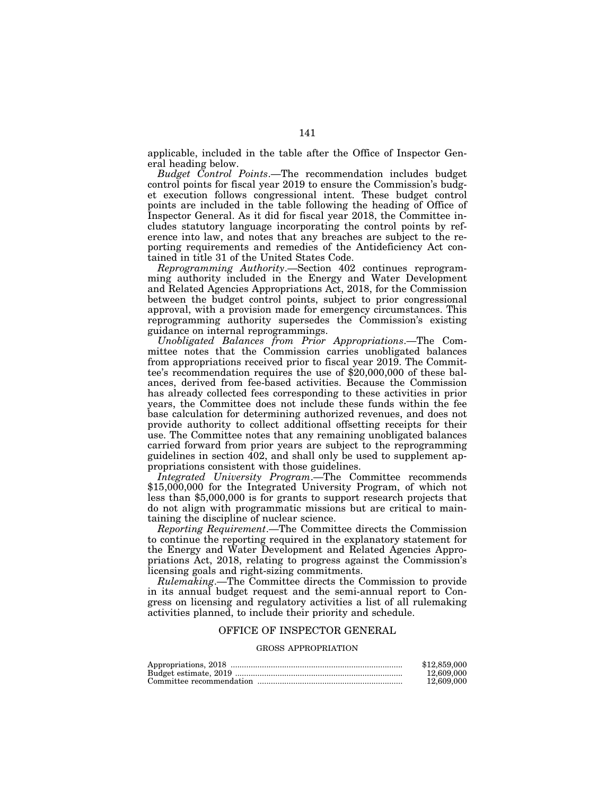applicable, included in the table after the Office of Inspector General heading below.

*Budget Control Points*.—The recommendation includes budget control points for fiscal year 2019 to ensure the Commission's budget execution follows congressional intent. These budget control points are included in the table following the heading of Office of Inspector General. As it did for fiscal year 2018, the Committee includes statutory language incorporating the control points by reference into law, and notes that any breaches are subject to the reporting requirements and remedies of the Antideficiency Act contained in title 31 of the United States Code.

*Reprogramming Authority*.—Section 402 continues reprogramming authority included in the Energy and Water Development and Related Agencies Appropriations Act, 2018, for the Commission between the budget control points, subject to prior congressional approval, with a provision made for emergency circumstances. This reprogramming authority supersedes the Commission's existing guidance on internal reprogrammings.

*Unobligated Balances from Prior Appropriations*.—The Committee notes that the Commission carries unobligated balances from appropriations received prior to fiscal year 2019. The Committee's recommendation requires the use of \$20,000,000 of these balances, derived from fee-based activities. Because the Commission has already collected fees corresponding to these activities in prior years, the Committee does not include these funds within the fee base calculation for determining authorized revenues, and does not provide authority to collect additional offsetting receipts for their use. The Committee notes that any remaining unobligated balances carried forward from prior years are subject to the reprogramming guidelines in section 402, and shall only be used to supplement appropriations consistent with those guidelines.

*Integrated University Program*.—The Committee recommends \$15,000,000 for the Integrated University Program, of which not less than \$5,000,000 is for grants to support research projects that do not align with programmatic missions but are critical to maintaining the discipline of nuclear science.

*Reporting Requirement*.—The Committee directs the Commission to continue the reporting required in the explanatory statement for the Energy and Water Development and Related Agencies Appropriations Act, 2018, relating to progress against the Commission's licensing goals and right-sizing commitments.

*Rulemaking*.—The Committee directs the Commission to provide in its annual budget request and the semi-annual report to Congress on licensing and regulatory activities a list of all rulemaking activities planned, to include their priority and schedule.

# OFFICE OF INSPECTOR GENERAL

# GROSS APPROPRIATION

| \$12,859,000 |
|--------------|
| 12,609,000   |
| 12,609,000   |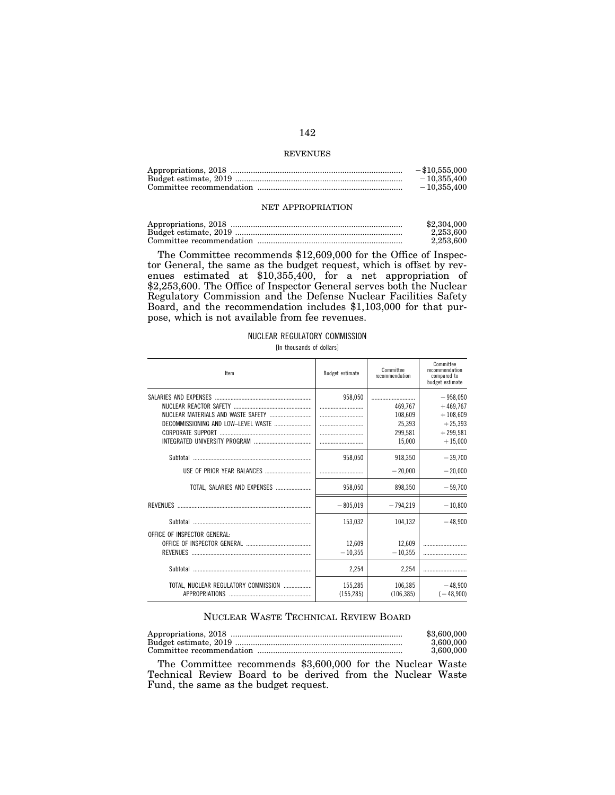# REVENUES

| $-$ \$10,555,000 |
|------------------|
| $-10.355.400$    |
| $-10.355.400$    |

# NET APPROPRIATION

| \$2,304,000 |
|-------------|
| 2.253.600   |
| 2.253.600   |

The Committee recommends \$12,609,000 for the Office of Inspector General, the same as the budget request, which is offset by revenues estimated at \$10,355,400, for a net appropriation of \$2,253,600. The Office of Inspector General serves both the Nuclear Regulatory Commission and the Defense Nuclear Facilities Safety Board, and the recommendation includes \$1,103,000 for that purpose, which is not available from fee revenues.

# NUCLEAR REGULATORY COMMISSION

[In thousands of dollars]

| Item                                                          | Budget estimate       | Committee<br>recommendation | Committee<br>recommendation<br>compared to<br>budget estimate |
|---------------------------------------------------------------|-----------------------|-----------------------------|---------------------------------------------------------------|
|                                                               | 958,050               | 469,767<br>108,609          | $-958,050$<br>$+469.767$<br>$+108,609$                        |
|                                                               |                       | 25,393<br>299,581<br>15,000 | $+25.393$<br>$+299,581$<br>$+15,000$                          |
|                                                               | 958,050               | 918.350<br>$-20.000$        | $-39,700$<br>$-20,000$                                        |
| TOTAL, SALARIES AND EXPENSES                                  | 958,050               | 898.350                     | $-59.700$                                                     |
|                                                               | $-805.019$            | $-794.219$                  | $-10,800$                                                     |
|                                                               | 153,032               | 104,132                     | $-48.900$                                                     |
| OFFICE OF INSPECTOR GENERAL:                                  | 12,609<br>$-10.355$   | 12,609<br>$-10.355$         |                                                               |
|                                                               | 2,254                 | 2.254                       |                                                               |
| TOTAL, NUCLEAR REGULATORY COMMISSION<br><b>APPROPRIATIONS</b> | 155,285<br>(155, 285) | 106,385<br>(106, 385)       | $-48.900$<br>$(-48,900)$                                      |

# NUCLEAR WASTE TECHNICAL REVIEW BOARD

| \$3,600,000 |
|-------------|
| 3.600.000   |
| 3.600.000   |

The Committee recommends \$3,600,000 for the Nuclear Waste Technical Review Board to be derived from the Nuclear Waste Fund, the same as the budget request.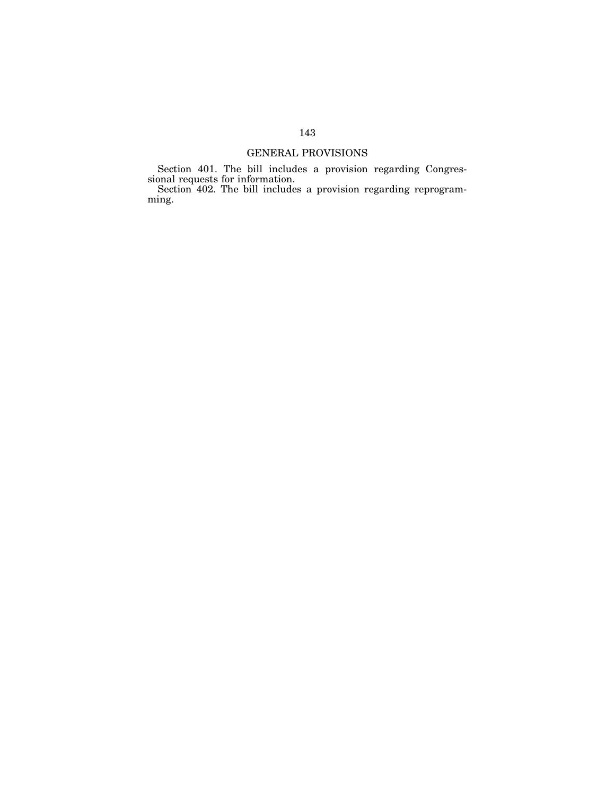# GENERAL PROVISIONS

Section 401. The bill includes a provision regarding Congressional requests for information.

Section 402. The bill includes a provision regarding reprogramming.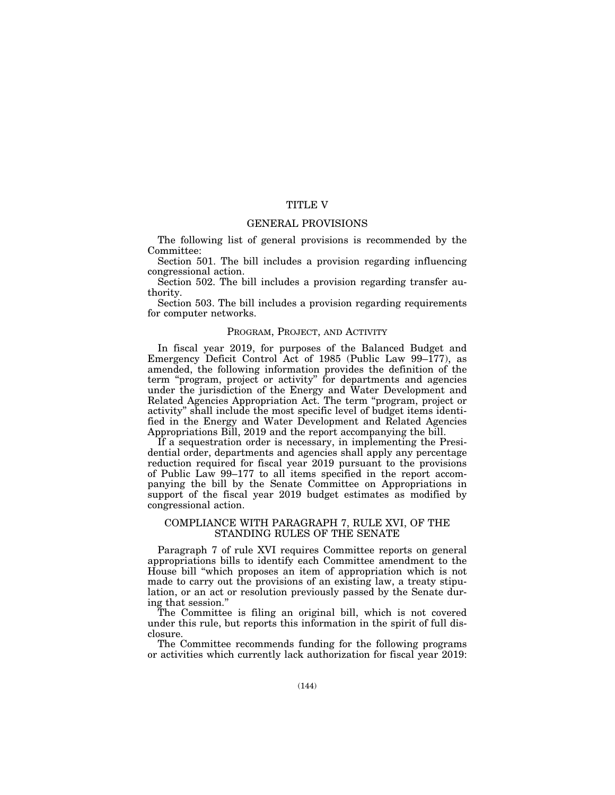# TITLE V

# GENERAL PROVISIONS

The following list of general provisions is recommended by the Committee:

Section 501. The bill includes a provision regarding influencing congressional action.

Section 502. The bill includes a provision regarding transfer authority.

Section 503. The bill includes a provision regarding requirements for computer networks.

# PROGRAM, PROJECT, AND ACTIVITY

In fiscal year 2019, for purposes of the Balanced Budget and Emergency Deficit Control Act of 1985 (Public Law 99–177), as amended, the following information provides the definition of the term ''program, project or activity'' for departments and agencies under the jurisdiction of the Energy and Water Development and Related Agencies Appropriation Act. The term ''program, project or activity'' shall include the most specific level of budget items identified in the Energy and Water Development and Related Agencies Appropriations Bill, 2019 and the report accompanying the bill.

If a sequestration order is necessary, in implementing the Presidential order, departments and agencies shall apply any percentage reduction required for fiscal year 2019 pursuant to the provisions of Public Law 99–177 to all items specified in the report accompanying the bill by the Senate Committee on Appropriations in support of the fiscal year 2019 budget estimates as modified by congressional action.

# COMPLIANCE WITH PARAGRAPH 7, RULE XVI, OF THE STANDING RULES OF THE SENATE

Paragraph 7 of rule XVI requires Committee reports on general appropriations bills to identify each Committee amendment to the House bill ''which proposes an item of appropriation which is not made to carry out the provisions of an existing law, a treaty stipulation, or an act or resolution previously passed by the Senate during that session.''

The Committee is filing an original bill, which is not covered under this rule, but reports this information in the spirit of full disclosure.

The Committee recommends funding for the following programs or activities which currently lack authorization for fiscal year 2019: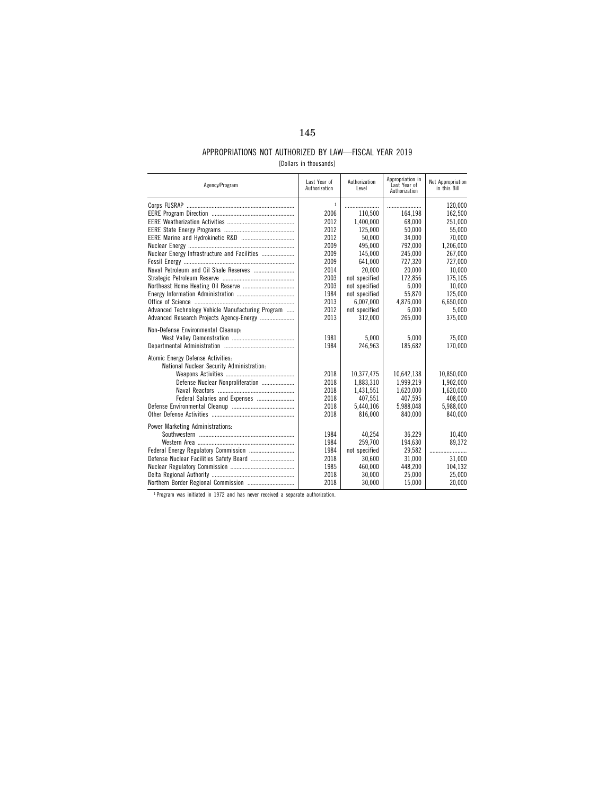## APPROPRIATIONS NOT AUTHORIZED BY LAW—FISCAL YEAR 2019

|  |  | [Dollars in thousands] |
|--|--|------------------------|
|--|--|------------------------|

| Agency/Program                                    | Last Year of<br>Authorization | Authorization<br>Level | Appropriation in<br>Last Year of<br>Authorization | Net Appropriation<br>in this Bill |
|---------------------------------------------------|-------------------------------|------------------------|---------------------------------------------------|-----------------------------------|
|                                                   | $\mathbf{1}$<br>2006          | 110,500                | 164,198                                           | 120.000<br>162,500                |
|                                                   | 2012                          | 1.400.000              | 68.000                                            | 251.000                           |
|                                                   | 2012                          | 125.000                | 50.000                                            | 55.000                            |
|                                                   | 2012                          | 50.000                 | 34,000                                            | 70,000                            |
|                                                   | 2009                          | 495.000                | 792,000                                           | 1,206,000                         |
| Nuclear Energy Infrastructure and Facilities      | 2009                          | 145,000                | 245,000                                           | 267,000                           |
|                                                   | 2009                          | 641.000                | 727,320                                           | 727,000                           |
|                                                   | 2014                          | 20.000                 | 20.000                                            | 10.000                            |
|                                                   | 2003                          | not specified          | 172.856                                           | 175,105                           |
|                                                   | 2003                          | not specified          | 6,000                                             | 10,000                            |
|                                                   | 1984                          | not specified          | 55.870                                            | 125.000                           |
|                                                   | 2013                          | 6,007,000              | 4,876,000                                         | 6.650.000                         |
| Advanced Technology Vehicle Manufacturing Program | 2012                          | not specified          | 6,000                                             | 5.000                             |
| Advanced Research Projects Agency-Energy          | 2013                          | 312.000                | 265.000                                           | 375.000                           |
|                                                   |                               |                        |                                                   |                                   |
| Non-Defense Environmental Cleanup:                | 1981                          | 5.000                  | 5.000                                             | 75.000                            |
|                                                   | 1984                          | 246.963                | 185.682                                           | 170,000                           |
|                                                   |                               |                        |                                                   |                                   |
| Atomic Energy Defense Activities:                 |                               |                        |                                                   |                                   |
| National Nuclear Security Administration:         |                               |                        |                                                   |                                   |
|                                                   | 2018                          | 10,377,475             | 10,642,138                                        | 10,850,000                        |
| Defense Nuclear Nonproliferation                  | 2018                          | 1,883,310              | 1,999,219                                         | 1,902,000                         |
|                                                   | 2018                          | 1.431.551              | 1,620,000                                         | 1,620,000                         |
| Federal Salaries and Expenses                     | 2018                          | 407,551                | 407,595                                           | 408,000                           |
|                                                   | 2018                          | 5,440,106              | 5,988,048                                         | 5,988,000                         |
|                                                   | 2018                          | 816.000                | 840.000                                           | 840.000                           |
| Power Marketing Administrations:                  |                               |                        |                                                   |                                   |
|                                                   | 1984                          | 40.254                 | 36.229                                            | 10.400                            |
|                                                   | 1984                          | 259.700                | 194,630                                           | 89,372                            |
|                                                   | 1984                          | not specified          | 29,582                                            |                                   |
| Defense Nuclear Facilities Safety Board           | 2018                          | 30,600                 | 31,000                                            | 31,000                            |
|                                                   | 1985                          | 460,000                | 448,200                                           | 104.132                           |
|                                                   | 2018                          | 30.000                 | 25.000                                            | 25.000                            |
| Northern Border Regional Commission               | 2018                          | 30,000                 | 15,000                                            | 20,000                            |
|                                                   |                               |                        |                                                   |                                   |

1 Program was initiated in 1972 and has never received a separate authorization.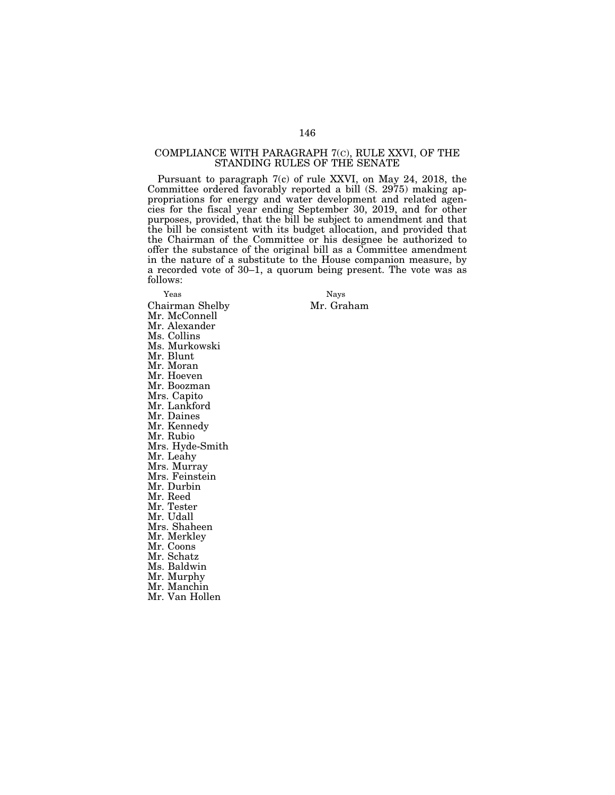### COMPLIANCE WITH PARAGRAPH 7(C), RULE XXVI, OF THE STANDING RULES OF THE SENATE

Pursuant to paragraph 7(c) of rule XXVI, on May 24, 2018, the Committee ordered favorably reported a bill (S. 2975) making appropriations for energy and water development and related agencies for the fiscal year ending September 30, 2019, and for other purposes, provided, that the bill be subject to amendment and that the bill be consistent with its budget allocation, and provided that the Chairman of the Committee or his designee be authorized to offer the substance of the original bill as a Committee amendment in the nature of a substitute to the House companion measure, by a recorded vote of 30–1, a quorum being present. The vote was as follows:

Yeas Nays Chairman Shelby Mr. Graham Mr. McConnell Mr. Alexander Ms. Collins Ms. Murkowski Mr. Blunt Mr. Moran Mr. Hoeven Mr. Boozman Mrs. Capito Mr. Lankford Mr. Daines Mr. Kennedy Mr. Rubio Mrs. Hyde-Smith Mr. Leahy Mrs. Murray Mrs. Feinstein Mr. Durbin Mr. Reed Mr. Tester Mr. Udall Mrs. Shaheen Mr. Merkley Mr. Coons Mr. Schatz Ms. Baldwin Mr. Murphy Mr. Manchin Mr. Van Hollen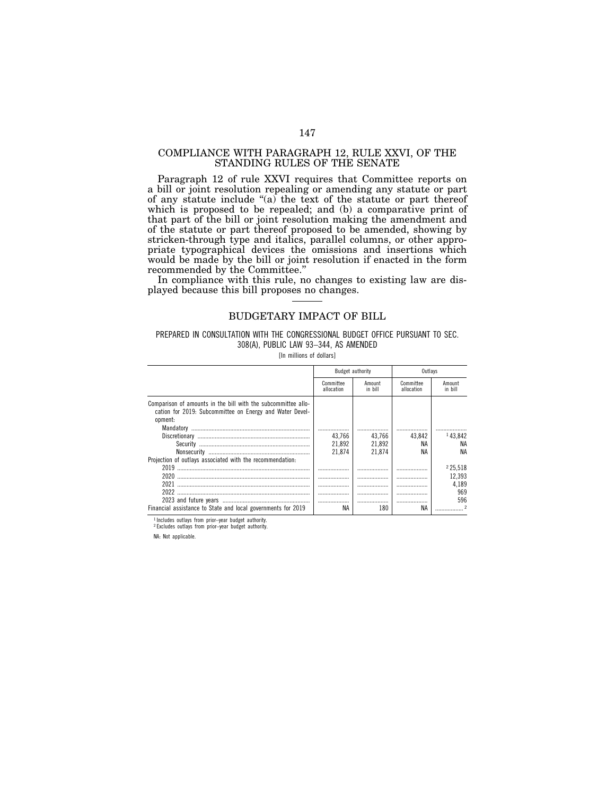### COMPLIANCE WITH PARAGRAPH 12, RULE XXVI, OF THE STANDING RULES OF THE SENATE

Paragraph 12 of rule XXVI requires that Committee reports on a bill or joint resolution repealing or amending any statute or part of any statute include ''(a) the text of the statute or part thereof which is proposed to be repealed; and (b) a comparative print of that part of the bill or joint resolution making the amendment and of the statute or part thereof proposed to be amended, showing by stricken-through type and italics, parallel columns, or other appropriate typographical devices the omissions and insertions which would be made by the bill or joint resolution if enacted in the form recommended by the Committee.''

In compliance with this rule, no changes to existing law are displayed because this bill proposes no changes.

### BUDGETARY IMPACT OF BILL

### PREPARED IN CONSULTATION WITH THE CONGRESSIONAL BUDGET OFFICE PURSUANT TO SEC. 308(A), PUBLIC LAW 93–344, AS AMENDED

[In millions of dollars]

|                                                                                                                                      |                         | Budget authority  | Outlavs                 |                   |
|--------------------------------------------------------------------------------------------------------------------------------------|-------------------------|-------------------|-------------------------|-------------------|
|                                                                                                                                      | Committee<br>allocation | Amount<br>in bill | Committee<br>allocation | Amount<br>in bill |
| Comparison of amounts in the bill with the subcommittee allo-<br>cation for 2019: Subcommittee on Energy and Water Devel-<br>opment: |                         |                   |                         |                   |
|                                                                                                                                      | 43.766                  | 43.766            | 43.842                  | 143,842           |
| Security                                                                                                                             | 21.892                  | 21.892            | <b>NA</b>               | NA                |
| Nonsecurity                                                                                                                          | 21.874                  | 21.874            | ΝA                      | ΝA                |
| Projection of outlays associated with the recommendation:                                                                            |                         |                   |                         |                   |
| 2019                                                                                                                                 |                         |                   |                         | 225.518           |
| 2020                                                                                                                                 |                         | .                 | .                       | 12.393            |
| 2021                                                                                                                                 |                         |                   |                         | 4.189             |
| 2022                                                                                                                                 |                         |                   | .                       | 969               |
|                                                                                                                                      |                         |                   |                         | 596               |
| Financial assistance to State and local governments for 2019                                                                         | ΝA                      | 180               | ΝA                      |                   |

1 Includes outlays from prior–year budget authority. 2 Excludes outlays from prior–year budget authority.

NA: Not applicable.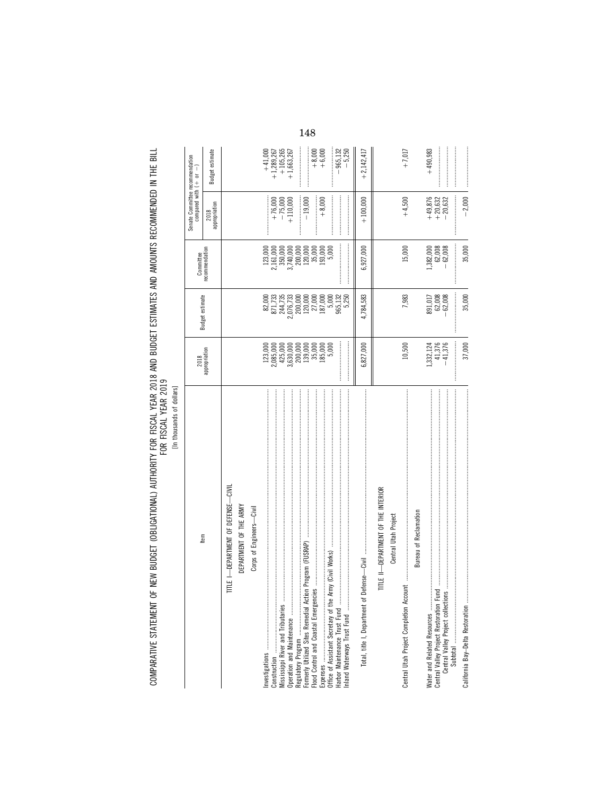COMPARATIVE STATEMENT OF NEW BUDGET (OBLIGATIONAL) AUTHORITY FOR FISCAL YEAR 2018 AND BUDGET ESTIMATES AND AMOUNTS RECOMMENDED IN THE BILL<br>FOR FISCAL

[In thousands of dollars]

 $\begin{array}{r} +41,000 \\ +1,289,267 \\ +105,265 \\ +105,265 \end{array}$  $+8,000$ <br>+6,000  $-965,132$ <br> $-5,250$  $+7,017$ Budget estimate  $+2,142,417$  $+490,983$ Senate Committee recommendation<br>compared with  $(+ \quad or \quad -)$  $\begin{array}{r} +49,876 \\ +20,632 \\ -20,632 \end{array}$  $+ 76,000$ <br> $- 75,000$ <br> $+ 110,000$  $+4,500$  $-2,000$  $-19,000$  $+8,000$  $+100,000$ 2018<br>appropriation  $\begin{array}{r} 123,000 \\ 2,161,000 \\ 3,500,000 \\ 3,7,40,000 \\ 2,00,000 \\ 120,000 \\ 135,000 \\ 133,000 \\ 5,000 \\ \end{array}$  $15{,}000$  $1,382,000$ <br> $62,008$ <br> $-62,008$ 35,000 Committee<br>recommendation 6,927,000  $\begin{array}{c} 82,000\\ 871,735\\ 871,735\\ 2,016,733\\ 2,016,733\\ 2,000,000\\ 120,000\\ 120,000\\ 187,000\\ 187,000\\ 965,132\\ 55\\ 0 \end{array}$  $891,017  
\n62,008  
\n-62,008$ 35,000 Budget estimate 4,784,583 7,983  $\begin{bmatrix} 123,000\\ 2,085,000\\ 245,000\\ 3,630,000\\ 200,000\\ 139,000\\ 139,000\\ 139,000\\ 135,000\\ 135,000\\ 135,000\\ 135,000\\ \end{bmatrix}$  $1,332,124$ <br> $41,376$ <br> $-41,376$ 37,000  $10,500$ 6,827,000 2018<br>appropriation TITLE I-DEPARTMENT OF DEFENSE-CIVIL TITLE II-DEPARTMENT OF THE INTERIOR DEPARTMENT OF THE ARMY Corps of Engineers-Civil Bureau of Reclamation Central Utah Project ltem Total, title I, Department of Defense-Civil Central Utah Project Completion Account Water and Related Resources ................<br>Central Valley Project Restoration Fund<br>Central Valley Project collections .. Flood Control and Coastal Emergencies Mississippi River and Tributaries California Bay-Delta Restoration Inland Waterways Trust Fund Subtotal Investigations Construction Expenses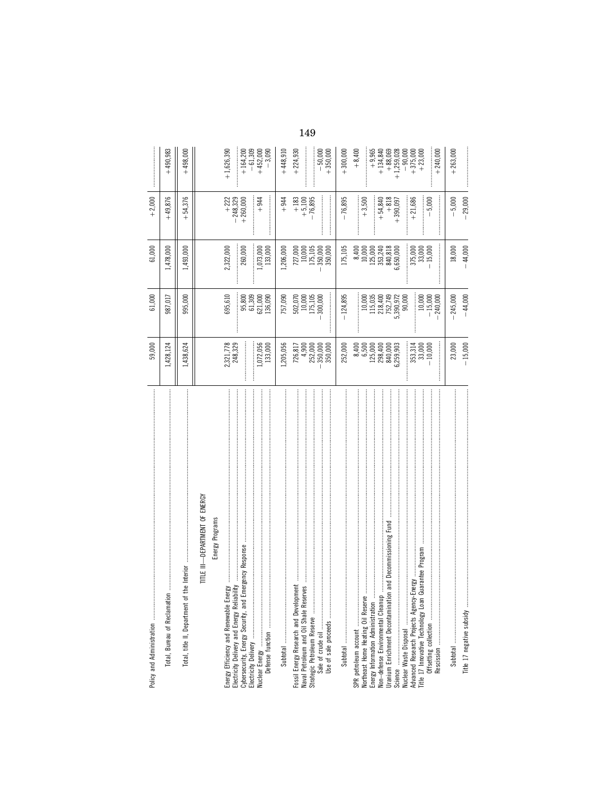|                                                                                                                                                                                                         | 59,000                                                       | 61,000                                                | 61,000                                                            | $+2,000$                                      |                                                                 |
|---------------------------------------------------------------------------------------------------------------------------------------------------------------------------------------------------------|--------------------------------------------------------------|-------------------------------------------------------|-------------------------------------------------------------------|-----------------------------------------------|-----------------------------------------------------------------|
| Total, Bureau of Reclamation                                                                                                                                                                            | 1,428,124                                                    | 987,017                                               | 1,478,000                                                         | $+49,876$                                     | $+490,983$                                                      |
| 法法法法法 医克里德氏菌 医弗里德氏试验检尿 医皮肤发生 医二乙酸 医麦角氏菌 医马里德氏菌 医马里德氏菌属 医马里德氏菌属 医马里德氏菌属 医马里德氏菌属 医皮肤发生的 医血清性<br>he Interior<br>Total, title II, Department of                                                             | 1,438,624                                                    | 995,000                                               | 1,493,000                                                         | 54,376                                        | $+498,000$                                                      |
| -DEPARTMENT OF ENERGY<br>Energy Programs<br>ilin∃<br>I                                                                                                                                                  |                                                              |                                                       |                                                                   |                                               |                                                                 |
| ವ<br>Energy Efficiency and Renewable Ener                                                                                                                                                               | 2,321,778<br>248,329                                         | 695,610                                               | 2,322,000                                                         | $+ 222\n+ 248,329\n+ 260,000$                 | $+1,626,390$                                                    |
|                                                                                                                                                                                                         |                                                              | 61,309<br>95,800                                      | 260,000                                                           |                                               | $+164,200$                                                      |
| <b>医子宫的 医阿尔伯氏氏 医阿尔伯氏 医阿尔比氏 医阿尔比氏征 医阿尔比氏征 医阿尔比氏征 医阿尔比氏征 医阿尔比氏征 医阿尔比氏征 医阿尔比氏征 医阿尔比氏征 医阿尔比氏征 医阿尔比氏征 医阿尔比氏征 医阿尔比氏征</b>                                                                                      | ,072,056<br>133,000                                          | 621,000<br>136,090                                    | 1,073,000<br>133,000                                              | $+944$                                        | $-61,309$<br>+452,000<br>-3,090                                 |
|                                                                                                                                                                                                         | ,205,056                                                     | 757,090                                               | ,206,000                                                          | $+944$                                        | $+448,910$                                                      |
| Fossil Energy Research and Development<br>Naval Petroleum and Oil Shale Reserves<br>Strategic Petroleum Reserve<br>Use of sale proceeds                                                                 | 4,900<br>252,000<br>350,000<br>726,817<br>350,000            | 175,105<br>502,070<br>10,000<br>300,000               | 175,105<br>$727,000$<br>$10,000$<br>350,000<br>350,000            | $+183$<br>$+5,100$<br>$-76,895$               | $+224,930$<br>$-50,000$<br>$+350,000$                           |
|                                                                                                                                                                                                         | 252,000                                                      | $-124,895$                                            | 175,105                                                           | $-76,895$                                     | $+300,000$                                                      |
| and Decommissioning Fund<br>SPR petroleum account<br>Northeast Home Heating Oil Reserve<br>Energy Information Administration<br>Uranium Enrichment Decontamination<br>Non-defense Environmental Cleanup | 8,400<br>6,500<br>125,000<br>298,400<br>840,000<br>6,259,903 | $10,\!000$<br>115,035<br>218,400<br>752,749           | 840,818<br>$8,400$<br>$10,000$<br>125,000<br>353,240<br>6,650,000 | $+3,500$<br>$+818$<br>$+54,840$<br>$+390,097$ | $+8,400$<br>$+9,965$<br>$+134,840$<br>$+88,069$<br>$+1,259,028$ |
| Title 17 Innovative Technology Loan Guarantee Program<br>Advanced Research Projects Agency-Energy                                                                                                       | 353,314<br>33,000<br>10,000                                  | 5,390,972<br>90,000<br>10,000<br>$-15,000$<br>240,000 | 375,000<br>33,000<br>15,000                                       | $+21,686$<br>5,000                            | $+240,000$<br>$+375,000$<br>$+23,000$<br>$-90,000$              |
|                                                                                                                                                                                                         | 23,000                                                       | $-245,000$                                            | 18,000                                                            | $-5,000$                                      | $+263,000$                                                      |
| Title 17 negative subsidy                                                                                                                                                                               | $-15,000$                                                    | $-44,000$                                             | 44,000                                                            | 29,000                                        |                                                                 |
|                                                                                                                                                                                                         |                                                              |                                                       |                                                                   |                                               |                                                                 |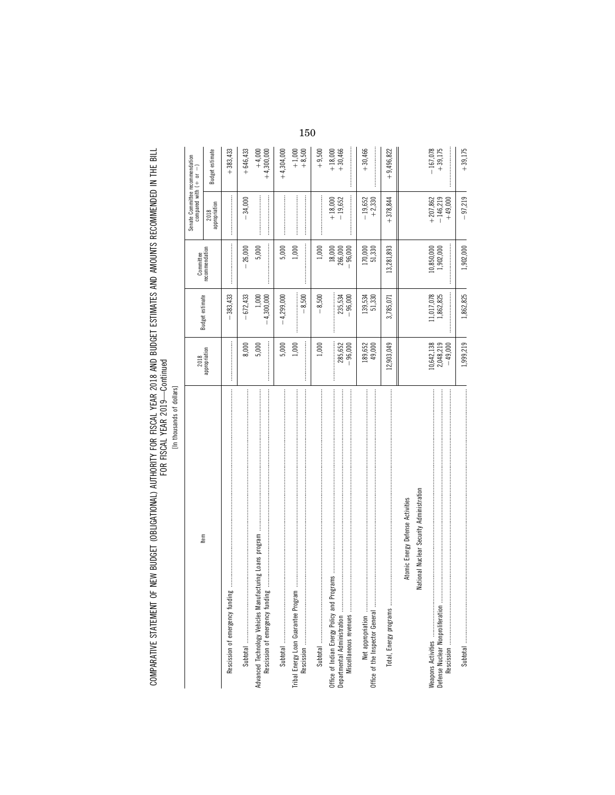COMPARATIVE STATEMENT OF NEW BUDGET (OBLIGATIONAL) AUTHORITY FOR FISCAL YEAR 2018 AND BUDGET ESTIMATES AND AMOUNTS RECOMMENDED IN THE BILL<br>FOR YEAR YEAR

| ۱<br>l<br>ç<br>۰ |
|------------------|
| ัธ               |
| ؟                |
|                  |

|                                                                                                                 |                                      |                        |                                  | Senate Committee recommendation<br>compared with $( + $ or $- )$ |                          |
|-----------------------------------------------------------------------------------------------------------------|--------------------------------------|------------------------|----------------------------------|------------------------------------------------------------------|--------------------------|
| Item                                                                                                            | 2018<br>appropriation                | Budget estimate        | Committee<br>recommendation      | appropriation<br>2018                                            | Budget estimate          |
| $\overline{9}$<br>Rescission of emergency fundin                                                                |                                      | $-383,433$             |                                  |                                                                  | $+383,433$               |
|                                                                                                                 | 8,000                                | $-672,433$             | 26,000                           | $-34,000$                                                        | $+646,433$               |
| Rescission of emergency fundin                                                                                  | 5,000                                | $-4,300,000$           | 5,000                            |                                                                  | $+4,300,000$<br>$+4,000$ |
|                                                                                                                 | 5,000                                | $-4,299,000$           | 5,000                            |                                                                  | $+4,304,000$             |
| Tribal Energy Loan Guarantee Program                                                                            | 1,000                                | $-8,500$               | 1,000                            |                                                                  | $+1,000$<br>$+8,500$     |
|                                                                                                                 | 1,000                                | $-8,500$               | 1,000                            |                                                                  | $+9,500$                 |
| Departmental Administration                                                                                     | 285,652<br>$-96,000$                 | 235,534<br>$-96,000$   | $18,000$<br>266,000<br>$-96,000$ | $+18,000$<br>$-19,652$                                           | $+18,000$<br>$+30,466$   |
|                                                                                                                 | 189,652<br>49,000                    | 139,534<br>51,330      | 170,000<br>51,330                | $-19,652$<br>+2,330                                              | $+30,466$                |
|                                                                                                                 | 12,903,049                           | 3,785,071              | 13,281,893                       | $+378,844$                                                       | $+9,496,822$             |
| Atomic Energy Defense Activities                                                                                |                                      |                        |                                  |                                                                  |                          |
| National Nuclear Security Administration                                                                        |                                      |                        |                                  |                                                                  |                          |
| Defense Nuclear Nonproliferation                                                                                | 10,642,138<br>2,048,219<br>$-49,000$ | 1,017,078<br>1,862,825 | 10,850,000<br>1,902,000          | $+ 207,862$<br>$- 146,219$<br>$+49,000$                          | $-167,078$<br>$+39,175$  |
| <u>Subteral постоянно постановленно постановленно постоянно постоянно постоянно положительно положительно п</u> | 1,999,219                            | 1,862,825              | 1,902,000                        | $-97,219$                                                        | $+39,175$                |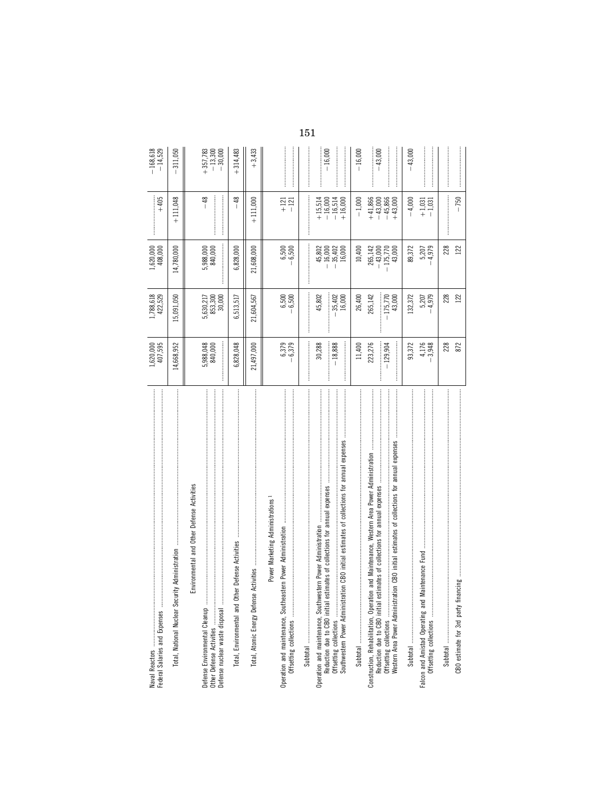| Federal Salaries and Expenses                                                                                                                                                                                                                                                                           | 1,620,000<br>407,595           | 1,788,618<br>422,529            | 1,620,000<br>408,000                         | $+405$                                           | $-168,618$<br>$-14,529$              |
|---------------------------------------------------------------------------------------------------------------------------------------------------------------------------------------------------------------------------------------------------------------------------------------------------------|--------------------------------|---------------------------------|----------------------------------------------|--------------------------------------------------|--------------------------------------|
| .<br>.<br>.<br>.<br>.<br>.<br>.<br>.<br>.<br>.<br>.<br>Total, National Nuclear Security Administration                                                                                                                                                                                                  | 14,668,952                     | .5,091,050                      | 14,780,000                                   | $+111,048$                                       | 311,050                              |
| Environmental and Other Defense Activities<br>Defense Environmental Cleanup<br>Defense nuclear waste disposal                                                                                                                                                                                           | 5,988,048<br>840,000           | 5,630,217<br>853,300<br>30,000  | 5,988,000<br>840,000                         | $-48$                                            | $-30,000$<br>$+357,783$<br>$-13,300$ |
| Total, Environmental and Other Defense Activities                                                                                                                                                                                                                                                       | 6,828,048                      | 6,513,517                       | 6,828,000                                    | $-48$                                            | $+314,483$                           |
| Total, Atomic Energy Defense                                                                                                                                                                                                                                                                            | 21,497,000                     | 21,604,567                      | 21,608,000                                   | $+111,000$                                       | $+3,433$                             |
| Power Marketing Administrations<br>Operation and maintenance, Southeast                                                                                                                                                                                                                                 | 6,379<br>6,379<br>$\mathbf{I}$ | 6,500<br>6,500                  | 6,500<br>6,500                               | $+121$<br>$-121$                                 |                                      |
|                                                                                                                                                                                                                                                                                                         |                                |                                 |                                              |                                                  |                                      |
| Reduction due to CBO initial estimates of collections for annual expenses<br>Operation and maintenance, Southwestern Power Administration                                                                                                                                                               | $-18,888$<br>30,288            | 45,802<br>$-35,402$<br>16,000   | $-16,000$<br>$-35,402$<br>45,802<br>16,000   | $+15,514$<br>$-16,000$<br>$-16,514$<br>$+16,000$ | $-16,000$                            |
|                                                                                                                                                                                                                                                                                                         | 11,400                         | 26,400                          | 10,400                                       | $-1,000$                                         | $-16,000$                            |
| Offsetting collections<br>Western Area Power Administration CBO initial estimates of collections for annual expenses<br>and Maintenance, Western Area Power Administration<br>imates of collections for annual expenses<br>Construction, Rehabilitation, Operation<br>Reduction due to CBO initial esti | 223,276<br>$-129,904$          | 265,142<br>$-175,770$<br>43,000 | 265,142<br>$-175,770$<br>$-43,000$<br>43,000 | $+41,866$<br>$-43,000$<br>$-45,866$<br>$+43,000$ | $-43,000$                            |
|                                                                                                                                                                                                                                                                                                         | 93,372                         | 132,372                         | 89,372                                       | $-4,000$                                         | $-43,000$                            |
| Falcon and Amistad Operating and Maintenance Fund                                                                                                                                                                                                                                                       | 4,176<br>3,948                 | 5,207<br>4,979                  | 5,207<br>4,979                               | $+1,031$<br>$-1,031$                             |                                      |
|                                                                                                                                                                                                                                                                                                         | 228                            | 228                             | 228                                          |                                                  |                                      |
|                                                                                                                                                                                                                                                                                                         | 872                            | 122                             | 122                                          | $-750$                                           |                                      |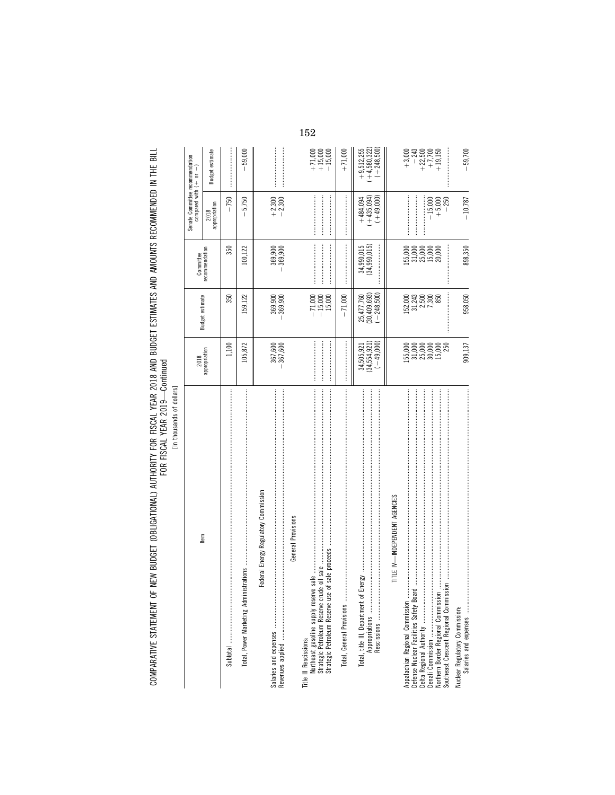COMPARATIVE STATEMENT OF NEW BUDGET (OBLIGATIONAL) AUTHORITY FOR FISCAL YEAR 2018 AND BUDGET ESTIMATES AND AMOUNTS RECOMMENDED IN THE BILL<br>FOR YEAR YEAR

| Ś<br>ì<br>٢<br>¢ |
|------------------|
| ۰<br>۱           |
| ı                |
| ı<br>c<br>S<br>j |
|                  |

|                                                                                                                       |                                               |                                                                             | Committee                                                                                                                                                                                                                                                                                                                                                                                                                                                                                           | Senate Committee recommendation<br>compared with $( + $ or $- )$    |                                                                                   |
|-----------------------------------------------------------------------------------------------------------------------|-----------------------------------------------|-----------------------------------------------------------------------------|-----------------------------------------------------------------------------------------------------------------------------------------------------------------------------------------------------------------------------------------------------------------------------------------------------------------------------------------------------------------------------------------------------------------------------------------------------------------------------------------------------|---------------------------------------------------------------------|-----------------------------------------------------------------------------------|
| Item                                                                                                                  | 2018<br>appropriation                         | Budget estimate                                                             | recommendation                                                                                                                                                                                                                                                                                                                                                                                                                                                                                      | 2018<br>appropriation                                               | Budget estimate                                                                   |
|                                                                                                                       | 1,100                                         | 350                                                                         | 350                                                                                                                                                                                                                                                                                                                                                                                                                                                                                                 | $-750$                                                              |                                                                                   |
| Total, Power Marketing Admi                                                                                           | 105,872                                       | 159,122                                                                     | 100,122                                                                                                                                                                                                                                                                                                                                                                                                                                                                                             | $-5,750$                                                            | 59,000<br>Ī                                                                       |
| Federal Energy Regulatory Commission<br>General Provisions                                                            | $-367,600$<br>$-367,600$                      | 369,900<br>-369,900                                                         | $-369,900$<br>$-369,900$                                                                                                                                                                                                                                                                                                                                                                                                                                                                            | $+2,300$<br>$-2,300$                                                |                                                                                   |
| Title III Rescissions:                                                                                                |                                               | $-71,000$<br>$-15,000$<br>15,000                                            |                                                                                                                                                                                                                                                                                                                                                                                                                                                                                                     |                                                                     | $+ 71,000$<br>$+ 15,000$<br>$- 15,000$                                            |
|                                                                                                                       |                                               | $-71,000$                                                                   | $\label{def:1} \begin{split} \mathcal{L}_{\text{in}}(\mathcal{L}_{\text{in}}(\mathcal{L}_{\text{in}}(\mathcal{L}_{\text{in}}(\mathcal{L}_{\text{in}}(\mathcal{L}_{\text{in}}(\mathcal{L}_{\text{in}}(\mathcal{L}_{\text{in}}(\mathcal{L}_{\text{in}}(\mathcal{L}_{\text{in}}(\mathcal{L}_{\text{in}}(\mathcal{L}_{\text{in}}(\mathcal{L}_{\text{in}}(\mathcal{L}_{\text{in}}(\mathcal{L}_{\text{in}}(\mathcal{L}_{\text{in}}(\mathcal{L}_{\text{in}}(\mathcal{L}_{\text{in}}(\mathcal{L}_{\text{in$ |                                                                     | $+71,000$                                                                         |
| Energy<br>Total, title III, Department of<br>Appropriations                                                           | $34,505,921$<br>$(34,554,921)$<br>$(-49,000)$ | $(30,409,693)$<br>$(-248,500)$<br>25,477,760                                | 34,990,015<br>(34,990,015)                                                                                                                                                                                                                                                                                                                                                                                                                                                                          | $\begin{array}{r} +484,094 \\ (+435,094) \\ (+435,094) \end{array}$ | $(+4,580,322)$<br>$(+248,500)$<br>$+9,512,255$                                    |
| TITLE IV-INDEPENDENT AGENCIES<br>Southeast Crescent Regional Commission<br>ㄹ<br>Defense Nuclear Facilities Safety Boa | 15,000<br>3,000<br>5,000<br>5,000<br>250      | $\begin{array}{c} 152,000 \\ 31,243 \\ 2,500 \\ 7,300 \\ 7,300 \end{array}$ | 155,000<br>31,000<br>31,000<br>30,000                                                                                                                                                                                                                                                                                                                                                                                                                                                               | $+5,000$<br>$-15,000$<br>$-250$<br>                                 | $\begin{array}{r} -243 \\ +22,500 \\ + 7,700 \\ + 19,150 \end{array}$<br>$+3,000$ |
| Nuclear Regulatory Commission:                                                                                        | 909,137                                       | 958,050                                                                     | 898,350                                                                                                                                                                                                                                                                                                                                                                                                                                                                                             | $-10,787$                                                           | $-59,700$                                                                         |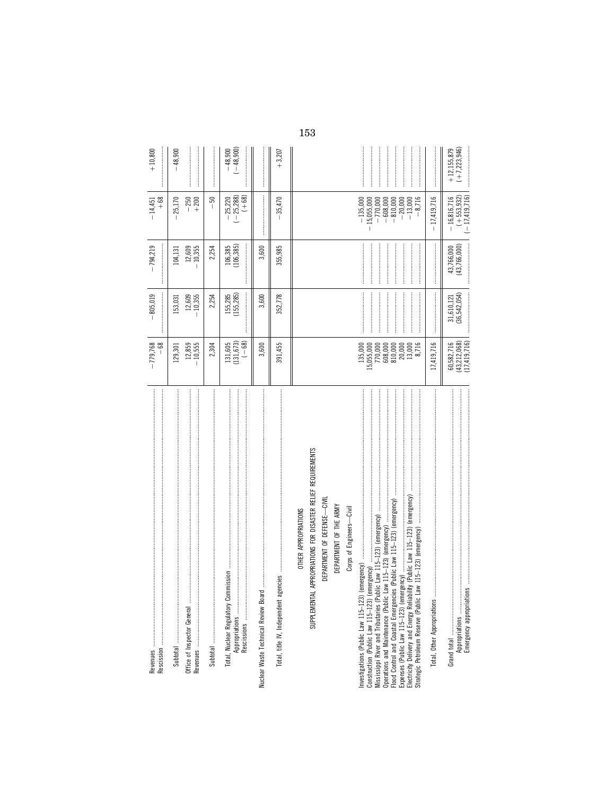|                                                                                                                                                                                                                                                                                                                                                                                                                                                                                         | $-68$<br>$-779,768$                                                                                                                               | $-805,019$                  | $-794,219$                     | $+68$<br>$-14,451$                                                                                          | $+10,800$                       |
|-----------------------------------------------------------------------------------------------------------------------------------------------------------------------------------------------------------------------------------------------------------------------------------------------------------------------------------------------------------------------------------------------------------------------------------------------------------------------------------------|---------------------------------------------------------------------------------------------------------------------------------------------------|-----------------------------|--------------------------------|-------------------------------------------------------------------------------------------------------------|---------------------------------|
| Office of Inspector General                                                                                                                                                                                                                                                                                                                                                                                                                                                             | 12,859<br>10,555<br>129,301                                                                                                                       | 12,609<br>10,355<br>153,031 | $12,609$<br>-10,355<br>104,131 | 25,170<br>$-250$<br>$+200$                                                                                  | $-48,900$                       |
|                                                                                                                                                                                                                                                                                                                                                                                                                                                                                         | 2,304                                                                                                                                             | 2,254                       | 2,254                          | $-50$                                                                                                       |                                 |
| Total, Nuclear Regulatory Commission<br>Appropriations                                                                                                                                                                                                                                                                                                                                                                                                                                  | $\begin{array}{c} 131,605 \\ (131,673) \\ (-68) \end{array}$                                                                                      | 155,285<br>(155,285)        | 106,385<br>(106,385)           | $-25,220$<br>$(-25,288)$<br>$(+68)$                                                                         | $-48,900$<br>$(-48,900)$        |
|                                                                                                                                                                                                                                                                                                                                                                                                                                                                                         | 3,600                                                                                                                                             | 3,600                       | 3,600                          |                                                                                                             |                                 |
| Total, title IV, Independent                                                                                                                                                                                                                                                                                                                                                                                                                                                            | 391,455                                                                                                                                           | 352,778                     | 355,985                        | $-35,470$                                                                                                   | $+3,207$                        |
| IAL APPROPRIATIONS FOR DISASTER RELIEF REQUIREMENTS<br>Operations and Maintenance (Public Law 115–123) (emergency)<br>Flood Control and Coastal Emergencies (Public Law 115–123) (emergency)<br>DEPARTMENT OF DEFENSE-CIVI<br>DEPARTMENT OF THE ARMY<br>Corps of Engineers-Civil<br>OTHER APPROPRIATIONS<br>Mississippi River and Tributaries (Public Law 115-123) (emergency)<br>(emergency)<br>SUPPLEMENT<br>Construction (Public Law 115-123)<br>Strategic Petroleum Reserve (Public | $\begin{array}{r} 135,000 \\ 15,055,000 \\ 770,000 \\ 608,000 \\ 810,000 \end{array}$<br>$\begin{array}{c} 20,000 \\ 13,000 \\ 8,716 \end{array}$ |                             |                                | $-135,000$<br>$-770,000$<br>$-608,000$<br>$-810,000$<br>$-8,716$<br>$-15,055,000$<br>$-20,000$<br>$-13,000$ |                                 |
| Total, Other Appropriations                                                                                                                                                                                                                                                                                                                                                                                                                                                             | 17,419,716                                                                                                                                        |                             |                                | $-17,419,716$                                                                                               |                                 |
|                                                                                                                                                                                                                                                                                                                                                                                                                                                                                         | (17, 419, 716)<br>(43, 212, 068)<br>60,582,716                                                                                                    | 31,610,121<br>(36,542,054)  | 43,766,000<br>(43,766,000)     | $(+ 553, 932)$<br>$(-17, 419, 716)$<br>$-16,816,716$                                                        | $+12,155,879$<br>$(+7,223,946)$ |